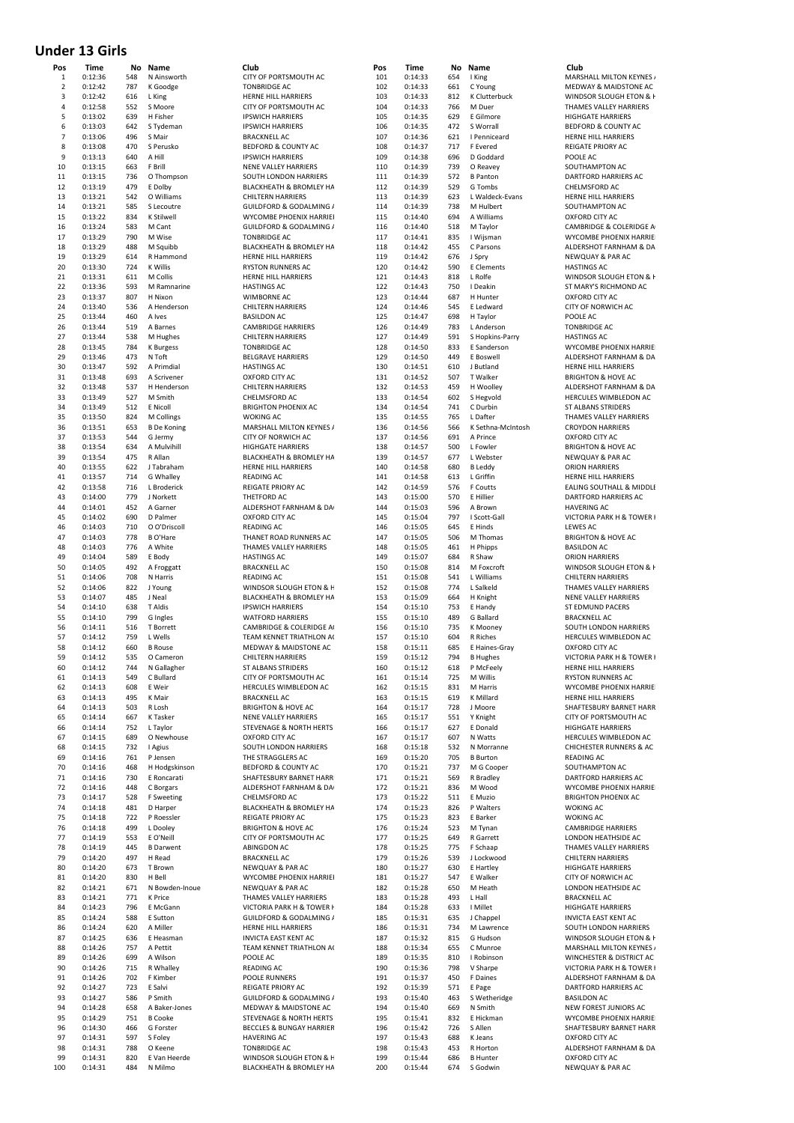### **Under 13 Girls**

| Pos            | Time               | No         | Name                      | Club                                                  | Pos        | Time               | No         | Name                  | Club                        |
|----------------|--------------------|------------|---------------------------|-------------------------------------------------------|------------|--------------------|------------|-----------------------|-----------------------------|
| $\mathbf 1$    | 0:12:36            | 548        | N Ainsworth               | CITY OF PORTSMOUTH AC                                 | 101        | 0:14:33            | 654        | I King                | MARS                        |
| $\overline{2}$ | 0:12:42            | 787        | K Goodge                  | <b>TONBRIDGE AC</b>                                   | 102        | 0:14:33            | 661        | C Young               | <b>MEDV</b>                 |
| 3              | 0:12:42            | 616        | L King                    | HERNE HILL HARRIERS                                   | 103        | 0:14:33            | 812        | K Clutterbuck         | WIND                        |
| 4              | 0:12:58            | 552        | S Moore                   | CITY OF PORTSMOUTH AC                                 | 104        | 0:14:33            | 766        | M Duer                | THAN                        |
| 5              | 0:13:02            | 639        | H Fisher                  | <b>IPSWICH HARRIERS</b>                               | 105        | 0:14:35            | 629        | E Gilmore             | <b>HIGH</b>                 |
| 6              | 0:13:03            | 642        | S Tydeman                 | <b>IPSWICH HARRIERS</b>                               | 106        | 0:14:35            | 472        | S Worrall             | <b>BEDF</b>                 |
| $\overline{7}$ | 0:13:06            | 496        | S Mair                    | <b>BRACKNELL AC</b>                                   | 107        | 0:14:36            | 621        | I Penniceard          | <b>HERN</b>                 |
| 8              | 0:13:08            | 470        | S Perusko                 | BEDFORD & COUNTY AC                                   | 108        | 0:14:37            | 717        | F Evered              | <b>REIGA</b>                |
| 9              | 0:13:13            | 640        | A Hill                    | <b>IPSWICH HARRIERS</b>                               | 109        | 0:14:38            | 696        | D Goddard             | POOL                        |
| 10             | 0:13:15            | 663        | F Brill                   | NENE VALLEY HARRIERS                                  | 110        | 0:14:39            | 739        | O Reavey              | SOUT                        |
| 11             | 0:13:15            | 736        | O Thompson                | SOUTH LONDON HARRIERS                                 | 111        | 0:14:39            | 572        | <b>B</b> Panton       | DART                        |
| 12             | 0:13:19            | 479        | E Dolby                   | BLACKHEATH & BROMLEY HA                               | 112        | 0:14:39            | 529        | G Tombs               | CHELI                       |
| 13             | 0:13:21            | 542        | O Williams                | <b>CHILTERN HARRIERS</b>                              | 113        | 0:14:39            | 623        | L Waldeck-Evans       | <b>HERN</b>                 |
| 14             | 0:13:21            | 585        | S Lecoutre                | GUILDFORD & GODALMING /                               | 114        | 0:14:39            | 738        | M Hulbert             | SOUT                        |
| 15             | 0:13:22            | 834        | K Stilwell                | WYCOMBE PHOENIX HARRIEI                               | 115        | 0:14:40            | 694        | A Williams            | OXFO                        |
| 16             | 0:13:24            | 583        | M Cant                    | GUILDFORD & GODALMING /                               | 116        | 0:14:40            | 518        | M Taylor              | CAME                        |
| 17             | 0:13:29            | 790        | M Wise                    | <b>TONBRIDGE AC</b>                                   | 117        | 0:14:41            | 835        | I Wijsman             | WYCC                        |
| 18             | 0:13:29            | 488        | M Squibb                  | BLACKHEATH & BROMLEY HA                               | 118        | 0:14:42            | 455        | C Parsons             | <b>ALDER</b>                |
| 19             | 0:13:29            | 614        | R Hammond                 | HERNE HILL HARRIERS                                   | 119        | 0:14:42            | 676        | J Spry                | <b>NEWO</b>                 |
| 20             | 0:13:30            | 724        | K Willis                  | RYSTON RUNNERS AC                                     | 120        | 0:14:42            | 590        | E Clements            | <b>HASTI</b>                |
| 21             | 0:13:31            | 611        | M Collis                  | HERNE HILL HARRIERS                                   | 121        | 0:14:43            | 818        | L Rolfe               | WIND                        |
| 22             | 0:13:36            | 593        | M Ramnarine               | <b>HASTINGS AC</b>                                    | 122        | 0:14:43            | 750        | I Deakin              | ST <sub>M</sub>             |
| 23             | 0:13:37            | 807        | H Nixon                   | WIMBORNE AC                                           | 123        | 0:14:44            | 687        | H Hunter              | OXFO                        |
| 24             | 0:13:40            | 536        | A Henderson               | <b>CHILTERN HARRIERS</b>                              | 124        | 0:14:46            | 545        | E Ledward             | CITY <sub>C</sub>           |
| 25             | 0:13:44            | 460        | A Ives                    | <b>BASILDON AC</b>                                    | 125        | 0:14:47            | 698        | H Taylor              | POOL                        |
| 26             | 0:13:44            | 519        | A Barnes                  | <b>CAMBRIDGE HARRIERS</b>                             | 126        | 0:14:49            | 783        | L Anderson            | <b>TONB</b>                 |
| 27             | 0:13:44            | 538        | M Hughes                  | <b>CHILTERN HARRIERS</b>                              | 127        | 0:14:49            | 591        | S Hopkins-Parry       | <b>HASTI</b>                |
| 28             | 0:13:45            | 784        | <b>K</b> Burgess          | <b>TONBRIDGE AC</b>                                   | 128        | 0:14:50            | 833        | E Sanderson           | WYCC                        |
| 29             | 0:13:46            | 473        | N Toft                    | <b>BELGRAVE HARRIERS</b>                              | 129        | 0:14:50            | 449        | E Boswell             | ALDEI                       |
| 30             | 0:13:47            | 592        | A Primdial                | <b>HASTINGS AC</b>                                    | 130        | 0:14:51            | 610        | J Butland             | <b>HERN</b>                 |
| 31             | 0:13:48            | 693        | A Scrivener               | OXFORD CITY AC                                        | 131        | 0:14:52            | 507        | T Walker              | <b>BRIGH</b>                |
| 32             | 0:13:48            | 537        | H Henderson               | <b>CHILTERN HARRIERS</b>                              | 132        | 0:14:53            | 459        | H Woolley             | ALDER                       |
| 33             | 0:13:49            | 527        | M Smith                   | CHELMSFORD AC                                         | 133        | 0:14:54            | 602        | S Hegvold             | <b>HERC</b>                 |
| 34             | 0:13:49            | 512        | E Nicoll                  | <b>BRIGHTON PHOENIX AC</b>                            | 134        | 0:14:54            | 741        | C Durbin              | ST ALI                      |
| 35             | 0:13:50            | 824        | M Collings                | <b>WOKING AC</b>                                      | 135        | 0:14:55            | 765        | L Dafter              | THAN                        |
| 36             | 0:13:51            | 653        | <b>B</b> De Koning        | MARSHALL MILTON KEYNES /                              | 136        | 0:14:56            | 566        | K Sethna-McIntosh     | CROY                        |
| 37             | 0:13:53            | 544        | G Jermy                   | CITY OF NORWICH AC                                    | 137        | 0:14:56            | 691        | A Prince              | OXFO                        |
| 38             | 0:13:54            | 634        | A Mulvihill               | <b>HIGHGATE HARRIERS</b>                              | 138        | 0:14:57            | 500        | L Fowler              | <b>BRIGH</b>                |
| 39             | 0:13:54            | 475        | R Allan                   | BLACKHEATH & BROMLEY HA                               | 139        | 0:14:57            | 677        | L Webster             | <b>NEWC</b>                 |
| 40             | 0:13:55            | 622        | J Tabraham                | HERNE HILL HARRIERS                                   | 140        | 0:14:58            | 680        | <b>B</b> Leddy        | ORIOI                       |
| 41             | 0:13:57            | 714        | G Whalley                 | <b>READING AC</b>                                     | 141        | 0:14:58            | 613        | L Griffin             | <b>HERN</b>                 |
| 42             | 0:13:58            | 716        | L Broderick               | REIGATE PRIORY AC                                     | 142        | 0:14:59            | 576        | F Coutts              | EALIN                       |
| 43             | 0:14:00            | 779        | J Norkett                 | THETFORD AC                                           | 143        | 0:15:00            | 570        | E Hillier             | <b>DART</b>                 |
| 44             | 0:14:01            | 452        | A Garner                  | ALDERSHOT FARNHAM & DA                                | 144        | 0:15:03            | 596        | A Brown               | <b>HAVE</b>                 |
| 45             | 0:14:02            | 690        | D Palmer                  | OXFORD CITY AC                                        | 145        | 0:15:04            | 797        | I Scott-Gall          | <b>VICTC</b>                |
| 46             | 0:14:03            | 710        | O O'Driscoll              | READING AC                                            | 146        | 0:15:05            | 645        | E Hinds               | LEWE                        |
| 47             | 0:14:03            | 778        | <b>B</b> O'Hare           | THANET ROAD RUNNERS AC                                | 147        | 0:15:05            | 506        | M Thomas              | <b>BRIGH</b>                |
| 48             | 0:14:03            | 776        | A White                   | THAMES VALLEY HARRIERS                                | 148        | 0:15:05            | 461        | H Phipps              | <b>BASIL</b>                |
| 49             | 0:14:04            | 589        | E Body                    | <b>HASTINGS AC</b>                                    | 149        | 0:15:07            | 684        | R Shaw                | ORIOI                       |
| 50             | 0:14:05            | 492        | A Froggatt                | <b>BRACKNELL AC</b>                                   | 150        | 0:15:08            | 814        | M Foxcroft            | WIND                        |
| 51             | 0:14:06            | 708        | N Harris                  | READING AC                                            | 151        | 0:15:08            | 541        | L Williams            | CHILT                       |
| 52             | 0:14:06            | 822        | J Young                   | WINDSOR SLOUGH ETON & H                               | 152        | 0:15:08            | 774        | L Salkeld             | THAN                        |
| 53             | 0:14:07            | 485        | J Neal                    | BLACKHEATH & BROMLEY HA                               | 153        | 0:15:09            | 664        | H Knight              | <b>NENE</b>                 |
| 54             | 0:14:10            | 638        | T Aldis                   | <b>IPSWICH HARRIERS</b>                               | 154        |                    | 753        | E Handy               | ST ED                       |
| 55             |                    | 799        | G Ingles                  |                                                       |            | 0:15:10            | 489        | G Ballard             | <b>BRAC</b>                 |
|                | 0:14:10            |            |                           | <b>WATFORD HARRIERS</b><br>CAMBRIDGE & COLERIDGE A    | 155        | 0:15:10            | 735        |                       | SOUT                        |
| 56<br>57       | 0:14:11<br>0:14:12 | 516<br>759 | T Borrett                 |                                                       | 156        | 0:15:10            | 604        | K Mooney              |                             |
| 58             | 0:14:12            | 660        | L Wells<br><b>B</b> Rouse | TEAM KENNET TRIATHLON A<br>MEDWAY & MAIDSTONE AC      | 157<br>158 | 0:15:10<br>0:15:11 | 685        | R Riches              | <b>HERC</b><br>OXFO         |
| 59             | 0:14:12            | 535        |                           |                                                       | 159        |                    | 794        | E Haines-Gray         |                             |
|                |                    |            | O Cameron                 | <b>CHILTERN HARRIERS</b><br><b>ST ALBANS STRIDERS</b> |            | 0:15:12            |            | <b>B</b> Hughes       | <b>VICTC</b>                |
| 60             | 0:14:12            | 744<br>549 | N Gallagher<br>C Bullard  |                                                       | 160        | 0:15:12            | 618        | P McFeely<br>M Willis | <b>HERN</b><br><b>RYSTO</b> |
| 61             | 0:14:13            |            | E Weir                    | CITY OF PORTSMOUTH AC                                 | 161        | 0:15:14            | 725<br>831 |                       | WYCC                        |
| 62<br>63       | 0:14:13<br>0:14:13 | 608<br>495 | K Mair                    | HERCULES WIMBLEDON AC<br><b>BRACKNELL AC</b>          | 162        | 0:15:15            | 619        | M Harris<br>K Millard | <b>HERN</b>                 |
| 64             | 0:14:13            | 503        | R Losh                    | <b>BRIGHTON &amp; HOVE AC</b>                         | 163<br>164 | 0:15:15            | 728        | J Moore               | SHAF <sup>T</sup>           |
|                |                    |            |                           | NENE VALLEY HARRIERS                                  |            | 0:15:17            |            |                       |                             |
| 65             | 0:14:14            | 667        | K Tasker                  |                                                       | 165        | 0:15:17            | 551        | Y Knight              | CITY <sub>C</sub>           |
| 66             | 0:14:14            | 752        | L Taylor                  | STEVENAGE & NORTH HERTS                               | 166        | 0:15:17            | 627        | E Donald              | <b>HIGH</b>                 |
| 67             | 0:14:15            | 689        | O Newhouse                | OXFORD CITY AC                                        | 167        | 0:15:17            | 607        | N Watts               | <b>HERC</b>                 |
| 68             | 0:14:15            | 732        | I Agius                   | SOUTH LONDON HARRIERS                                 | 168        | 0:15:18            | 532        | N Morranne            | <b>CHICH</b>                |
| 69             | 0:14:16            | 761        | P Jensen                  | THE STRAGGLERS AC                                     | 169        | 0:15:20            | 705        | <b>B</b> Burton       | READ                        |
| 70             | 0:14:16            | 468        | H Hodgskinson             | BEDFORD & COUNTY AC                                   | 170        | 0:15:21            | 737        | M G Cooper            | SOUT                        |
| 71             | 0:14:16            | 730        | E Roncarati               | SHAFTESBURY BARNET HARR                               | 171        | 0:15:21            | 569        | R Bradley             | <b>DART</b>                 |
| 72             | 0:14:16            | 448        | C Borgars                 | ALDERSHOT FARNHAM & DA                                | 172        | 0:15:21            | 836        | M Wood                | WYCC                        |
| 73             | 0:14:17            | 528        | F Sweeting                | CHELMSFORD AC                                         | 173        | 0:15:22            | 511        | E Muzio               | <b>BRIGH</b>                |
| 74             | 0:14:18            | 481        | D Harper                  | BLACKHEATH & BROMLEY HA                               | 174        | 0:15:23            | 826        | P Walters             | <b>WOKI</b>                 |
| 75             | 0:14:18            | 722        | P Roessler                | <b>REIGATE PRIORY AC</b>                              | 175        | 0:15:23            | 823        | E Barker              | <b>WOKI</b>                 |
| 76             | 0:14:18            | 499        | L Dooley                  | <b>BRIGHTON &amp; HOVE AC</b>                         | 176        | 0:15:24            | 523        | M Tynan               | CAME                        |
| 77             | 0:14:19            | 553        | E O'Neill                 | CITY OF PORTSMOUTH AC                                 | 177        | 0:15:25            | 649        | R Garrett             | LOND                        |
| 78             | 0:14:19            | 445        | <b>B</b> Darwent          | ABINGDON AC                                           | 178        | 0:15:25            | 775        | F Schaap              | THAN                        |
| 79             | 0:14:20            | 497        | H Read                    | <b>BRACKNELL AC</b>                                   | 179        | 0:15:26            | 539        | J Lockwood            | CHILT                       |
| 80             | 0:14:20            | 673        | T Brown                   | NEWQUAY & PAR AC                                      | 180        | 0:15:27            | 630        | E Hartley             | <b>HIGH</b>                 |
| 81             | 0:14:20            | 830        | H Bell                    | WYCOMBE PHOENIX HARRIEI                               | 181        | 0:15:27            | 547        | E Walker              | CITY <sub>C</sub>           |
| 82             | 0:14:21            | 671        | N Bowden-Inoue            | NEWQUAY & PAR AC                                      | 182        | 0:15:28            | 650        | M Heath               | LOND                        |
| 83             | 0:14:21            | 771        | K Price                   | THAMES VALLEY HARRIERS                                | 183        | 0:15:28            | 493        | L Hall                | <b>BRAC</b>                 |
| 84             | 0:14:23            | 796        | E McGann                  | VICTORIA PARK H & TOWER I                             | 184        | 0:15:28            | 633        | I Millet              | <b>HIGH</b>                 |
| 85             | 0:14:24            | 588        | E Sutton                  | GUILDFORD & GODALMING /                               | 185        | 0:15:31            | 635        | J Chappel             | <b>INVIC</b>                |
| 86             | 0:14:24            | 620        | A Miller                  | HERNE HILL HARRIERS                                   | 186        | 0:15:31            | 734        | M Lawrence            | SOUT                        |
| 87             | 0:14:25            | 636        | E Heasman                 | <b>INVICTA EAST KENT AC</b>                           | 187        | 0:15:32            | 815        | G Hudson              | WIND                        |
| 88             | 0:14:26            | 757        | A Pettit                  | TEAM KENNET TRIATHLON AO                              | 188        | 0:15:34            | 655        | C Munroe              | MARS                        |
| 89             | 0:14:26            | 699        | A Wilson                  | POOLE AC                                              | 189        | 0:15:35            | 810        | I Robinson            | <b>WINC</b>                 |
| 90             | 0:14:26            | 715        | R Whalley                 | <b>READING AC</b>                                     | 190        | 0:15:36            | 798        | V Sharpe              | <b>VICTC</b>                |
| 91             | 0:14:26            | 702        | F Kimber                  | POOLE RUNNERS                                         | 191        | 0:15:37            | 450        | F Daines              | ALDER                       |
| 92             | 0:14:27            | 723        | E Salvi                   | REIGATE PRIORY AC                                     | 192        | 0:15:39            | 571        | E Page                | <b>DART</b>                 |
| 93             | 0:14:27            | 586        | P Smith                   | GUILDFORD & GODALMING /                               | 193        | 0:15:40            | 463        | S Wetheridge          | <b>BASIL</b>                |
| 94             | 0:14:28            | 658        | A Baker-Jones             | MEDWAY & MAIDSTONE AC                                 | 194        | 0:15:40            | 669        | N Smith               | <b>NEW</b>                  |
| 95             | 0:14:29            | 751        | <b>B</b> Cooke            | STEVENAGE & NORTH HERTS                               | 195        | 0:15:41            | 832        | E Hickman             | <b>WYCC</b>                 |
| 96             | 0:14:30            | 466        | G Forster                 | <b>BECCLES &amp; BUNGAY HARRIER</b>                   | 196        | 0:15:42            | 726        | S Allen               | SHAF <sup>T</sup>           |
| 97             | 0:14:31            | 597        | S Foley                   | <b>HAVERING AC</b>                                    | 197        | 0:15:43            | 688        | K Jeans               | OXFO                        |
| 98             | 0:14:31            | 788        | O Keene                   | <b>TONBRIDGE AC</b>                                   | 198        | 0:15:43            | 453        | R Horton              | ALDEI                       |
| 99             | 0:14:31            | 820        | E Van Heerde              | WINDSOR SLOUGH ETON & F                               | 199        | 0:15:44            | 686        | <b>B</b> Hunter       | OXFO                        |
| 100            | 0:14:31            | 484        | N Milmo                   | BLACKHEATH & BROMLEY HA                               | 200        | 0:15:44            | 674        | S Godwin              | <b>NEWO</b>                 |

| Pos<br>101 | Time<br>0:14:33    | No<br>654  | Name<br>I King                 | Club<br>MARSHALL MILTON KEYNES /                             |
|------------|--------------------|------------|--------------------------------|--------------------------------------------------------------|
| 102        | 0:14:33            | 661        | C Young                        | MEDWAY & MAIDSTONE AC                                        |
| 103<br>104 | 0:14:33<br>0:14:33 | 812<br>766 | K Clutterbuck<br>M Duer        | WINDSOR SLOUGH ETON & H<br>THAMES VALLEY HARRIERS            |
| 105        | 0:14:35            | 629        | E Gilmore                      | <b>HIGHGATE HARRIERS</b>                                     |
| 106        | 0:14:35            | 472        | S Worrall<br>I Penniceard      | BEDFORD & COUNTY AC                                          |
| 107<br>108 | 0:14:36<br>0:14:37 | 621<br>717 | F Evered                       | HERNE HILL HARRIERS<br>REIGATE PRIORY AC                     |
| 109        | 0:14:38            | 696        | D Goddard                      | POOLE AC                                                     |
| 110<br>111 | 0:14:39<br>0:14:39 | 739<br>572 | O Reavey<br><b>B</b> Panton    | SOUTHAMPTON AC<br>DARTFORD HARRIERS AC                       |
| 112        | 0:14:39            | 529        | G Tombs                        | CHELMSFORD AC                                                |
| 113        | 0:14:39            | 623        | L Waldeck-Evans                | HERNE HILL HARRIERS<br>SOUTHAMPTON AC                        |
| 114<br>115 | 0:14:39<br>0:14:40 | 738<br>694 | M Hulbert<br>A Williams        | <b>OXFORD CITY AC</b>                                        |
| 116        | 0:14:40            | 518        | M Taylor                       | CAMBRIDGE & COLERIDGE AI                                     |
| 117<br>118 | 0:14:41<br>0:14:42 | 835<br>455 | I Wijsman<br>C Parsons         | WYCOMBE PHOENIX HARRIEI<br>ALDERSHOT FARNHAM & DA            |
| 119        | 0:14:42            | 676        | J Spry                         | <b>NEWQUAY &amp; PAR AC</b>                                  |
| 120<br>121 | 0:14:42<br>0:14:43 | 590<br>818 | E Clements<br>L Rolfe          | <b>HASTINGS AC</b><br>WINDSOR SLOUGH ETON & H                |
| 122        | 0:14:43            | 750        | I Deakin                       | ST MARY'S RICHMOND AC                                        |
| 123        | 0:14:44            | 687        | H Hunter                       | OXFORD CITY AC                                               |
| 124<br>125 | 0:14:46<br>0:14:47 | 545<br>698 | E Ledward<br>H Taylor          | CITY OF NORWICH AC<br>POOLE AC                               |
| 126        | 0:14:49            | 783        | L Anderson                     | <b>TONBRIDGE AC</b>                                          |
| 127<br>128 | 0:14:49<br>0:14:50 | 591<br>833 | S Hopkins-Parry<br>E Sanderson | <b>HASTINGS AC</b><br>WYCOMBE PHOENIX HARRIEI                |
| 129        | 0:14:50            | 449        | E Boswell                      | ALDERSHOT FARNHAM & DA                                       |
| 130        | 0:14:51            | 610        | J Butland                      | <b>HERNE HILL HARRIERS</b>                                   |
| 131<br>132 | 0:14:52<br>0:14:53 | 507<br>459 | T Walker<br>H Woolley          | <b>BRIGHTON &amp; HOVE AC</b><br>ALDERSHOT FARNHAM & DA      |
| 133        | 0:14:54            | 602        | S Hegvold                      | HERCULES WIMBLEDON AC                                        |
| 134<br>135 | 0:14:54<br>0:14:55 | 741<br>765 | C Durbin<br>L Dafter           | <b>ST ALBANS STRIDERS</b><br>THAMES VALLEY HARRIERS          |
| 136        | 0:14:56            | 566        | K Sethna-McIntosh              | <b>CROYDON HARRIERS</b>                                      |
| 137        | 0:14:56            | 691        | A Prince                       | OXFORD CITY AC                                               |
| 138<br>139 | 0:14:57<br>0:14:57 | 500<br>677 | L Fowler<br>L Webster          | <b>BRIGHTON &amp; HOVE AC</b><br><b>NEWQUAY &amp; PAR AC</b> |
| 140        | 0:14:58            | 680        | <b>B</b> Leddy                 | <b>ORION HARRIERS</b>                                        |
| 141<br>142 | 0:14:58            | 613        | L Griffin<br>F Coutts          | <b>HERNE HILL HARRIERS</b><br>EALING SOUTHALL & MIDDLE       |
| 143        | 0:14:59<br>0:15:00 | 576<br>570 | E Hillier                      | DARTFORD HARRIERS AC                                         |
| 144        | 0:15:03            | 596        | A Brown                        | <b>HAVERING AC</b>                                           |
| 145<br>146 | 0:15:04<br>0:15:05 | 797<br>645 | I Scott-Gall<br>E Hinds        | VICTORIA PARK H & TOWER I<br><b>LEWES AC</b>                 |
| 147        | 0:15:05            | 506        | M Thomas                       | <b>BRIGHTON &amp; HOVE AC</b>                                |
| 148<br>149 | 0:15:05<br>0:15:07 | 461<br>684 | H Phipps<br>R Shaw             | <b>BASILDON AC</b><br><b>ORION HARRIERS</b>                  |
| 150        | 0:15:08            | 814        | M Foxcroft                     | WINDSOR SLOUGH ETON & H                                      |
| 151        | 0:15:08            | 541        | L Williams                     | <b>CHILTERN HARRIERS</b>                                     |
| 152<br>153 | 0:15:08<br>0:15:09 | 774<br>664 | L Salkeld<br>H Knight          | THAMES VALLEY HARRIERS<br><b>NENE VALLEY HARRIERS</b>        |
| 154        | 0:15:10            | 753        | E Handy                        | ST EDMUND PACERS                                             |
| 155<br>156 | 0:15:10<br>0:15:10 | 489<br>735 | G Ballard<br>K Mooney          | <b>BRACKNELL AC</b><br>SOUTH LONDON HARRIERS                 |
| 157        | 0:15:10            | 604        | <b>R</b> Riches                | HERCULES WIMBLEDON AC                                        |
| 158        | 0:15:11            | 685        | E Haines-Gray                  | OXFORD CITY AC                                               |
| 159<br>160 | 0:15:12<br>0:15:12 | 794<br>618 | B Hughes<br>P McFeely          | VICTORIA PARK H & TOWER I<br>HERNE HILL HARRIERS             |
| 161        | 0:15:14            | 725        | M Willis                       | RYSTON RUNNERS AC                                            |
| 162<br>163 | 0:15:15<br>0:15:15 | 831<br>619 | M Harris<br>K Millard          | WYCOMBE PHOENIX HARRIEI<br>HERNE HILL HARRIERS               |
| 164        | 0:15:17            | 728        | J Moore                        | SHAFTESBURY BARNET HARR                                      |
| 165<br>166 | 0:15:17<br>0:15:17 | 551<br>627 | Y Knight<br>E Donald           | CITY OF PORTSMOUTH AC<br><b>HIGHGATE HARRIERS</b>            |
| 167        | 0:15:17            | 607        | N Watts                        | HERCULES WIMBLEDON AC                                        |
| 168        | 0:15:18            | 532        | N Morranne                     | <b>CHICHESTER RUNNERS &amp; AC</b>                           |
| 169<br>170 | 0:15:20<br>0:15:21 | 705<br>737 | <b>B</b> Burton<br>M G Cooper  | <b>READING AC</b><br>SOUTHAMPTON AC                          |
| 171        | 0:15:21            | 569        | R Bradley                      | <b>DARTFORD HARRIERS AC</b>                                  |
| 172<br>173 | 0:15:21<br>0:15:22 | 836<br>511 | M Wood<br>E Muzio              | WYCOMBE PHOENIX HARRIEI<br><b>BRIGHTON PHOENIX AC</b>        |
| 174        | 0:15:23            | 826        | P Walters                      | <b>WOKING AC</b>                                             |
| 175        | 0:15:23            | 823        | E Barker<br>M Tynan            | <b>WOKING AC</b><br><b>CAMBRIDGE HARRIERS</b>                |
| 176<br>177 | 0:15:24<br>0:15:25 | 523<br>649 | R Garrett                      | LONDON HEATHSIDE AC                                          |
| 178        | 0:15:25            | 775        | F Schaap                       | THAMES VALLEY HARRIERS                                       |
| 179<br>180 | 0:15:26<br>0:15:27 | 539<br>630 | J Lockwood<br>E Hartley        | <b>CHILTERN HARRIERS</b><br><b>HIGHGATE HARRIERS</b>         |
| 181        | 0:15:27            | 547        | E Walker                       | CITY OF NORWICH AC                                           |
| 182<br>183 | 0:15:28<br>0:15:28 | 650<br>493 | M Heath<br>L Hall              | LONDON HEATHSIDE AC<br><b>BRACKNELL AC</b>                   |
| 184        | 0:15:28            | 633        | I Millet                       | <b>HIGHGATE HARRIERS</b>                                     |
| 185        | 0:15:31            | 635        | J Chappel                      | <b>INVICTA EAST KENT AC</b>                                  |
| 186<br>187 | 0:15:31<br>0:15:32 | 734<br>815 | M Lawrence<br>G Hudson         | SOUTH LONDON HARRIERS<br>WINDSOR SLOUGH ETON & F             |
| 188        | 0:15:34            | 655        | C Munroe                       | MARSHALL MILTON KEYNES /                                     |
| 189<br>190 | 0:15:35<br>0:15:36 | 810<br>798 | I Robinson<br>V Sharpe         | WINCHESTER & DISTRICT AC<br>VICTORIA PARK H & TOWER I        |
| 191        | 0:15:37            | 450        | F Daines                       | ALDERSHOT FARNHAM & DA                                       |
| 192        | 0:15:39            | 571        | E Page                         | DARTFORD HARRIERS AC                                         |
| 193<br>194 | 0:15:40<br>0:15:40 | 463<br>669 | S Wetheridge<br>N Smith        | <b>BASILDON AC</b><br>NEW FOREST JUNIORS AC                  |
| 195        | 0:15:41            | 832        | E Hickman                      | WYCOMBE PHOENIX HARRIEI                                      |
| 196<br>197 | 0:15:42<br>0:15:43 | 726<br>688 | S Allen<br>K Jeans             | SHAFTESBURY BARNET HARR<br>OXFORD CITY AC                    |
| 198        | 0:15:43            | 453        | R Horton                       | ALDERSHOT FARNHAM & DA                                       |
| 199<br>200 | 0:15:44<br>0:15:44 | 686<br>674 | <b>B</b> Hunter<br>S Godwin    | OXFORD CITY AC<br><b>NEWQUAY &amp; PAR AC</b>                |
|            |                    |            |                                |                                                              |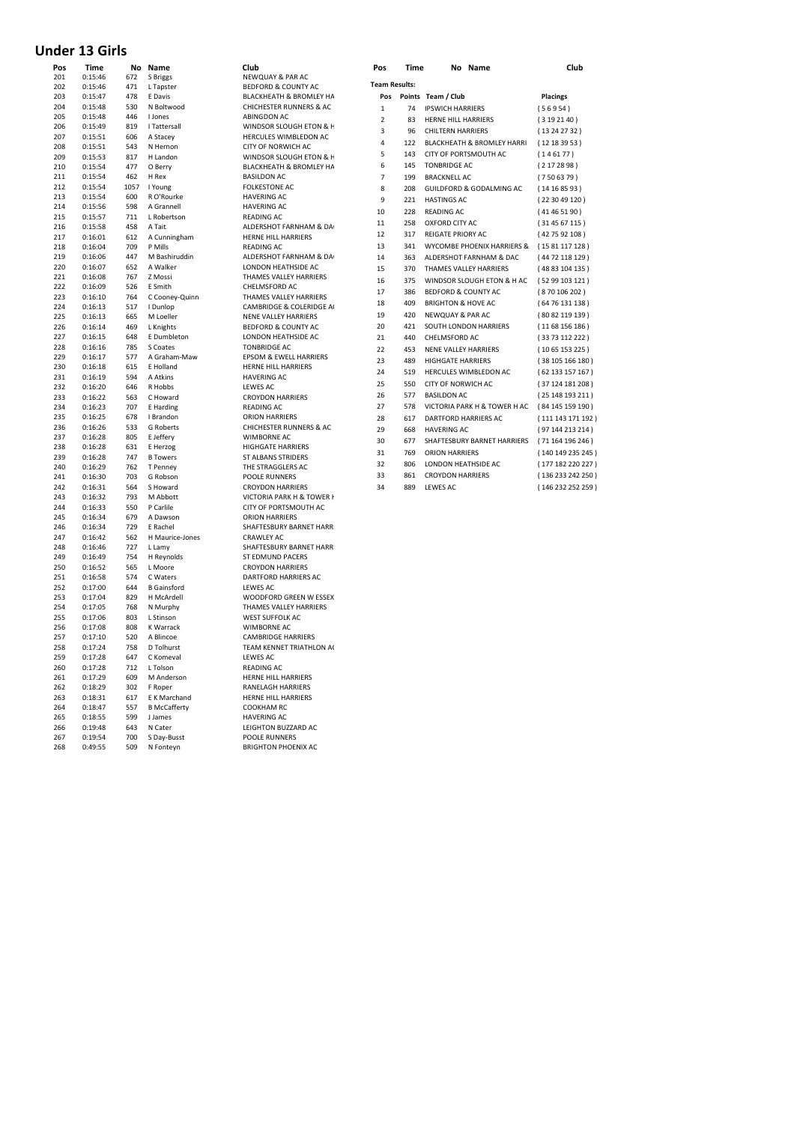# **Under 13 Girls**

| Pos        | Time               | No         | Name                          | Club                                             |
|------------|--------------------|------------|-------------------------------|--------------------------------------------------|
| 201        | 0:15:46            | 672        | S Briggs                      | NEWQUAY & PAR AC                                 |
| 202        | 0:15:46            | 471        | L Tapster                     | BEDFORD & COUNTY AC                              |
| 203        | 0:15:47            | 478        | E Davis                       | <b>BLACKHEATH &amp; BROMLEY HA</b>               |
| 204        | 0:15:48            | 530        | N Boltwood                    | <b>CHICHESTER RUNNERS &amp; AC</b>               |
| 205        | 0:15:48            | 446        | <b>Llones</b>                 | ABINGDON AC                                      |
| 206        | 0:15:49            | 819        | I Tattersall                  | WINDSOR SLOUGH ETON & F                          |
| 207        | 0:15:51            | 606        | A Stacey                      | HERCULES WIMBLEDON AC                            |
| 208        | 0:15:51            | 543        | N Hernon                      | CITY OF NORWICH AC                               |
| 209        | 0:15:53            | 817        | H Landon                      | WINDSOR SLOUGH ETON & H                          |
| 210        | 0:15:54            | 477        | O Berry                       | BLACKHEATH & BROMLEY HA                          |
| 211        | 0:15:54            | 462        | H Rex                         | <b>BASILDON AC</b>                               |
| 212        | 0:15:54            | 1057       | I Young                       | <b>FOLKESTONE AC</b>                             |
| 213        | 0:15:54            | 600        | R O'Rourke                    | <b>HAVERING AC</b>                               |
| 214        | 0:15:56            | 598        | A Grannell                    | <b>HAVERING AC</b>                               |
| 215        | 0:15:57            | 711        | L Robertson                   | <b>READING AC</b>                                |
| 216        | 0:15:58            | 458        | A Tait                        | ALDERSHOT FARNHAM & DA                           |
| 217        | 0:16:01            | 612        | A Cunningham                  | HERNE HILL HARRIERS                              |
| 218        | 0:16:04            | 709        | P Mills                       | <b>READING AC</b>                                |
| 219        | 0:16:06            | 447        | M Bashiruddin                 | ALDERSHOT FARNHAM & DA                           |
| 220        | 0:16:07            | 652        | A Walker                      | LONDON HEATHSIDE AC                              |
| 221        | 0:16:08            | 767        | Z Mossi                       | THAMES VALLEY HARRIERS                           |
| 222        | 0:16:09            | 526        | E Smith                       | CHELMSFORD AC                                    |
| 223        | 0:16:10            | 764        | C Cooney-Quinn                | THAMES VALLEY HARRIERS                           |
| 224        | 0:16:13            | 517        | I Dunlop                      | CAMBRIDGE & COLERIDGE A                          |
| 225        | 0:16:13            | 665        | M Loeller                     | <b>NENE VALLEY HARRIERS</b>                      |
| 226        | 0:16:14            | 469        | L Knights                     | BEDFORD & COUNTY AC                              |
| 227        | 0:16:15            | 648        | E Dumbleton                   | LONDON HEATHSIDE AC                              |
| 228        | 0:16:16            | 785        | S Coates                      | <b>TONBRIDGE AC</b>                              |
| 229        | 0:16:17            | 577        | A Graham-Maw                  | <b>EPSOM &amp; EWELL HARRIERS</b>                |
| 230        | 0:16:18            | 615        | E Holland                     | HERNE HILL HARRIERS                              |
| 231        | 0:16:19            | 594        | A Atkins                      | <b>HAVERING AC</b>                               |
| 232        | 0:16:20            | 646        | R Hobbs                       | <b>LEWES AC</b>                                  |
| 233        | 0:16:22            | 563        | C Howard                      | <b>CROYDON HARRIERS</b>                          |
| 234        | 0:16:23            | 707        | E Harding                     | <b>READING AC</b>                                |
| 235<br>236 | 0:16:25            | 678<br>533 | I Brandon<br><b>G</b> Roberts | <b>ORION HARRIERS</b><br>CHICHESTER RUNNERS & AC |
| 237        | 0:16:26<br>0:16:28 | 805        | E Jeffery                     | <b>WIMBORNE AC</b>                               |
| 238        | 0:16:28            | 631        | E Herzog                      | <b>HIGHGATE HARRIERS</b>                         |
| 239        | 0:16:28            | 747        | <b>B</b> Towers               | <b>ST ALBANS STRIDERS</b>                        |
| 240        | 0:16:29            | 762        | T Penney                      | THE STRAGGLERS AC                                |
| 241        | 0:16:30            | 703        | G Robson                      | POOLE RUNNERS                                    |
| 242        | 0:16:31            | 564        | S Howard                      | <b>CROYDON HARRIERS</b>                          |
| 243        | 0:16:32            | 793        | M Abbott                      | VICTORIA PARK H & TOWER I                        |
| 244        | 0:16:33            | 550        | P Carlile                     | CITY OF PORTSMOUTH AC                            |
| 245        | 0:16:34            | 679        | A Dawson                      | <b>ORION HARRIERS</b>                            |
| 246        | 0:16:34            | 729        | E Rachel                      | SHAFTESBURY BARNET HARR                          |
| 247        | 0:16:42            | 562        | H Maurice-Jones               | <b>CRAWLEY AC</b>                                |
| 248        | 0:16:46            | 727        | L Lamy                        | SHAFTESBURY BARNET HARR                          |
| 249        | 0:16:49            | 754        | H Reynolds                    | ST EDMUND PACERS                                 |
| 250        | 0:16:52            | 565        | L Moore                       | <b>CROYDON HARRIERS</b>                          |
| 251        | 0:16:58            | 574        | C Waters                      | DARTFORD HARRIERS AC                             |
| 252        | 0:17:00            | 644        | <b>B</b> Gainsford            | <b>LEWES AC</b>                                  |
| 253        | 0:17:04            | 829        | H McArdell                    | WOODFORD GREEN W ESSEX                           |
| 254        | 0:17:05            | 768        | N Murphy                      | THAMES VALLEY HARRIERS                           |
| 255        | 0:17:06            | 803        | L Stinson                     | <b>WEST SUFFOLK AC</b>                           |
| 256        | 0:17:08            | 808        | K Warrack                     | <b>WIMBORNE AC</b>                               |
| 257        | 0:17:10            | 520        | A Blincoe                     | <b>CAMBRIDGE HARRIERS</b>                        |
| 258        | 0:17:24            | 758        | D Tolhurst                    | TEAM KENNET TRIATHLON AO                         |
| 259        | 0:17:28            | 647        | C Komeval                     | <b>LEWES AC</b>                                  |
| 260        | 0:17:28            | 712        | L Tolson                      | <b>READING AC</b>                                |
| 261        | 0:17:29            | 609        | M Anderson                    | HERNE HILL HARRIERS                              |
| 262        | 0:18:29            | 302        | F Roper                       | RANELAGH HARRIERS                                |
| 263        | 0:18:31            | 617        | E K Marchand                  | HERNE HILL HARRIERS                              |
| 264        | 0:18:47            | 557        | <b>B McCafferty</b>           | COOKHAM RC                                       |
| 265        | 0:18:55            | 599        | J James                       | <b>HAVERING AC</b>                               |
| 266        | 0:19:48            | 643        | N Cater                       | LEIGHTON BUZZARD AC                              |
| 267        | 0:19:54            | 700        | S Day-Busst                   | POOLE RUNNERS                                    |
| 268        | 0.49.55            | 509        | N Fontevn                     | <b>BRIGHTON PHOENIX AC</b>                       |

**BEDFORD & COUNTY AC** BLACKHEATH & BROMLEY HA CHICHESTER RUNNERS & AC 205 0:15:48 446 I Jones ABINGDON AC 206 0:15:49 819 I Tattersall WINDSOR SLOUGH ETON & H A WINDSOR SLOUGH ETON & H FOLKESTONE AC HAVERING AC HAVERING AC READING AC READING AC THAMES VALLEY HARRIERS CAMBRIDGE & COLERIDGE A NENE VALLEY HARRIERS BEDFORD & COUNTY AC LONDON HEATHSIDE AC TONBRIDGE AC 229 0:16:17 577 A Graham-Maw EPSOM & EWELL HARRIERS HERNE HILL HARRIERS HAVERING AC LEWES AC CROYDON HARRIERS **CHICHESTER RUNNERS & AC** WIMBORNE AC 238 0:16:28 631 E Herzog HIGHGATE HARRIERS ST ALBANS STRIDERS THE STRAGGLERS AC POOLE RUNNERS 242 0:16:31 564 S Howard CROYDON HARRIERS VICTORIA PARK H & TOWER H CITY OF PORTSMOUTH AC ORION HARRIERS SHAFTESBURY BARNET HARR ST EDMUND PACERS 250 0:16:52 565 L Moore CROYDON HARRIERS 251 0:16:58 574 C Waters DARTFORD HARRIERS AC LEWES AC WOODFORD GREEN W ESSEX **THAMES VALLEY HARRIERS** WEST SUFFOLK AC WIMBORNE AC 257 0:17:10 520 A Blincoe CAMBRIDGE HARRIERS 258 0:17:24 758 D Tolhurst TEAM KENNET TRIATHLON AC LEWES AC **READING AC** HERNE HILL HARRIERS RANELAGH HARRIERS 263 0:18:31 617 E K Marchand HERNE HILL HARRIERS COOKHAM RC HAVERING AC 11AVENING AC POOLE RUNNERS BRIGHTON PHOENIX AC

| Pos        | Time               | No         | Name                  | Club                                               | Pos                  | <b>Time</b> | No Name                               | Club              |
|------------|--------------------|------------|-----------------------|----------------------------------------------------|----------------------|-------------|---------------------------------------|-------------------|
| 201        | 0:15:46            | 672        | S Briggs              | NEWQUAY & PAR AC                                   | <b>Team Results:</b> |             |                                       |                   |
| 202        | 0:15:46            | 471        | L Tapster             | BEDFORD & COUNTY AC                                |                      |             |                                       |                   |
| 203        | 0:15:47            | 478        | E Davis               | <b>BLACKHEATH &amp; BROMLEY HA</b>                 |                      |             | Pos Points Team / Club                | <b>Placings</b>   |
| 204        | 0:15:48            | 530        | N Boltwood            | <b>CHICHESTER RUNNERS &amp; AC</b>                 | $\mathbf{1}$         | 74          | <b>IPSWICH HARRIERS</b>               | (56954)           |
| 205        | 0:15:48            | 446        | I Jones               | ABINGDON AC                                        | $\overline{2}$       | 83          | <b>HERNE HILL HARRIERS</b>            | (3192140)         |
| 206        | 0:15:49            | 819        | I Tattersall          | WINDSOR SLOUGH ETON & F                            | 3                    | 96          | <b>CHILTERN HARRIERS</b>              | (13242732)        |
| 207        | 0:15:51            | 606        | A Stacey              | HERCULES WIMBLEDON AC                              | 4                    | 122         | <b>BLACKHEATH &amp; BROMLEY HARRI</b> | (12183953)        |
| 208        | 0:15:51            | 543<br>817 | N Hernon<br>H Landon  | CITY OF NORWICH AC                                 | 5                    | 143         | CITY OF PORTSMOUTH AC                 | (146177)          |
| 209<br>210 | 0:15:53<br>0:15:54 | 477        | O Berry               | WINDSOR SLOUGH ETON & F<br>BLACKHEATH & BROMLEY HA | 6                    | 145         | <b>TONBRIDGE AC</b>                   | (2172898)         |
| 211        | 0:15:54            | 462        | H Rex                 | <b>BASILDON AC</b>                                 | $\overline{7}$       | 199         | <b>BRACKNELL AC</b>                   | (7506379)         |
| 212        | 0:15:54            | 1057       | I Young               | <b>FOLKESTONE AC</b>                               |                      |             |                                       |                   |
| 213        | 0:15:54            | 600        | R O'Rourke            | <b>HAVERING AC</b>                                 | 8                    | 208         | <b>GUILDFORD &amp; GODALMING AC</b>   | (14168593)        |
| 214        | 0:15:56            | 598        | A Grannell            | <b>HAVERING AC</b>                                 | 9                    | 221         | <b>HASTINGS AC</b>                    | (223049120)       |
| 215        | 0:15:57            | 711        | L Robertson           | <b>READING AC</b>                                  | 10                   | 228         | <b>READING AC</b>                     | (41465190)        |
| 216        | 0:15:58            | 458        | A Tait                | ALDERSHOT FARNHAM & DA                             | 11                   | 258         | <b>OXFORD CITY AC</b>                 | (314567115)       |
| 217        | 0:16:01            | 612        | A Cunningham          | <b>HERNE HILL HARRIERS</b>                         | 12                   | 317         | <b>REIGATE PRIORY AC</b>              | (427592108)       |
| 218        | 0:16:04            | 709        | P Mills               | <b>READING AC</b>                                  | 13                   | 341         | WYCOMBE PHOENIX HARRIERS &            | (1581117128)      |
| 219        | 0:16:06            | 447        | M Bashiruddin         | ALDERSHOT FARNHAM & DA                             | 14                   | 363         | ALDERSHOT FARNHAM & DAC               | (44 72 118 129)   |
| 220        | 0:16:07            | 652        | A Walker              | LONDON HEATHSIDE AC                                | 15                   | 370         | THAMES VALLEY HARRIERS                | (48 83 104 135)   |
| 221        | 0:16:08            | 767        | Z Mossi               | THAMES VALLEY HARRIERS                             | 16                   | 375         | WINDSOR SLOUGH ETON & H AC            | (5299103121)      |
| 222        | 0:16:09            | 526        | E Smith               | CHELMSFORD AC                                      | 17                   | 386         | <b>BEDFORD &amp; COUNTY AC</b>        | (870106202)       |
| 223        | 0:16:10            | 764        | C Cooney-Quinn        | THAMES VALLEY HARRIERS                             |                      | 409         |                                       |                   |
| 224        | 0:16:13            | 517        | I Dunlop              | CAMBRIDGE & COLERIDGE A                            | 18                   |             | <b>BRIGHTON &amp; HOVE AC</b>         | (6476131138)      |
| 225        | 0:16:13            | 665        | M Loeller             | <b>NENE VALLEY HARRIERS</b>                        | 19                   | 420         | NEWQUAY & PAR AC                      | (80 82 119 139)   |
| 226        | 0:16:14            | 469        | L Knights             | BEDFORD & COUNTY AC                                | 20                   | 421         | SOUTH LONDON HARRIERS                 | (1168156186)      |
| 227        | 0:16:15            | 648        | E Dumbleton           | LONDON HEATHSIDE AC                                | 21                   | 440         | CHELMSFORD AC                         | (3373112222)      |
| 228        | 0:16:16            | 785        | S Coates              | <b>TONBRIDGE AC</b>                                | 22                   | 453         | NENE VALLEY HARRIERS                  | (1065153225)      |
| 229        | 0:16:17            | 577        | A Graham-Maw          | <b>EPSOM &amp; EWELL HARRIERS</b>                  | 23                   | 489         | <b>HIGHGATE HARRIERS</b>              | (38105166180)     |
| 230        | 0:16:18            | 615<br>594 | E Holland<br>A Atkins | <b>HERNE HILL HARRIERS</b>                         | 24                   | 519         | HERCULES WIMBLEDON AC                 | (62133157167)     |
| 231<br>232 | 0:16:19<br>0:16:20 | 646        | R Hobbs               | <b>HAVERING AC</b><br>LEWES AC                     | 25                   | 550         | <b>CITY OF NORWICH AC</b>             | (37124181208)     |
| 233        | 0:16:22            | 563        | C Howard              | <b>CROYDON HARRIERS</b>                            | 26                   | 577         | <b>BASILDON AC</b>                    | (25148193211)     |
| 234        | 0:16:23            | 707        | E Harding             | <b>READING AC</b>                                  | 27                   | 578         | VICTORIA PARK H & TOWER H AC          | (84 145 159 190)  |
| 235        | 0:16:25            | 678        | I Brandon             | <b>ORION HARRIERS</b>                              | 28                   | 617         | <b>DARTFORD HARRIERS AC</b>           | (111 143 171 192) |
| 236        | 0:16:26            | 533        | <b>G</b> Roberts      | <b>CHICHESTER RUNNERS &amp; AC</b>                 | 29                   | 668         | <b>HAVERING AC</b>                    | (97 144 213 214)  |
| 237        | 0:16:28            | 805        | E Jeffery             | <b>WIMBORNE AC</b>                                 |                      |             |                                       |                   |
| 238        | 0:16:28            | 631        | E Herzog              | <b>HIGHGATE HARRIERS</b>                           | 30                   | 677         | SHAFTESBURY BARNET HARRIERS           | (71164196246)     |
| 239        | 0:16:28            | 747        | <b>B</b> Towers       | <b>ST ALBANS STRIDERS</b>                          | 31                   | 769         | <b>ORION HARRIERS</b>                 | (140 149 235 245) |
| 240        | 0:16:29            | 762        | T Penney              | THE STRAGGLERS AC                                  | 32                   | 806         | LONDON HEATHSIDE AC                   | (177 182 220 227) |
| 241        | 0:16:30            | 703        | G Robson              | <b>POOLE RUNNERS</b>                               | 33                   | 861         | <b>CROYDON HARRIERS</b>               | (136 233 242 250) |
| 242        | 0:16:31            | 564        | S Howard              | <b>CROYDON HARRIERS</b>                            | 34                   | 889         | <b>LEWES AC</b>                       | (146 232 252 259) |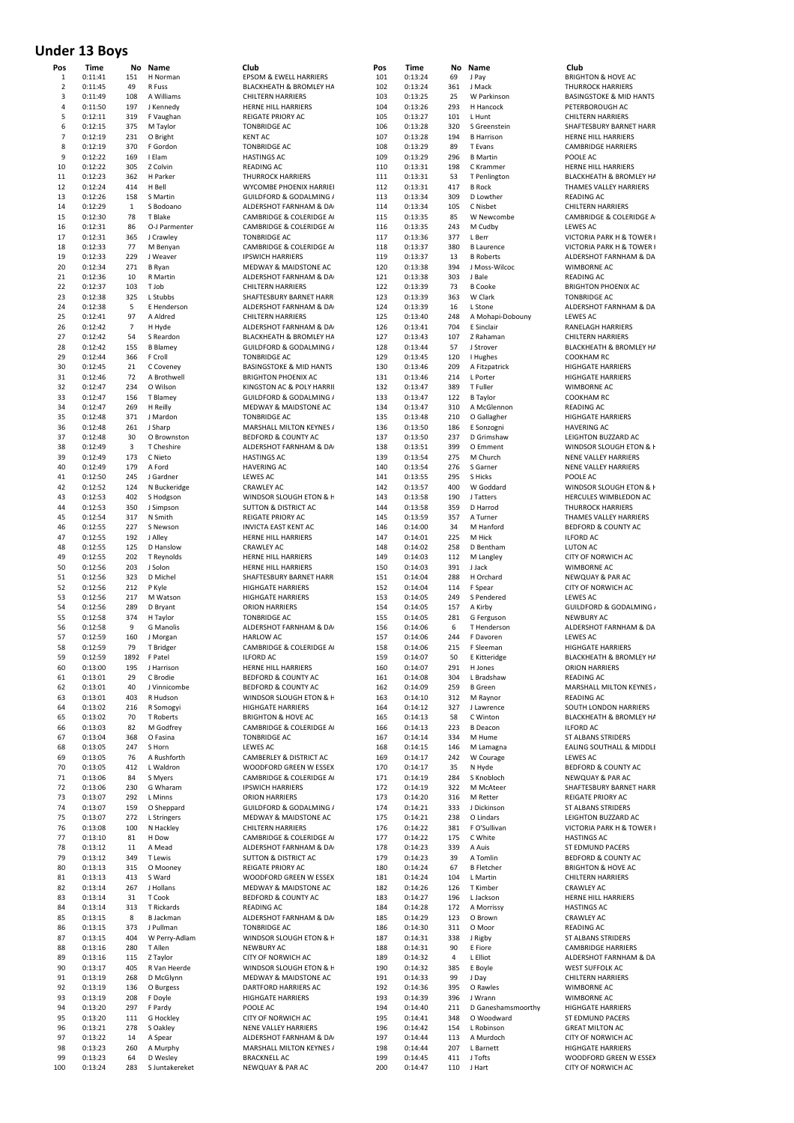# **Under 13 Boys**

| ros<br>1 | <b>ume</b><br>0:11:41 | 151          | ivo ivame<br>H Norman      | uuo<br>EPSOM & EWELL HARRIERS                   |
|----------|-----------------------|--------------|----------------------------|-------------------------------------------------|
| 2        | 0:11:45               | 49           | R Fuss                     | BLACKHEATH & BROMLEY HA                         |
| 3        |                       |              |                            | <b>CHILTERN HARRIERS</b>                        |
|          | 0:11:49               | 108          | A Williams                 |                                                 |
| 4        | 0:11:50               | 197          | J Kennedy                  | HERNE HILL HARRIERS                             |
| 5        | 0:12:11               | 319          | F Vaughan                  | <b>REIGATE PRIORY AC</b>                        |
| 6        | 0:12:15               | 375          | M Taylor                   | <b>TONBRIDGE AC</b>                             |
| 7        | 0:12:19               | 231          | O Bright                   | <b>KENT AC</b>                                  |
| 8        | 0:12:19               | 370          | F Gordon                   | <b>TONBRIDGE AC</b>                             |
| 9        | 0:12:22               | 169          | I Elam                     | <b>HASTINGS AC</b>                              |
| 10       | 0:12:22               | 305          | Z Colvin                   | <b>READING AC</b>                               |
| 11       | 0:12:23               | 362          | H Parker                   | <b>THURROCK HARRIERS</b>                        |
| 12       | 0:12:24               | 414          | H Bell                     | WYCOMBE PHOENIX HARRIEI                         |
| 13       | 0:12:26               | 158          | S Martin                   | GUILDFORD & GODALMING /                         |
| 14       | 0:12:29               | $\mathbf{1}$ | S Bodoano                  | ALDERSHOT FARNHAM & DA                          |
| 15       | 0:12:30               | 78           | T Blake                    | CAMBRIDGE & COLERIDGE A                         |
| 16       | 0:12:31               | 86           | O-J Parmenter              | CAMBRIDGE & COLERIDGE A                         |
| 17       | 0:12:31               | 365          | J Crawley                  | <b>TONBRIDGE AC</b>                             |
| 18       | 0:12:33               | 77           | M Benyan                   | CAMBRIDGE & COLERIDGE A                         |
| 19       |                       | 229          |                            |                                                 |
|          | 0:12:33               |              | J Weaver                   | <b>IPSWICH HARRIERS</b>                         |
| 20       | 0:12:34               | 271          | <b>B</b> Ryan              | MEDWAY & MAIDSTONE AC                           |
| 21       | 0:12:36               | 10           | R Martin                   | ALDERSHOT FARNHAM & DA                          |
| 22       | 0:12:37               | 103          | dol T                      | <b>CHILTERN HARRIERS</b>                        |
| 23       | 0:12:38               | 325          | L Stubbs                   | SHAFTESBURY BARNET HARR                         |
| 24       | 0:12:38               | 5            | E Henderson                | ALDERSHOT FARNHAM & DA                          |
| 25       | 0:12:41               | 97           | A Aldred                   | <b>CHILTERN HARRIERS</b>                        |
| 26       | 0:12:42               | 7            | H Hyde                     | ALDERSHOT FARNHAM & DA                          |
| 27       | 0:12:42               | 54           | S Reardon                  | BLACKHEATH & BROMLEY HA                         |
| 28       | 0:12:42               | 155          | <b>B</b> Blamey            | GUILDFORD & GODALMING /                         |
| 29       | 0:12:44               | 366          | F Croll                    | <b>TONBRIDGE AC</b>                             |
| 30       | 0:12:45               | 21           | C Coveney                  | <b>BASINGSTOKE &amp; MID HANTS</b>              |
| 31       | 0:12:46               | 72           | A Brothwell                | <b>BRIGHTON PHOENIX AC</b>                      |
| 32       | 0:12:47               | 234          | O Wilson                   | KINGSTON AC & POLY HARRII                       |
| 33       | 0:12:47               | 156          | T Blamey                   | GUILDFORD & GODALMING /                         |
| 34       | 0:12:47               | 269          | H Reilly                   | <b>MEDWAY &amp; MAIDSTONE AC</b>                |
| 35       | 0:12:48               | 371          | J Mardon                   | <b>TONBRIDGE AC</b>                             |
| 36       | 0:12:48               | 261          | J Sharp                    | MARSHALL MILTON KEYNES /                        |
| 37       |                       | 30           | O Brownston                | BEDFORD & COUNTY AC                             |
|          | 0:12:48               |              |                            |                                                 |
| 38       | 0:12:49               | 3            | T Cheshire                 | ALDERSHOT FARNHAM & DA                          |
| 39       | 0:12:49               | 173          | C Nieto                    | <b>HASTINGS AC</b>                              |
| 40       | 0:12:49               | 179          | A Ford                     | <b>HAVERING AC</b>                              |
| 41       | 0:12:50               | 245          | J Gardner                  | <b>LEWES AC</b>                                 |
| 42       | 0:12:52               | 124          | N Buckeridge               | <b>CRAWLEY AC</b>                               |
| 43       | 0:12:53               | 402          | S Hodgson                  | WINDSOR SLOUGH ETON & H                         |
| 44       | 0:12:53               | 350          | J Simpson                  | <b>SUTTON &amp; DISTRICT AC</b>                 |
| 45       | 0:12:54               | 317          | N Smith                    | <b>REIGATE PRIORY AC</b>                        |
| 46       | 0:12:55               | 227          | S Newson                   | <b>INVICTA EAST KENT AC</b>                     |
| 47       | 0:12:55               | 192          | J Alley                    | HERNE HILL HARRIERS                             |
| 48       | 0:12:55               | 125          | D Hanslow                  | <b>CRAWLEY AC</b>                               |
| 49       | 0:12:55               | 202          | T Reynolds                 | HERNE HILL HARRIERS                             |
| 50       | 0:12:56               | 203          | J Solon                    | HERNE HILL HARRIERS                             |
| 51       | 0:12:56               | 323          | D Michel                   | SHAFTESBURY BARNET HARR                         |
| 52       | 0:12:56               | 212          | P Kyle                     | <b>HIGHGATE HARRIERS</b>                        |
| 53       | 0:12:56               | 217          | M Watson                   | <b>HIGHGATE HARRIERS</b>                        |
| 54       |                       | 289          |                            | <b>ORION HARRIERS</b>                           |
| 55       | 0:12:56               | 374          | D Bryant<br>H Taylor       |                                                 |
|          | 0:12:58               |              |                            | <b>TONBRIDGE AC</b>                             |
| 56       | 0:12:58               | 9            | G Manolis                  | ALDERSHOT FARNHAM & DA                          |
| 57       | 0:12:59               | 160          | J Morgan                   | <b>HARLOW AC</b>                                |
| 58       | 0:12:59               | 79           | T Bridger                  | CAMBRIDGE & COLERIDGE A                         |
| 59       | 0:12:59               | 1892         | F Patel                    | <b>ILFORD AC</b>                                |
| 60       | 0:13:00               | 195          | J Harrison                 | HERNE HILL HARRIERS                             |
| 61       | 0:13:01               | 29           | C Brodie                   | BEDFORD & COUNTY AC                             |
| 62       | 0:13:01               | 40           | J Vinnicombe               | BEDFORD & COUNTY AC                             |
| 63       | 0:13:01               | 403          | R Hudson                   | WINDSOR SLOUGH ETON & F                         |
| 64       | 0:13:02               | 216          | R Somogyi                  | <b>HIGHGATE HARRIERS</b>                        |
| 65       | 0:13:02               | 70           | T Roberts                  | <b>BRIGHTON &amp; HOVE AC</b>                   |
| 66       | 0:13:03               | 82           | M Godfrey                  | CAMBRIDGE & COLERIDGE A                         |
| 67       | 0:13:04               | 368          | O Fasina                   | <b>TONBRIDGE AC</b>                             |
| 68       | 0:13:05               | 247          | S Horn                     | <b>LEWES AC</b>                                 |
| 69       | 0:13:05               | 76           | A Rushforth                | CAMBERLEY & DISTRICT AC                         |
| 70       | 0:13:05               | 412          | L Waldron                  | WOODFORD GREEN W ESSEX                          |
| 71       | 0:13:06               | 84           | S Myers                    | CAMBRIDGE & COLERIDGE A                         |
| 72       | 0:13:06               | 230          | G Wharam                   | <b>IPSWICH HARRIERS</b>                         |
| 73       | 0:13:07               | 292          | L Minns                    | <b>ORION HARRIERS</b>                           |
| 74       | 0:13:07               | 159          | O Sheppard                 | GUILDFORD & GODALMING /                         |
| 75       | 0:13:07               | 272          | L Stringers                | MEDWAY & MAIDSTONE AC                           |
| 76       | 0:13:08               | 100          | N Hackley                  | <b>CHILTERN HARRIERS</b>                        |
| 77       | 0:13:10               | 81           | H Dow                      | CAMBRIDGE & COLERIDGE A                         |
| 78       | 0:13:12               | 11           | A Mead                     | ALDERSHOT FARNHAM & DA                          |
| 79       |                       | 349          |                            | <b>SUTTON &amp; DISTRICT AC</b>                 |
| 80       | 0:13:12<br>0:13:13    | 315          | <b>T</b> Lewis<br>O Mooney | REIGATE PRIORY AC                               |
| 81       |                       | 413          | S Ward                     | WOODFORD GREEN W ESSEX                          |
|          | 0:13:13               |              |                            |                                                 |
| 82       | 0:13:14               | 267          | J Hollans                  | MEDWAY & MAIDSTONE AC                           |
| 83       | 0:13:14               | 31           | T Cook                     | BEDFORD & COUNTY AC                             |
| 84       | 0:13:14               | 313          | T Rickards                 | <b>READING AC</b>                               |
| 85       | 0:13:15               | 8            | <b>B</b> Jackman           | ALDERSHOT FARNHAM & DA                          |
| 86       | 0:13:15               | 373          | J Pullman                  | <b>TONBRIDGE AC</b>                             |
| 87       | 0:13:15               | 404          | W Perry-Adlam              | WINDSOR SLOUGH ETON & F                         |
| 88       | 0:13:16               | 280          | T Allen                    | <b>NEWBURY AC</b>                               |
| 89       |                       | 115          | Z Taylor                   | CITY OF NORWICH AC                              |
|          | 0:13:16               |              | R Van Heerde               | WINDSOR SLOUGH ETON & F                         |
| 90       | 0:13:17               | 405          |                            |                                                 |
| 91       | 0:13:19               | 268          | D McGlynn                  | MEDWAY & MAIDSTONE AC                           |
| 92       | 0:13:19               | 136          | O Burgess                  | DARTFORD HARRIERS AC                            |
| 93       | 0:13:19               | 208          | F Doyle                    | <b>HIGHGATE HARRIERS</b>                        |
| 94       |                       |              |                            | POOLE AC                                        |
|          | 0:13:20               | 297          | F Pardy                    |                                                 |
| 95       | 0:13:20               | 111          | G Hockley                  | CITY OF NORWICH AC                              |
| 96       | 0:13:21               | 278          | S Oakley                   | NENE VALLEY HARRIERS                            |
| 97       | 0:13:22               | 14           | A Spear                    | ALDERSHOT FARNHAM & DA                          |
| 98<br>99 | 0:13:23<br>0:13:23    | 260<br>64    | A Murphy<br>D Wesley       | MARSHALL MILTON KEYNES /<br><b>BRACKNELL AC</b> |

| Pos            | Time    | No             | Name             | Club                               | Pos | Time    | No  | Name               | Club              |
|----------------|---------|----------------|------------------|------------------------------------|-----|---------|-----|--------------------|-------------------|
| 1              | 0:11:41 | 151            | H Norman         | <b>EPSOM &amp; EWELL HARRIERS</b>  | 101 | 0:13:24 | 69  | J Pay              | <b>BRIGHTON</b>   |
| $\overline{2}$ | 0:11:45 | 49             | R Fuss           | BLACKHEATH & BROMLEY HA            | 102 | 0:13:24 | 361 | J Mack             | <b>THURROCH</b>   |
| 3              | 0:11:49 | 108            | A Williams       | <b>CHILTERN HARRIERS</b>           | 103 | 0:13:25 | 25  | W Parkinson        | <b>BASINGST</b>   |
| 4              | 0:11:50 | 197            | J Kennedy        | HERNE HILL HARRIERS                | 104 | 0:13:26 | 293 | H Hancock          | PETERBOR          |
| 5              | 0:12:11 | 319            | F Vaughan        | <b>REIGATE PRIORY AC</b>           | 105 | 0:13:27 | 101 | L Hunt             | CHILTERN          |
| 6              | 0:12:15 | 375            | M Taylor         | <b>TONBRIDGE AC</b>                | 106 | 0:13:28 | 320 | S Greenstein       | <b>SHAFTESBI</b>  |
| $\overline{7}$ | 0:12:19 | 231            | O Bright         | <b>KENT AC</b>                     | 107 | 0:13:28 | 194 | <b>B</b> Harrison  | <b>HERNE HIL</b>  |
|                |         |                |                  |                                    |     |         |     |                    |                   |
| 8              | 0:12:19 | 370            | F Gordon         | <b>TONBRIDGE AC</b>                | 108 | 0:13:29 | 89  | T Evans            | CAMBRIDO          |
| 9              | 0:12:22 | 169            | I Elam           | <b>HASTINGS AC</b>                 | 109 | 0:13:29 | 296 | <b>B</b> Martin    | POOLE AC          |
| 10             | 0:12:22 | 305            | Z Colvin         | <b>READING AC</b>                  | 110 | 0:13:31 | 198 | C Krammer          | <b>HERNE HIL</b>  |
| 11             | 0:12:23 | 362            | H Parker         | <b>THURROCK HARRIERS</b>           | 111 | 0:13:31 | 53  | T Penlington       | <b>BLACKHEA</b>   |
| 12             | 0:12:24 | 414            | H Bell           | WYCOMBE PHOENIX HARRIEI            | 112 | 0:13:31 | 417 | <b>B</b> Rock      | <b>THAMES V</b>   |
| 13             | 0:12:26 | 158            | S Martin         | <b>GUILDFORD &amp; GODALMING /</b> | 113 | 0:13:34 | 309 | D Lowther          | <b>READING A</b>  |
| 14             | 0:12:29 | $\mathbf{1}$   | S Bodoano        | ALDERSHOT FARNHAM & DA             | 114 | 0:13:34 | 105 | C Nisbet           | CHILTERN          |
|                |         | 78             |                  |                                    | 115 | 0:13:35 |     |                    | CAMBRIDO          |
| 15             | 0:12:30 |                | T Blake          | CAMBRIDGE & COLERIDGE A            |     |         | 85  | W Newcombe         |                   |
| 16             | 0:12:31 | 86             | O-J Parmenter    | CAMBRIDGE & COLERIDGE A            | 116 | 0:13:35 | 243 | M Cudby            | LEWES AC          |
| 17             | 0:12:31 | 365            | J Crawley        | <b>TONBRIDGE AC</b>                | 117 | 0:13:36 | 377 | L Berr             | <b>VICTORIA</b>   |
| 18             | 0:12:33 | 77             | M Benyan         | CAMBRIDGE & COLERIDGE A            | 118 | 0:13:37 | 380 | <b>B</b> Laurence  | <b>VICTORIA</b>   |
| 19             | 0:12:33 | 229            | J Weaver         | <b>IPSWICH HARRIERS</b>            | 119 | 0:13:37 | 13  | <b>B</b> Roberts   | ALDERSHO          |
| 20             | 0:12:34 | 271            | <b>B</b> Ryan    | MEDWAY & MAIDSTONE AC              | 120 | 0:13:38 | 394 | J Moss-Wilcoc      | WIMBORN           |
| 21             | 0:12:36 | 10             | R Martin         | ALDERSHOT FARNHAM & DA             | 121 | 0:13:38 | 303 | J Bale             | <b>READING A</b>  |
| 22             | 0:12:37 | 103            | T Job            | <b>CHILTERN HARRIERS</b>           | 122 | 0:13:39 | 73  | <b>B</b> Cooke     | <b>BRIGHTON</b>   |
|                |         |                |                  |                                    |     |         |     |                    |                   |
| 23             | 0:12:38 | 325            | L Stubbs         | SHAFTESBURY BARNET HARR            | 123 | 0:13:39 | 363 | W Clark            | <b>TONBRIDG</b>   |
| 24             | 0:12:38 | 5              | E Henderson      | ALDERSHOT FARNHAM & DA             | 124 | 0:13:39 | 16  | L Stone            | ALDERSHO          |
| 25             | 0:12:41 | 97             | A Aldred         | <b>CHILTERN HARRIERS</b>           | 125 | 0:13:40 | 248 | A Mohapi-Dobouny   | LEWES AC          |
| 26             | 0:12:42 | $\overline{7}$ | H Hyde           | ALDERSHOT FARNHAM & DA             | 126 | 0:13:41 | 704 | E Sinclair         | RANELAGH          |
| 27             | 0:12:42 | 54             | S Reardon        | BLACKHEATH & BROMLEY HA            | 127 | 0:13:43 | 107 | Z Rahaman          | CHILTERN          |
| 28             | 0:12:42 | 155            | <b>B</b> Blamey  | <b>GUILDFORD &amp; GODALMING /</b> | 128 | 0:13:44 | 57  | J Strover          | <b>BLACKHEA</b>   |
| 29             | 0:12:44 | 366            | F Croll          | <b>TONBRIDGE AC</b>                | 129 | 0:13:45 | 120 | I Hughes           | COOKHAM           |
|                |         | 21             | C Coveney        |                                    |     |         | 209 |                    | <b>HIGHGATE</b>   |
| 30             | 0:12:45 |                |                  | <b>BASINGSTOKE &amp; MID HANTS</b> | 130 | 0:13:46 |     | A Fitzpatrick      |                   |
| 31             | 0:12:46 | 72             | A Brothwell      | <b>BRIGHTON PHOENIX AC</b>         | 131 | 0:13:46 | 214 | L Porter           | <b>HIGHGATE</b>   |
| 32             | 0:12:47 | 234            | O Wilson         | KINGSTON AC & POLY HARRII          | 132 | 0:13:47 | 389 | T Fuller           | WIMBORN           |
| 33             | 0:12:47 | 156            | T Blamey         | <b>GUILDFORD &amp; GODALMING /</b> | 133 | 0:13:47 | 122 | <b>B</b> Taylor    | COOKHAM           |
| 34             | 0:12:47 | 269            | H Reilly         | MEDWAY & MAIDSTONE AC              | 134 | 0:13:47 | 310 | A McGlennon        | <b>READING A</b>  |
| 35             | 0:12:48 | 371            | J Mardon         | <b>TONBRIDGE AC</b>                | 135 | 0:13:48 | 210 | O Gallagher        | <b>HIGHGATE</b>   |
| 36             | 0:12:48 | 261            | J Sharp          | MARSHALL MILTON KEYNES /           | 136 | 0:13:50 | 186 | E Sonzogni         | <b>HAVERING</b>   |
| 37             | 0:12:48 | 30             | O Brownston      | <b>BEDFORD &amp; COUNTY AC</b>     | 137 |         | 237 |                    | LEIGHTON          |
|                |         |                |                  |                                    |     | 0:13:50 |     | D Grimshaw         |                   |
| 38             | 0:12:49 | 3              | T Cheshire       | ALDERSHOT FARNHAM & DA             | 138 | 0:13:51 | 399 | O Emment           | <b>WINDSOR</b>    |
| 39             | 0:12:49 | 173            | C Nieto          | <b>HASTINGS AC</b>                 | 139 | 0:13:54 | 275 | M Church           | <b>NENE VALL</b>  |
| 40             | 0:12:49 | 179            | A Ford           | <b>HAVERING AC</b>                 | 140 | 0:13:54 | 276 | S Garner           | <b>NENE VALL</b>  |
| 41             | 0:12:50 | 245            | J Gardner        | LEWES AC                           | 141 | 0:13:55 | 295 | S Hicks            | POOLE AC          |
| 42             | 0:12:52 | 124            | N Buckeridge     | <b>CRAWLEY AC</b>                  | 142 | 0:13:57 | 400 | W Goddard          | WINDSOR           |
| 43             | 0:12:53 | 402            | S Hodgson        | WINDSOR SLOUGH ETON & F            | 143 | 0:13:58 | 190 | J Tatters          | <b>HERCULES</b>   |
| 44             | 0:12:53 | 350            | J Simpson        | SUTTON & DISTRICT AC               | 144 | 0:13:58 | 359 | D Harrod           | <b>THURROCH</b>   |
| 45             |         | 317            | N Smith          |                                    | 145 |         | 357 | A Turner           | <b>THAMES V</b>   |
|                | 0:12:54 |                |                  | <b>REIGATE PRIORY AC</b>           |     | 0:13:59 |     |                    |                   |
| 46             | 0:12:55 | 227            | S Newson         | <b>INVICTA EAST KENT AC</b>        | 146 | 0:14:00 | 34  | M Hanford          | <b>BEDFORD</b>    |
| 47             | 0:12:55 | 192            | J Alley          | HERNE HILL HARRIERS                | 147 | 0:14:01 | 225 | M Hick             | <b>ILFORD AC</b>  |
| 48             | 0:12:55 | 125            | D Hanslow        | <b>CRAWLEY AC</b>                  | 148 | 0:14:02 | 258 | D Bentham          | <b>LUTON AC</b>   |
| 49             | 0:12:55 | 202            | T Reynolds       | HERNE HILL HARRIERS                | 149 | 0:14:03 | 112 | M Langley          | <b>CITY OF NO</b> |
| 50             | 0:12:56 | 203            | J Solon          | HERNE HILL HARRIERS                | 150 | 0:14:03 | 391 | J Jack             | WIMBORN           |
| 51             | 0:12:56 | 323            | D Michel         | SHAFTESBURY BARNET HARR            | 151 | 0:14:04 | 288 | H Orchard          | NEWQUAY           |
|                |         |                |                  |                                    |     |         |     |                    |                   |
| 52             | 0:12:56 | 212            | P Kyle           | <b>HIGHGATE HARRIERS</b>           | 152 | 0:14:04 | 114 | F Spear            | <b>CITY OF NO</b> |
| 53             | 0:12:56 | 217            | M Watson         | <b>HIGHGATE HARRIERS</b>           | 153 | 0:14:05 | 249 | S Pendered         | LEWES AC          |
| 54             | 0:12:56 | 289            | D Bryant         | <b>ORION HARRIERS</b>              | 154 | 0:14:05 | 157 | A Kirby            | <b>GUILDFOR</b>   |
| 55             | 0:12:58 | 374            | H Taylor         | <b>TONBRIDGE AC</b>                | 155 | 0:14:05 | 281 | G Ferguson         | <b>NEWBURY</b>    |
| 56             | 0:12:58 | 9              | <b>G</b> Manolis | ALDERSHOT FARNHAM & DA             | 156 | 0:14:06 | 6   | T Henderson        | ALDERSHO          |
| 57             | 0:12:59 | 160            | J Morgan         | <b>HARLOW AC</b>                   | 157 | 0:14:06 | 244 | F Davoren          | LEWES AC          |
| 58             | 0:12:59 | 79             | T Bridger        | CAMBRIDGE & COLERIDGE A            | 158 | 0:14:06 | 215 | F Sleeman          | <b>HIGHGATE</b>   |
| 59             | 0:12:59 | 1892           | F Patel          | <b>ILFORD AC</b>                   | 159 | 0:14:07 | 50  | E Kitteridge       | <b>BLACKHEA</b>   |
|                |         |                |                  |                                    |     |         |     |                    |                   |
| 60             | 0:13:00 | 195            | J Harrison       | HERNE HILL HARRIERS                | 160 | 0:14:07 | 291 | H Jones            | <b>ORION HA</b>   |
| 61             | 0:13:01 | 29             | C Brodie         | BEDFORD & COUNTY AC                | 161 | 0:14:08 | 304 | L Bradshaw         | <b>READING A</b>  |
| 62             | 0:13:01 | 40             | J Vinnicombe     | <b>BEDFORD &amp; COUNTY AC</b>     | 162 | 0:14:09 | 259 | <b>B</b> Green     | MARSHALI          |
| 63             | 0:13:01 | 403            | R Hudson         | WINDSOR SLOUGH ETON & F            | 163 | 0:14:10 | 312 | M Raynor           | <b>READING A</b>  |
| 64             | 0:13:02 | 216            | R Somogyi        | <b>HIGHGATE HARRIERS</b>           | 164 | 0:14:12 | 327 | J Lawrence         | SOUTH LO          |
| 65             | 0:13:02 | 70             | T Roberts        | <b>BRIGHTON &amp; HOVE AC</b>      | 165 | 0:14:13 | 58  | C Winton           | <b>BLACKHEA</b>   |
| 66             | 0:13:03 | 82             | M Godfrey        | CAMBRIDGE & COLERIDGE A            | 166 | 0:14:13 | 223 | <b>B</b> Deacon    | <b>ILFORD AC</b>  |
|                |         |                |                  |                                    |     |         | 334 | M Hume             |                   |
| 67             | 0:13:04 | 368            | O Fasina         | <b>TONBRIDGE AC</b>                | 167 | 0:14:14 |     |                    | <b>ST ALBANS</b>  |
| 68             | 0:13:05 | 247            | S Horn           | LEWES AC                           | 168 | 0:14:15 | 146 | M Lamagna          | <b>EALING SO</b>  |
| 69             | 0:13:05 | 76             | A Rushforth      | CAMBERLEY & DISTRICT AC            | 169 | 0:14:17 | 242 | W Courage          | LEWES AC          |
| 70             | 0:13:05 | 412            | L Waldron        | WOODFORD GREEN W ESSEX             | 170 | 0:14:17 | 35  | N Hyde             | <b>BEDFORD</b>    |
| 71             | 0:13:06 | 84             | S Myers          | CAMBRIDGE & COLERIDGE A            | 171 | 0:14:19 | 284 | S Knobloch         | NEWQUAY           |
| 72             | 0:13:06 | 230            | G Wharam         | <b>IPSWICH HARRIERS</b>            | 172 | 0:14:19 | 322 | M McAteer          | <b>SHAFTESBI</b>  |
| 73             | 0:13:07 | 292            | L Minns          | <b>ORION HARRIERS</b>              | 173 | 0:14:20 | 316 | M Retter           | <b>REIGATE P</b>  |
| 74             | 0:13:07 | 159            | O Sheppard       | GUILDFORD & GODALMING /            | 174 | 0:14:21 | 333 | J Dickinson        | <b>ST ALBANS</b>  |
|                |         |                |                  |                                    |     |         |     |                    |                   |
| 75             | 0:13:07 | 272            | L Stringers      | MEDWAY & MAIDSTONE AC              | 175 | 0:14:21 | 238 | O Lindars          | LEIGHTON          |
| 76             | 0:13:08 | 100            | N Hackley        | <b>CHILTERN HARRIERS</b>           | 176 | 0:14:22 | 381 | F O'Sullivan       | <b>VICTORIA</b>   |
| 77             | 0:13:10 | 81             | H Dow            | CAMBRIDGE & COLERIDGE A            | 177 | 0:14:22 | 175 | C White            | <b>HASTINGS</b>   |
| 78             | 0:13:12 | 11             | A Mead           | ALDERSHOT FARNHAM & DA             | 178 | 0:14:23 | 339 | A Auis             | <b>ST EDMUN</b>   |
| 79             | 0:13:12 | 349            | <b>T</b> Lewis   | <b>SUTTON &amp; DISTRICT AC</b>    | 179 | 0:14:23 | 39  | A Tomlin           | <b>BEDFORD</b>    |
| 80             | 0:13:13 | 315            | O Mooney         | <b>REIGATE PRIORY AC</b>           | 180 | 0:14:24 | 67  | <b>B</b> Fletcher  | <b>BRIGHTON</b>   |
|                |         |                |                  |                                    |     |         |     |                    |                   |
| 81             | 0:13:13 | 413            | S Ward           | WOODFORD GREEN W ESSEX             | 181 | 0:14:24 | 104 | L Martin           | CHILTERN          |
| 82             | 0:13:14 | 267            | J Hollans        | MEDWAY & MAIDSTONE AC              | 182 | 0:14:26 | 126 | T Kimber           | CRAWLEY.          |
| 83             | 0:13:14 | 31             | T Cook           | BEDFORD & COUNTY AC                | 183 | 0:14:27 | 196 | L Jackson          | <b>HERNE HIL</b>  |
| 84             | 0:13:14 | 313            | T Rickards       | <b>READING AC</b>                  | 184 | 0:14:28 | 172 | A Morrissy         | <b>HASTINGS</b>   |
| 85             | 0:13:15 | 8              | <b>B</b> Jackman | ALDERSHOT FARNHAM & DA             | 185 | 0:14:29 | 123 | O Brown            | CRAWLEY           |
| 86             | 0:13:15 | 373            | J Pullman        | <b>TONBRIDGE AC</b>                | 186 | 0:14:30 | 311 | O Moor             | <b>READING A</b>  |
|                | 0:13:15 | 404            | W Perry-Adlam    | WINDSOR SLOUGH ETON & F            | 187 | 0:14:31 | 338 |                    | <b>ST ALBANS</b>  |
| 87             |         |                |                  |                                    |     |         |     | J Rigby            |                   |
| 88             | 0:13:16 | 280            | T Allen          | <b>NEWBURY AC</b>                  | 188 | 0:14:31 | 90  | E Fiore            | <b>CAMBRIDO</b>   |
| 89             | 0:13:16 | 115            | Z Taylor         | CITY OF NORWICH AC                 | 189 | 0:14:32 | 4   | L Elliot           | ALDERSHO          |
| 90             | 0:13:17 | 405            | R Van Heerde     | WINDSOR SLOUGH ETON & F            | 190 | 0:14:32 | 385 | E Boyle            | <b>WEST SUFI</b>  |
| 91             | 0:13:19 | 268            | D McGlynn        | MEDWAY & MAIDSTONE AC              | 191 | 0:14:33 | 99  | J Day              | CHILTERN          |
| 92             | 0:13:19 | 136            | O Burgess        | DARTFORD HARRIERS AC               | 192 | 0:14:36 | 395 | O Rawles           | WIMBORN           |
| 93             | 0:13:19 | 208            | F Doyle          | <b>HIGHGATE HARRIERS</b>           | 193 | 0:14:39 | 396 | J Wrann            | WIMBORN           |
| 94             | 0:13:20 | 297            | F Pardy          | POOLE AC                           | 194 | 0:14:40 | 211 | D Ganeshamsmoorthy | <b>HIGHGATE</b>   |
|                |         |                |                  |                                    |     |         |     |                    |                   |
| 95             | 0:13:20 | 111            | G Hockley        | CITY OF NORWICH AC                 | 195 | 0:14:41 | 348 | O Woodward         | <b>ST EDMUN</b>   |
| 96             | 0:13:21 | 278            | S Oakley         | NENE VALLEY HARRIERS               | 196 | 0:14:42 | 154 | L Robinson         | <b>GREAT MIL</b>  |
| 97             | 0:13:22 | 14             | A Spear          | ALDERSHOT FARNHAM & DA             | 197 | 0:14:44 | 113 | A Murdoch          | <b>CITY OF NO</b> |
| 98             | 0:13:23 | 260            | A Murphy         | MARSHALL MILTON KEYNES /           | 198 | 0:14:44 | 207 | L Barnett          | <b>HIGHGATE</b>   |
| 99             | 0:13:23 | 64             | D Wesley         | <b>BRACKNELL AC</b>                | 199 | 0:14:45 | 411 | J Tofts            | WOODFOF           |
| 100            | 0:13:24 | 283            | S Juntakereket   | NEWQUAY & PAR AC                   | 200 | 0:14:47 |     | 110 J Hart         | <b>CITY OF NO</b> |

1011 **CHANGE COMPUTER**<br>
101 **DRIGHTON & HOVE AC**<br>
1011 THURROCK HARRIERS 0:13:24 361 J Mack THURROCK HARRIERS 103 BASINGSTOKE & MID HANTS<br>113 Hancock **PETERBOROUGH AC** PETERBOROUGH AC 0:13:27 101 L Hunt CHILTERN HARRIERS 106 Greenstein 106 SHAFTESBURY BARNET HARR<br>106 HERNE HILL HARRIERS 0:13:28 194 B Harrison HERNE HILL HARRIERS 0:13:29 89 T Evans CAMBRIDGE HARRIERS 109 Martin 2001 POOLE AC<br>109 Krammer 2002 HERNE HIL HERNE HILL HARRIERS Penlington<br>1111 - BLACKHEATH & BROMLEY HARRIERS<br>1111 - THAMES VALLEY HARRIERS 12 Rock THAMES VALLEY HARRIERS<br>1.0 PEADING ACTES READING AC 0:13:34 105 C Nisbet CHILTERN HARRIERS 115 V Newcombe<br>115 0:13:35 M CAMBRIDGE & COLERIDGE AT LEWES AC LEWES AC ا 17 Berr Come Exercise State Tower H<br>14 Staurence Come Come Come VICTORIA PARK H & TOWER Laurence<br>118 10:13:21 20:21 20:21 20:21 20:21 20:21 20:21 20:21 20:21 20:21 20:21 20:21 20:21 20:21 20:21 20:21<br>20:21 20:21 20:21 20:22 20:22 20:22 20:22 20:22 20:22 20:22 20:22 20:22 20:22 20:22 20:22 20:22 20:22 20:22 20 ALDERSHOT FARNHAM & DA Moss-Wilcoc WIMBORNE AC<br>120 Bale READING AC 121 Bale READING AC<br>121 December 2021 - BRIGHTON PI BRIGHTON PHOENIX AC 123 123 123 124 N Clark TONBRIDGE AC<br>123 12:39 263 264 ALDERSHOT FAI 1211 122:39<br>ALDERSHOT FARNHAM & DAC<br>LEWES AC 0:13:41 704 E Sinclair RANELAGH HARRIERS 127 127 23:43 127 2 CHILTERN HARRIERS<br>127 127 2 BLACKHEATH & BRO BLACKHEATH & BROMLEY HA Hughes COOKHAM RC<br>129 12:45 120 Fitzpatrick 130 1120 12:46 2008 HIGHGATE HARRIERS<br>130 113:46 2008 HIGHGATE HARRIERS HIGHGATE HARRIERS 132 132 132 2010 NUMBORNE AC<br>132 132 2006 Taylor COOKHAM RC Taylor COOKHAM RC<br>McGlennon READING AC READING AC 0:13:48 210 O Gallagher HIGHGATE HARRIERS 0:13:50 186 E Sonzogni HAVERING AC LEIGHTON BUZZARD AC 1399 1399 D. Emment<br>1399 1399 D. MENE VALLEY HARRIERS<br>1399 NENE VALLEY HARRIERS 0:13:54 275 M Church NENE VALLEY HARRIERS NENE VALLEY HARRIERS 141 141 1423 2012 2014 2014 2014 2014 2014 2015<br>Management Poole 2014 2014 2014 2015 2014 2014 2015 2016 2017 2018 2019 2014 2015 2016 2017 2018 2014 2015 20<br>Management Poole 2014 2015 2014 2015 2014 2015 2016 2017 2018 20 1.13.13<br>V Goddard MINDSOR SLOUGH ETON & H<br>Tatters Tatters MERCULES WIMBLEDON AC HERCULES WIMBLEDON AC Harrod THURROCK HARRIERS<br>144 THAMES VALLEY HARRI 0:13:59 357 A Turner THAMES VALLEY HARRIERS BEDFORD & COUNTY AC 0:14:02 258 D Bentham LUTON AC CITY OF NORWICH AC 140 150 Jack MIMBORNE AC WIMBORNE AC WIMBORNE **NEWQUAY & PAR AC** 152 Spear CITY OF NORWICH AC 0:14:05 157 A Kirby GUILDFORD & GODALMING AC NEWBURY AC 156 156 166 MHz GLOERSHOT FARNHAM & DACK 0:14:06 244 F Davoren LEWES AC HIGHGATE HARRIERS Kitteridge BLACKHEATH & BROMLEY HA 0:14:07 291 H Jones ORION HARRIERS **READING AC** ا 67 MARSHALL MILTON KEYNES (1625)<br>A Raynor MARSHALL MILTON KEYNES 163 112 M READING AC<br>163 112 Lawrence 12:10 12:10 SOUTH LONE 0:14:12 327 J Lawrence SOUTH LONDON HARRIERS BLACKHEATH & BROMLEY HA 156 166 11 23 B<br>166 December 112:13 24:14:14:14:14:14:14:15 224<br>166 ST ALBANS 0:14:14 334 M Hume ST ALBANS STRIDERS **EALING SOUTHALL & MIDDLE** ابوات المسلمة السياسية السياسية السياسية المسلمة السياسية السياسية السياسية السياسية السياسية السياسية السياس<br>المسلمة السياسية السياسية السياسية السياسية السياسية السياسية السياسية السياسية السياسية السياسية السياسية الس<br> 170 170 1712.<br>179 BEDFORD & COUNTY AC<br>170 MEMOUAN & BAR AC 0:14:19 284 S Knobloch NEWQUAY & PAR AC 172 0:14:19 322 M McAteer SHAFTESBURY BARNET HARRIE 0:14:20 316 M Retter REIGATE PRIORY AC ST ALBANS STRIDERS 0:14:21 238 O Lindars LEIGHTON BUZZARD AC 0:14:22 381 F O'Sullivan VICTORIA PARK H & TOWER H A HASTINGS AC 0:14:23 339 A Auis ST EDMUND PACERS 0:14:23 39 A Tomlin BEDFORD & COUNTY AC BRIGHTON & HOVE AC 181 CHILTERN HARRIERS<br>181 1 CRAWLEY ACT 0:14:26 126 T Kimber CRAWLEY AC **HERNE HILL HARRIERS** Morrissy HASTINGS AC<br>184 Brown CRAWLEY AC 0:14:29 123 O Brown CRAWLEY AC 2011 186 196 2012 11:44:45 AM<br>186 2014 11:45 21:45 AM<br>186 2014 11:45 21:45 21:45 21:45 21:46 21:46 21:46 21:46 0:14:31 338 J Rigby ST ALBANS STRIDERS 0:14:31 90 E Fiore CAMBRIDGE HARRIERS 199 Elliot CHALDERSHOT FARNHAM & DACK ACCHERAL MESSENGER AND MESSENGER ACCHERAL MESSENGER AND MESSENGER AND MESSENGER AND MESSENGER AND MESSENGER AND MESSENGER AND MESSENGER AND MESSENGER AND MESSENGER AND MESSENGER AND ME 190 190 E Boyle WEST SUFFOLK AC 1991 1991 1991 1991 1991 1991 1992<br>Day CHILTERN HARRIERS<br>Rawles WIMBORNE AC 2.14<br>1921 0:14:36 2012 DR WIMBORNE AC<br>2.14:36 WIMBORNE AC 193 WIMBORNE<br>1931 Ganeshamsmoorthy HIGHGATE HAR 0:14:40 211 D Ganeshamsmoorthy HIGHGATE HARRIERS 2011 Voodward ST EDMUND PACERS<br>195 O Bohinson GREAT MILTON AC 196 Robinson GREAT MILTON AC<br>196 Murdoch CITY OF NORWICH 1999 01211 Murdoch CITY OF NORWICH AC<br>
Barnett HIGHGATE HARRIERS 1991 Barnett HIGHGATE HARRIERS<br>1991 Tofts WOODFORD GREEN WOODFORD GREEN W ESSEX **200 1:28:47 110 PM Hart CITY OF NORWICH AC**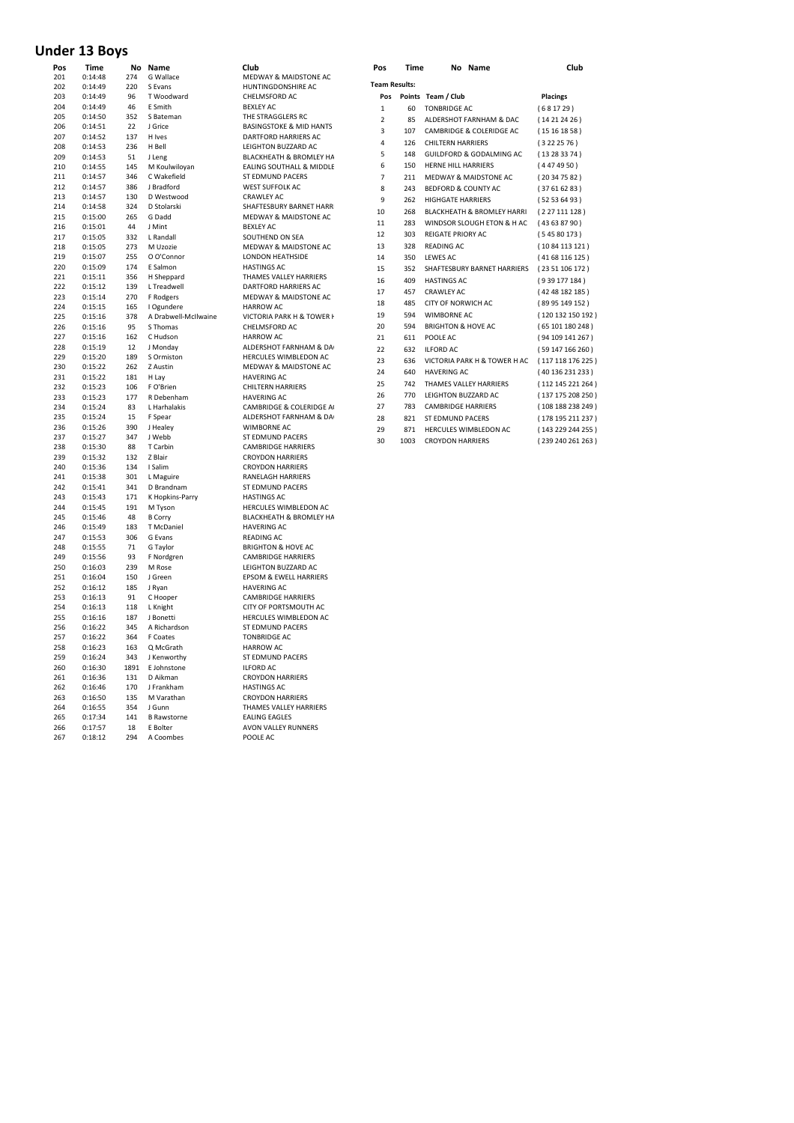## **Under 13 Boys**

| Pos        | Time               | No         | Name                  | Club                                      | Pos                  | Time | No Name                               | Club            |
|------------|--------------------|------------|-----------------------|-------------------------------------------|----------------------|------|---------------------------------------|-----------------|
| 201        | 0:14:48            | 274        | G Wallace             | MEDWAY & MAIDSTONE AC                     | <b>Team Results:</b> |      |                                       |                 |
| 202        | 0:14:49            | 220        | S Evans               | HUNTINGDONSHIRE AC                        |                      |      |                                       |                 |
| 203        | 0:14:49            | 96         | T Woodward            | CHELMSFORD AC                             | Pos                  |      | Points Team / Club                    | <b>Placings</b> |
| 204        | 0:14:49            | 46         | E Smith               | <b>BEXLEY AC</b>                          | $\mathbf 1$          | 60   | <b>TONBRIDGE AC</b>                   | (681729)        |
| 205        | 0:14:50            | 352        | S Bateman             | THE STRAGGLERS RC                         | $\overline{2}$       | 85   | ALDERSHOT FARNHAM & DAC               | (14212426)      |
| 206        | 0:14:51            | 22         | J Grice               | <b>BASINGSTOKE &amp; MID HANTS</b>        | 3                    | 107  | CAMBRIDGE & COLERIDGE AC              | (15161858)      |
| 207        | 0:14:52            | 137        | H Ives                | DARTFORD HARRIERS AC                      | 4                    | 126  | <b>CHILTERN HARRIERS</b>              | (3222576)       |
| 208        | 0:14:53            | 236        | H Bell                | LEIGHTON BUZZARD AC                       | 5                    | 148  | GUILDFORD & GODALMING AC              | (13283374)      |
| 209        | 0:14:53            | 51         | J Leng                | BLACKHEATH & BROMLEY HA                   |                      |      |                                       |                 |
| 210        | 0:14:55            | 145        | M Koulwiloyan         | EALING SOUTHALL & MIDDLE                  | 6                    | 150  | HERNE HILL HARRIERS                   | (4474950)       |
| 211        | 0:14:57            | 346        | C Wakefield           | ST EDMUND PACERS                          | 7                    | 211  | MEDWAY & MAIDSTONE AC                 | (20347582)      |
| 212        | 0:14:57            | 386        | J Bradford            | <b>WEST SUFFOLK AC</b>                    | 8                    | 243  | BEDFORD & COUNTY AC                   | (37616283)      |
| 213        | 0:14:57            | 130        | D Westwood            | <b>CRAWLEY AC</b>                         | 9                    | 262  | <b>HIGHGATE HARRIERS</b>              | (52536493)      |
| 214<br>215 | 0:14:58<br>0:15:00 | 324<br>265 | D Stolarski<br>G Dadd | SHAFTESBURY BARNET HARR                   | 10                   | 268  | <b>BLACKHEATH &amp; BROMLEY HARRI</b> | (227 111 128    |
| 216        |                    | 44         |                       | MEDWAY & MAIDSTONE AC<br><b>BEXLEY AC</b> | 11                   | 283  | WINDSOR SLOUGH ETON & H AC            | (43638790)      |
| 217        | 0:15:01<br>0:15:05 | 332        | J Mint<br>L Randall   | SOUTHEND ON SEA                           | 12                   | 303  | REIGATE PRIORY AC                     | (54580173)      |
| 218        | 0:15:05            | 273        | M Uzozie              | MEDWAY & MAIDSTONE AC                     | 13                   | 328  | <b>READING AC</b>                     | (10 84 113 12:  |
| 219        | 0:15:07            | 255        | O O'Connor            | <b>LONDON HEATHSIDE</b>                   | 14                   | 350  | <b>LEWES AC</b>                       | (41 68 116 12)  |
| 220        | 0:15:09            | 174        | E Salmon              | <b>HASTINGS AC</b>                        |                      |      |                                       |                 |
| 221        | 0:15:11            | 356        | H Sheppard            | THAMES VALLEY HARRIERS                    | 15                   | 352  | SHAFTESBURY BARNET HARRIERS           | (23 51 106 17)  |
| 222        | 0:15:12            | 139        | L Treadwell           | DARTFORD HARRIERS AC                      | 16                   | 409  | <b>HASTINGS AC</b>                    | (939 177 184    |
| 223        | 0:15:14            | 270        | F Rodgers             | MEDWAY & MAIDSTONE AC                     | 17                   | 457  | <b>CRAWLEY AC</b>                     | (42 48 182 18!  |
| 224        | 0:15:15            | 165        | I Ogundere            | <b>HARROW AC</b>                          | 18                   | 485  | CITY OF NORWICH AC                    | (89 95 149 15)  |
| 225        | 0:15:16            | 378        | A Drabwell-McIlwaine  | VICTORIA PARK H & TOWER I                 | 19                   | 594  | <b>WIMBORNE AC</b>                    | (120 132 150 )  |
| 226        | 0:15:16            | 95         | S Thomas              | CHELMSFORD AC                             | 20                   | 594  | <b>BRIGHTON &amp; HOVE AC</b>         | (65 101 180 24  |
| 227        | 0:15:16            | 162        | C Hudson              | <b>HARROW AC</b>                          | 21                   | 611  | POOLE AC                              | (94 109 141 2)  |
| 228        | 0:15:19            | 12         | J Monday              | ALDERSHOT FARNHAM & DA                    |                      |      |                                       |                 |
| 229        | 0:15:20            | 189        | S Ormiston            | HERCULES WIMBLEDON AC                     | 22                   | 632  | <b>ILFORD AC</b>                      | (59 147 166 2)  |
| 230        | 0:15:22            | 262        | Z Austin              | MEDWAY & MAIDSTONE AC                     | 23                   | 636  | VICTORIA PARK H & TOWER H AC          | (117 118 176)   |
| 231        | 0:15:22            | 181        | H Lay                 | <b>HAVERING AC</b>                        | 24                   | 640  | <b>HAVERING AC</b>                    | (40 136 231 23  |
| 232        | 0:15:23            | 106        | F O'Brien             | <b>CHILTERN HARRIERS</b>                  | 25                   | 742  | THAMES VALLEY HARRIERS                | (112 145 221)   |
| 233        | 0:15:23            | 177        | R Debenham            | <b>HAVERING AC</b>                        | 26                   | 770  | LEIGHTON BUZZARD AC                   | (137 175 208)   |
| 234        | 0:15:24            | 83         | L Harhalakis          | CAMBRIDGE & COLERIDGE A                   | 27                   | 783  | <b>CAMBRIDGE HARRIERS</b>             | (108 188 238 )  |
| 235        | 0:15:24            | 15         | F Spear               | ALDERSHOT FARNHAM & DA                    | 28                   | 821  | ST EDMUND PACERS                      | (178 195 211)   |
| 236        | 0:15:26            | 390        | J Healey              | <b>WIMBORNE AC</b>                        | 29                   | 871  | HERCULES WIMBLEDON AC                 | (143 229 244 )  |
| 237        | 0:15:27            | 347        | J Webb                | ST EDMUND PACERS                          |                      |      |                                       |                 |
| 238        | 0:15:30            | 88         | T Carbin              | <b>CAMBRIDGE HARRIERS</b>                 | 30                   | 1003 | <b>CROYDON HARRIERS</b>               | (239 240 261)   |
| 239        | 0:15:32            | 132        | Z Blair               | <b>CROYDON HARRIERS</b>                   |                      |      |                                       |                 |
| 240        | 0:15:36            | 134        | I Salim               | <b>CROYDON HARRIERS</b>                   |                      |      |                                       |                 |
| 241        | 0:15:38            | 301        | L Maguire             | <b>RANELAGH HARRIERS</b>                  |                      |      |                                       |                 |
| 242        | 0:15:41            | 341        | D Brandnam            | ST EDMUND PACERS                          |                      |      |                                       |                 |
| 243        | 0:15:43            | 171        | K Hopkins-Parry       | <b>HASTINGS AC</b>                        |                      |      |                                       |                 |
| 244        | 0:15:45            | 191        | M Tyson               | HERCULES WIMBLEDON AC                     |                      |      |                                       |                 |
| 245        | 0:15:46            | 48         | <b>B</b> Corry        | BLACKHEATH & BROMLEY HA                   |                      |      |                                       |                 |
| 246        | 0:15:49            | 183        | T McDaniel            | <b>HAVERING AC</b>                        |                      |      |                                       |                 |
| 247        | 0:15:53            | 306        | G Evans               | <b>READING AC</b>                         |                      |      |                                       |                 |
| 248        | 0:15:55            | 71         | G Taylor              | <b>BRIGHTON &amp; HOVE AC</b>             |                      |      |                                       |                 |
| 249        | 0:15:56            | 93         | F Nordgren            | <b>CAMBRIDGE HARRIERS</b>                 |                      |      |                                       |                 |
| 250        | 0:16:03            | 239        | M Rose                | LEIGHTON BUZZARD AC                       |                      |      |                                       |                 |
| 251        | 0:16:04            | 150        | J Green               | EPSOM & EWELL HARRIERS                    |                      |      |                                       |                 |
| 252        | 0:16:12            | 185        | J Ryan                | <b>HAVERING AC</b>                        |                      |      |                                       |                 |
| 253        | 0:16:13            | 91         | C Hooper              | <b>CAMBRIDGE HARRIERS</b>                 |                      |      |                                       |                 |
| 254        | 0:16:13            | 118        | L Knight              | CITY OF PORTSMOUTH AC                     |                      |      |                                       |                 |
| 255        | 0:16:16            | 187        | J Bonetti             | HERCULES WIMBLEDON AC                     |                      |      |                                       |                 |
| 256        | 0:16:22            | 345        | A Richardson          | ST EDMUND PACERS                          |                      |      |                                       |                 |
| 257        | 0:16:22            | 364        | F Coates              | <b>TONBRIDGE AC</b>                       |                      |      |                                       |                 |
| 258        | 0:16:23            | 163        | Q McGrath             | <b>HARROW AC</b>                          |                      |      |                                       |                 |
| 259        | 0:16:24            | 343        | J Kenworthy           | ST EDMUND PACERS                          |                      |      |                                       |                 |
| 260        | 0:16:30            | 1891       | E Johnstone           | <b>ILFORD AC</b>                          |                      |      |                                       |                 |
| 261        | 0:16:36            | 131        | D Aikman              | <b>CROYDON HARRIERS</b>                   |                      |      |                                       |                 |
| 262        | 0:16:46            | 170        | J Frankham            | <b>HASTINGS AC</b>                        |                      |      |                                       |                 |
| 263        | 0:16:50            | 135        | M Varathan            | <b>CROYDON HARRIERS</b>                   |                      |      |                                       |                 |
| 264        | 0:16:55            | 354        | J Gunn                | THAMES VALLEY HARRIERS                    |                      |      |                                       |                 |
| 265        | 0:17:34            | 141        | <b>B</b> Rawstorne    | <b>FALING FAGLES</b>                      |                      |      |                                       |                 |
| 266        | 0:17:57            | 18         | E Bolter              | AVON VALLEY RUNNERS                       |                      |      |                                       |                 |
| 267        | 0:18:12            | 294        | A Coombes             | POOLE AC                                  |                      |      |                                       |                 |

| гиз            | ,,,,,, | <b>NO NAME</b>                              | uuw               |
|----------------|--------|---------------------------------------------|-------------------|
| Team Results:  |        |                                             |                   |
| Pos            |        | Points Team / Club                          | <b>Placings</b>   |
| 1              | 60     | <b>TONBRIDGE AC</b>                         | (681729)          |
| $\mathfrak{p}$ | 85     | ALDERSHOT FARNHAM & DAC                     | (14212426)        |
| 3              | 107    | CAMBRIDGE & COLERIDGE AC                    | (15161858)        |
| 4              | 126    | <b>CHILTERN HARRIERS</b>                    | (3222576)         |
| 5              | 148    | GUILDFORD & GODALMING AC                    | (13283374)        |
| 6              | 150    | <b>HERNE HILL HARRIERS</b>                  | (4474950)         |
| 7              | 211    | MEDWAY & MAIDSTONE AC                       | (20347582)        |
| 8              | 243    | <b>BEDFORD &amp; COUNTY AC</b>              | (37616283)        |
| 9              | 262    | <b>HIGHGATE HARRIERS</b>                    | (52536493)        |
| 10             | 268    | BLACKHEATH & BROMLEY HARRI (227 111 128)    |                   |
| 11             | 283    | WINDSOR SLOUGH ETON & HAC (43 63 87 90)     |                   |
| 12             | 303    | <b>REIGATE PRIORY AC</b>                    | (54580173)        |
| 13             | 328    | READING AC                                  | (1084113121)      |
| 14             | 350    | LEWES AC                                    | (4168116125)      |
| 15             | 352    | SHAFTESBURY BARNET HARRIERS (23 51 106 172) |                   |
| 16             | 409    | <b>HASTINGS AC</b>                          | (939177184)       |
| 17             | 457    | <b>CRAWLEY AC</b>                           | (42 48 182 185)   |
| 18             | 485    | <b>CITY OF NORWICH AC</b>                   | (89 95 149 152)   |
| 19             | 594    | <b>WIMBORNE AC</b>                          | (120 132 150 192) |
| 20             | 594    | <b>BRIGHTON &amp; HOVE AC</b>               | (65101180248)     |
| 21             | 611    | POOLE AC                                    | (94109141267)     |
| 22             | 632    | <b>ILFORD AC</b>                            | (59147166260)     |
| 23             | 636    | VICTORIA PARK H & TOWER H AC                | (117 118 176 225) |
| 24             | 640    | <b>HAVERING AC</b>                          | (40136231233)     |
| 25             | 742    | THAMES VALLEY HARRIERS                      | (112 145 221 264) |
| 26             | 770    | LEIGHTON BUZZARD AC                         | (137 175 208 250) |
| 27             | 783    | <b>CAMBRIDGE HARRIERS</b>                   | (108188238249)    |
| 28             | 821    | <b>ST EDMUND PACERS</b>                     | (178 195 211 237) |
| 29             | 871    | HERCULES WIMBLEDON AC                       | (143 229 244 255) |
| 30             | 1003   | <b>CROYDON HARRIERS</b>                     | (239 240 261 263) |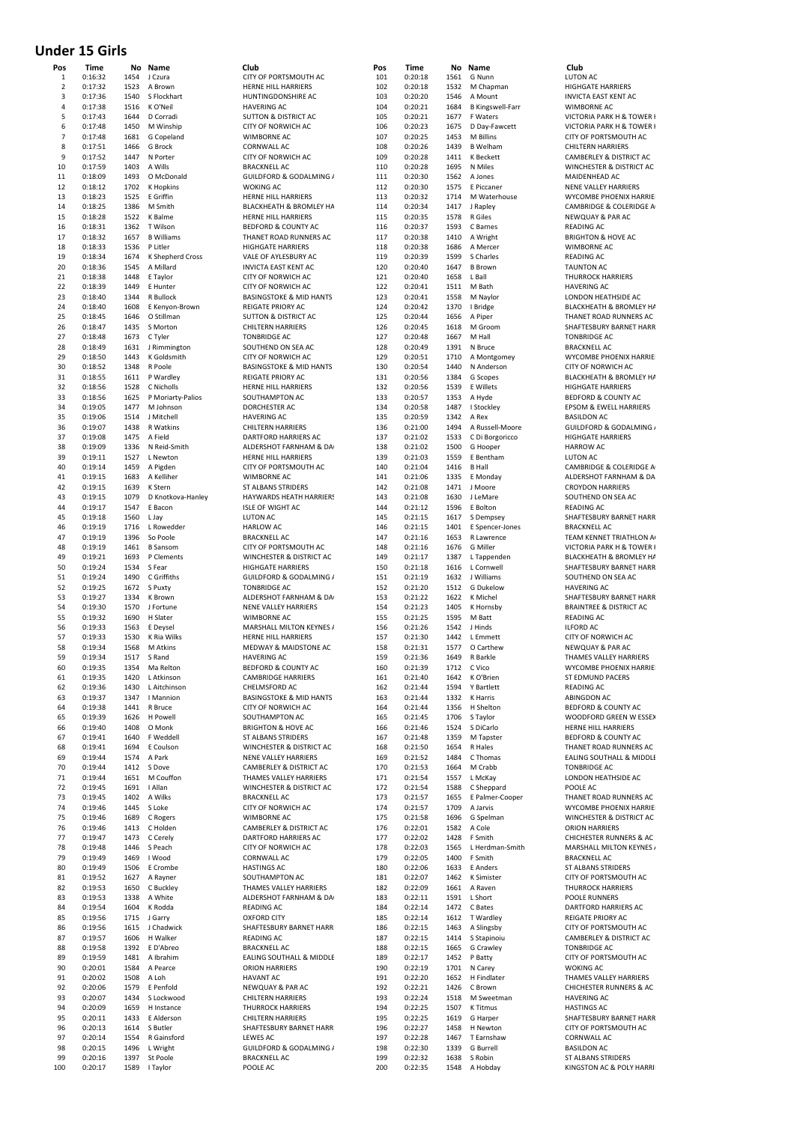### **Under 15 Girls**

| ۲OS<br>1 | i ime<br>0:16:32   | 1454         | no name<br>J Czura                  | ciup<br>CITY OF PORTSMOUTH AC                         |
|----------|--------------------|--------------|-------------------------------------|-------------------------------------------------------|
| 2        | 0:17:32            | 1523         | A Brown                             | HERNE HILL HARRIERS                                   |
| 3        | 0:17:36            |              | 1540 S Flockhart                    | HUNTINGDONSHIRE AC                                    |
| 4        | 0:17:38            | 1516         | K O'Neil                            | <b>HAVERING AC</b>                                    |
| 5        | 0:17:43            |              | 1644 D Corradi                      | <b>SUTTON &amp; DISTRICT AC</b>                       |
| 6        | 0:17:48            | 1450         | M Winship                           | CITY OF NORWICH AC                                    |
| 7        | 0:17:48            | 1681         | G Copeland                          | <b>WIMBORNE AC</b>                                    |
| 8        | 0:17:51            | 1466         | G Brock                             | <b>CORNWALL AC</b>                                    |
| 9        | 0:17:52            |              | 1447 N Porter                       | CITY OF NORWICH AC                                    |
| 10       | 0:17:59            | 1403         | A Wills                             | <b>BRACKNELL AC</b>                                   |
| 11       | 0:18:09            | 1493         | O McDonald                          | GUILDFORD & GODALMING /                               |
| 12<br>13 | 0:18:12<br>0:18:23 | 1702<br>1525 | K Hopkins<br>E Griffin              | <b>WOKING AC</b><br>HERNE HILL HARRIERS               |
| 14       | 0:18:25            | 1386         | M Smith                             | BLACKHEATH & BROMLEY HA                               |
| 15       | 0:18:28            | 1522         | K Balme                             | <b>HERNE HILL HARRIERS</b>                            |
| 16       | 0:18:31            | 1362         | T Wilson                            | BEDFORD & COUNTY AC                                   |
| 17       | 0:18:32            | 1657         | <b>B</b> Williams                   | THANET ROAD RUNNERS AC                                |
| 18       | 0:18:33            | 1536         | P Litler                            | <b>HIGHGATE HARRIERS</b>                              |
| 19       | 0:18:34            | 1674         | K Shepherd Cross                    | VALE OF AYLESBURY AC                                  |
| 20       | 0:18:36            | 1545         | A Millard                           | <b>INVICTA EAST KENT AC</b>                           |
| 21       | 0:18:38            |              | 1448 E Taylor                       | CITY OF NORWICH AC                                    |
| 22       | 0:18:39            | 1449         | E Hunter                            | CITY OF NORWICH AC                                    |
| 23       | 0:18:40            | 1344         | R Bullock                           | <b>BASINGSTOKE &amp; MID HANTS</b>                    |
| 24       | 0:18:40            | 1608         | E Kenyon-Brown                      | <b>REIGATE PRIORY AC</b>                              |
| 25       | 0:18:45            | 1646         | O Stillman                          | <b>SUTTON &amp; DISTRICT AC</b>                       |
| 26       | 0:18:47            | 1435         | S Morton                            | <b>CHILTERN HARRIERS</b>                              |
| 27       | 0:18:48            |              | 1673 C Tyler                        | <b>TONBRIDGE AC</b>                                   |
| 28       | 0:18:49            | 1631         | J Rimmington                        | SOUTHEND ON SEA AC                                    |
| 29       | 0:18:50            |              | 1443 K Goldsmith                    | <b>CITY OF NORWICH AC</b>                             |
| 30       | 0:18:52            | 1348         | R Poole                             | <b>BASINGSTOKE &amp; MID HANTS</b>                    |
| 31<br>32 | 0:18:55            | 1611<br>1528 | P Wardley                           | <b>REIGATE PRIORY AC</b>                              |
|          | 0:18:56            |              | C Nicholls                          | HERNE HILL HARRIERS<br>SOUTHAMPTON AC                 |
| 33<br>34 | 0:18:56            | 1477         | 1625 P Moriarty-Palios<br>M Johnson | DORCHESTER AC                                         |
| 35       | 0:19:05<br>0:19:06 |              | 1514 J Mitchell                     | <b>HAVERING AC</b>                                    |
| 36       | 0:19:07            | 1438         | R Watkins                           | <b>CHILTERN HARRIERS</b>                              |
| 37       | 0:19:08            |              | 1475 A Field                        | DARTFORD HARRIERS AC                                  |
| 38       | 0:19:09            | 1336         | N Reid-Smith                        | ALDERSHOT FARNHAM & DA                                |
| 39       | 0:19:11            | 1527         | L Newton                            | HERNE HILL HARRIERS                                   |
| 40       | 0:19:14            |              | 1459 A Pigden                       | CITY OF PORTSMOUTH AC                                 |
| 41       | 0:19:15            |              | 1683 A Kelliher                     | WIMBORNE AC                                           |
| 42       | 0:19:15            | 1639         | K Stern                             | ST ALBANS STRIDERS                                    |
| 43       | 0:19:15            | 1079         | D Knotkova-Hanley                   | HAYWARDS HEATH HARRIERS                               |
| 44       | 0:19:17            | 1547         | E Bacon                             | <b>ISLE OF WIGHT AC</b>                               |
| 45       | 0:19:18            | 1560         | L Jay                               | <b>LUTON AC</b>                                       |
| 46       | 0:19:19            | 1716         | L Rowedder                          | <b>HARLOW AC</b>                                      |
| 47       | 0:19:19            | 1396         | So Poole                            | <b>BRACKNELL AC</b>                                   |
| 48       | 0:19:19            |              | 1461 B Sansom                       | CITY OF PORTSMOUTH AC                                 |
| 49       | 0:19:21            |              | 1693 P Clements                     | WINCHESTER & DISTRICT AC                              |
| 50       | 0:19:24            | 1534         | S Fear                              | <b>HIGHGATE HARRIERS</b>                              |
| 51       | 0:19:24            |              | 1490 C Griffiths                    | GUILDFORD & GODALMING /                               |
| 52       | 0:19:25            | 1672         | S Puxty                             | <b>TONBRIDGE AC</b>                                   |
| 53       | 0:19:27            |              | 1334 K Brown                        | ALDERSHOT FARNHAM & DA<br><b>NENE VALLEY HARRIERS</b> |
| 54<br>55 | 0:19:30<br>0:19:32 | 1570         | J Fortune                           | WIMBORNE AC                                           |
| 56       | 0:19:33            |              | 1690 H Slater<br>1563 E Deysel      | MARSHALL MILTON KEYNES /                              |
| 57       | 0:19:33            | 1530         | K Ria Wilks                         | HERNE HILL HARRIERS                                   |
| 58       | 0:19:34            | 1568         | M Atkins                            | <b>MEDWAY &amp; MAIDSTONE AC</b>                      |
| 59       | 0:19:34            | 1517         | S Rand                              | <b>HAVERING AC</b>                                    |
| 60       | 0:19:35            |              | 1354 Ma Reiton                      | BEDFORD & COUNTY AC                                   |
| 61       | 0:19:35            |              | 1420 L Atkinson                     | <b>CAMBRIDGE HARRIERS</b>                             |
| 62       | 0:19:36            |              | 1430 L Aitchinson                   | CHELMSFORD AC                                         |
| 63       | 0:19:37            |              | 1347   Mannion                      | <b>BASINGSTOKE &amp; MID HANTS</b>                    |
| 64       | 0:19:38            |              | 1441 R Bruce                        | CITY OF NORWICH AC                                    |
| 65       | 0:19:39            |              | 1626 H Powell                       | SOUTHAMPTON AC                                        |
| 66       | 0:19:40            |              | 1408 O Monk                         | <b>BRIGHTON &amp; HOVE AC</b>                         |
| 67       | 0:19:41            |              | 1640 F Weddell                      | <b>ST ALBANS STRIDERS</b>                             |
| 68       | 0:19:41            |              | 1694 E Coulson                      | WINCHESTER & DISTRICT AC                              |
| 69       | 0:19:44            |              | 1574 A Park                         | NENE VALLEY HARRIERS                                  |
| 70<br>71 | 0:19:44<br>0:19:44 |              | 1412 S Dove<br>1651 M Couffon       | CAMBERLEY & DISTRICT AC<br>THAMES VALLEY HARRIERS     |
| 72       | 0:19:45            |              | 1691   Allan                        | <b>WINCHESTER &amp; DISTRICT AC</b>                   |
| 73       | 0:19:45            |              | 1402 A Wilks                        | <b>BRACKNELL AC</b>                                   |
| 74       | 0:19:46            |              | 1445 S Loke                         | CITY OF NORWICH AC                                    |
| 75       | 0:19:46            |              | 1689 C Rogers                       | WIMBORNE AC                                           |
| 76       | 0:19:46            |              | 1413 C Holden                       | <b>CAMBERLEY &amp; DISTRICT AC</b>                    |
| 77       | 0:19:47            |              | 1473 C Cerely                       | DARTFORD HARRIERS AC                                  |
| 78       | 0:19:48            |              | 1446 S Peach                        | CITY OF NORWICH AC                                    |
| 79       | 0:19:49            |              | 1469   Wood                         | CORNWALL AC                                           |
| 80       | 0:19:49            |              | 1506 E Crombe                       | <b>HASTINGS AC</b>                                    |
| 81       | 0:19:52            |              | 1627 A Rayner                       | SOUTHAMPTON AC                                        |
| 82       | 0:19:53            |              | 1650 C Buckley                      | THAMES VALLEY HARRIERS                                |
| 83       | 0:19:53            |              | 1338 A White                        | ALDERSHOT FARNHAM & DA                                |
| 84       | 0:19:54            |              | 1604 K Rodda                        | READING AC                                            |
| 85<br>86 | 0:19:56<br>0:19:56 | 1615         | 1715 J Garry<br>J Chadwick          | <b>OXFORD CITY</b><br>SHAFTESBURY BARNET HARR         |
| 87       | 0:19:57            |              | 1606 H Walker                       | READING AC                                            |
| 88       | 0:19:58            |              | 1392 E D'Abreo                      | <b>BRACKNELL AC</b>                                   |
| 89       | 0:19:59            |              | 1481 A Ibrahim                      | EALING SOUTHALL & MIDDLE                              |
| 90       | 0:20:01            |              | 1584 A Pearce                       | <b>ORION HARRIERS</b>                                 |
| 91       | 0:20:02            | 1508 A Loh   |                                     | <b>HAVANT AC</b>                                      |
| 92       | 0:20:06            |              | 1579 E Penfold                      | NEWQUAY & PAR AC                                      |
| 93       | 0:20:07            |              | 1434 S Lockwood                     | <b>CHILTERN HARRIERS</b>                              |
| 94       | 0:20:09            |              | 1659 H Instance                     | <b>THURROCK HARRIERS</b>                              |
| 95       | 0:20:11            |              | 1433 E Alderson                     | <b>CHILTERN HARRIERS</b>                              |
| 96       | 0:20:13            |              | 1614 S Butler                       | SHAFTESBURY BARNET HARR                               |
| 97       | 0:20:14            |              | 1554 R Gainsford                    | <b>LEWES AC</b>                                       |
| 98       | 0:20:15            |              | 1496 L Wright                       | GUILDFORD & GODALMING /                               |
| 99       | 0:20:16            | 1397         | St Poole                            | <b>BRACKNELL AC</b>                                   |
| 100      | 0:20:17            |              | 1589   Tavlor                       | POOLE AC                                              |

| Pos<br>1       | Time<br>0:16:32    | 1454         | No Name<br>J Czura            | Club<br>CITY OF PORTSMOUTH AC                            | Pos<br>101 | Time<br>0:20:18    | 1561         | No Name<br>G Nunn                   | Club<br>LUTON AC                                           |
|----------------|--------------------|--------------|-------------------------------|----------------------------------------------------------|------------|--------------------|--------------|-------------------------------------|------------------------------------------------------------|
| $\overline{2}$ | 0:17:32            | 1523         | A Brown                       | HERNE HILL HARRIERS                                      | 102        | 0:20:18            | 1532         | M Chapman                           | <b>HIGHGATE HARRIERS</b>                                   |
| 3              | 0:17:36            | 1540         | S Flockhart                   | HUNTINGDONSHIRE AC                                       | 103        | 0:20:20            | 1546         | A Mount                             | <b>INVICTA EAST KENT AC</b>                                |
| 4<br>5         | 0:17:38<br>0:17:43 | 1516<br>1644 | K O'Neil<br>D Corradi         | <b>HAVERING AC</b><br>SUTTON & DISTRICT AC               | 104<br>105 | 0:20:21<br>0:20:21 | 1684<br>1677 | <b>B Kingswell-Farr</b><br>F Waters | <b>WIMBORNE AC</b><br>VICTORIA PARK H & TOW                |
| 6              | 0:17:48            | 1450         | M Winship                     | CITY OF NORWICH AC                                       | 106        | 0:20:23            | 1675         | D Day-Fawcett                       | VICTORIA PARK H & TOW                                      |
| $\overline{7}$ | 0:17:48            | 1681         | G Copeland                    | <b>WIMBORNE AC</b>                                       | 107        | 0:20:25            | 1453         | M Billins                           | CITY OF PORTSMOUTH A                                       |
| 8<br>9         | 0:17:51<br>0:17:52 | 1466<br>1447 | G Brock<br>N Porter           | <b>CORNWALL AC</b><br>CITY OF NORWICH AC                 | 108<br>109 | 0:20:26<br>0:20:28 | 1439<br>1411 | <b>B</b> Welham<br>K Beckett        | <b>CHILTERN HARRIERS</b><br>CAMBERLEY & DISTRICT           |
| 10             | 0:17:59            | 1403         | A Wills                       | <b>BRACKNELL AC</b>                                      | 110        | 0:20:28            | 1695         | N Miles                             | <b>WINCHESTER &amp; DISTRICT</b>                           |
| 11             | 0:18:09            | 1493         | O McDonald                    | <b>GUILDFORD &amp; GODALMING /</b>                       | 111        | 0:20:30            | 1562         | A Jones                             | MAIDENHEAD AC                                              |
| 12             | 0:18:12            | 1702         | K Hopkins                     | <b>WOKING AC</b>                                         | 112        | 0:20:30            | 1575         | E Piccaner                          | NENE VALLEY HARRIERS                                       |
| 13<br>14       | 0:18:23<br>0:18:25 | 1525<br>1386 | E Griffin<br>M Smith          | HERNE HILL HARRIERS<br>BLACKHEATH & BROMLEY HA           | 113<br>114 | 0:20:32<br>0:20:34 | 1714<br>1417 | M Waterhouse<br>J Rapley            | WYCOMBE PHOENIX HAP<br><b>CAMBRIDGE &amp; COLERIDO</b>     |
| 15             | 0:18:28            | 1522         | K Balme                       | HERNE HILL HARRIERS                                      | 115        | 0:20:35            | 1578         | R Giles                             | NEWQUAY & PAR AC                                           |
| 16             | 0:18:31            | 1362         | T Wilson                      | BEDFORD & COUNTY AC                                      | 116        | 0:20:37            | 1593         | C Barnes                            | READING AC                                                 |
| 17<br>18       | 0:18:32<br>0:18:33 | 1657<br>1536 | <b>B</b> Williams<br>P Litler | THANET ROAD RUNNERS AC<br><b>HIGHGATE HARRIERS</b>       | 117<br>118 | 0:20:38<br>0:20:38 | 1410<br>1686 | A Wright<br>A Mercer                | <b>BRIGHTON &amp; HOVE AC</b><br><b>WIMBORNE AC</b>        |
| 19             | 0:18:34            | 1674         | K Shepherd Cross              | VALE OF AYLESBURY AC                                     | 119        | 0:20:39            | 1599         | S Charles                           | <b>READING AC</b>                                          |
| 20             | 0:18:36            | 1545         | A Millard                     | <b>INVICTA EAST KENT AC</b>                              | 120        | 0:20:40            | 1647         | <b>B</b> Brown                      | <b>TAUNTON AC</b>                                          |
| 21<br>22       | 0:18:38<br>0:18:39 | 1448<br>1449 | E Taylor<br>E Hunter          | CITY OF NORWICH AC                                       | 121<br>122 | 0:20:40<br>0:20:41 | 1658         | L Ball<br>M Bath                    | <b>THURROCK HARRIERS</b><br><b>HAVERING AC</b>             |
| 23             | 0:18:40            | 1344         | R Bullock                     | CITY OF NORWICH AC<br><b>BASINGSTOKE &amp; MID HANTS</b> | 123        | 0:20:41            | 1511<br>1558 | M Naylor                            | LONDON HEATHSIDE AC                                        |
| 24             | 0:18:40            | 1608         | E Kenyon-Brown                | REIGATE PRIORY AC                                        | 124        | 0:20:42            | 1370         | I Bridge                            | <b>BLACKHEATH &amp; BROMLE</b>                             |
| 25             | 0:18:45            | 1646         | O Stillman                    | SUTTON & DISTRICT AC                                     | 125        | 0:20:44            | 1656         | A Piper                             | THANET ROAD RUNNERS                                        |
| 26<br>27       | 0:18:47<br>0:18:48 | 1435<br>1673 | S Morton<br>C Tyler           | <b>CHILTERN HARRIERS</b><br><b>TONBRIDGE AC</b>          | 126<br>127 | 0:20:45<br>0:20:48 | 1618<br>1667 | M Groom<br>M Hall                   | SHAFTESBURY BARNET H<br><b>TONBRIDGE AC</b>                |
| 28             | 0:18:49            | 1631         | J Rimmington                  | SOUTHEND ON SEA AC                                       | 128        | 0:20:49            | 1391         | N Bruce                             | <b>BRACKNELL AC</b>                                        |
| 29             | 0:18:50            | 1443         | K Goldsmith                   | CITY OF NORWICH AC                                       | 129        | 0:20:51            | 1710         | A Montgomey                         | WYCOMBE PHOENIX HAP                                        |
| 30             | 0:18:52            | 1348         | R Poole                       | <b>BASINGSTOKE &amp; MID HANTS</b>                       | 130        | 0:20:54            | 1440         | N Anderson                          | CITY OF NORWICH AC                                         |
| 31<br>32       | 0:18:55<br>0:18:56 | 1611<br>1528 | P Wardley<br>C Nicholls       | <b>REIGATE PRIORY AC</b><br><b>HERNE HILL HARRIERS</b>   | 131<br>132 | 0:20:56<br>0:20:56 | 1384<br>1539 | G Scopes<br>E Willets               | <b>BLACKHEATH &amp; BROMLE</b><br><b>HIGHGATE HARRIERS</b> |
| 33             | 0:18:56            | 1625         | P Moriarty-Palios             | SOUTHAMPTON AC                                           | 133        | 0:20:57            | 1353         | A Hyde                              | BEDFORD & COUNTY AC                                        |
| 34             | 0:19:05            | 1477         | M Johnson                     | DORCHESTER AC                                            | 134        | 0:20:58            | 1487         | I Stockley                          | <b>EPSOM &amp; EWELL HARRIE</b>                            |
| 35<br>36       | 0:19:06<br>0:19:07 | 1514<br>1438 | J Mitchell<br>R Watkins       | <b>HAVERING AC</b><br><b>CHILTERN HARRIERS</b>           | 135<br>136 | 0:20:59<br>0:21:00 | 1342<br>1494 | A Rex<br>A Russell-Moore            | <b>BASILDON AC</b><br><b>GUILDFORD &amp; GODALMI</b>       |
| 37             | 0:19:08            | 1475         | A Field                       | DARTFORD HARRIERS AC                                     | 137        | 0:21:02            | 1533         | C Di Borgoricco                     | <b>HIGHGATE HARRIERS</b>                                   |
| 38             | 0:19:09            | 1336         | N Reid-Smith                  | ALDERSHOT FARNHAM & DA                                   | 138        | 0:21:02            | 1500         | G Hooper                            | <b>HARROW AC</b>                                           |
| 39             | 0:19:11            | 1527         | L Newton                      | <b>HERNE HILL HARRIERS</b>                               | 139        | 0:21:03            | 1559         | E Bentham                           | <b>LUTON AC</b>                                            |
| 40<br>41       | 0:19:14<br>0:19:15 | 1459<br>1683 | A Pigden<br>A Kelliher        | CITY OF PORTSMOUTH AC<br><b>WIMBORNE AC</b>              | 140<br>141 | 0:21:04<br>0:21:06 | 1416<br>1335 | <b>B</b> Hall<br>E Monday           | <b>CAMBRIDGE &amp; COLERIDO</b><br>ALDERSHOT FARNHAM 8     |
| 42             | 0:19:15            | 1639         | K Stern                       | <b>ST ALBANS STRIDERS</b>                                | 142        | 0:21:08            | 1471         | J Moore                             | <b>CROYDON HARRIERS</b>                                    |
| 43             | 0:19:15            | 1079         | D Knotkova-Hanley             | <b>HAYWARDS HEATH HARRIERS</b>                           | 143        | 0:21:08            | 1630         | J LeMare                            | SOUTHEND ON SEA AC                                         |
| 44<br>45       | 0:19:17<br>0:19:18 | 1547<br>1560 | E Bacon<br>L Jay              | ISLE OF WIGHT AC<br><b>LUTON AC</b>                      | 144<br>145 | 0:21:12<br>0:21:15 | 1596<br>1617 | E Bolton<br>S Dempsey               | <b>READING AC</b><br>SHAFTESBURY BARNET H                  |
| 46             | 0:19:19            | 1716         | L Rowedder                    | <b>HARLOW AC</b>                                         | 146        | 0:21:15            | 1401         | E Spencer-Jones                     | <b>BRACKNELL AC</b>                                        |
| 47             | 0:19:19            | 1396         | So Poole                      | <b>BRACKNELL AC</b>                                      | 147        | 0:21:16            | 1653         | R Lawrence                          | <b>TEAM KENNET TRIATHLO</b>                                |
| 48             | 0:19:19            | 1461         | <b>B</b> Sansom               | CITY OF PORTSMOUTH AC                                    | 148        | 0:21:16            | 1676         | G Miller                            | VICTORIA PARK H & TOW                                      |
| 49<br>50       | 0:19:21<br>0:19:24 | 1693<br>1534 | P Clements<br>S Fear          | WINCHESTER & DISTRICT AC<br><b>HIGHGATE HARRIERS</b>     | 149<br>150 | 0:21:17<br>0:21:18 | 1387<br>1616 | L Tappenden<br>L Cornwell           | <b>BLACKHEATH &amp; BROMLE</b><br>SHAFTESBURY BARNET H     |
| 51             | 0:19:24            | 1490         | C Griffiths                   | <b>GUILDFORD &amp; GODALMING /</b>                       | 151        | 0:21:19            | 1632         | J Williams                          | SOUTHEND ON SEA AC                                         |
| 52             | 0:19:25            | 1672         | S Puxty                       | <b>TONBRIDGE AC</b>                                      | 152        | 0:21:20            | 1512         | G Dukelow                           | <b>HAVERING AC</b>                                         |
| 53<br>54       | 0:19:27<br>0:19:30 | 1334<br>1570 | K Brown<br>J Fortune          | ALDERSHOT FARNHAM & DA<br>NENE VALLEY HARRIERS           | 153<br>154 | 0:21:22<br>0:21:23 | 1622<br>1405 | K Michel<br>K Hornsby               | SHAFTESBURY BARNET H<br><b>BRAINTREE &amp; DISTRICT A</b>  |
| 55             | 0:19:32            | 1690         | H Slater                      | <b>WIMBORNE AC</b>                                       | 155        | 0:21:25            | 1595         | M Batt                              | <b>READING AC</b>                                          |
| 56             | 0:19:33            | 1563         | E Deysel                      | MARSHALL MILTON KEYNES /                                 | 156        | 0:21:26            | 1542         | J Hinds                             | <b>ILFORD AC</b>                                           |
| 57             | 0:19:33            | 1530         | K Ria Wilks                   | <b>HERNE HILL HARRIERS</b>                               | 157        | 0:21:30            | 1442         | L Emmett                            | CITY OF NORWICH AC                                         |
| 58<br>59       | 0:19:34<br>0:19:34 | 1568<br>1517 | M Atkins<br>S Rand            | MEDWAY & MAIDSTONE AC<br><b>HAVERING AC</b>              | 158<br>159 | 0:21:31<br>0:21:36 | 1577<br>1649 | O Carthew<br>R Barkle               | NEWQUAY & PAR AC<br>THAMES VALLEY HARRIE                   |
| 60             | 0:19:35            | 1354         | Ma Relton                     | BEDFORD & COUNTY AC                                      | 160        | 0:21:39            | 1712         | C Vico                              | WYCOMBE PHOENIX HAP                                        |
| 61             | 0:19:35            | 1420         | L Atkinson                    | <b>CAMBRIDGE HARRIERS</b>                                | 161        | 0:21:40            | 1642         | K O'Brien                           | ST EDMUND PACERS                                           |
| 62             | 0:19:36            | 1430<br>1347 | L Aitchinson<br>I Mannion     | CHELMSFORD AC                                            | 162<br>163 | 0:21:44            | 1594<br>1332 | Y Bartlett<br>K Harris              | <b>READING AC</b><br>ABINGDON AC                           |
| 63<br>64       | 0:19:37<br>0:19:38 | 1441         | R Bruce                       | <b>BASINGSTOKE &amp; MID HANTS</b><br>CITY OF NORWICH AC | 164        | 0:21:44<br>0:21:44 | 1356         | H Shelton                           | <b>BEDFORD &amp; COUNTY AC</b>                             |
| 65             | 0:19:39            | 1626         | H Powell                      | SOUTHAMPTON AC                                           | 165        | 0:21:45            | 1706         | S Taylor                            | WOODFORD GREEN W E                                         |
| 66             | 0:19:40            | 1408         | O Monk                        | <b>BRIGHTON &amp; HOVE AC</b>                            | 166        | 0:21:46            | 1524         | S DiCarlo                           | HERNE HILL HARRIERS                                        |
| 67<br>68       | 0:19:41<br>0:19:41 | 1640<br>1694 | F Weddell<br>E Coulson        | ST ALBANS STRIDERS<br>WINCHESTER & DISTRICT AC           | 167<br>168 | 0:21:48<br>0:21:50 | 1359<br>1654 | M Tapster<br>R Hales                | BEDFORD & COUNTY AC<br>THANET ROAD RUNNERS                 |
| 69             | 0:19:44            | 1574         | A Park                        | NENE VALLEY HARRIERS                                     | 169        | 0:21:52            | 1484         | C Thomas                            | <b>EALING SOUTHALL &amp; MIL</b>                           |
| 70             | 0:19:44            | 1412         | S Dove                        | CAMBERLEY & DISTRICT AC                                  | 170        | 0:21:53            | 1664         | M Crabb                             | <b>TONBRIDGE AC</b>                                        |
| 71             | 0:19:44            | 1651         | M Couffon                     | THAMES VALLEY HARRIERS                                   | 171        | 0:21:54            | 1557         | L McKay                             | LONDON HEATHSIDE AC                                        |
| 72<br>73       | 0:19:45<br>0:19:45 | 1691<br>1402 | I Allan<br>A Wilks            | WINCHESTER & DISTRICT AC<br><b>BRACKNELL AC</b>          | 172<br>173 | 0:21:54<br>0:21:57 | 1588<br>1655 | C Sheppard<br>E Palmer-Cooper       | POOLE AC<br>THANET ROAD RUNNERS                            |
| 74             | 0:19:46            | 1445         | S Loke                        | CITY OF NORWICH AC                                       | 174        | 0:21:57            | 1709         | A Jarvis                            | WYCOMBE PHOENIX HAP                                        |
| 75             | 0:19:46            | 1689         | C Rogers                      | <b>WIMBORNE AC</b>                                       | 175        | 0:21:58            | 1696         | G Spelman                           | <b>WINCHESTER &amp; DISTRICT</b>                           |
| 76             | 0:19:46            | 1413         | C Holden                      | CAMBERLEY & DISTRICT AC                                  | 176        | 0:22:01            | 1582         | A Cole                              | <b>ORION HARRIERS</b>                                      |
| 77<br>78       | 0:19:47<br>0:19:48 | 1473<br>1446 | C Cerely<br>S Peach           | DARTFORD HARRIERS AC<br>CITY OF NORWICH AC               | 177<br>178 | 0:22:02<br>0:22:03 | 1428<br>1565 | F Smith<br>L Herdman-Smith          | <b>CHICHESTER RUNNERS &amp;</b><br>MARSHALL MILTON KEYN    |
| 79             | 0:19:49            | 1469         | I Wood                        | CORNWALL AC                                              | 179        | 0:22:05            | 1400         | F Smith                             | <b>BRACKNELL AC</b>                                        |
| 80             | 0:19:49            | 1506         | E Crombe                      | <b>HASTINGS AC</b>                                       | 180        | 0:22:06            | 1633         | E Anders                            | ST ALBANS STRIDERS                                         |
| 81<br>82       | 0:19:52            | 1627         | A Rayner                      | SOUTHAMPTON AC                                           | 181<br>182 | 0:22:07            | 1462<br>1661 | K Simister                          | CITY OF PORTSMOUTH A                                       |
| 83             | 0:19:53<br>0:19:53 | 1650<br>1338 | C Buckley<br>A White          | THAMES VALLEY HARRIERS<br>ALDERSHOT FARNHAM & DA         | 183        | 0:22:09<br>0:22:11 | 1591         | A Raven<br>L Short                  | <b>THURROCK HARRIERS</b><br>POOLE RUNNERS                  |
| 84             | 0:19:54            | 1604         | K Rodda                       | <b>READING AC</b>                                        | 184        | 0:22:14            |              | 1472 C Bates                        | DARTFORD HARRIERS AC                                       |
| 85             | 0:19:56            |              | 1715 J Garry                  | <b>OXFORD CITY</b>                                       | 185        | 0:22:14            |              | 1612 T Wardley                      | REIGATE PRIORY AC                                          |
| 86<br>87       | 0:19:56<br>0:19:57 | 1615<br>1606 | J Chadwick<br>H Walker        | SHAFTESBURY BARNET HARR<br><b>READING AC</b>             | 186<br>187 | 0:22:15<br>0:22:15 | 1463<br>1414 | A Slingsby<br>S Stapinoiu           | CITY OF PORTSMOUTH A<br><b>CAMBERLEY &amp; DISTRICT.</b>   |
| 88             | 0:19:58            | 1392         | E D'Abreo                     | <b>BRACKNELL AC</b>                                      | 188        | 0:22:15            | 1665         | G Crawley                           | <b>TONBRIDGE AC</b>                                        |
| 89             | 0:19:59            | 1481         | A Ibrahim                     | EALING SOUTHALL & MIDDLE                                 | 189        | 0:22:17            | 1452         | P Batty                             | CITY OF PORTSMOUTH A                                       |
| 90             | 0:20:01            | 1584         | A Pearce                      | <b>ORION HARRIERS</b>                                    | 190        | 0:22:19            | 1701         | N Carey                             | <b>WOKING AC</b>                                           |
| 91<br>92       | 0:20:02<br>0:20:06 | 1508<br>1579 | A Loh<br>E Penfold            | <b>HAVANT AC</b><br>NEWQUAY & PAR AC                     | 191<br>192 | 0:22:20<br>0:22:21 | 1652<br>1426 | H Findlater<br>C Brown              | THAMES VALLEY HARRIE<br><b>CHICHESTER RUNNERS &amp;</b>    |
| 93             | 0:20:07            | 1434         | S Lockwood                    | <b>CHILTERN HARRIERS</b>                                 | 193        | 0:22:24            | 1518         | M Sweetman                          | <b>HAVERING AC</b>                                         |
| 94             | 0:20:09            | 1659         | H Instance                    | <b>THURROCK HARRIERS</b>                                 | 194        | 0:22:25            | 1507         | K Titmus                            | <b>HASTINGS AC</b>                                         |
| 95             | 0:20:11            | 1433         | E Alderson                    | <b>CHILTERN HARRIERS</b>                                 | 195        | 0:22:25            | 1619         | G Harper                            | SHAFTESBURY BARNET H                                       |
| 96<br>97       | 0:20:13<br>0:20:14 | 1614<br>1554 | S Butler<br>R Gainsford       | SHAFTESBURY BARNET HARR<br>LEWES AC                      | 196<br>197 | 0:22:27<br>0:22:28 | 1458<br>1467 | H Newton<br>T Earnshaw              | CITY OF PORTSMOUTH A<br>CORNWALL AC                        |
| 98             | 0:20:15            | 1496         | L Wright                      | <b>GUILDFORD &amp; GODALMING /</b>                       | 198        | 0:22:30            | 1339         | G Burrell                           | <b>BASILDON AC</b>                                         |
| 99             | 0:20:16            | 1397         | St Poole                      | <b>BRACKNELL AC</b>                                      | 199        | 0:22:32            | 1638         | S Robin                             | ST ALBANS STRIDERS                                         |
| 100            | 0:20:17            | 1589         | I Taylor                      | POOLE AC                                                 | 200        | 0:22:35            | 1548         | A Hobday                            | KINGSTON AC & POLY HA                                      |

 0:20:18 1561 G Nunn LUTON AC 0:20:18 1532 M Chapman HIGHGATE HARRIERS **INVICTA EAST KENT AC**<br>WIMBORNE AC 0:20:21 1677 F Waters VICTORIA PARK H & TOWER H A 106 Day-Fawcett VICTORIA PARK H & TOWER H A DOWER H AT DUIS 107 M Billins CITY OF PORTSMOUTH AC<br>107 B Welham CHILTERN HARRIERS 108 0:11 0:11 0:11 0:11 0:11 0:11 0:12<br>B Welham CHILTERN HARRIERS<br>K Beckett CAMBERLEY & DISTR 0:20:28 1411 K Beckett CAMBERLEY & DISTRICT AC WINCHESTER & DISTRICT AC 111 111 121 MAIDENHEAD AC<br>1111 1212 1220 1231 1242 A JUNEO NENE VALLEY HAR 0:20:30 1575 E Piccaner NENE VALLEY HARRIERS WYCOMBE PHOENIX HARRIEL 1 Rapley **CAMBRIDGE & COLERIDGE A**<br>R Giles **NEWQUAY & PAR AC** 115 R Giles<br>
115 DE NEWQUAY & PAR AC<br>
125 DEADING AC READING AC 0:20:38 1410 A Wright BRIGHTON & HOVE AC 118 118 2012<br>118 1686 1687 1686 A MIMBORNE AC<br>118 1686 1687 1686 1687 1688 1691 1692 1694 1695 1692 1694 1694 1695 1696 1697 1698 1699 169 READING AC 0:20:40 1647 B Brown TAUNTON AC 0:20:40 1658 L Ball THURROCK HARRIERS HAVERING AC M Naylor **123 UDDON HEATHSIDE AC**<br>123 BLACKHEATH & BROMLE 0:20:42 1370 I Bridge BLACKHEATH & BROMLEY HARR THANET ROAD RUNNERS AC M Groom SHAFTESBURY BARNET HARR<br>126 M Hall M Hall TONBRIDGE AC 127 M Hall TONBRIDGE AC<br>127 M Bruce BRACKNELL AC BRACKNELL AC A Montgomey **WYCOMBE PHOENIX HARRIEI**<br>129 OITY OF NORWICH AC 0:20:54 1440 N Anderson CITY OF NORWICH AC BLACKHEATH & BROMLEY HA E Willets **HIGHGATE HARRIERS** 133 A Hyde BEDFORD & COUNTY AC<br>1313 1353 1353 BEDFORD & EWELL HARRIE **EPSOM & EWELL HARRIERS** 135 A Rex BASILDON AC<br>135 A Russell-Moore 6001LDFORD & 0:21:00 1494 A Russell-Moore GUILDFORD & GODALMING AC HIGHGATE HARRIERS 138 139 139 1300 G Hooper 138 148 HARROW AC<br>138 1200 E Bentham CAMBRIDGE & COLERIDGE A 141 E Monday **ALDERSHOT FARNHAM & DACK**<br>1414 J. Moore **CROYDON HARRIERS**  0:21:08 1471 J Moore CROYDON HARRIERS SOUTHEND ON SEA AC 144 E Bolton READING AC<br>144 S Dempsey SHAFTESBUR 145 000 AC<br>145 SHAFTESBURY BARNET HARR<br>BRACKNELL AC 0:21:16 1653 R Lawrence TEAM KENNET TRIATHLON AC 0:21:16 1676 G Miller VICTORIA PARK H & TOWER H A BLACKHEATH & BROMLEY HA L Cornwell **150 SHAFTESBURY BARNET HARR**<br>1500 UNIVERSITY DRIVER DON SEARCH 151 1533 J.M. LESSON DANNER<br>151 J.Williams SOUTHEND ON SEA AC<br>6 Dukelow HAVERING AC HAVERING AC 153 153 153 163 Michel SHAFTESBURY BARNET HARR<br>153 1622 1623 1624 BRAINTREE & DISTRICT AC 0:21:23 1405 K Hornsby BRAINTREE & DISTRICT AC READING AC 157 111103<br>
157 111103<br>
157 111103<br>
CITY OF NORWICH AC<br>
NEWQUAY & PAR AC 0:21:31 1577 O Carthew NEWQUAY & PAR AC 0:21:36 1649 R Barkle THAMES VALLEY HARRIERS 0:21:39 1712 C Vico WYCOMBE PHOENIX HARRIERS ST EDMUND PACERS 0:21:44 1594 Y Bartlett READING AC 0:21:44 1332 K Harris ABINGDON AC 0:21:44 1356 H Shelton BEDFORD & COUNTY AC 0:21:45 1706 S Taylor WOODFORD GREEN W ESSEX L 0:21:46 1524 S DiCarlo HERNE HILL HARRIERS 167 M Tapster **167 BEDFORD & COUNTY AC**<br>167 R Hales **R Hales** THANFT ROAD RUNNERS 169 168 168 168 THANET ROAD RUNNERS ACTES<br>169 169 164 EALING SOUTHALL & MIDDL 0:21:52 1484 C Thomas EALING SOUTHALL & MIDDLESE 0:21:53 1664 M Crabb TONBRIDGE AC LONDON HEATHSIDE AC<br>POOLE AC 0:21:57 1655 E Palmer-Cooper THANET ROAD RUNNERS AC WYCOMBE PHOENIX HARRIEL 0:21:58 1696 G Spelman WINCHESTER & DISTRICT AC 0:22:01 1582 A Cole ORION HARRIERS 177 177 177 177 177 177 177 178 EHICHESTER RUNNERS & AC<br>177 177 177 178 MARSHALL MILTON KEYNES L Herdman-Smith MARSHALL MILTON KEYNES /<br>F Smith BRACKNELL AC 0:22:05 1400 F Smith BRACKNELL AC ST ALBANS STRIDERS 181 1822<br>
181 181 1822<br>
181 1822 1822 THURROCK HARRIERS<br>
THURROCK HARRIERS 182 1922 1923 1936 1937 1938 1946<br>
182 1946 1958 1961 1962<br>
182 1960 15 1960 15 1960 15 1960 15 1960 15 1960 15 1960 15 1970 15 1980 15 185 1962<br>
185 1962 1963 1964<br>
185 1962 1972<br>
186 1972<br>
186 1972<br>
186 1972<br>
187 1972<br>
187 1972<br>
187 1972<br>
187 1972<br>
187 1973<br>
187 1974<br>
187 1975<br>
187 1975<br>
187 1975<br>
187 1975<br>
187 1975<br>
187 1975<br>
187 1975<br>
187 1975<br>
187 197 186 A Slingsby CITY OF PORTSMOUTH AC<br>1965 Staninoiu CAMBERI EY & DISTRICT AC 0:22:15 1414 S Stapinoiu CAMBERLEY & DISTRICT AC 188 Campioner Campioner Campioner<br>
188 Octaver Contract Contract Contract Contract Contract Contract Contract Contract Contract Contract Contract Contract Contract Contract Contract Contract Contract Contract Contract Cont P Batty<br>
189 0:22:17 1452 P Batty<br>
MOKING AC 0:22:19 1701 N Carey WOKING AC 0:22:20 1652 H Findlater THAMES VALLEY HARRIERS 2 C Brown CHICHESTER RUNNERS & AC<br>1922 M Sweetman HAVERING AC 193 M Sweetman M Sweetman HAVERING AC<br>193 K Titmus HASTINGS AC 0:22:25 1507 K Titmus HASTINGS AC 195 6 Harper SHAFTESBURY BARNET HARR<br>195 1619 HARRIE CITY OF PORTSMOUTH AC 196 1196 1196 H Newton CITY OF PORTSMOUTH ACT Earnshaw 0:22:28 1467 T Earnshaw CORNWALL AC 198 6:22:30 1339 BASILDON AC<br>1981 ST ALBANS ST ST ALBANS ST **ST ALBANS STRIDERS** 200 B A Hobday **KINGSTON AC & POLY HARRIE**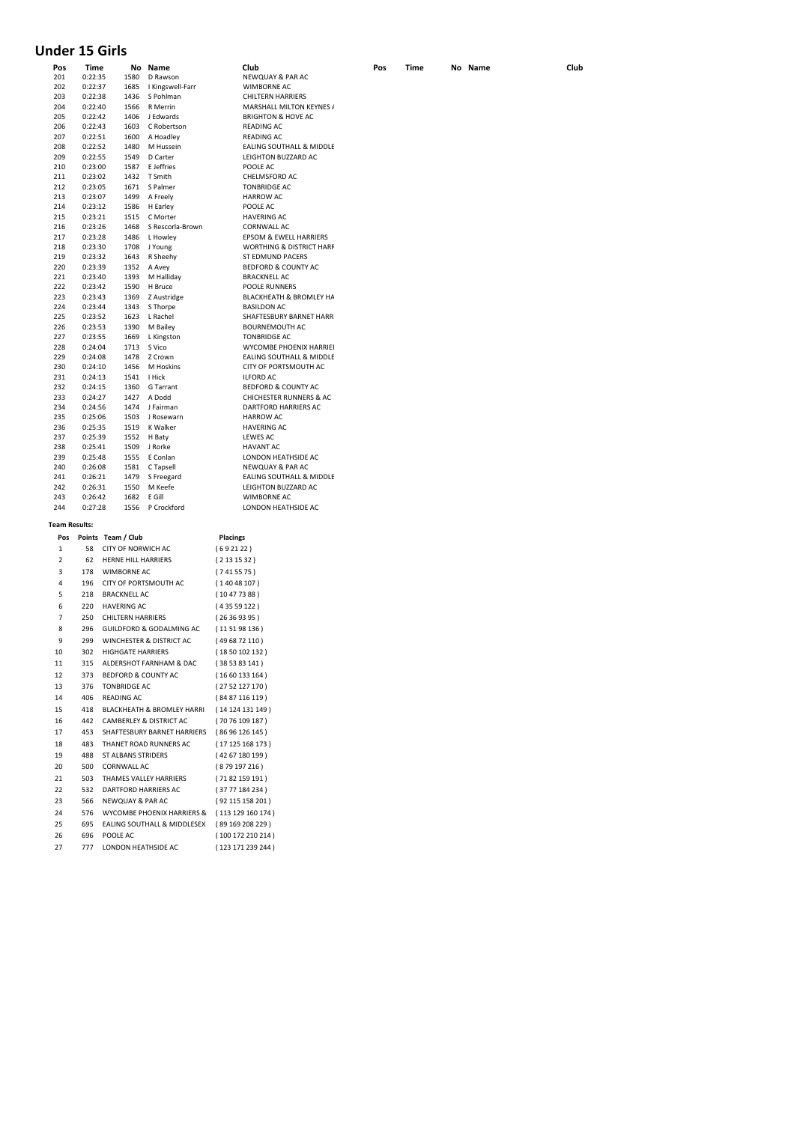# **Under 15 Girls**

| Pos                  | Time    |                                | No Name                     |                 | Club                                | Pos | Time | No Name | Club |
|----------------------|---------|--------------------------------|-----------------------------|-----------------|-------------------------------------|-----|------|---------|------|
| 201                  | 0:22:35 | 1580                           | D Rawson                    |                 | NEWQUAY & PAR AC                    |     |      |         |      |
| 202                  | 0:22:37 | 1685                           | I Kingswell-Farr            |                 | <b>WIMBORNE AC</b>                  |     |      |         |      |
| 203                  | 0:22:38 | 1436                           | S Pohlman                   |                 | <b>CHILTERN HARRIERS</b>            |     |      |         |      |
| 204                  | 0:22:40 | 1566                           | R Merrin                    |                 | MARSHALL MILTON KEYNES /            |     |      |         |      |
| 205                  | 0:22:42 | 1406                           | J Edwards                   |                 | <b>BRIGHTON &amp; HOVE AC</b>       |     |      |         |      |
| 206                  | 0:22:43 | 1603                           | C Robertson                 |                 | <b>READING AC</b>                   |     |      |         |      |
| 207                  | 0:22:51 | 1600                           | A Hoadley                   |                 | <b>READING AC</b>                   |     |      |         |      |
| 208                  | 0:22:52 | 1480                           | M Hussein                   |                 | EALING SOUTHALL & MIDDLE            |     |      |         |      |
| 209                  | 0:22:55 | 1549                           | D Carter                    |                 | LEIGHTON BUZZARD AC                 |     |      |         |      |
| 210                  | 0:23:00 | 1587                           | E Jeffries                  |                 | POOLE AC                            |     |      |         |      |
| 211                  | 0:23:02 | 1432                           | T Smith                     |                 | CHELMSFORD AC                       |     |      |         |      |
| 212                  | 0:23:05 | 1671                           | S Palmer                    |                 | <b>TONBRIDGE AC</b>                 |     |      |         |      |
| 213                  | 0:23:07 | 1499                           | A Freely                    |                 | <b>HARROW AC</b>                    |     |      |         |      |
| 214                  | 0:23:12 | 1586                           | H Earley                    |                 | POOLE AC                            |     |      |         |      |
| 215                  | 0:23:21 | 1515                           | C Morter                    |                 | <b>HAVERING AC</b>                  |     |      |         |      |
| 216                  | 0:23:26 | 1468                           | S Rescorla-Brown            |                 | CORNWALL AC                         |     |      |         |      |
| 217                  | 0:23:28 | 1486                           | L Howley                    |                 | EPSOM & EWELL HARRIERS              |     |      |         |      |
| 218                  | 0:23:30 | 1708                           | J Young                     |                 | <b>WORTHING &amp; DISTRICT HARF</b> |     |      |         |      |
| 219                  | 0:23:32 | 1643                           | R Sheehy                    |                 | ST EDMUND PACERS                    |     |      |         |      |
| 220                  | 0:23:39 | 1352                           | A Avey                      |                 | BEDFORD & COUNTY AC                 |     |      |         |      |
|                      |         |                                |                             |                 |                                     |     |      |         |      |
| 221                  | 0:23:40 | 1393                           | M Halliday                  |                 | <b>BRACKNELL AC</b>                 |     |      |         |      |
| 222                  | 0:23:42 | 1590                           | H Bruce                     |                 | POOLE RUNNERS                       |     |      |         |      |
| 223                  | 0:23:43 | 1369                           | Z Austridge                 |                 | BLACKHEATH & BROMLEY HA             |     |      |         |      |
| 224                  | 0:23:44 | 1343                           | S Thorpe                    |                 | <b>BASILDON AC</b>                  |     |      |         |      |
| 225                  | 0:23:52 | 1623                           | L Rachel                    |                 | SHAFTESBURY BARNET HARR             |     |      |         |      |
| 226                  | 0:23:53 | 1390                           | M Bailey                    |                 | <b>BOURNEMOUTH AC</b>               |     |      |         |      |
| 227                  | 0:23:55 | 1669                           | L Kingston                  |                 | <b>TONBRIDGE AC</b>                 |     |      |         |      |
| 228                  | 0:24:04 | 1713                           | S Vico                      |                 | <b>WYCOMBE PHOENIX HARRIEI</b>      |     |      |         |      |
| 229                  | 0:24:08 | 1478                           | Z Crown                     |                 | EALING SOUTHALL & MIDDLE            |     |      |         |      |
| 230                  | 0:24:10 | 1456                           | M Hoskins                   |                 | CITY OF PORTSMOUTH AC               |     |      |         |      |
| 231                  | 0:24:13 | 1541                           | I Hick                      |                 | <b>ILFORD AC</b>                    |     |      |         |      |
| 232                  | 0:24:15 | 1360                           | G Tarrant                   |                 | BEDFORD & COUNTY AC                 |     |      |         |      |
| 233                  | 0:24:27 | 1427                           | A Dodd                      |                 | <b>CHICHESTER RUNNERS &amp; AC</b>  |     |      |         |      |
| 234                  | 0:24:56 | 1474                           | J Fairman                   |                 | DARTFORD HARRIERS AC                |     |      |         |      |
| 235                  | 0:25:06 | 1503                           | J Rosewarn                  |                 | <b>HARROW AC</b>                    |     |      |         |      |
| 236                  | 0:25:35 | 1519                           | K Walker                    |                 | <b>HAVERING AC</b>                  |     |      |         |      |
| 237                  | 0:25:39 | 1552                           | H Baty                      |                 | <b>LEWES AC</b>                     |     |      |         |      |
| 238                  | 0:25:41 | 1509                           | J Rorke                     |                 | <b>HAVANT AC</b>                    |     |      |         |      |
| 239                  | 0:25:48 | 1555                           | E Conlan                    |                 | LONDON HEATHSIDE AC                 |     |      |         |      |
| 240                  | 0:26:08 | 1581                           | C Tapsell                   |                 | NEWQUAY & PAR AC                    |     |      |         |      |
| 241                  | 0:26:21 | 1479                           | S Freegard                  |                 | EALING SOUTHALL & MIDDLE            |     |      |         |      |
| 242                  | 0:26:31 | 1550                           | M Keefe                     |                 | LEIGHTON BUZZARD AC                 |     |      |         |      |
| 243                  | 0:26:42 | 1682                           | E Gill                      |                 | WIMBORNE AC                         |     |      |         |      |
| 244                  | 0:27:28 | 1556                           | P Crockford                 |                 | LONDON HEATHSIDE AC                 |     |      |         |      |
|                      |         |                                |                             |                 |                                     |     |      |         |      |
| <b>Team Results:</b> |         |                                |                             |                 |                                     |     |      |         |      |
| Pos                  |         | Points Team / Club             |                             | Placings        |                                     |     |      |         |      |
| 1                    | 58      | CITY OF NORWICH AC             |                             | (692122)        |                                     |     |      |         |      |
|                      |         |                                |                             |                 |                                     |     |      |         |      |
| 2                    | 62      | HERNE HILL HARRIERS            |                             | (2131532)       |                                     |     |      |         |      |
| 3                    | 178     | WIMBORNE AC                    |                             | (7415575)       |                                     |     |      |         |      |
| 4                    | 196     | CITY OF PORTSMOUTH AC          |                             | (14048107)      |                                     |     |      |         |      |
| 5                    | 218     | <b>BRACKNELL AC</b>            |                             | (10477388)      |                                     |     |      |         |      |
| 6                    | 220     | <b>HAVERING AC</b>             |                             | (435 59 122)    |                                     |     |      |         |      |
| 7                    | 250     | <b>CHILTERN HARRIERS</b>       |                             | (26369395)      |                                     |     |      |         |      |
|                      |         |                                |                             |                 |                                     |     |      |         |      |
| 8                    | 296     |                                | GUILDFORD & GODALMING AC    | (11 51 98 136 ) |                                     |     |      |         |      |
| 9                    | 299     |                                | WINCHESTER & DISTRICT AC    | (496872110)     |                                     |     |      |         |      |
| 10                   | 302     | HIGHGATE HARRIERS              |                             | (1850102132)    |                                     |     |      |         |      |
| 11                   | 315     |                                | ALDERSHOT FARNHAM & DAC     | (385383141)     |                                     |     |      |         |      |
| 12                   | 373     | <b>BEDFORD &amp; COUNTY AC</b> |                             | (1660133164)    |                                     |     |      |         |      |
| 13                   | 376     | <b>TONBRIDGE AC</b>            |                             | (2752127170)    |                                     |     |      |         |      |
|                      |         |                                |                             |                 |                                     |     |      |         |      |
| 14                   | 406     | READING AC                     |                             | (8487116119)    |                                     |     |      |         |      |
| 15                   | 418     |                                | BLACKHEATH & BROMLEY HARRI  |                 | (14 124 131 149)                    |     |      |         |      |
| 16                   | 442     |                                | CAMBERLEY & DISTRICT AC     | (7076109187)    |                                     |     |      |         |      |
| 17                   | 453     |                                | SHAFTESBURY BARNET HARRIERS | (8696126145)    |                                     |     |      |         |      |
| 18                   | 483     |                                | THANET ROAD RUNNERS AC      |                 | (17125168173)                       |     |      |         |      |
| 19                   | 488     | ST ALBANS STRIDERS             |                             |                 |                                     |     |      |         |      |
|                      |         |                                |                             | (42 67 180 199) |                                     |     |      |         |      |
| 20                   | 500     | <b>CORNWALL AC</b>             |                             | (879 197 216)   |                                     |     |      |         |      |
| 21                   | 503     |                                | THAMES VALLEY HARRIERS      | (71 82 159 191) |                                     |     |      |         |      |
| 22                   | 532     | DARTFORD HARRIERS AC           |                             | (3777184234)    |                                     |     |      |         |      |
| 23                   | 566     | NEWQUAY & PAR AC               |                             |                 | (92 115 158 201)                    |     |      |         |      |
| 24                   | 576     |                                | WYCOMBE PHOENIX HARRIERS &  |                 | (113129160174)                      |     |      |         |      |
| 25                   | 695     |                                | EALING SOUTHALL & MIDDLESEX |                 | (89169208229)                       |     |      |         |      |
|                      |         |                                |                             |                 |                                     |     |      |         |      |
| 26                   | 696     | POOLE AC                       |                             |                 | (100 172 210 214)                   |     |      |         |      |
| 27                   | 777     | LONDON HEATHSIDE AC            |                             |                 | (123 171 239 244)                   |     |      |         |      |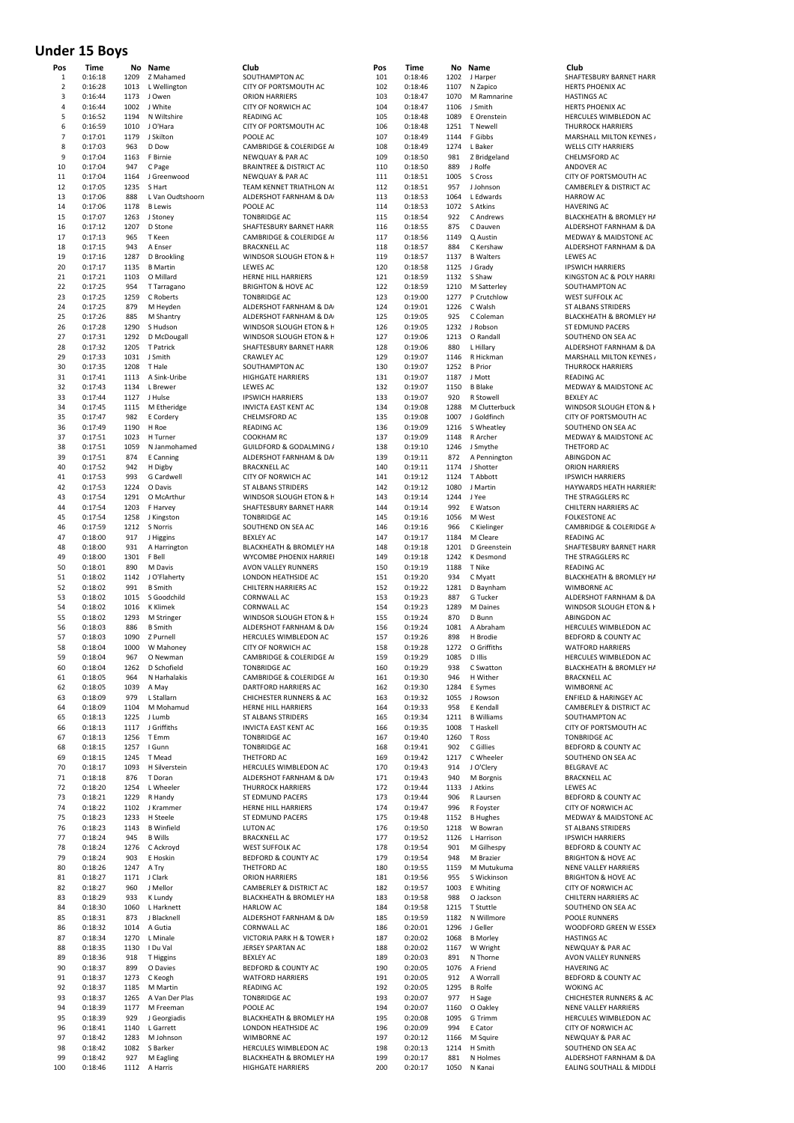## **Under 15 Boys**

| Pos<br>1                | Time<br>0:16:18    | No<br>1209   | Name<br>Z Mahamed              | Club<br>SOUTHAMPTON AC                            |
|-------------------------|--------------------|--------------|--------------------------------|---------------------------------------------------|
| $\overline{\mathbf{c}}$ | 0:16:28            | 1013         | L Wellington                   | CITY OF PORTSMOUTH AC                             |
| 3                       | 0:16:44            | 1173         | J Owen                         | <b>ORION HARRIERS</b>                             |
| 4                       | 0:16:44            | 1002         | J White                        | <b>CITY OF NORWICH AC</b>                         |
| 5                       | 0:16:52            | 1194         | N Wiltshire                    | <b>READING AC</b>                                 |
| 6                       | 0:16:59            | 1010         | J O'Hara                       | CITY OF PORTSMOUTH AC                             |
| 7                       | 0:17:01            | 1179         | J Skilton                      | POOLE AC                                          |
| 8                       | 0:17:03            | 963          | D Dow                          | CAMBRIDGE & COLERIDGE A                           |
| 9                       | 0:17:04            | 1163         | F Birnie                       | NEWQUAY & PAR AC                                  |
| 10                      | 0:17:04            | 947          | C Page                         | <b>BRAINTREE &amp; DISTRICT AC</b>                |
| 11<br>12                | 0:17:04<br>0:17:05 | 1164<br>1235 | J Greenwood<br>S Hart          | NEWQUAY & PAR AC<br>TEAM KENNET TRIATHLON AO      |
| 13                      | 0:17:06            | 888          | L Van Oudtshoorn               | ALDERSHOT FARNHAM & DA                            |
| 14                      | 0:17:06            | 1178         | <b>B</b> Lewis                 | POOLE AC                                          |
| 15                      | 0:17:07            | 1263         | J Stoney                       | <b>TONBRIDGE AC</b>                               |
| 16                      | 0:17:12            | 1207         | D Stone                        | SHAFTESBURY BARNET HARR                           |
| 17                      | 0:17:13            | 965          | T Keen                         | CAMBRIDGE & COLERIDGE A                           |
| 18                      | 0:17:15            | 943          | A Enser                        | <b>BRACKNELL AC</b>                               |
| 19                      | 0:17:16            | 1287         | D Brookling                    | WINDSOR SLOUGH ETON & F                           |
| 20                      | 0:17:17            | 1135         | <b>B</b> Martin                | <b>LEWES AC</b>                                   |
| 21                      | 0:17:21            | 1103         | O Millard                      | HERNE HILL HARRIERS                               |
| 22                      | 0:17:25            | 954          | T Tarragano                    | <b>BRIGHTON &amp; HOVE AC</b>                     |
| 23                      | 0:17:25            | 1259         | C Roberts                      | <b>TONBRIDGE AC</b>                               |
| 24<br>25                | 0:17:25<br>0:17:26 | 879<br>885   | M Heyden<br>M Shantry          | ALDERSHOT FARNHAM & DA<br>ALDERSHOT FARNHAM & DA  |
| 26                      | 0:17:28            | 1290         | S Hudson                       | WINDSOR SLOUGH ETON & H                           |
| 27                      | 0:17:31            | 1292         | D McDougall                    | WINDSOR SLOUGH ETON & F                           |
| 28                      | 0:17:32            | 1205         | T Patrick                      | SHAFTESBURY BARNET HARR                           |
| 29                      | 0:17:33            | 1031         | J Smith                        | <b>CRAWLEY AC</b>                                 |
| 30                      | 0:17:35            | 1208         | T Hale                         | SOUTHAMPTON AC                                    |
| 31                      | 0:17:41            | 1113         | A Sink-Uribe                   | <b>HIGHGATE HARRIERS</b>                          |
| 32                      | 0:17:43            | 1134         | L Brewer                       | <b>LEWES AC</b>                                   |
| 33                      | 0:17:44            | 1127         | J Hulse                        | <b>IPSWICH HARRIERS</b>                           |
| 34                      | 0:17:45            | 1115         | M Etheridge                    | <b>INVICTA EAST KENT AC</b>                       |
| 35                      | 0:17:47            | 982          | E Cordery                      | CHELMSFORD AC                                     |
| 36                      | 0:17:49            | 1190         | H Roe                          | <b>READING AC</b>                                 |
| 37                      | 0:17:51            | 1023         | H Turner                       | <b>COOKHAM RC</b>                                 |
| 38<br>39                | 0:17:51            | 1059<br>874  | N Janmohamed                   | GUILDFORD & GODALMING /<br>ALDERSHOT FARNHAM & DA |
| 40                      | 0:17:51<br>0:17:52 | 942          | E Canning<br>H Digby           | <b>BRACKNELL AC</b>                               |
| 41                      | 0:17:53            | 993          | G Cardwell                     | CITY OF NORWICH AC                                |
| 42                      | 0:17:53            | 1224         | O Davis                        | <b>ST ALBANS STRIDERS</b>                         |
| 43                      | 0:17:54            | 1291         | O McArthur                     | WINDSOR SLOUGH ETON & F                           |
| 44                      | 0:17:54            | 1203         | F Harvey                       | SHAFTESBURY BARNET HARR                           |
| 45                      | 0:17:54            | 1258         | J Kingston                     | <b>TONBRIDGE AC</b>                               |
| 46                      | 0:17:59            | 1212         | S Norris                       | SOUTHEND ON SEA AC                                |
| 47                      | 0:18:00            | 917          | J Higgins                      | <b>BEXLEY AC</b>                                  |
| 48                      | 0:18:00            | 931          | A Harrington                   | BLACKHEATH & BROMLEY HA                           |
| 49                      | 0:18:00            | 1301         | F Bell                         | WYCOMBE PHOENIX HARRIEI                           |
| 50                      | 0:18:01            | 890          | M Davis                        | AVON VALLEY RUNNERS                               |
| 51<br>52                | 0:18:02            | 1142         | J O'Flaherty<br><b>B</b> Smith | LONDON HEATHSIDE AC                               |
| 53                      | 0:18:02<br>0:18:02 | 991<br>1015  | S Goodchild                    | CHILTERN HARRIERS AC<br><b>CORNWALL AC</b>        |
| 54                      | 0:18:02            | 1016         | K Klimek                       | <b>CORNWALL AC</b>                                |
| 55                      | 0:18:02            | 1293         | M Stringer                     | WINDSOR SLOUGH ETON & H                           |
| 56                      | 0:18:03            | 886          | <b>B</b> Smith                 | ALDERSHOT FARNHAM & DA                            |
| 57                      | 0:18:03            | 1090         | Z Purnell                      | HERCULES WIMBLEDON AC                             |
| 58                      | 0:18:04            | 1000         | W Mahoney                      | CITY OF NORWICH AC                                |
| 59                      | 0:18:04            | 967          | O Newman                       | CAMBRIDGE & COLERIDGE A                           |
| 60                      | 0:18:04            | 1262         | D Schofield                    | <b>TONBRIDGE AC</b>                               |
| 61                      | 0:18:05            | 964          | N Harhalakis                   | CAMBRIDGE & COLERIDGE A                           |
| 62                      | 0:18:05            |              | 1039 A May                     | DARTFORD HARRIERS AC                              |
| 63                      | 0:18:09            | 979          | L Stallarn                     | <b>CHICHESTER RUNNERS &amp; AC</b>                |
| 64<br>65                | 0:18:09<br>0:18:13 | 1225         | 1104 M Mohamud<br>J Lumb       | HERNE HILL HARRIERS<br>ST ALBANS STRIDERS         |
| 66                      | 0:18:13            |              | 1117 J Griffiths               | <b>INVICTA EAST KENT AC</b>                       |
| 67                      | 0:18:13            | 1256         | T Emm                          | <b>TONBRIDGE AC</b>                               |
| 68                      | 0:18:15            |              | 1257   Gunn                    | <b>TONBRIDGE AC</b>                               |
| 69                      | 0:18:15            | 1245         | T Mead                         | THETFORD AC                                       |
| 70                      | 0:18:17            |              | 1093 H Silverstein             | HERCULES WIMBLEDON AC                             |
| 71                      | 0:18:18            | 876          | T Doran                        | ALDERSHOT FARNHAM & DA                            |
| 72                      | 0:18:20            |              | 1254 L Wheeler                 | <b>THURROCK HARRIERS</b>                          |
| 73                      | 0:18:21            |              | 1229 R Handy                   | ST EDMUND PACERS                                  |
| 74                      | 0:18:22            |              | 1102 J Krammer                 | HERNE HILL HARRIERS                               |
| 75                      | 0:18:23            |              | 1233 H Steele                  | ST EDMUND PACERS                                  |
| 76                      | 0:18:23            |              | 1143 B Winfield                | LUTON AC                                          |
| 77                      | 0:18:24            | 945          | <b>B</b> Wills                 | <b>BRACKNELL AC</b>                               |
| 78<br>79                | 0:18:24<br>0:18:24 | 903          | 1276 C Ackroyd<br>E Hoskin     | <b>WEST SUFFOLK AC</b><br>BEDFORD & COUNTY AC     |
| 80                      | 0:18:26            | 1247 A Try   |                                | THETFORD AC                                       |
| 81                      | 0:18:27            | 1171         | J Clark                        | <b>ORION HARRIERS</b>                             |
| 82                      | 0:18:27            | 960          | J Mellor                       | CAMBERLEY & DISTRICT AC                           |
| 83                      | 0:18:29            | 933          | K Lundy                        | BLACKHEATH & BROMLEY HA                           |
| 84                      | 0:18:30            |              | 1060 L Harknett                | <b>HARLOW AC</b>                                  |
| 85                      | 0:18:31            | 873          | J Blacknell                    | ALDERSHOT FARNHAM & DA                            |
| 86                      | 0:18:32            |              | 1014 A Gutia                   | <b>CORNWALL AC</b>                                |
| 87                      | 0:18:34            | 1270         | L Minale                       | VICTORIA PARK H & TOWER I                         |
| 88                      | 0:18:35            |              | 1130   Du Val                  | JERSEY SPARTAN AC                                 |
| 89                      | 0:18:36            | 918          | T Higgins                      | <b>BEXLEY AC</b>                                  |
| 90                      | 0:18:37            | 899          | O Davies                       | BEDFORD & COUNTY AC                               |
| 91<br>92                | 0:18:37<br>0:18:37 |              | 1273 C Keogh<br>1185 M Martin  | <b>WATFORD HARRIERS</b><br><b>READING AC</b>      |
| 93                      | 0:18:37            |              | 1265 A Van Der Plas            | <b>TONBRIDGE AC</b>                               |
| 94                      | 0:18:39            |              | 1177 M Freeman                 | POOLE AC                                          |
| 95                      | 0:18:39            | 929          | J Georgiadis                   | BLACKHEATH & BROMLEY HA                           |
| 96                      | 0:18:41            |              | 1140 L Garrett                 | LONDON HEATHSIDE AC                               |
| 97                      | 0:18:42            | 1283         | M Johnson                      | WIMBORNE AC                                       |
| 98                      | 0:18:42            | 1082         | S Barker                       | HERCULES WIMBLEDON AC                             |
| 99                      | 0:18:42            | 927          | M Eagling                      | BLACKHEATH & BROMLEY HA                           |
| 100                     | 0:18:46            | 1112         | A Harris                       | HIGHGATE HARRIERS                                 |

| Pos            | Time               |              | No Name               | Club                                              | Pos        | Time               |              | No Name                    | Club                   |
|----------------|--------------------|--------------|-----------------------|---------------------------------------------------|------------|--------------------|--------------|----------------------------|------------------------|
| 1              | 0:16:18            | 1209         | Z Mahamed             | SOUTHAMPTON AC                                    | 101        | 0:18:46            | 1202         | J Harper                   | <b>SHAF</b>            |
| $\overline{2}$ | 0:16:28            | 1013         | L Wellington          | CITY OF PORTSMOUTH AC                             | 102        | 0:18:46            | 1107         | N Zapico                   | <b>HERTS</b>           |
| 3              | 0:16:44            | 1173         | J Owen                | <b>ORION HARRIERS</b>                             | 103        | 0:18:47            | 1070         | M Ramnarine                | <b>HASTI</b>           |
| 4              | 0:16:44            | 1002         | J White               | CITY OF NORWICH AC                                | 104        | 0:18:47            | 1106         | J Smith                    | <b>HERTS</b>           |
| 5              | 0:16:52            | 1194         | N Wiltshire           | <b>READING AC</b>                                 | 105        | 0:18:48            | 1089         | E Orenstein                | <b>HERC</b>            |
| 6              | 0:16:59            | 1010         | J O'Hara              | CITY OF PORTSMOUTH AC                             | 106        | 0:18:48            | 1251         | <b>T</b> Newell            | <b>THUR</b>            |
| $\overline{7}$ | 0:17:01            | 1179         | J Skilton             | POOLE AC                                          | 107        | 0:18:49            | 1144         | F Gibbs                    | MARS                   |
| 8              | 0:17:03            | 963          | D Dow                 | CAMBRIDGE & COLERIDGE A                           | 108        | 0:18:49            | 1274         | L Baker                    | WELL:                  |
| 9              | 0:17:04            | 1163         | F Birnie              | NEWQUAY & PAR AC                                  | 109        | 0:18:50            | 981          | Z Bridgeland               | CHELI                  |
| 10             | 0:17:04            | 947          | C Page                | <b>BRAINTREE &amp; DISTRICT AC</b>                | 110        | 0:18:50            | 889          | J Rolfe                    | ANDC                   |
| 11             | 0:17:04            | 1164         | J Greenwood           | NEWQUAY & PAR AC                                  | 111        | 0:18:51            | 1005         | S Cross                    | CITY <sub>C</sub>      |
| 12             | 0:17:05            | 1235         | S Hart                | TEAM KENNET TRIATHLON A                           | 112        | 0:18:51            | 957          | J Johnson                  | CAME                   |
| 13             | 0:17:06            | 888          | L Van Oudtshoorn      | ALDERSHOT FARNHAM & DA                            | 113        | 0:18:53            | 1064         | L Edwards                  | <b>HARR</b>            |
| 14             | 0:17:06            | 1178         | <b>B</b> Lewis        | POOLE AC                                          | 114        | 0:18:53            | 1072         | S Atkins                   | <b>HAVE</b>            |
| 15             | 0:17:07            | 1263         |                       |                                                   | 115        | 0:18:54            | 922          | C Andrews                  | <b>BLACK</b>           |
|                |                    |              | J Stoney              | <b>TONBRIDGE AC</b><br>SHAFTESBURY BARNET HARR    |            |                    |              | C Dauven                   |                        |
| 16             | 0:17:12            | 1207         | D Stone               |                                                   | 116        | 0:18:55            | 875          |                            | ALDER                  |
| 17             | 0:17:13            | 965          | T Keen                | CAMBRIDGE & COLERIDGE A                           | 117        | 0:18:56            | 1149         | Q Austin                   | <b>MEDV</b>            |
| 18             | 0:17:15            | 943          | A Enser               | <b>BRACKNELL AC</b>                               | 118        | 0:18:57            | 884          | C Kershaw                  | ALDER                  |
| 19             | 0:17:16            | 1287         | D Brookling           | WINDSOR SLOUGH ETON & H                           | 119        | 0:18:57            | 1137         | <b>B</b> Walters           | LEWE                   |
| 20             | 0:17:17            | 1135         | <b>B</b> Martin       | LEWES AC                                          | 120        | 0:18:58            | 1125         | J Grady                    | <b>IPSWI</b>           |
| 21<br>22       | 0:17:21            | 1103<br>954  | O Millard             | HERNE HILL HARRIERS                               | 121<br>122 | 0:18:59            | 1132         | S Shaw                     | <b>KINGS</b><br>SOUT   |
|                | 0:17:25            |              | T Tarragano           | <b>BRIGHTON &amp; HOVE AC</b>                     |            | 0:18:59            | 1210         | M Satterley<br>P Crutchlow | WEST                   |
| 23<br>24       | 0:17:25            | 1259<br>879  | C Roberts             | <b>TONBRIDGE AC</b>                               | 123<br>124 | 0:19:00            | 1277<br>1226 | C Walsh                    |                        |
| 25             | 0:17:25<br>0:17:26 | 885          | M Heyden              | ALDERSHOT FARNHAM & DA                            | 125        | 0:19:01<br>0:19:05 | 925          | C Coleman                  | ST ALI<br><b>BLACK</b> |
| 26             | 0:17:28            | 1290         | M Shantry<br>S Hudson | ALDERSHOT FARNHAM & DA<br>WINDSOR SLOUGH ETON & H | 126        | 0:19:05            | 1232         | J Robson                   | ST ED                  |
| 27             | 0:17:31            | 1292         | D McDougall           | WINDSOR SLOUGH ETON & F                           | 127        | 0:19:06            | 1213         | O Randall                  | SOUT                   |
|                |                    |              |                       |                                                   |            |                    |              |                            | ALDER                  |
| 28<br>29       | 0:17:32<br>0:17:33 | 1205<br>1031 | T Patrick<br>J Smith  | SHAFTESBURY BARNET HARR<br><b>CRAWLEY AC</b>      | 128<br>129 | 0:19:06<br>0:19:07 | 880<br>1146  | L Hillary<br>R Hickman     | MARS                   |
| 30             | 0:17:35            | 1208         | T Hale                | SOUTHAMPTON AC                                    | 130        | 0:19:07            | 1252         | <b>B</b> Prior             | <b>THUR</b>            |
|                |                    |              |                       |                                                   |            |                    |              | J Mott                     |                        |
| 31             | 0:17:41            | 1113         | A Sink-Uribe          | <b>HIGHGATE HARRIERS</b>                          | 131        | 0:19:07            | 1187         |                            | <b>READ</b>            |
| 32             | 0:17:43            | 1134         | L Brewer              | LEWES AC                                          | 132        | 0:19:07            | 1150         | <b>B</b> Blake             | <b>MEDV</b>            |
| 33             | 0:17:44            | 1127         | J Hulse               | <b>IPSWICH HARRIERS</b>                           | 133        | 0:19:07            | 920          | R Stowell                  | <b>BEXLE</b>           |
| 34             | 0:17:45            | 1115         | M Etheridge           | <b>INVICTA EAST KENT AC</b>                       | 134        | 0:19:08            | 1288         | M Clutterbuck              | WIND                   |
| 35             | 0:17:47            | 982          | E Cordery             | CHELMSFORD AC                                     | 135        | 0:19:08            | 1007         | J Goldfinch                | CITY <sub>C</sub>      |
| 36             | 0:17:49            | 1190         | H Roe                 | <b>READING AC</b>                                 | 136        | 0:19:09            | 1216         | S Wheatley                 | SOUT                   |
| 37             | 0:17:51            | 1023         | H Turner              | COOKHAM RC                                        | 137        | 0:19:09            | 1148         | R Archer                   | <b>MEDV</b>            |
| 38             | 0:17:51            | 1059         | N Janmohamed          | GUILDFORD & GODALMING /                           | 138        | 0:19:10            | 1246         | J Smythe                   | THETP                  |
| 39             | 0:17:51            | 874          | E Canning             | ALDERSHOT FARNHAM & DA                            | 139        | 0:19:11            | 872          | A Pennington               | <b>ABIN</b>            |
| 40             | 0:17:52            | 942          | H Digby               | <b>BRACKNELL AC</b>                               | 140        | 0:19:11            | 1174         | J Shotter                  | ORIO                   |
| 41             | 0:17:53            | 993          | G Cardwell            | CITY OF NORWICH AC                                | 141        | 0:19:12            | 1124         | T Abbott                   | <b>IPSWI</b>           |
| 42             | 0:17:53            | 1224         | O Davis               | ST ALBANS STRIDERS                                | 142        | 0:19:12            | 1080         | J Martin                   | <b>HAYW</b>            |
| 43             | 0:17:54            | 1291         | O McArthur            | WINDSOR SLOUGH ETON & H                           | 143        | 0:19:14            | 1244         | J Yee                      | THE S                  |
| 44             | 0:17:54            | 1203         | F Harvey              | SHAFTESBURY BARNET HARR                           | 144        | 0:19:14            | 992          | E Watson                   | CHILT                  |
| 45             | 0:17:54            | 1258         | J Kingston            | <b>TONBRIDGE AC</b>                               | 145        | 0:19:16            | 1056         | M West                     | <b>FOLKE</b>           |
| 46             | 0:17:59            | 1212         | S Norris              | SOUTHEND ON SEA AC                                | 146        | 0:19:16            | 966          | C Kielinger                | CAME                   |
| 47             | 0:18:00            | 917          | J Higgins             | <b>BEXLEY AC</b>                                  | 147        | 0:19:17            | 1184         | M Cleare                   | READ                   |
| 48             | 0:18:00            | 931          | A Harrington          | <b>BLACKHEATH &amp; BROMLEY HA</b>                | 148        | 0:19:18            | 1201         | D Greenstein               | SHAF <sup>T</sup>      |
| 49             | 0:18:00            | 1301         | F Bell                | WYCOMBE PHOENIX HARRIEI                           | 149        | 0:19:18            | 1242         | K Desmond                  | THE S                  |
| 50             | 0:18:01            | 890          | M Davis               | AVON VALLEY RUNNERS                               | 150        | 0:19:19            | 1188         | T Nike                     | <b>READ</b>            |
| 51             | 0:18:02            |              | 1142 J O'Flaherty     | LONDON HEATHSIDE AC                               | 151        | 0:19:20            | 934          | C Myatt                    | <b>BLACK</b>           |
| 52             | 0:18:02            | 991          | <b>B</b> Smith        | CHILTERN HARRIERS AC                              | 152        | 0:19:22            | 1281         | D Baynham                  | <b>WIME</b>            |
| 53             | 0:18:02            | 1015         | S Goodchild           | CORNWALL AC                                       | 153        | 0:19:23            | 887          | G Tucker                   | ALDER                  |
| 54             | 0:18:02            | 1016         | <b>K</b> Klimek       | CORNWALL AC                                       | 154        | 0:19:23            | 1289         | M Daines                   | WIND                   |
| 55             | 0:18:02            | 1293         | M Stringer            | WINDSOR SLOUGH ETON & H                           | 155        | 0:19:24            | 870          | D Bunn                     | <b>ABIN</b>            |
| 56             | 0:18:03            | 886          | <b>B</b> Smith        | ALDERSHOT FARNHAM & DA                            | 156        | 0:19:24            | 1081         | A Abraham                  | <b>HERC</b>            |
| 57             | 0:18:03            | 1090         | Z Purnell             | HERCULES WIMBLEDON AC                             | 157        | 0:19:26            | 898          | H Brodie                   | <b>BEDF</b>            |
| 58             | 0:18:04            | 1000         | W Mahoney             | CITY OF NORWICH AC                                | 158        | 0:19:28            |              | 1272 O Griffiths           | <b>WATF</b>            |
| 59             | 0:18:04            | 967          | O Newman              | CAMBRIDGE & COLERIDGE A                           | 159        | 0:19:29            |              | 1085 D Illis               | <b>HERC</b>            |
| 60             | 0:18:04            | 1262         | D Schofield           | <b>TONBRIDGE AC</b>                               | 160        | 0:19:29            | 938          | C Swatton                  | <b>BLACK</b>           |
| 61             | 0:18:05            | 964          | N Harhalakis          | CAMBRIDGE & COLERIDGE A                           | 161        | 0:19:30            | 946          | H Wither                   | <b>BRAC</b>            |
| 62             | 0:18:05            | 1039         | A May                 | DARTFORD HARRIERS AC                              | 162        | 0:19:30            | 1284         | E Symes                    | <b>WIME</b>            |
| 63             | 0:18:09            | 979          | L Stallarn            | CHICHESTER RUNNERS & AC                           | 163        | 0:19:32            | 1055         | J Rowson                   | <b>ENFIE</b>           |
| 64             | 0:18:09            | 1104         | M Mohamud             | HERNE HILL HARRIERS                               | 164        | 0:19:33            | 958          | E Kendall                  | CAME                   |
| 65             | 0:18:13            | 1225         | J Lumb                | ST ALBANS STRIDERS                                | 165        | 0:19:34            | 1211         | <b>B</b> Williams          | SOUT                   |
| 66             | 0:18:13            | 1117         | J Griffiths           | <b>INVICTA EAST KENT AC</b>                       | 166        | 0:19:35            | 1008         | T Haskell                  | CITY <sub>C</sub>      |
| 67             | 0:18:13            | 1256         | T Emm                 | <b>TONBRIDGE AC</b>                               | 167        | 0:19:40            | 1260         | T Ross                     | <b>TONB</b>            |
| 68             | 0:18:15            | 1257         | I Gunn                | <b>TONBRIDGE AC</b>                               | 168        | 0:19:41            | 902          | C Gillies                  | <b>BEDF</b>            |
| 69             | 0:18:15            | 1245         | T Mead                | THETFORD AC                                       | 169        | 0:19:42            | 1217         | C Wheeler                  | SOUT                   |
| 70             | 0:18:17            | 1093         | H Silverstein         | HERCULES WIMBLEDON AC                             | 170        | 0:19:43            | 914          | J O'Clery                  | <b>BELGI</b>           |
| 71             | 0:18:18            | 876          | T Doran               | ALDERSHOT FARNHAM & DA                            | 171        | 0:19:43            | 940          | M Borgnis                  | <b>BRAC</b>            |
| 72             | 0:18:20            | 1254         | L Wheeler             | <b>THURROCK HARRIERS</b>                          | 172        | 0:19:44            | 1133         | J Atkins                   | LEWE                   |
| 73             | 0:18:21            | 1229         | R Handy               | ST EDMUND PACERS                                  | 173        | 0:19:44            | 906          | R Laursen                  | <b>BEDF</b>            |
| 74             | 0:18:22            | 1102         | J Krammer             | HERNE HILL HARRIERS                               | 174        | 0:19:47            | 996          | R Foyster                  | CITY <sub>C</sub>      |
| 75             | 0:18:23            | 1233         | H Steele              | ST EDMUND PACERS                                  | 175        | 0:19:48            | 1152         | <b>B</b> Hughes            | <b>MEDV</b>            |
| 76             | 0:18:23            | 1143         | <b>B</b> Winfield     | <b>LUTON AC</b>                                   | 176        | 0:19:50            | 1218         | W Bowran                   | <b>ST ALI</b>          |
| 77             | 0:18:24            | 945          | <b>B Wills</b>        | <b>BRACKNELL AC</b>                               | 177        | 0:19:52            | 1126         | L Harrison                 | <b>IPSWI</b>           |
| 78             | 0:18:24            | 1276         | C Ackroyd             | WEST SUFFOLK AC                                   | 178        | 0:19:54            | 901          | M Gilhespy                 | <b>BEDF</b>            |
| 79             | 0:18:24            | 903          | E Hoskin              | BEDFORD & COUNTY AC                               | 179        | 0:19:54            | 948          | M Brazier                  | <b>BRIGH</b>           |
| 80             | 0:18:26            | 1247         | A Try                 | THETFORD AC                                       | 180        | 0:19:55            | 1159         | M Mutukuma                 | <b>NENE</b>            |
| 81             | 0:18:27            | 1171         | J Clark               | <b>ORION HARRIERS</b>                             | 181        | 0:19:56            | 955          | S Wickinson                | <b>BRIGH</b>           |
| 82             | 0:18:27            | 960          | J Mellor              | CAMBERLEY & DISTRICT AC                           | 182        | 0:19:57            | 1003         | E Whiting                  | CITY <sub>C</sub>      |
| 83             | 0:18:29            | 933          | K Lundy               | BLACKHEATH & BROMLEY HA                           | 183        | 0:19:58            | 988          | O Jackson                  | CHILT                  |
| 84             | 0:18:30            | 1060         | L Harknett            | <b>HARLOW AC</b>                                  | 184        | 0:19:58            | 1215         | T Stuttle                  | SOUT                   |
| 85             | 0:18:31            | 873          | J Blacknell           | ALDERSHOT FARNHAM & DA                            | 185        | 0:19:59            | 1182         | N Willmore                 | POOL                   |
| 86             | 0:18:32            | 1014         | A Gutia               | CORNWALL AC                                       | 186        | 0:20:01            | 1296         | J Geller                   | WOO!                   |
| 87             | 0:18:34            | 1270         | L Minale              | VICTORIA PARK H & TOWER H                         | 187        | 0:20:02            | 1068         | <b>B</b> Morley            | HASTI                  |
| 88             | 0:18:35            | 1130         | I Du Val              | JERSEY SPARTAN AC                                 | 188        | 0:20:02            | 1167         | W Wright                   | <b>NEWC</b>            |
| 89             | 0:18:36            | 918          | T Higgins             | <b>BEXLEY AC</b>                                  | 189        | 0:20:03            | 891          | N Thorne                   | <b>AVON</b>            |
| 90             | 0:18:37            | 899          | O Davies              | BEDFORD & COUNTY AC                               | 190        | 0:20:05            | 1076         | A Friend                   | <b>HAVE</b>            |
| 91             | 0:18:37            | 1273         | C Keogh               | <b>WATFORD HARRIERS</b>                           | 191        | 0:20:05            | 912          | A Worrall                  | <b>BEDF</b>            |
| 92             | 0:18:37            | 1185         | M Martin              | READING AC                                        | 192        | 0:20:05            | 1295         | <b>B</b> Rolfe             | <b>WOKI</b>            |
| 93             | 0:18:37            | 1265         | A Van Der Plas        | <b>TONBRIDGE AC</b>                               | 193        | 0:20:07            | 977          | H Sage                     | <b>CHICH</b>           |
| 94             | 0:18:39            | 1177         | M Freeman             | POOLE AC                                          | 194        | 0:20:07            | 1160         | O Oakley                   | <b>NENE</b>            |
| 95             | 0:18:39            | 929          | J Georgiadis          | BLACKHEATH & BROMLEY HA                           | 195        | 0:20:08            | 1095         | G Trimm                    | <b>HERC</b>            |
| 96             | 0:18:41            | 1140         | L Garrett             | LONDON HEATHSIDE AC                               | 196        | 0:20:09            | 994          | E Cator                    | CITY <sub>C</sub>      |
| 97             | 0:18:42            | 1283         | M Johnson             | WIMBORNE AC                                       | 197        | 0:20:12            | 1166         | M Squire                   | <b>NEWO</b>            |
| 98             | 0:18:42            | 1082         | S Barker              | HERCULES WIMBLEDON AC                             | 198        | 0:20:13            | 1214         | H Smith                    | SOUT                   |
| 99             | 0:18:42            | 927          | M Eagling             | BLACKHEATH & BROMLEY HA                           | 199        | 0:20:17            | 881          | N Holmes                   | ALDER                  |
| 100            | 0:18:46            | 1112         | A Harris              | <b>HIGHGATE HARRIERS</b>                          | 200        | 0:20:17            |              | 1050 N Kanai               | <b>FALIN</b>           |

 0:18:46 1202 J Harper SHAFTESBURY BARNET HARRIE 0:18:46 1107 N Zapico HERTS PHOENIX AC M Ramnarine **HASTINGS ACTES**<br>15 Smith HERTS PHOEN 1 Smith HERTS PHOENIX AC<br>1 E Orenstein HERCULES WIMBLE 0:18:48 1089 E Orenstein HERCULES WIMBLEDON AC T Newell<br>
F Gibbs<br>
F Gibbs<br>
MARSHALL MILTON KI 107 107 107 107 1144 F Gibbs MARSHALL MILTON KEYNES ALL Baker 0:18:49 1274 L Baker WELLS CITY HARRIERS 2 Bridgeland CHELMSFORD AC<br>1 Bolfe 1091 Bolden ANDOVER AC ANDOVER AC S Cross CITY OF PORTSMOUTH AC<br>
J Johnson CAMBERLEY & DISTRICT AC 112 Johnson CAMBERLEY & DISTRICT AC<br>112 Edwards HARROW AC HARROW AC 114 5 SAtkins 114 114 HAVERING AC<br>114 C Andrews 125 HACKHEATH 115 C Andrews **BLACKHEATH & BROMLEY HARR**<br>115 Dailyen **BLACKHEATH & BROMLEY HARR** ALDERSHOT FARNHAM & DA 0:18:56 1149 Q Austin MEDWAY & MAIDSTONE AC 118 C Kershaw **ALDERSHOT FARNHAM & DAC**<br>118 Walters **B** Walters LEWES AC 0:18:58 1125 J Grady IPSWICH HARRIERS 121 121 2:19 12:29 12:29 12:29 12:29 12:29 12:29 12:29 12:29 12:29 12:29 12:29 12:29 12:29 12:29 12:29 12:29 12:20 12:20 12:20 12:20 12:20 12:20 12:20 12:20 12:20 12:20 12:20 12:20 12:20 12:20 12:20 12:20 12:20 12:20 12:20 SOUTHAMPTON AC P Crutchlow WEST SUFFOLK AC<br>
C Walsh ST ALBANS STRIDE 124 1226 C Walsh ST ALBANS STRIDERS<br>C Coleman BLACKHEATH & BROM BLACKHEATH & BROMLEY HA J Robson ST EDMUND PACERS<br>
O Randall SOUTHEND ON SEA A 0:19:06 1213 O Randall SOUTHEND ON SEA AC ALDERSHOT FARNHAM & DA 0:19:07 1146 R Hickman MARSHALL MILTON KEYNES AC 130 B Prior THURROCK HARRIERS<br>1 Mott READING AC **READING AC** 132 132 132 132 132 132 133 142 143 150 161 162 163 163 164 164 165 166 167 168 169 169 169 169 169 169 169 16<br>BEXLEY AC 0:19:07 920 R Stowell BEXLEY AC WINDSOR SLOUGH ETON & H J Goldfinch CITY OF PORTSMOUTH AC<br>S Wheatley SOUTHEND ON SEA AC 0:19:09 1216 S Wheatley SOUTHEND ON SEA AC MEDWAY & MAIDSTONE AC 1 Smythe THETFORD AC<br>A Pennington ABINGDON AC 0:19:11 872 A Pennington ABINGDON AC ORION HARRIERS 0:19:12 1124 T Abbott IPSWICH HARRIERS 0:19:12 1080 J Martin HAYWARDS HEATH HARRIERS **1 Yee THE STRAGGLERS RC** E Watson **1444 CHILTERN HARRIERS AC**<br>1444 M West **FOLKESTONE AC**  0:19:16 1056 M West FOLKESTONE AC CAMBRIDGE & COLERIDGE A M Cleare READING AC<br>
D Greenstein SHAFTESBUR 148 December 148 October 148 October 148 December 148 December 148 December 148 December 148 December 148 December 148 December 148 December 148 December 148 December 148 December 148 December 148 December 148 December 148 THE STRAGGLERS RC 0:19:19 1188 T Nike READING AC 0:19:20 934 C Myatt BLACKHEATH & BROMLEY HARR WIMBORNE AC 153 G Tucker 2015 2015 ALDERSHOT FARNHAM & DAM<br>153 MINDSOR SLOUGH ETON & HTML & DAMAS AND BOOM & DAMAS AND BOOM & DAMAS AND BOOM & DAMAS AND BOOM BOOM & DAMA 0:19:23 1289 M Daines WINDSOR SLOUGH ETON & H A ABINGDON AC 0:19:24 1081 A Abraham HERCULES WIMBLEDON AC 157 167 167 1689 H Brodie<br>
157 167 1699 H Brodie BEDFORD & COUNTY AC<br>
20 Griffiths MATFORD HARRIERS 0:19:28 1272 O Griffiths WATFORD HARRIERS 0:19:29 1085 D Illis HERCULES WIMBLEDON AC 0:19:29 938 C Swatton BLACKHEATH & BROMLEY HARR BRACKNELL AC E Symes WIMBORNE AC 0:19:32 1055 J Rowson ENFIELD & HARINGEY AC 164 CAMBERLEY & DISTRICT AC<br>
164 CAMBERLEY & DISTRICT AC<br>
164 NVIIIams<br>
260 ITHAMPTON AC 165 B Williams SOUTHAMPTON AC<br>165 11 1215 1212 1214 1215 1216 1217 1218 1219 1221 16 UNIVERSITY OF PORTSMOUTH ACTRISIS T Ross TONBRIDGE AC<br>
C Gillies BEDFORD & CO 168 C Gillies **168 DEDFORD & COUNTY AC**<br>168 C Wheeler SOUTHEND ON SEA AC 169 CONTRACT COMMENCEMENT COMMENCEMENT COMMENCEMENT CONTRACT SOUTHEND ON SEA ACTS. 0:19:43 914 J O'Clery BELGRAVE AC 171 M Borgnis<br>
171 Atkins 171 M BRACKNELL AC 0:19:44 1133 J Atkins LEWES AC 0:19:44 906 R Laursen BEDFORD & COUNTY AC CITY OF NORWICH AC 0:19:48 1152 B Hughes MEDWAY & MAIDSTONE AC 0:19:50 1218 W Bowran ST ALBANS STRIDERS 0:19:52 1126 L Harrison IPSWICH HARRIERS 179 M Gilhespy BEDFORD & COUNTY AC<br>179 M Brazier BRIGHTON & HOVE AC 0:19:54 948 M Brazier BRIGHTON & HOVE AC 180 M Mutukuma NENE VALLEY HARRIERS<br>1901 S Wickinson NG BRIGHTON & HOVE AC 181 Vickinson<br>181 BRIGHTON & HOVE AC<br>181 CITY OF NORWICH AC E Whiting CITY OF NORWICH AC<br>
C Lackson CHILTERN HARRIERS A **CHILTERN HARRIERS AC**  0:19:58 1215 T Stuttle SOUTHEND ON SEA AC 0:19:59 1182 N Willmore POOLE RUNNERS 1 Geller WOODFORD GREEN W ESSEX<br>
B Morley HASTINGS AC 187 B Morley<br>187 1068 B MORTINGS AC<br>197 106 NEWQUAY & 0:20:02 1167 W Wright NEWQUAY & PAR AC 0:20:03 891 N Thorne AVON VALLEY RUNNERS 0:20:05 1076 A Friend HAVERING AC 0:20:05 912 A Worrall BEDFORD & COUNTY AC 192 B Rolfe WOKING AC<br>1920 B Rolfe CHICHESTER 193 0:01:07 193 0:01:07<br>
193 1 H Sage CHICHESTER RUNNERS & AC<br>
193 102:07 102:07 102:07 102:07 102:07 102:07 102:07 102:07 102:07 102:07 102:07 102:07 102:07 102:07 102:07 0 Oakley **194 ORIGINAL INCIDENT OF A DEALLEY HARRIERS**<br>194 **1160 ORIGINAL INCIDENT OF A DEAL OF A DEAL OF A DEAL OF A DEAL OF A DEAL OF A DEAL OF A DEAL OF A DEAL OF** 195 6 Trimm HERCULES WIMBLEDON ACCHERCULES WIMBLEDON ACCHERCULES WIMBLEDON ACCHERCULES WIMBLEDON ACCHERCULES WIMBLEDON ACCHERCULES WIMBLEDON ACCHERCULES WIMBLEDON ACCHERCULES WIMBLEDON ACCHERCULES WIMBLEDON ACCHERCULES 196 E Cator CITY OF NORWICH AC<br>196 M Squire CITY OF NORWICH AC 197 MEWQUAY & PAR AC NEWQUAY & PAR AC<br>197 H Smith SOUTHEND ON SEA 0:20:13 1214 H Smith SOUTHEND ON SEA AC ALDERSHOT FARNHAM & DA N Kanai **EALING SOUTHALL & MIDDLE**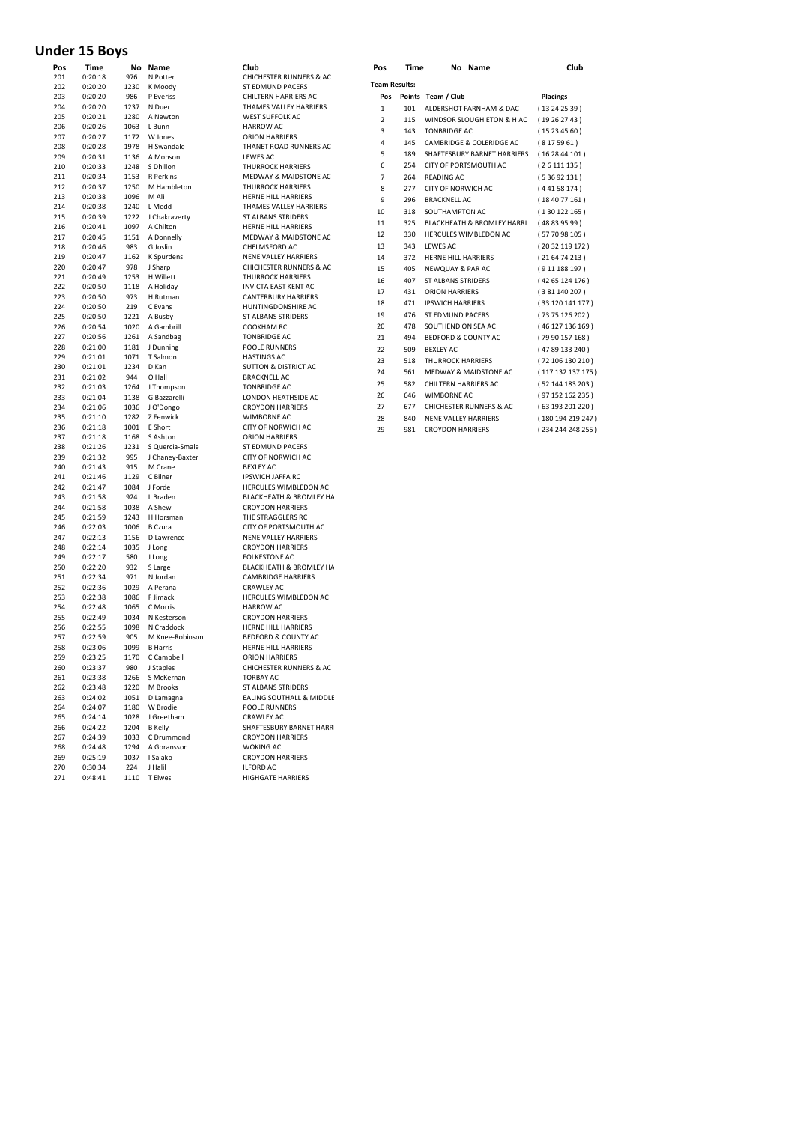# **Under 15 Boys**

| Pos | Time    | No   | Name              | Club                               |
|-----|---------|------|-------------------|------------------------------------|
| 201 | 0:20:18 | 976  | N Potter          | <b>CHICHESTER RUNNERS &amp; AC</b> |
| 202 | 0:20:20 | 1230 | K Moody           | ST EDMUND PACERS                   |
| 203 | 0:20:20 | 986  | P Everiss         | CHILTERN HARRIERS AC               |
| 204 | 0:20:20 | 1237 | N Duer            | THAMES VALLEY HARRIERS             |
| 205 | 0:20:21 | 1280 | A Newton          | <b>WEST SUFFOLK AC</b>             |
| 206 | 0:20:26 | 1063 | L Bunn            | <b>HARROW AC</b>                   |
| 207 | 0:20:27 | 1172 | W Jones           | <b>ORION HARRIERS</b>              |
| 208 | 0:20:28 | 1978 | H Swandale        | THANET ROAD RUNNERS AC             |
| 209 | 0:20:31 | 1136 | A Monson          | <b>LEWES AC</b>                    |
| 210 | 0:20:33 | 1248 | S Dhillon         | <b>THURROCK HARRIERS</b>           |
| 211 | 0:20:34 | 1153 | <b>R</b> Perkins  | <b>MEDWAY &amp; MAIDSTONE AC</b>   |
| 212 | 0:20:37 | 1250 | M Hambleton       | <b>THURROCK HARRIERS</b>           |
| 213 | 0:20:38 | 1096 | M Ali             | HERNE HILL HARRIERS                |
| 214 | 0:20:38 | 1240 | L Medd            | THAMES VALLEY HARRIERS             |
| 215 | 0:20:39 | 1222 | J Chakraverty     | <b>ST ALBANS STRIDERS</b>          |
| 216 | 0:20:41 | 1097 | A Chilton         | HERNE HILL HARRIERS                |
| 217 | 0:20:45 | 1151 | A Donnelly        | <b>MEDWAY &amp; MAIDSTONE AC</b>   |
| 218 | 0:20:46 | 983  | G Joslin          | CHELMSFORD AC                      |
| 219 | 0:20:47 | 1162 | <b>K</b> Spurdens | <b>NENE VALLEY HARRIERS</b>        |
| 220 | 0:20:47 | 978  | J Sharp           | <b>CHICHESTER RUNNERS &amp; AC</b> |
| 221 | 0:20:49 | 1253 | H Willett         | <b>THURROCK HARRIERS</b>           |
| 222 |         |      |                   | <b>INVICTA EAST KENT AC</b>        |
|     | 0:20:50 | 1118 | A Holiday         |                                    |
| 223 | 0:20:50 | 973  | H Rutman          | <b>CANTERBURY HARRIERS</b>         |
| 224 | 0:20:50 | 219  | C Evans           | HUNTINGDONSHIRE AC                 |
| 225 | 0:20:50 | 1221 | A Busby           | <b>ST ALBANS STRIDERS</b>          |
| 226 | 0:20:54 | 1020 | A Gambrill        | <b>COOKHAM RC</b>                  |
| 227 | 0:20:56 | 1261 | A Sandbag         | <b>TONBRIDGE AC</b>                |
| 228 | 0:21:00 | 1181 | J Dunning         | <b>POOLE RUNNERS</b>               |
| 229 | 0:21:01 | 1071 | T Salmon          | <b>HASTINGS AC</b>                 |
| 230 | 0:21:01 | 1234 | D Kan             | <b>SUTTON &amp; DISTRICT AC</b>    |
| 231 | 0:21:02 | 944  | O Hall            | <b>BRACKNELL AC</b>                |
| 232 | 0:21:03 | 1264 | J Thompson        | <b>TONBRIDGE AC</b>                |
| 233 | 0:21:04 | 1138 | G Bazzarelli      | LONDON HEATHSIDE AC                |
| 234 | 0:21:06 | 1036 | J O'Dongo         | <b>CROYDON HARRIERS</b>            |
| 235 | 0:21:10 | 1282 | Z Fenwick         | <b>WIMBORNE AC</b>                 |
| 236 | 0:21:18 | 1001 | E Short           | <b>CITY OF NORWICH AC</b>          |
| 237 | 0:21:18 | 1168 | S Ashton          | <b>ORION HARRIERS</b>              |
| 238 | 0:21:26 | 1231 | S Quercia-Smale   | ST EDMUND PACERS                   |
| 239 | 0:21:32 | 995  | J Chaney-Baxter   | CITY OF NORWICH AC                 |
| 240 | 0:21:43 | 915  | M Crane           | <b>BEXLEY AC</b>                   |
| 241 | 0:21:46 | 1129 | C Bilner          | <b>IPSWICH JAFFA RC</b>            |
| 242 |         |      |                   | HERCULES WIMBLEDON AC              |
|     | 0:21:47 | 1084 | J Forde           |                                    |
| 243 | 0:21:58 | 924  | L Braden          | BLACKHEATH & BROMLEY HA            |
| 244 | 0:21:58 | 1038 | A Shew            | <b>CROYDON HARRIERS</b>            |
| 245 | 0:21:59 | 1243 | H Horsman         | THE STRAGGLERS RC                  |
| 246 | 0:22:03 | 1006 | B Czura           | CITY OF PORTSMOUTH AC              |
| 247 | 0:22:13 | 1156 | D Lawrence        | <b>NENE VALLEY HARRIERS</b>        |
| 248 | 0:22:14 | 1035 | J Long            | <b>CROYDON HARRIERS</b>            |
| 249 | 0:22:17 | 580  | J Long            | <b>FOLKESTONE AC</b>               |
| 250 | 0:22:20 | 932  | S Large           | BLACKHEATH & BROMLEY HA            |
| 251 | 0:22:34 | 971  | N Jordan          | <b>CAMBRIDGE HARRIERS</b>          |
| 252 | 0:22:36 | 1029 | A Perana          | <b>CRAWLEY AC</b>                  |
| 253 | 0:22:38 | 1086 | F Jimack          | HERCULES WIMBLEDON AC              |
| 254 | 0:22:48 | 1065 | C Morris          | <b>HARROW AC</b>                   |
| 255 | 0:22:49 | 1034 | N Kesterson       | <b>CROYDON HARRIERS</b>            |
| 256 | 0:22:55 | 1098 | N Craddock        | HERNE HILL HARRIERS                |
| 257 | 0:22:59 | 905  | M Knee-Robinson   | <b>BEDFORD &amp; COUNTY AC</b>     |
| 258 | 0:23:06 | 1099 | <b>B</b> Harris   | HERNE HILL HARRIERS                |
| 259 | 0:23:25 | 1170 | C Campbell        | <b>ORION HARRIERS</b>              |
| 260 | 0:23:37 | 980  | J Staples         | CHICHESTER RUNNERS & AC            |
| 261 | 0:23:38 |      | 1266 S McKernan   | <b>TORBAY AC</b>                   |
| 262 | 0:23:48 |      | 1220 M Brooks     | ST ALBANS STRIDERS                 |
| 263 | 0:24:02 |      | 1051 D Lamagna    | EALING SOUTHALL & MIDDLE           |
|     |         |      |                   |                                    |
| 264 | 0:24:07 |      | 1180 W Brodie     | POOLE RUNNERS                      |
| 265 | 0:24:14 |      | 1028 J Greetham   | CRAWLEY AC                         |
| 266 | 0:24:22 |      | 1204 B Kelly      | SHAFTESBURY BARNET HARR            |
| 267 | 0:24:39 |      | 1033 C Drummond   | <b>CROYDON HARRIERS</b>            |
| 268 | 0:24:48 | 1294 | A Goransson       | <b>WOKING AC</b>                   |
| 269 | 0:25:19 | 1037 | I Salako          | <b>CROYDON HARRIERS</b>            |
| 270 | 0:30:34 | 224  | J Halil           | <b>ILFORD AC</b>                   |
| 271 | 0:48:41 | 1110 | <b>TEIwes</b>     | <b>HIGHGATE HARRIERS</b>           |

| Club                                                  |
|-------------------------------------------------------|
| CHICHESTER RUNNERS & AC<br>ST EDMUND PACERS           |
| CHILTERN HARRIERS AC                                  |
| THAMES VALLEY HARRIERS                                |
| <b>WEST SUFFOLK AC</b>                                |
| <b>HARROW AC</b>                                      |
| <b>ORION HARRIERS</b>                                 |
| THANET ROAD RUNNERS AC                                |
| <b>LEWES AC</b>                                       |
| <b>THURROCK HARRIERS</b>                              |
| <b>MEDWAY &amp; MAIDSTONE AC</b><br>THURROCK HARRIERS |
| HERNE HILL HARRIERS                                   |
| THAMES VALLEY HARRIERS                                |
| <b>ST ALBANS STRIDERS</b>                             |
| HERNE HILL HARRIERS                                   |
| <b>MEDWAY &amp; MAIDSTONE AC</b>                      |
| CHELMSFORD AC                                         |
| <b>NENE VALLEY HARRIERS</b>                           |
| CHICHESTER RUNNERS & AC<br><b>THURROCK HARRIERS</b>   |
| <b>INVICTA EAST KENT AC</b>                           |
| <b>CANTERBURY HARRIERS</b>                            |
| HUNTINGDONSHIRE AC                                    |
| <b>ST ALBANS STRIDERS</b>                             |
| <b>COOKHAM RC</b>                                     |
| <b>TONBRIDGE AC</b>                                   |
| POOLE RUNNERS                                         |
| <b>HASTINGS AC</b><br><b>SUTTON &amp; DISTRICT AC</b> |
| <b>BRACKNELL AC</b>                                   |
| <b>TONBRIDGE AC</b>                                   |
| LONDON HEATHSIDE AC                                   |
| <b>CROYDON HARRIERS</b>                               |
| WIMBORNE AC                                           |
| CITY OF NORWICH AC                                    |
| <b>ORION HARRIERS</b>                                 |
| ST EDMUND PACERS<br>CITY OF NORWICH AC                |
| <b>BEXLEY AC</b>                                      |
| <b>IPSWICH JAFFA RC</b>                               |
| HERCULES WIMBLEDON AC                                 |
| BLACKHEATH & BROMLEY HA                               |
| <b>CROYDON HARRIERS</b>                               |
| THE STRAGGLERS RC                                     |
| CITY OF PORTSMOUTH AC                                 |
| NENE VALLEY HARRIERS<br><b>CROYDON HARRIERS</b>       |
| <b>FOLKESTONE AC</b>                                  |
| BLACKHEATH & BROMLEY HA                               |
| <b>CAMBRIDGE HARRIERS</b>                             |
| CRAWLEY AC                                            |
| HERCULES WIMBLEDON AC                                 |
| <b>HARROW AC</b>                                      |
| <b>CROYDON HARRIERS</b>                               |
| HERNE HILL HARRIERS<br><b>BEDFORD &amp; COUNTY AC</b> |
| HERNE HILL HARRIERS                                   |
| <b>ORION HARRIERS</b>                                 |
| CHICHESTER RUNNERS & AC                               |
| <b>TORBAY AC</b>                                      |
| <b>ST ALBANS STRIDERS</b>                             |
| EALING SOUTHALL & MIDDLE                              |
| <b>POOLE RUNNERS</b>                                  |
| <b>CRAWLEY AC</b>                                     |
| SHAFTESBURY BARNET HARR<br><b>CROYDON HARRIERS</b>    |
| <b>WOKING AC</b>                                      |
| <b>CROYDON HARRIERS</b>                               |
| <b>ILFORD AC</b>                                      |
| HIGHGATE HARRIERS                                     |

| Pos        | <b>Time</b>        | No          | Name                 | Club                                                   | Pos                  | <b>Time</b> | No Name                               | Club              |
|------------|--------------------|-------------|----------------------|--------------------------------------------------------|----------------------|-------------|---------------------------------------|-------------------|
| 201        | 0:20:18<br>0:20:20 | 976         | N Potter             | <b>CHICHESTER RUNNERS &amp; AC</b><br>ST EDMUND PACERS | <b>Team Results:</b> |             |                                       |                   |
| 202        | 0:20:20            | 1230<br>986 | K Moody<br>P Everiss | CHILTERN HARRIERS AC                                   | Pos                  |             | Points Team / Club                    |                   |
| 203<br>204 | 0:20:20            | 1237        | N Duer               | THAMES VALLEY HARRIERS                                 |                      |             |                                       | <b>Placings</b>   |
| 205        | 0:20:21            | 1280        | A Newton             | <b>WEST SUFFOLK AC</b>                                 | $\mathbf{1}$         | 101         | ALDERSHOT FARNHAM & DAC               | (13242539)        |
| 206        | 0:20:26            | 1063        | L Bunn               | <b>HARROW AC</b>                                       | $\overline{2}$       | 115         | WINDSOR SLOUGH ETON & H AC            | (19262743)        |
| 207        | 0:20:27            | 1172        | W Jones              | <b>ORION HARRIERS</b>                                  | 3                    | 143         | <b>TONBRIDGE AC</b>                   | (15234560)        |
| 208        | 0:20:28            | 1978        | H Swandale           | THANET ROAD RUNNERS AC                                 | 4                    | 145         | CAMBRIDGE & COLERIDGE AC              | (8175961)         |
| 209        | 0:20:31            | 1136        | A Monson             | LEWES AC                                               | 5                    | 189         | SHAFTESBURY BARNET HARRIERS           | (162844101)       |
| 210        | 0:20:33            | 1248        | S Dhillon            | <b>THURROCK HARRIERS</b>                               | 6                    | 254         | CITY OF PORTSMOUTH AC                 | (26111135)        |
| 211        | 0:20:34            | 1153        | <b>R</b> Perkins     | <b>MEDWAY &amp; MAIDSTONE AC</b>                       | $\overline{7}$       | 264         | <b>READING AC</b>                     | (53692131)        |
| 212        | 0:20:37            | 1250        | M Hambleton          | <b>THURROCK HARRIERS</b>                               |                      |             |                                       |                   |
| 213        | 0:20:38            | 1096        | M Ali                | <b>HERNE HILL HARRIERS</b>                             | 8                    | 277         | CITY OF NORWICH AC                    | (44158174)        |
| 214        | 0:20:38            | 1240        | L Medd               | THAMES VALLEY HARRIERS                                 | 9                    | 296         | <b>BRACKNELL AC</b>                   | (184077161)       |
| 215        | 0:20:39            | 1222        | J Chakraverty        | <b>ST ALBANS STRIDERS</b>                              | 10                   | 318         | SOUTHAMPTON AC                        | (130122165)       |
| 216        | 0:20:41            | 1097        | A Chilton            | <b>HERNE HILL HARRIERS</b>                             | 11                   | 325         | <b>BLACKHEATH &amp; BROMLEY HARRI</b> | (48839599)        |
| 217        | 0:20:45            | 1151        | A Donnelly           | <b>MEDWAY &amp; MAIDSTONE AC</b>                       | 12                   | 330         | <b>HERCULES WIMBLEDON AC</b>          | (57 70 98 105)    |
| 218        | 0:20:46            | 983         | G Joslin             | CHELMSFORD AC                                          | 13                   | 343         | <b>LEWES AC</b>                       | (20 32 119 172)   |
| 219        | 0:20:47            | 1162        | <b>K</b> Spurdens    | <b>NENE VALLEY HARRIERS</b>                            | 14                   | 372         | <b>HERNE HILL HARRIERS</b>            | (216474213)       |
| 220        | 0:20:47            | 978         | J Sharp              | <b>CHICHESTER RUNNERS &amp; AC</b>                     | 15                   | 405         | <b>NEWQUAY &amp; PAR AC</b>           | (911188197)       |
| 221        | 0:20:49            | 1253        | H Willett            | <b>THURROCK HARRIERS</b>                               | 16                   | 407         | <b>ST ALBANS STRIDERS</b>             | (4265124176)      |
| 222        | 0:20:50            | 1118        | A Holiday            | <b>INVICTA EAST KENT AC</b>                            |                      |             |                                       |                   |
| 223        | 0:20:50            | 973         | H Rutman             | <b>CANTERBURY HARRIERS</b>                             | 17                   | 431         | <b>ORION HARRIERS</b>                 | (381 140 207)     |
| 224        | 0:20:50            | 219         | C Evans              | HUNTINGDONSHIRE AC                                     | 18                   | 471         | <b>IPSWICH HARRIERS</b>               | (33 120 141 177)  |
| 225        | 0:20:50            | 1221        | A Busby              | <b>ST ALBANS STRIDERS</b>                              | 19                   | 476         | ST EDMUND PACERS                      | (73 75 126 202)   |
| 226        | 0:20:54            | 1020        | A Gambrill           | <b>COOKHAM RC</b>                                      | 20                   | 478         | SOUTHEND ON SEA AC                    | (46 127 136 169)  |
| 227        | 0:20:56            | 1261        | A Sandbag            | <b>TONBRIDGE AC</b>                                    | 21                   | 494         | <b>BEDFORD &amp; COUNTY AC</b>        | (79 90 157 168)   |
| 228        | 0:21:00            | 1181        | J Dunning            | <b>POOLE RUNNERS</b>                                   | 22                   | 509         | <b>BEXLEY AC</b>                      | (4789133240)      |
| 229        | 0:21:01            | 1071        | T Salmon             | <b>HASTINGS AC</b>                                     | 23                   | 518         | <b>THURROCK HARRIERS</b>              | (72 106 130 210)  |
| 230        | 0:21:01            | 1234        | D Kan                | <b>SUTTON &amp; DISTRICT AC</b>                        | 24                   | 561         | <b>MEDWAY &amp; MAIDSTONE AC</b>      | (117 132 137 175) |
| 231        | 0:21:02            | 944         | O Hall               | <b>BRACKNELL AC</b>                                    |                      |             |                                       |                   |
| 232        | 0:21:03            | 1264        | J Thompson           | <b>TONBRIDGE AC</b>                                    | 25                   | 582         | <b>CHILTERN HARRIERS AC</b>           | (52 144 183 203)  |
| 233        | 0:21:04            | 1138        | G Bazzarelli         | LONDON HEATHSIDE AC                                    | 26                   | 646         | <b>WIMBORNE AC</b>                    | (97 152 162 235)  |
| 234        | 0:21:06            | 1036        | J O'Dongo            | <b>CROYDON HARRIERS</b>                                | 27                   | 677         | <b>CHICHESTER RUNNERS &amp; AC</b>    | (63 193 201 220)  |
| 235        | 0:21:10            | 1282        | Z Fenwick            | WIMBORNE AC                                            | 28                   | 840         | <b>NENE VALLEY HARRIERS</b>           | (180 194 219 247) |
|            |                    |             | $- - -$              |                                                        |                      |             |                                       |                   |

981 CROYDON HARRIERS ( 234 244 248 255 )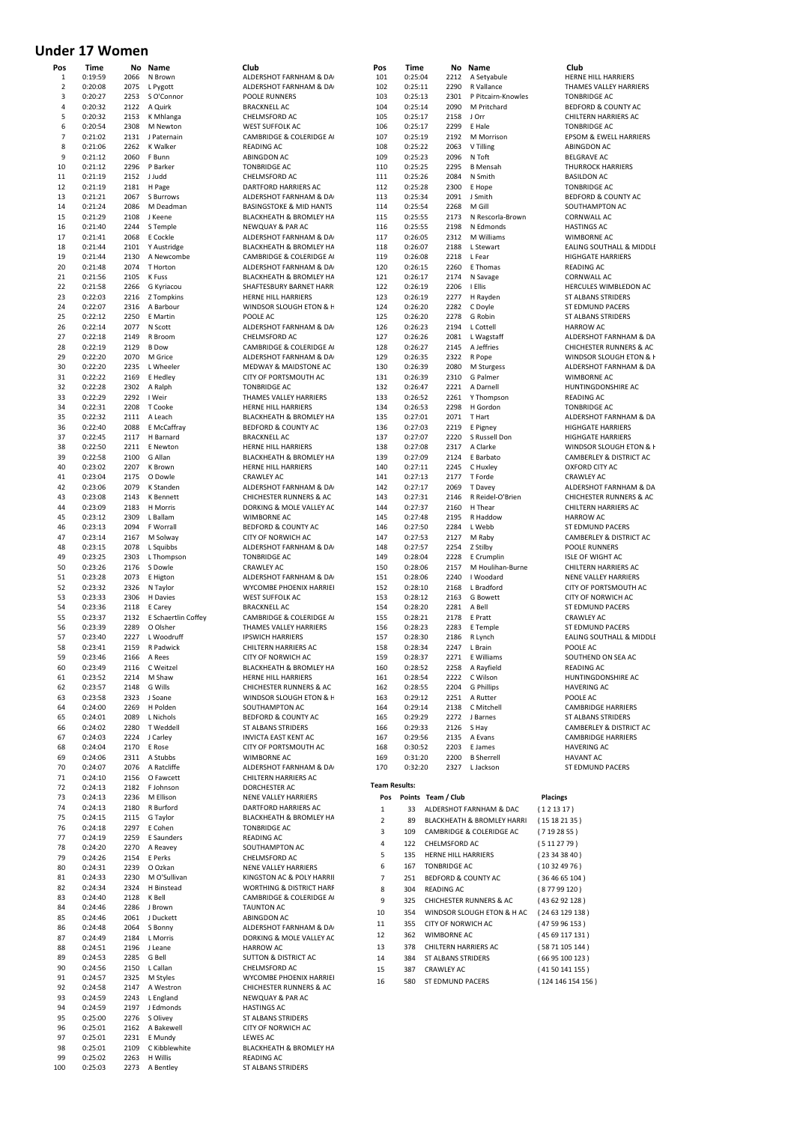# **Under 17 Women**

| Pos | Time    | No   | Name                | Club                                |
|-----|---------|------|---------------------|-------------------------------------|
| 1   | 0:19:59 | 2066 | N Brown             | ALDERSHOT FARNHAM & DA              |
| 2   | 0:20:08 | 2075 | L Pygott            | ALDERSHOT FARNHAM & DA              |
| 3   | 0:20:27 | 2253 | S O'Connor          | <b>POOLE RUNNERS</b>                |
| 4   | 0:20:32 | 2122 | A Quirk             | <b>BRACKNELL AC</b>                 |
| 5   | 0:20:32 | 2153 | K Mhlanga           | CHELMSFORD AC                       |
| 6   | 0:20:54 | 2308 | M Newton            | <b>WEST SUFFOLK AC</b>              |
| 7   | 0:21:02 | 2131 | J Paternain         | CAMBRIDGE & COLERIDGE A             |
| 8   | 0:21:06 | 2262 | <b>K Walker</b>     | <b>READING AC</b>                   |
| 9   | 0:21:12 | 2060 | F Bunn              | <b>ABINGDON AC</b>                  |
| 10  | 0:21:12 | 2296 | P Barker            | <b>TONBRIDGE AC</b>                 |
| 11  | 0:21:19 | 2152 | J Judd              | CHELMSFORD AC                       |
| 12  | 0:21:19 | 2181 | H Page              | DARTFORD HARRIERS AC                |
| 13  | 0:21:21 | 2067 | S Burrows           | ALDERSHOT FARNHAM & DA              |
| 14  | 0:21:24 | 2086 | M Deadman           | <b>BASINGSTOKE &amp; MID HANTS</b>  |
| 15  | 0:21:29 | 2108 | J Keene             | <b>BLACKHEATH &amp; BROMLEY HA</b>  |
| 16  | 0:21:40 | 2244 | S Temple            | NEWQUAY & PAR AC                    |
| 17  | 0:21:41 | 2068 | E Cockle            | ALDERSHOT FARNHAM & DA              |
| 18  | 0:21:44 | 2101 |                     | BLACKHEATH & BROMLEY HA             |
| 19  | 0:21:44 | 2130 | Y Austridge         |                                     |
|     |         |      | A Newcombe          | CAMBRIDGE & COLERIDGE A             |
| 20  | 0:21:48 | 2074 | T Horton            | ALDERSHOT FARNHAM & DA              |
| 21  | 0:21:56 | 2105 | K Fuss              | <b>BLACKHEATH &amp; BROMLEY HA</b>  |
| 22  | 0:21:58 | 2266 | G Kyriacou          | SHAFTESBURY BARNET HARR             |
| 23  | 0:22:03 | 2216 | Z Tompkins          | HERNE HILL HARRIERS                 |
| 24  | 0:22:07 | 2316 | A Barbour           | WINDSOR SLOUGH ETON & H             |
| 25  | 0:22:12 | 2250 | E Martin            | POOLE AC                            |
| 26  | 0:22:14 | 2077 | N Scott             | ALDERSHOT FARNHAM & DA              |
| 27  | 0:22:18 | 2149 | R Broom             | CHELMSFORD AC                       |
| 28  | 0:22:19 | 2129 | <b>B</b> Dow        | CAMBRIDGE & COLERIDGE A             |
| 29  | 0:22:20 | 2070 | M Grice             | ALDERSHOT FARNHAM & DA              |
| 30  | 0:22:20 | 2235 | L Wheeler           | <b>MEDWAY &amp; MAIDSTONE AC</b>    |
| 31  | 0:22:22 | 2169 | E Hedley            | CITY OF PORTSMOUTH AC               |
| 32  | 0:22:28 | 2302 | A Ralph             | <b>TONBRIDGE AC</b>                 |
| 33  | 0:22:29 | 2292 | I Weir              | THAMES VALLEY HARRIERS              |
| 34  | 0:22:31 | 2208 | T Cooke             | HERNE HILL HARRIERS                 |
| 35  | 0:22:32 | 2111 | A Leach             | <b>BLACKHEATH &amp; BROMLEY HA</b>  |
| 36  | 0:22:40 | 2088 | E McCaffray         | <b>BEDFORD &amp; COUNTY AC</b>      |
| 37  | 0:22:45 | 2117 | H Barnard           | <b>BRACKNELL AC</b>                 |
| 38  | 0:22:50 | 2211 | E Newton            | <b>HERNE HILL HARRIERS</b>          |
| 39  | 0:22:58 | 2100 | G Allan             | BLACKHEATH & BROMLEY HA             |
| 40  | 0:23:02 | 2207 | K Brown             | HERNE HILL HARRIERS                 |
| 41  | 0:23:04 | 2175 | O Dowle             | <b>CRAWLEY AC</b>                   |
| 42  | 0:23:06 | 2079 | K Standen           | ALDERSHOT FARNHAM & DA              |
| 43  | 0:23:08 | 2143 | K Bennett           | <b>CHICHESTER RUNNERS &amp; AC</b>  |
| 44  | 0:23:09 | 2183 | H Morris            | DORKING & MOLE VALLEY AC            |
| 45  | 0:23:12 | 2309 | L Ballam            | WIMBORNE AC                         |
| 46  | 0:23:13 | 2094 | F Worrall           | <b>BEDFORD &amp; COUNTY AC</b>      |
| 47  | 0:23:14 | 2167 | M Solway            | CITY OF NORWICH AC                  |
| 48  | 0:23:15 | 2078 | L Squibbs           | ALDERSHOT FARNHAM & DA              |
| 49  | 0:23:25 | 2303 | L Thompson          | <b>TONBRIDGE AC</b>                 |
| 50  | 0:23:26 | 2176 | S Dowle             | CRAWLEY AC                          |
|     |         |      |                     |                                     |
|     |         |      |                     |                                     |
| 51  | 0:23:28 | 2073 | E Higton            | ALDERSHOT FARNHAM & DA              |
| 52  | 0:23:32 | 2326 | N Taylor            | WYCOMBE PHOENIX HARRIEI             |
| 53  | 0:23:33 | 2306 | H Davies            | <b>WEST SUFFOLK AC</b>              |
| 54  | 0:23:36 | 2118 | E Carey             | <b>BRACKNELL AC</b>                 |
| 55  | 0:23:37 | 2132 | E Schaertlin Coffey | CAMBRIDGE & COLERIDGE A             |
| 56  | 0:23:39 | 2289 | O Olsher            | THAMES VALLEY HARRIERS              |
| 57  | 0:23:40 | 2227 | L Woodruff          | <b>IPSWICH HARRIERS</b>             |
| 58  | 0:23:41 | 2159 | R Padwick           | CHILTERN HARRIERS AC                |
| 59  | 0:23:46 | 2166 | A Rees              | CITY OF NORWICH AC                  |
| 60  | 0:23:49 | 2116 | C Weitzel           | BLACKHEATH & BROMLEY HA             |
| 61  | 0:23:52 | 2214 | M Shaw              | HERNE HILL HARRIERS                 |
| 62  | 0:23:57 | 2148 | G Wills             | CHICHESTER RUNNERS & AC             |
| 63  | 0:23:58 | 2323 | J Soane             | WINDSOR SLOUGH ETON & F             |
| 64  | 0:24:00 | 2269 | H Polden            | SOUTHAMPTON AC                      |
| 65  | 0:24:01 |      | 2089 L Nichols      | BEDFORD & COUNTY AC                 |
| 66  | 0:24:02 |      | 2280 T Weddell      | ST ALBANS STRIDERS                  |
| 67  | 0:24:03 |      | 2224 J Carley       | <b>INVICTA EAST KENT AC</b>         |
| 68  | 0:24:04 | 2170 | E Rose              | CITY OF PORTSMOUTH AC               |
| 69  | 0:24:06 | 2311 | A Stubbs            | WIMBORNE AC                         |
| 70  | 0:24:07 |      | 2076 A Ratcliffe    | ALDERSHOT FARNHAM & DA              |
| 71  | 0:24:10 |      | 2156 O Fawcett      | CHILTERN HARRIERS AC                |
| 72  | 0:24:13 | 2182 | F Johnson           | DORCHESTER AC                       |
| 73  | 0:24:13 | 2236 | M Ellison           | NENE VALLEY HARRIERS                |
| 74  | 0:24:13 | 2180 | R Burford           | DARTFORD HARRIERS AC                |
| 75  | 0:24:15 |      | 2115 G Taylor       | BLACKHEATH & BROMLEY HA             |
| 76  | 0:24:18 | 2297 | E Cohen             | <b>TONBRIDGE AC</b>                 |
| 77  | 0:24:19 | 2259 | E Saunders          | <b>READING AC</b>                   |
| 78  | 0:24:20 |      | 2270 A Reavey       | SOUTHAMPTON AC                      |
| 79  | 0:24:26 |      | 2154 E Perks        | CHELMSFORD AC                       |
| 80  | 0:24:31 | 2239 | O Ozkan             | NENE VALLEY HARRIERS                |
| 81  | 0:24:33 | 2230 | M O'Sullivan        | KINGSTON AC & POLY HARRII           |
| 82  | 0:24:34 | 2324 | H Binstead          | <b>WORTHING &amp; DISTRICT HARF</b> |
| 83  | 0:24:40 | 2128 | K Bell              | CAMBRIDGE & COLERIDGE A             |
| 84  | 0:24:46 | 2286 | J Brown             | <b>TAUNTON AC</b>                   |
| 85  | 0:24:46 | 2061 | J Duckett           | ABINGDON AC                         |
| 86  | 0:24:48 | 2064 | S Bonny             | ALDERSHOT FARNHAM & DA              |
| 87  | 0:24:49 | 2184 | L Morris            | DORKING & MOLE VALLEY AC            |
| 88  | 0:24:51 | 2196 | J Leane             | <b>HARROW AC</b>                    |
| 89  | 0:24:53 |      | 2285 G Bell         | <b>SUTTON &amp; DISTRICT AC</b>     |
| 90  | 0:24:56 | 2150 | L Callan            | CHELMSFORD AC                       |
| 91  | 0:24:57 | 2325 | M Styles            | WYCOMBE PHOENIX HARRIEI             |
| 92  | 0:24:58 | 2147 | A Westron           | <b>CHICHESTER RUNNERS &amp; AC</b>  |
| 93  | 0:24:59 | 2243 | L England           | NEWQUAY & PAR AC                    |
| 94  | 0:24:59 | 2197 | J Edmonds           | <b>HASTINGS AC</b>                  |
| 95  | 0:25:00 |      | 2276 S Olivey       | <b>ST ALBANS STRIDERS</b>           |
| 96  | 0:25:01 | 2162 | A Bakewell          | CITY OF NORWICH AC                  |
| 97  | 0:25:01 | 2231 | E Mundy             | <b>LEWES AC</b>                     |
| 98  | 0:25:01 | 2109 | C Kibblewhite       | BLACKHEATH & BROMLEY HA             |
| 99  | 0:25:02 | 2263 | H Willis            | READING AC                          |

| ub<br>DERSHOT FARNHAM & DA                                    | POS<br>101           | 1 I n<br>0:2!      |
|---------------------------------------------------------------|----------------------|--------------------|
| DERSHOT FARNHAM & DA                                          | 102                  | 0:2!               |
| <b>OLE RUNNERS</b>                                            | 103                  | 0:2!               |
| <b>ACKNELL AC</b>                                             | 104                  | 0:2!               |
| <b>IELMSFORD AC</b>                                           | 105                  | 0:2!               |
| EST SUFFOLK AC<br>MBRIDGE & COLERIDGE A                       | 106<br>107           | 0:2!<br>0:2!       |
| ADING AC                                                      | 108                  | 0:2!               |
| <b>INGDON AC</b>                                              | 109                  | 0:2!               |
| <b>NBRIDGE AC</b>                                             | 110                  | 0:2!               |
| <b>IELMSFORD AC</b>                                           | 111                  | 0:2!               |
| <b>RTFORD HARRIERS AC</b><br>DERSHOT FARNHAM & DA             | 112<br>113           | 0:2!<br>0:2!       |
| SINGSTOKE & MID HANTS                                         | 114                  | 0:2!               |
| ACKHEATH & BROMLEY HA                                         | 115                  | 0:2!               |
| WQUAY & PAR AC                                                | 116                  | 0:2!               |
| DERSHOT FARNHAM & DA                                          | 117                  | 0:20               |
| ACKHEATH & BROMLEY HA                                         | 118                  | 0:20               |
| MBRIDGE & COLERIDGE A<br>DERSHOT FARNHAM & DA                 | 119<br>120           | 0:20<br>0:20       |
| ACKHEATH & BROMLEY HA                                         | 121                  | 0:20               |
| AFTESBURY BARNET HARR                                         | 122                  | 0:20               |
| RNE HILL HARRIERS                                             | 123                  | 0:20               |
| INDSOR SLOUGH ETON & H                                        | 124                  | 0:20               |
| OLE AC                                                        | 125                  | 0:20               |
| DERSHOT FARNHAM & DA<br><b>IELMSFORD AC</b>                   | 126<br>127           | 0:20<br>0:20       |
| MBRIDGE & COLERIDGE A                                         | 128                  | 0:20               |
| DERSHOT FARNHAM & DA                                          | 129                  | 0:20               |
| EDWAY & MAIDSTONE AC                                          | 130                  | 0:20               |
| IY OF PORTSMOUTH AC                                           | 131                  | 0:20               |
| <b>NBRIDGE AC</b>                                             | 132                  | 0:20               |
| AMES VALLEY HARRIERS                                          | 133                  | 0:20               |
| RNE HILL HARRIERS<br>ACKHEATH & BROMLEY HA                    | 134<br>135           | 0:20<br>0:2        |
| <b>DFORD &amp; COUNTY AC</b>                                  | 136                  | $0:2^-$            |
| <b>ACKNELL AC</b>                                             | 137                  | 0:2                |
| RNE HILL HARRIERS                                             | 138                  | $0:2^-$            |
| ACKHEATH & BROMLEY HA                                         | 139                  | $0:2^-$            |
| RNE HILL HARRIERS<br><b>AWLEY AC</b>                          | 140<br>141           | $0:2^-$            |
| DERSHOT FARNHAM & DA                                          | 142                  | $0:2^-$<br>$0:2^-$ |
| <b>IICHESTER RUNNERS &amp; AC</b>                             | 143                  | $0:2^-$            |
| RKING & MOLE VALLEY AC                                        | 144                  | $0:2^-$            |
| <b>IMBORNE AC</b>                                             | 145                  | $0:2^-$            |
| <b>DFORD &amp; COUNTY AC</b>                                  | 146                  | 0:2                |
| <b>IY OF NORWICH AC</b><br>DERSHOT FARNHAM & DA               | 147<br>148           | $0:2^-$<br>0:2     |
| <b>NBRIDGE AC</b>                                             | 149                  | 0:28               |
| <b>AWLEY AC</b>                                               | 150                  | 0:28               |
| DERSHOT FARNHAM & DA                                          | 151                  | 0:28               |
| YCOMBE PHOENIX HARRIEI                                        | 152                  | 0:28               |
| EST SUFFOLK AC                                                | 153                  | 0:28               |
| <b>ACKNELL AC</b><br>MBRIDGE & COLERIDGE A                    | 154<br>155           | 0:28<br>0:28       |
| AMES VALLEY HARRIERS                                          | 156                  | 0:28               |
| <b>SWICH HARRIERS</b>                                         | 157                  | 0:28               |
| <b>IILTERN HARRIERS AC</b>                                    | 158                  | 0:28               |
| <b>IY OF NORWICH AC</b>                                       | 159                  | 0:28               |
| ACKHEATH & BROMLEY HA                                         | 160                  | 0:28               |
| RNE HILL HARRIERS<br><b>IICHESTER RUNNERS &amp; AC</b>        | 161<br>162           | 0:28<br>0:28       |
| <b>INDSOR SLOUGH ETON &amp; F</b>                             | 163                  | 0:29               |
| UTHAMPTON AC                                                  | 164                  | 0:29               |
| DFORD & COUNTY AC                                             | 165                  | 0:29               |
| <b>ALBANS STRIDERS</b>                                        | 166                  | 0:29               |
| VICTA EAST KENT AC<br>IY OF PORTSMOUTH AC                     | 167                  | 0:29               |
| <b>IMBORNE AC</b>                                             | 168<br>169           | 0:30<br>0:3:       |
| DERSHOT FARNHAM & DA                                          | 170                  | 0:32               |
| <b>IILTERN HARRIERS AC</b>                                    |                      |                    |
| RCHESTER AC                                                   | <b>Team Results:</b> |                    |
| NE VALLEY HARRIERS                                            | Pos                  | Point              |
| RTFORD HARRIERS AC                                            | 1                    | 33                 |
| ACKHEATH & BROMLEY HA<br><b>NBRIDGE AC</b>                    | 2                    | 89                 |
| ADING AC                                                      | 3                    | 109                |
| UTHAMPTON AC                                                  | 4                    | 122                |
| <b>IELMSFORD AC</b>                                           | 5                    | 135                |
| NE VALLEY HARRIERS                                            | 6                    | 167                |
| <b>NGSTON AC &amp; POLY HARRII</b><br>ORTHING & DISTRICT HARF | 7                    | 251                |
| MBRIDGE & COLERIDGE A                                         | 8                    | 304                |
| UNTON AC                                                      | 9                    | 325                |
| <b>INGDON AC</b>                                              | 10                   | 354                |
| DERSHOT FARNHAM & DA                                          | 11                   | 355                |
| RKING & MOLE VALLEY AC                                        | 12                   | 362                |
| <b>RROW AC</b>                                                | 13                   | 378                |
| TTON & DISTRICT AC<br><b>IELMSFORD AC</b>                     | 14                   | 384                |
| YCOMBE PHOENIX HARRIEI                                        | 15                   | 387                |
| IICHESTER RUNNERS & AC                                        | 16                   | 580                |
| WQUAY & PAR AC                                                |                      |                    |
| <b>STINGS AC</b>                                              |                      |                    |
| <b>ALBANS STRIDERS</b>                                        |                      |                    |
| <b>IY OF NORWICH AC</b><br>WES AC                             |                      |                    |
| <b>ACKHEATH &amp; BROMLEY HA</b>                              |                      |                    |
| ADING AC                                                      |                      |                    |
|                                                               |                      |                    |

| Pos            | Time    |      | No Name             | Club                                | Pos                  | Time    | No                             | Name                                  | Club                               |
|----------------|---------|------|---------------------|-------------------------------------|----------------------|---------|--------------------------------|---------------------------------------|------------------------------------|
| 1              | 0:19:59 | 2066 | N Brown             | ALDERSHOT FARNHAM & DA              | 101                  | 0:25:04 | 2212                           | A Setyabule                           | HERNE HILL HARRIERS                |
| 2              | 0:20:08 | 2075 | L Pygott            | ALDERSHOT FARNHAM & DA              | 102                  | 0:25:11 | 2290                           | R Vallance                            | THAMES VALLEY HARRIERS             |
| 3              | 0:20:27 | 2253 | S O'Connor          | POOLE RUNNERS                       | 103                  | 0:25:13 | 2301                           | P Pitcairn-Knowles                    | <b>TONBRIDGE AC</b>                |
| 4              | 0:20:32 | 2122 | A Quirk             | <b>BRACKNELL AC</b>                 | 104                  | 0:25:14 | 2090                           | M Pritchard                           | BEDFORD & COUNTY AC                |
| 5              | 0:20:32 | 2153 | K Mhlanga           | CHELMSFORD AC                       | 105                  | 0:25:17 | 2158                           | J Orr                                 | CHILTERN HARRIERS AC               |
| 6              | 0:20:54 | 2308 | M Newton            | <b>WEST SUFFOLK AC</b>              | 106                  | 0:25:17 | 2299                           | E Hale                                | <b>TONBRIDGE AC</b>                |
| $\overline{7}$ | 0:21:02 | 2131 | J Paternain         | CAMBRIDGE & COLERIDGE A             | 107                  | 0:25:19 | 2192                           | M Morrison                            | EPSOM & EWELL HARRIERS             |
| 8              | 0:21:06 | 2262 | K Walker            | <b>READING AC</b>                   | 108                  | 0:25:22 | 2063                           | V Tilling                             | ABINGDON AC                        |
| 9              | 0:21:12 | 2060 | F Bunn              | <b>ABINGDON AC</b>                  | 109                  | 0:25:23 | 2096                           | N Toft                                | <b>BELGRAVE AC</b>                 |
| 10             | 0:21:12 | 2296 | P Barker            | <b>TONBRIDGE AC</b>                 | 110                  | 0:25:25 | 2295                           | <b>B</b> Mensah                       | <b>THURROCK HARRIERS</b>           |
| 11             | 0:21:19 |      | 2152 J Judd         | CHELMSFORD AC                       | 111                  | 0:25:26 | 2084                           | N Smith                               | <b>BASILDON AC</b>                 |
| 12             | 0:21:19 | 2181 | H Page              | DARTFORD HARRIERS AC                | 112                  | 0:25:28 | 2300                           | E Hope                                | <b>TONBRIDGE AC</b>                |
| 13             | 0:21:21 | 2067 | S Burrows           | ALDERSHOT FARNHAM & DA              | 113                  | 0:25:34 | 2091                           | J Smith                               | BEDFORD & COUNTY AC                |
| 14             | 0:21:24 | 2086 | M Deadman           | <b>BASINGSTOKE &amp; MID HANTS</b>  | 114                  | 0:25:54 | 2268                           | M Gill                                | SOUTHAMPTON AC                     |
| 15             | 0:21:29 | 2108 | J Keene             | <b>BLACKHEATH &amp; BROMLEY HA</b>  | 115                  | 0:25:55 | 2173                           | N Rescorla-Brown                      | CORNWALL AC                        |
| 16             | 0:21:40 | 2244 | S Temple            | NEWQUAY & PAR AC                    | 116                  | 0:25:55 | 2198                           | N Edmonds                             | <b>HASTINGS AC</b>                 |
| 17             | 0:21:41 | 2068 | E Cockle            | ALDERSHOT FARNHAM & DA              | 117                  | 0:26:05 | 2312                           | M Williams                            | <b>WIMBORNE AC</b>                 |
| 18             | 0:21:44 | 2101 | Y Austridge         | BLACKHEATH & BROMLEY HA             | 118                  | 0:26:07 | 2188                           | L Stewart                             | EALING SOUTHALL & MIDDLE           |
| 19             | 0:21:44 | 2130 | A Newcombe          | CAMBRIDGE & COLERIDGE A             | 119                  | 0:26:08 | 2218                           | L Fear                                | <b>HIGHGATE HARRIERS</b>           |
| 20             | 0:21:48 | 2074 | T Horton            | ALDERSHOT FARNHAM & DA              | 120                  | 0:26:15 | 2260                           | E Thomas                              | <b>READING AC</b>                  |
| 21             | 0:21:56 | 2105 | K Fuss              | <b>BLACKHEATH &amp; BROMLEY HA</b>  | 121                  | 0:26:17 | 2174                           | N Savage                              | CORNWALL AC                        |
| 22             | 0:21:58 | 2266 | G Kyriacou          | SHAFTESBURY BARNET HARR             | 122                  | 0:26:19 | 2206                           | I Ellis                               | HERCULES WIMBLEDON AC              |
| 23             | 0:22:03 | 2216 | Z Tompkins          | HERNE HILL HARRIERS                 | 123                  | 0:26:19 | 2277                           | H Rayden                              | <b>ST ALBANS STRIDERS</b>          |
| 24             | 0:22:07 | 2316 | A Barbour           | WINDSOR SLOUGH ETON & F             | 124                  | 0:26:20 | 2282                           | C Doyle                               | ST EDMUND PACERS                   |
| 25             | 0:22:12 | 2250 | E Martin            | POOLE AC                            | 125                  | 0:26:20 | 2278                           | G Robin                               | ST ALBANS STRIDERS                 |
| 26             | 0:22:14 | 2077 | N Scott             | ALDERSHOT FARNHAM & DA              | 126                  | 0:26:23 | 2194                           | L Cottell                             | <b>HARROW AC</b>                   |
| 27             | 0:22:18 | 2149 | R Broom             | CHELMSFORD AC                       | 127                  | 0:26:26 | 2081                           | L Wagstaff                            | ALDERSHOT FARNHAM & DA             |
| 28             | 0:22:19 | 2129 | <b>B</b> Dow        | CAMBRIDGE & COLERIDGE A             | 128                  | 0:26:27 | 2145                           | A Jeffries                            | <b>CHICHESTER RUNNERS &amp; AC</b> |
| 29             | 0:22:20 | 2070 | M Grice             | ALDERSHOT FARNHAM & DA              | 129                  | 0:26:35 | 2322                           | R Pope                                | WINDSOR SLOUGH ETON & H            |
| 30             | 0:22:20 | 2235 | L Wheeler           | MEDWAY & MAIDSTONE AC               | 130                  | 0:26:39 | 2080                           | M Sturgess                            | ALDERSHOT FARNHAM & DA             |
| 31             | 0:22:22 | 2169 | E Hedley            | CITY OF PORTSMOUTH AC               | 131                  | 0:26:39 | 2310                           | G Palmer                              | <b>WIMBORNE AC</b>                 |
| 32             | 0:22:28 | 2302 | A Ralph             | <b>TONBRIDGE AC</b>                 | 132                  | 0:26:47 | 2221                           | A Darnell                             | HUNTINGDONSHIRE AC                 |
| 33             | 0:22:29 | 2292 | I Weir              | THAMES VALLEY HARRIERS              | 133                  | 0:26:52 | 2261                           | Y Thompson                            | <b>READING AC</b>                  |
| 34             | 0:22:31 | 2208 | T Cooke             | <b>HERNE HILL HARRIERS</b>          | 134                  | 0:26:53 | 2298                           | H Gordon                              | <b>TONBRIDGE AC</b>                |
| 35             | 0:22:32 | 2111 | A Leach             | BLACKHEATH & BROMLEY HA             | 135                  | 0:27:01 | 2071                           | T Hart                                | ALDERSHOT FARNHAM & DA             |
| 36             | 0:22:40 | 2088 | E McCaffray         | BEDFORD & COUNTY AC                 | 136                  | 0:27:03 | 2219                           | E Pigney                              | <b>HIGHGATE HARRIERS</b>           |
| 37             | 0:22:45 | 2117 | H Barnard           | <b>BRACKNELL AC</b>                 | 137                  | 0:27:07 | 2220                           | S Russell Don                         | <b>HIGHGATE HARRIERS</b>           |
| 38             | 0:22:50 | 2211 | E Newton            | HERNE HILL HARRIERS                 | 138                  | 0:27:08 | 2317                           | A Clarke                              | WINDSOR SLOUGH ETON & H            |
| 39             | 0:22:58 | 2100 | G Allan             | BLACKHEATH & BROMLEY HA             | 139                  | 0:27:09 | 2124                           | E Barbato                             | CAMBERLEY & DISTRICT AC            |
| 40             | 0:23:02 | 2207 | K Brown             | HERNE HILL HARRIERS                 | 140                  | 0:27:11 | 2245                           | C Huxley                              | OXFORD CITY AC                     |
| 41             | 0:23:04 | 2175 | O Dowle             | <b>CRAWLEY AC</b>                   | 141                  | 0:27:13 | 2177                           | T Forde                               | <b>CRAWLEY AC</b>                  |
| 42             | 0:23:06 | 2079 | K Standen           | ALDERSHOT FARNHAM & DA              | 142                  | 0:27:17 | 2069                           | T Davey                               | ALDERSHOT FARNHAM & DA             |
| 43             | 0:23:08 | 2143 | K Bennett           | CHICHESTER RUNNERS & AC             | 143                  | 0:27:31 | 2146                           | R Reidel-O'Brien                      | <b>CHICHESTER RUNNERS &amp; AC</b> |
|                |         |      |                     |                                     |                      |         |                                |                                       |                                    |
| 44             | 0:23:09 | 2183 | H Morris            | DORKING & MOLE VALLEY AC            | 144                  | 0:27:37 | 2160                           | H Thear                               | CHILTERN HARRIERS AC               |
| 45             | 0:23:12 | 2309 | L Ballam            | WIMBORNE AC                         | 145                  | 0:27:48 | 2195                           | R Haddow                              | <b>HARROW AC</b>                   |
| 46             | 0:23:13 | 2094 | F Worrall           | BEDFORD & COUNTY AC                 | 146                  | 0:27:50 | 2284                           | L Webb                                | ST EDMUND PACERS                   |
| 47             | 0:23:14 | 2167 | M Solway            | CITY OF NORWICH AC                  | 147                  | 0:27:53 | 2127                           | M Raby                                | CAMBERLEY & DISTRICT AC            |
| 48             | 0:23:15 | 2078 | L Squibbs           | ALDERSHOT FARNHAM & DA              | 148                  | 0:27:57 | 2254                           | Z Stilby                              | <b>POOLE RUNNERS</b>               |
| 49             | 0:23:25 | 2303 | L Thompson          | <b>TONBRIDGE AC</b>                 | 149                  | 0:28:04 | 2228                           | E Crumplin                            | <b>ISLE OF WIGHT AC</b>            |
| 50             | 0:23:26 | 2176 | S Dowle             | <b>CRAWLEY AC</b>                   | 150                  | 0:28:06 | 2157                           | M Houlihan-Burne                      | CHILTERN HARRIERS AC               |
| 51             | 0:23:28 | 2073 | E Higton            | ALDERSHOT FARNHAM & DA              | 151                  | 0:28:06 | 2240                           | I Woodard                             | NENE VALLEY HARRIERS               |
| 52             | 0:23:32 | 2326 | N Taylor            | <b>WYCOMBE PHOENIX HARRIEI</b>      | 152                  | 0:28:10 | 2168                           | L Bradford                            | CITY OF PORTSMOUTH AC              |
| 53             | 0:23:33 | 2306 | H Davies            | <b>WEST SUFFOLK AC</b>              | 153                  | 0:28:12 | 2163                           | <b>G</b> Bowett                       | <b>CITY OF NORWICH AC</b>          |
| 54             | 0:23:36 | 2118 | E Carey             | <b>BRACKNELL AC</b>                 | 154                  | 0:28:20 | 2281                           | A Bell                                | ST EDMUND PACERS                   |
| 55             | 0:23:37 | 2132 | E Schaertlin Coffey | CAMBRIDGE & COLERIDGE A             | 155                  | 0:28:21 | 2178                           | E Pratt                               | <b>CRAWLEY AC</b>                  |
| 56             | 0:23:39 | 2289 | O Olsher            | THAMES VALLEY HARRIERS              | 156                  | 0:28:23 | 2283                           | E Temple                              | ST EDMUND PACERS                   |
| 57             | 0:23:40 | 2227 | L Woodruff          | <b>IPSWICH HARRIERS</b>             | 157                  | 0:28:30 | 2186                           | R Lynch                               | EALING SOUTHALL & MIDDLE           |
| 58             | 0:23:41 | 2159 | R Padwick           | CHILTERN HARRIERS AC                | 158                  | 0:28:34 |                                | 2247 L Brain                          | POOLE AC                           |
| 59             | 0:23:46 |      | 2166 A Rees         | CITY OF NORWICH AC                  | 159                  | 0:28:37 |                                | 2271 E Williams                       | SOUTHEND ON SEA AC                 |
| 60             | 0:23:49 | 2116 | C Weitzel           | <b>BLACKHEATH &amp; BROMLEY HA</b>  | 160                  | 0:28:52 | 2258                           | A Rayfield                            | READING AC                         |
| 61             | 0:23:52 | 2214 | M Shaw              | HERNE HILL HARRIERS                 | 161                  | 0:28:54 | 2222                           | C Wilson                              | HUNTINGDONSHIRE AC                 |
| 62             | 0:23:57 | 2148 | G Wills             | CHICHESTER RUNNERS & AC             | 162                  | 0:28:55 | 2204                           | <b>G Phillips</b>                     | <b>HAVERING AC</b>                 |
| 63             | 0:23:58 | 2323 | J Soane             | WINDSOR SLOUGH ETON & F             | 163                  | 0:29:12 | 2251                           | A Rutter                              | POOLE AC                           |
| 64             | 0:24:00 | 2269 | H Polden            | SOUTHAMPTON AC                      | 164                  | 0:29:14 | 2138                           | C Mitchell                            | <b>CAMBRIDGE HARRIERS</b>          |
| 65             | 0:24:01 | 2089 | L Nichols           | BEDFORD & COUNTY AC                 | 165                  | 0:29:29 | 2272                           | J Barnes                              | <b>ST ALBANS STRIDERS</b>          |
| 66             | 0:24:02 | 2280 | T Weddell           | ST ALBANS STRIDERS                  | 166                  | 0:29:33 | 2126                           | S Hay                                 | CAMBERLEY & DISTRICT AC            |
| 67             | 0:24:03 | 2224 | J Carley            | <b>INVICTA EAST KENT AC</b>         | 167                  | 0:29:56 | 2135                           | A Evans                               | <b>CAMBRIDGE HARRIERS</b>          |
| 68             | 0:24:04 | 2170 | E Rose              | CITY OF PORTSMOUTH AC               | 168                  | 0:30:52 | 2203                           | E James                               | <b>HAVERING AC</b>                 |
| 69             | 0:24:06 | 2311 | A Stubbs            | <b>WIMBORNE AC</b>                  | 169                  | 0:31:20 | 2200                           | <b>B</b> Sherrell                     | <b>HAVANT AC</b>                   |
| 70             | 0:24:07 | 2076 | A Ratcliffe         | ALDERSHOT FARNHAM & DA              | 170                  | 0:32:20 | 2327                           | L Jackson                             | ST EDMUND PACERS                   |
| 71             | 0:24:10 | 2156 | O Fawcett           | CHILTERN HARRIERS AC                |                      |         |                                |                                       |                                    |
| 72             | 0:24:13 | 2182 | F Johnson           | DORCHESTER AC                       | <b>Team Results:</b> |         |                                |                                       |                                    |
| 73             | 0:24:13 | 2236 | M Ellison           | NENE VALLEY HARRIERS                | Pos                  |         | Points Team / Club             |                                       | <b>Placings</b>                    |
| 74             | 0:24:13 | 2180 | R Burford           | DARTFORD HARRIERS AC                | $\mathbf{1}$         | 33      |                                | ALDERSHOT FARNHAM & DAC               | (121317)                           |
| 75             | 0:24:15 | 2115 | G Taylor            | BLACKHEATH & BROMLEY HA             |                      |         |                                |                                       |                                    |
| 76             | 0:24:18 | 2297 | E Cohen             | <b>TONBRIDGE AC</b>                 | $\mathbf 2$          | 89      |                                | <b>BLACKHEATH &amp; BROMLEY HARRI</b> | (15182135)                         |
| 77             | 0:24:19 | 2259 | E Saunders          | <b>READING AC</b>                   | 3                    | 109     |                                | CAMBRIDGE & COLERIDGE AC              | (7192855)                          |
| 78             | 0:24:20 | 2270 | A Reavey            | SOUTHAMPTON AC                      | 4                    | 122     | CHELMSFORD AC                  |                                       | (5112779)                          |
| 79             | 0:24:26 | 2154 | E Perks             | CHELMSFORD AC                       | 5                    | 135     | HERNE HILL HARRIERS            |                                       | (23343840)                         |
| 80             | 0:24:31 | 2239 | O Ozkan             | NENE VALLEY HARRIERS                | 6                    | 167     | <b>TONBRIDGE AC</b>            |                                       | (10324976)                         |
| 81             | 0:24:33 | 2230 | M O'Sullivan        | KINGSTON AC & POLY HARRII           | 7                    | 251     | <b>BEDFORD &amp; COUNTY AC</b> |                                       | (364665104)                        |
| 82             | 0:24:34 | 2324 | H Binstead          | <b>WORTHING &amp; DISTRICT HARF</b> |                      |         |                                |                                       |                                    |
|                |         | 2128 |                     |                                     | 8                    | 304     | <b>READING AC</b>              |                                       | (87799120)                         |
| 83             | 0:24:40 |      | K Bell              | CAMBRIDGE & COLERIDGE A             | 9                    | 325     |                                | CHICHESTER RUNNERS & AC               | (436292128)                        |
| 84             | 0:24:46 | 2286 | J Brown             | <b>TAUNTON AC</b>                   | 10                   | 354     |                                | WINDSOR SLOUGH ETON & H AC            | (2463129138)                       |
| 85             | 0:24:46 | 2061 | J Duckett           | ABINGDON AC                         | 11                   | 355     | CITY OF NORWICH AC             |                                       | (475996153)                        |
| 86             | 0:24:48 | 2064 | S Bonny             | ALDERSHOT FARNHAM & DA              | 12                   | 362     | WIMBORNE AC                    |                                       | (4569117131)                       |
| 87             | 0:24:49 | 2184 | L Morris            | DORKING & MOLE VALLEY AC            |                      |         |                                |                                       |                                    |
| 88             | 0:24:51 | 2196 | J Leane             | HARROW AC                           | 13                   | 378     | CHILTERN HARRIERS AC           |                                       | (58 71 105 144)                    |
| 89             | 0:24:53 | 2285 | G Bell              | SUTTON & DISTRICT AC                | 14                   | 384     | ST ALBANS STRIDERS             |                                       | (6695100123)                       |
| 90             | 0:24:56 | 2150 | L Callan            | CHELMSFORD AC                       | 15                   | 387     | <b>CRAWLEY AC</b>              |                                       | (41 50 141 155 )                   |
| 91             | 0:24:57 | 2325 | M Styles            | WYCOMBE PHOENIX HARRIEI             | 16                   |         | 580 ST EDMUND PACERS           |                                       | (124 146 154 156)                  |

| ALDERSHOT FARNHAM & DAC               | (121317)           |
|---------------------------------------|--------------------|
| <b>BLACKHEATH &amp; BROMLEY HARRI</b> | (15182135)         |
| CAMBRIDGE & COLERIDGE AC              | (7192855)          |
| CHELMSFORD AC                         | (5112779)          |
| <b>HERNE HILL HARRIERS</b>            | (23343840)         |
| <b>TONBRIDGE AC</b>                   | (10324976)         |
| <b>BEDFORD &amp; COUNTY AC</b>        | (364665104)        |
| <b>READING AC</b>                     | (87799120)         |
| <b>CHICHESTER RUNNERS &amp; AC</b>    | (43 62 92 128)     |
| WINDSOR SLOUGH ETON & H AC            | (2463129138)       |
| CITY OF NORWICH AC                    | (47 59 96 153)     |
| WIMBORNE AC                           | (45 69 117 131)    |
| CHILTERN HARRIERS AC                  | (5871105144)       |
| <b>ST ALBANS STRIDERS</b>             | (66 95 100 123)    |
| <b>CRAWLEY AC</b>                     | (4150141155)       |
| ST EDMUND PACERS                      | (124 146 154 156 ) |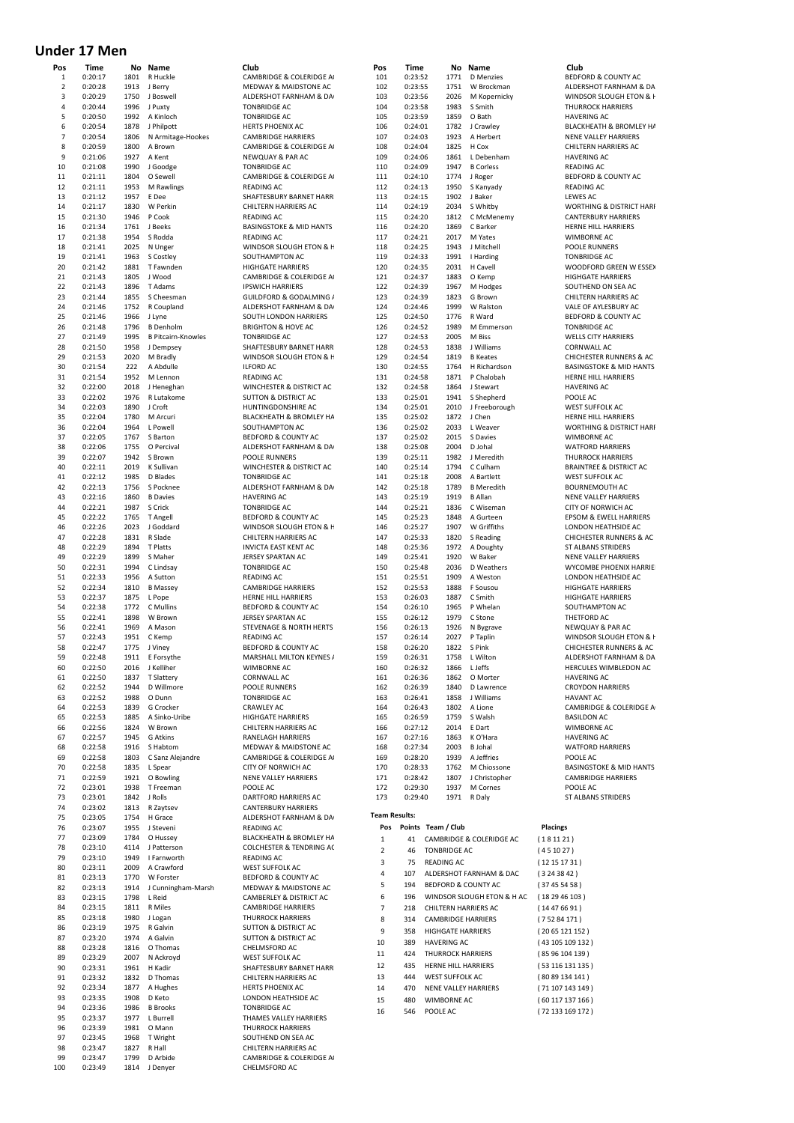# **Under 17 Men**

| Pos                 | Time               | No           | Name                        | Club                                                   | Pos                     | Time               |                           | No Name                        | Club                                                           |
|---------------------|--------------------|--------------|-----------------------------|--------------------------------------------------------|-------------------------|--------------------|---------------------------|--------------------------------|----------------------------------------------------------------|
| 1<br>$\overline{2}$ | 0:20:17<br>0:20:28 | 1801<br>1913 | R Huckle<br>J Berry         | CAMBRIDGE & COLERIDGE A<br>MEDWAY & MAIDSTONE AC       | 101<br>102              | 0:23:52<br>0:23:55 | 1771<br>1751              | <b>D</b> Menzies<br>W Brockman | BEDFORD & COUNTY AC<br>ALDERSHOT FARNHAM & DA                  |
| 3                   | 0:20:29            | 1750         | J Boswell                   | ALDERSHOT FARNHAM & DA                                 | 103                     | 0:23:56            | 2026                      | M Kopernicky                   | WINDSOR SLOUGH ETON & H                                        |
| 4                   | 0:20:44            | 1996         | J Puxty                     | <b>TONBRIDGE AC</b>                                    | 104                     | 0:23:58            | 1983                      | S Smith                        | <b>THURROCK HARRIERS</b>                                       |
| 5                   | 0:20:50            | 1992         | A Kinloch                   | <b>TONBRIDGE AC</b>                                    | 105                     | 0:23:59            | 1859                      | O Bath                         | <b>HAVERING AC</b>                                             |
| 6                   | 0:20:54            | 1878         | J Philpott                  | HERTS PHOENIX AC                                       | 106                     | 0:24:01            | 1782                      | J Crawley                      | BLACKHEATH & BROMLEY HA                                        |
| $\overline{7}$      | 0:20:54            | 1806         | N Armitage-Hookes           | <b>CAMBRIDGE HARRIERS</b>                              | 107                     | 0:24:03            | 1923                      | A Herbert                      | NENE VALLEY HARRIERS                                           |
| 8                   | 0:20:59            | 1800         | A Brown                     | CAMBRIDGE & COLERIDGE A                                | 108                     | 0:24:04            | 1825                      | H Cox                          | <b>CHILTERN HARRIERS AC</b>                                    |
| 9                   | 0:21:06            | 1927         | A Kent                      | NEWQUAY & PAR AC                                       | 109                     | 0:24:06            | 1861                      | L Debenham                     | <b>HAVERING AC</b>                                             |
| 10                  | 0:21:08            | 1990         | J Goodge                    | <b>TONBRIDGE AC</b>                                    | 110                     | 0:24:09            | 1947                      | <b>B</b> Corless               | <b>READING AC</b>                                              |
| 11                  | 0:21:11            | 1804         | O Sewell                    | CAMBRIDGE & COLERIDGE A                                | 111                     | 0:24:10            | 1774                      | J Roger                        | BEDFORD & COUNTY AC                                            |
| 12<br>13            | 0:21:11<br>0:21:12 | 1953<br>1957 | M Rawlings<br>E Dee         | READING AC<br>SHAFTESBURY BARNET HARR                  | 112<br>113              | 0:24:13<br>0:24:15 | 1950<br>1902              | S Kanyady<br>J Baker           | <b>READING AC</b><br>LEWES AC                                  |
| 14                  | 0:21:17            | 1830         | W Perkin                    | CHILTERN HARRIERS AC                                   | 114                     | 0:24:19            | 2034                      | S Whitby                       | WORTHING & DISTRICT HARF                                       |
| 15                  | 0:21:30            | 1946         | P Cook                      | <b>READING AC</b>                                      | 115                     | 0:24:20            | 1812                      | C McMenemy                     | <b>CANTERBURY HARRIERS</b>                                     |
| 16                  | 0:21:34            | 1761         | J Beeks                     | <b>BASINGSTOKE &amp; MID HANTS</b>                     | 116                     | 0:24:20            | 1869                      | C Barker                       | HERNE HILL HARRIERS                                            |
| 17                  | 0:21:38            | 1954         | S Rodda                     | READING AC                                             | 117                     | 0:24:21            | 2017                      | M Yates                        | <b>WIMBORNE AC</b>                                             |
| 18                  | 0:21:41            | 2025         | N Unger                     | WINDSOR SLOUGH ETON & F                                | 118                     | 0:24:25            | 1943                      | J Mitchell                     | POOLE RUNNERS                                                  |
| 19                  | 0:21:41            | 1963         | S Costley                   | SOUTHAMPTON AC                                         | 119                     | 0:24:33            | 1991                      | I Harding                      | <b>TONBRIDGE AC</b>                                            |
| 20                  | 0:21:42            | 1881         | T Fawnden                   | <b>HIGHGATE HARRIERS</b>                               | 120                     | 0:24:35            | 2031                      | H Cavell                       | WOODFORD GREEN W ESSEX                                         |
| 21                  | 0:21:43            | 1805         | J Wood                      | CAMBRIDGE & COLERIDGE A                                | 121                     | 0:24:37            | 1883                      | O Kemp                         | <b>HIGHGATE HARRIERS</b>                                       |
| 22                  | 0:21:43            | 1896         | T Adams                     | <b>IPSWICH HARRIERS</b>                                | 122                     | 0:24:39            | 1967                      | M Hodges                       | SOUTHEND ON SEA AC                                             |
| 23                  | 0:21:44            | 1855         | S Cheesman                  | GUILDFORD & GODALMING /                                | 123                     | 0:24:39            | 1823                      | G Brown                        | <b>CHILTERN HARRIERS AC</b>                                    |
| 24<br>25            | 0:21:46            | 1752<br>1966 | R Coupland                  | ALDERSHOT FARNHAM & DA                                 | 124<br>125              | 0:24:46            | 1999<br>1776              | W Ralston<br>R Ward            | VALE OF AYLESBURY AC                                           |
| 26                  | 0:21:46<br>0:21:48 | 1796         | J Lyne<br><b>B</b> Denholm  | SOUTH LONDON HARRIERS<br><b>BRIGHTON &amp; HOVE AC</b> | 126                     | 0:24:50<br>0:24:52 | 1989                      | M Emmerson                     | <b>BEDFORD &amp; COUNTY AC</b><br><b>TONBRIDGE AC</b>          |
| 27                  | 0:21:49            | 1995         | <b>B Pitcairn-Knowles</b>   | <b>TONBRIDGE AC</b>                                    | 127                     | 0:24:53            | 2005                      | M Biss                         | <b>WELLS CITY HARRIERS</b>                                     |
| 28                  | 0:21:50            | 1958         | J Dempsey                   | SHAFTESBURY BARNET HARR                                | 128                     | 0:24:53            | 1838                      | J Williams                     | <b>CORNWALL AC</b>                                             |
| 29                  | 0:21:53            | 2020         | M Bradly                    | WINDSOR SLOUGH ETON & F                                | 129                     | 0:24:54            | 1819                      | <b>B</b> Keates                | CHICHESTER RUNNERS & AC                                        |
| 30                  | 0:21:54            | 222          | A Abdulle                   | <b>ILFORD AC</b>                                       | 130                     | 0:24:55            | 1764                      | H Richardson                   | <b>BASINGSTOKE &amp; MID HANTS</b>                             |
| 31                  | 0:21:54            | 1952         | M Lennon                    | <b>READING AC</b>                                      | 131                     | 0:24:58            | 1871                      | P Chalobah                     | HERNE HILL HARRIERS                                            |
| 32                  | 0:22:00            | 2018         | J Heneghan                  | WINCHESTER & DISTRICT AC                               | 132                     | 0:24:58            | 1864                      | J Stewart                      | <b>HAVERING AC</b>                                             |
| 33                  | 0:22:02            | 1976         | R Lutakome                  | <b>SUTTON &amp; DISTRICT AC</b>                        | 133                     | 0:25:01            | 1941                      | S Shepherd                     | POOLE AC                                                       |
| 34                  | 0:22:03            | 1890         | J Croft                     | HUNTINGDONSHIRE AC                                     | 134                     | 0:25:01            | 2010                      | J Freeborough                  | WEST SUFFOLK AC                                                |
| 35                  | 0:22:04            | 1780         | M Arcuri                    | BLACKHEATH & BROMLEY HA                                | 135                     | 0:25:02            | 1872                      | J Chen                         | HERNE HILL HARRIERS                                            |
| 36                  | 0:22:04            | 1964         | L Powell                    | SOUTHAMPTON AC                                         | 136                     | 0:25:02            | 2033                      | L Weaver                       | WORTHING & DISTRICT HARF                                       |
| 37                  | 0:22:05            | 1767         | S Barton                    | BEDFORD & COUNTY AC                                    | 137                     | 0:25:02            | 2015                      | S Davies                       | <b>WIMBORNE AC</b>                                             |
| 38<br>39            | 0:22:06<br>0:22:07 | 1755         | O Percival                  | ALDERSHOT FARNHAM & DA                                 | 138<br>139              | 0:25:08            | 2004<br>1982              | D Johal<br>J Meredith          | <b>WATFORD HARRIERS</b>                                        |
| 40                  | 0:22:11            | 1942<br>2019 | S Brown<br>K Sullivan       | POOLE RUNNERS<br>WINCHESTER & DISTRICT AC              | 140                     | 0:25:11<br>0:25:14 | 1794                      | C Culham                       | <b>THURROCK HARRIERS</b><br><b>BRAINTREE &amp; DISTRICT AC</b> |
| 41                  | 0:22:12            | 1985         | D Blades                    | <b>TONBRIDGE AC</b>                                    | 141                     | 0:25:18            | 2008                      | A Bartlett                     | WEST SUFFOLK AC                                                |
| 42                  | 0:22:13            | 1756         | S Pocknee                   | ALDERSHOT FARNHAM & DA                                 | 142                     | 0:25:18            | 1789                      | <b>B</b> Meredith              | <b>BOURNEMOUTH AC</b>                                          |
| 43                  | 0:22:16            | 1860         | <b>B</b> Davies             | <b>HAVERING AC</b>                                     | 143                     | 0:25:19            | 1919                      | <b>B</b> Allan                 | NENE VALLEY HARRIERS                                           |
| 44                  | 0:22:21            | 1987         | S Crick                     | <b>TONBRIDGE AC</b>                                    | 144                     | 0:25:21            | 1836                      | C Wiseman                      | <b>CITY OF NORWICH AC</b>                                      |
| 45                  | 0:22:22            | 1765         | T Angell                    | BEDFORD & COUNTY AC                                    | 145                     | 0:25:23            | 1848                      | A Gurteen                      | <b>EPSOM &amp; EWELL HARRIERS</b>                              |
| 46                  | 0:22:26            | 2023         | J Goddard                   | WINDSOR SLOUGH ETON & F                                | 146                     | 0:25:27            | 1907                      | W Griffiths                    | LONDON HEATHSIDE AC                                            |
| 47                  | 0:22:28            | 1831         | R Slade                     | CHILTERN HARRIERS AC                                   | 147                     | 0:25:33            | 1820                      | S Reading                      | CHICHESTER RUNNERS & AC                                        |
| 48                  | 0:22:29            | 1894         | T Platts                    | <b>INVICTA EAST KENT AC</b>                            | 148                     | 0:25:36            | 1972                      | A Doughty                      | ST ALBANS STRIDERS                                             |
| 49                  | 0:22:29            | 1899         | S Maher                     | JERSEY SPARTAN AC                                      | 149                     | 0:25:41            | 1920                      | W Baker                        | NENE VALLEY HARRIERS                                           |
| 50                  | 0:22:31            | 1994         | C Lindsay                   | <b>TONBRIDGE AC</b>                                    | 150                     | 0:25:48            | 2036                      | D Weathers                     | WYCOMBE PHOENIX HARRIEI                                        |
| 51                  | 0:22:33            | 1956         | A Sutton                    | READING AC                                             | 151                     | 0:25:51            | 1909                      | A Weston                       | LONDON HEATHSIDE AC                                            |
| 52                  | 0:22:34            | 1810         | <b>B</b> Massey             | <b>CAMBRIDGE HARRIERS</b>                              | 152                     | 0:25:53            | 1888                      | F Sousou                       | <b>HIGHGATE HARRIERS</b>                                       |
| 53                  | 0:22:37<br>0:22:38 | 1875         | L Pope<br>C Mullins         | HERNE HILL HARRIERS                                    | 153                     | 0:26:03            | 1887                      | C Smith                        | <b>HIGHGATE HARRIERS</b>                                       |
| 54<br>55            | 0:22:41            | 1772<br>1898 | W Brown                     | BEDFORD & COUNTY AC<br>JERSEY SPARTAN AC               | 154<br>155              | 0:26:10<br>0:26:12 | 1965<br>1979              | P Whelan<br>C Stone            | SOUTHAMPTON AC<br>THETFORD AC                                  |
| 56                  | 0:22:41            | 1969         | A Mason                     | STEVENAGE & NORTH HERTS                                | 156                     | 0:26:13            | 1926                      | N Bygrave                      | NEWQUAY & PAR AC                                               |
| 57                  | 0:22:43            | 1951         | C Kemp                      | READING AC                                             | 157                     | 0:26:14            | 2027                      | P Taplin                       | WINDSOR SLOUGH ETON & H                                        |
| 58                  | 0:22:47            | 1775         | J Viney                     | BEDFORD & COUNTY AC                                    | 158                     | 0:26:20            | 1822                      | S Pink                         | <b>CHICHESTER RUNNERS &amp; AC</b>                             |
| 59                  | 0:22:48            | 1911         | E Forsythe                  | MARSHALL MILTON KEYNES /                               | 159                     | 0:26:31            | 1758                      | L Wilton                       | ALDERSHOT FARNHAM & DA                                         |
| 60                  | 0:22:50            | 2016         | J Kelliher                  | WIMBORNE AC                                            | 160                     | 0:26:32            | 1866                      | L Jeffs                        | HERCULES WIMBLEDON AC                                          |
| 61                  | 0:22:50            | 1837         | <b>T Slattery</b>           | <b>CORNWALL AC</b>                                     | 161                     | 0:26:36            | 1862                      | O Morter                       | <b>HAVERING AC</b>                                             |
| 62                  | 0:22:52            | 1944         | D Willmore                  | POOLE RUNNERS                                          | 162                     | 0:26:39            | 1840                      | D Lawrence                     | <b>CROYDON HARRIERS</b>                                        |
| 63                  | 0:22:52            | 1988         | O Dunn                      | <b>TONBRIDGE AC</b>                                    | 163                     | 0:26:41            | 1858                      | J Williams                     | <b>HAVANT AC</b>                                               |
| 64                  | 0:22:53            | 1839         | G Crocker                   | CRAWLEY AC                                             | 164                     | 0:26:43            | 1802                      | A Lione                        | CAMBRIDGE & COLERIDGE A                                        |
| 65                  | 0:22:53            | 1885         | A Sinko-Uribe               | <b>HIGHGATE HARRIERS</b>                               | 165                     | 0:26:59            | 1759                      | S Walsh                        | <b>BASILDON AC</b>                                             |
| 66                  | 0:22:56            | 1824         | W Brown                     | CHILTERN HARRIERS AC                                   | 166                     | 0:27:12            | 2014                      | E Dart                         | <b>WIMBORNE AC</b>                                             |
| 67                  | 0:22:57            | 1945         | G Atkins                    | RANELAGH HARRIERS                                      | 167                     | 0:27:16            | 1863                      | K O'Hara                       | <b>HAVERING AC</b>                                             |
| 68<br>69            | 0:22:58            | 1916         | S Habtom                    | MEDWAY & MAIDSTONE AC                                  | 168                     | 0:27:34            | 2003<br>1939              | <b>B</b> Johal<br>A Jeffries   | <b>WATFORD HARRIERS</b>                                        |
| 70                  | 0:22:58<br>0:22:58 | 1803<br>1835 | C Sanz Alejandre<br>L Spear | CAMBRIDGE & COLERIDGE A<br>CITY OF NORWICH AC          | 169<br>170              | 0:28:20<br>0:28:33 | 1762                      | M Chiossone                    | POOLE AC<br><b>BASINGSTOKE &amp; MID HANTS</b>                 |
| 71                  | 0:22:59            | 1921         | O Bowling                   | <b>NENE VALLEY HARRIERS</b>                            | 171                     | 0:28:42            | 1807                      | J Christopher                  | <b>CAMBRIDGE HARRIERS</b>                                      |
| 72                  | 0:23:01            | 1938         | T Freeman                   | POOLE AC                                               | 172                     | 0:29:30            | 1937                      | M Cornes                       | POOLE AC                                                       |
| 73                  | 0:23:01            | 1842         | J Rolls                     | DARTFORD HARRIERS AC                                   | 173                     | 0:29:40            |                           | 1971 R Daly                    | ST ALBANS STRIDERS                                             |
| 74                  | 0:23:02            | 1813         | R Zaytsev                   | <b>CANTERBURY HARRIERS</b>                             |                         |                    |                           |                                |                                                                |
| 75                  | 0:23:05            | 1754         | H Grace                     | ALDERSHOT FARNHAM & DA                                 | <b>Team Results:</b>    |                    |                           |                                |                                                                |
| 76                  | 0:23:07            | 1955         | J Steveni                   | READING AC                                             | Pos                     |                    | Points Team / Club        |                                | <b>Placings</b>                                                |
| 77                  | 0:23:09            | 1784         | O Hussey                    | BLACKHEATH & BROMLEY HA                                | $\,1\,$                 | 41                 |                           | CAMBRIDGE & COLERIDGE AC       | (181121)                                                       |
| 78                  | 0:23:10            | 4114         | J Patterson                 | <b>COLCHESTER &amp; TENDRING AC</b>                    | $\overline{\mathbf{2}}$ | 46                 | <b>TONBRIDGE AC</b>       |                                | (451027)                                                       |
| 79                  | 0:23:10            | 1949         | I Farnworth                 | READING AC                                             | 3                       | 75                 | <b>READING AC</b>         |                                | (12151731)                                                     |
| 80                  | 0:23:11            | 2009         | A Crawford                  | <b>WEST SUFFOLK AC</b>                                 | 4                       | 107                |                           | ALDERSHOT FARNHAM & DAC        | (3243842)                                                      |
| 81                  | 0:23:13            | 1770         | W Forster                   | BEDFORD & COUNTY AC                                    | 5                       | 194                |                           | BEDFORD & COUNTY AC            |                                                                |
| 82                  | 0:23:13            | 1914         | J Cunningham-Marsh          | MEDWAY & MAIDSTONE AC                                  | 6                       | 196                |                           |                                | (37455458)                                                     |
| 83                  | 0:23:15            | 1798         | L Reid                      | CAMBERLEY & DISTRICT AC                                |                         |                    |                           | WINDSOR SLOUGH ETON & H AC     | (182946103)                                                    |
| 84<br>85            | 0:23:15<br>0:23:18 | 1811<br>1980 | R Miles<br>J Logan          | <b>CAMBRIDGE HARRIERS</b><br><b>THURROCK HARRIERS</b>  | 7                       | 218                |                           | CHILTERN HARRIERS AC           | (14476691)                                                     |
| 86                  | 0:23:19            | 1975         | R Galvin                    | SUTTON & DISTRICT AC                                   | 8                       | 314                | <b>CAMBRIDGE HARRIERS</b> |                                | (75284171)                                                     |
| 87                  | 0:23:20            | 1974         | A Galvin                    | <b>SUTTON &amp; DISTRICT AC</b>                        | 9                       | 358                | <b>HIGHGATE HARRIERS</b>  |                                | (2065121152)                                                   |
| 88                  | 0:23:28            | 1816         | O Thomas                    | CHELMSFORD AC                                          | $10\,$                  | 389                | <b>HAVERING AC</b>        |                                | (43 105 109 132)                                               |
| 89                  | 0:23:29            | 2007         | N Ackroyd                   | <b>WEST SUFFOLK AC</b>                                 | 11                      | 424                | <b>THURROCK HARRIERS</b>  |                                | (8596104139)                                                   |
| 90                  | 0:23:31            | 1961         | H Kadir                     | SHAFTESBURY BARNET HARR                                | 12                      | 435                | HERNE HILL HARRIERS       |                                | (53 116 131 135)                                               |
| 91                  | 0:23:32            | 1832         | D Thomas                    | CHILTERN HARRIERS AC                                   | 13                      | 444                | WEST SUFFOLK AC           |                                | (8089134141)                                                   |
| 92                  | 0:23:34            | 1877         | A Hughes                    | HERTS PHOENIX AC                                       | 14                      | 470                |                           | NENE VALLEY HARRIERS           | (71 107 143 149)                                               |
| 93                  | 0:23:35            | 1908         | D Keto                      | LONDON HEATHSIDE AC                                    | 15                      | 480                | WIMBORNE AC               |                                | (60117137166)                                                  |
| 94                  | 0:23:36            | 1986         | <b>B</b> Brooks             | <b>TONBRIDGE AC</b>                                    | 16                      | 546                | POOLE AC                  |                                | (72 133 169 172)                                               |
| 95                  | 0:23:37            | 1977         | L Burrell                   | THAMES VALLEY HARRIERS                                 |                         |                    |                           |                                |                                                                |
| 96                  | 0:23:39            | 1981         | O Mann                      | <b>THURROCK HARRIERS</b>                               |                         |                    |                           |                                |                                                                |
| 97                  | 0:23:45            | 1968         | T Wright                    | SOUTHEND ON SEA AC                                     |                         |                    |                           |                                |                                                                |
| 98                  | 0:23:47            | 1827         | R Hall                      | CHILTERN HARRIERS AC                                   |                         |                    |                           |                                |                                                                |
| 99                  | 0:23:47            | 1799         | D Arbide                    | CAMBRIDGE & COLERIDGE A                                |                         |                    |                           |                                |                                                                |
| 100                 | 0:23:49            | 1814         | J Denyer                    | CHELMSFORD AC                                          |                         |                    |                           |                                |                                                                |

| Club                           | <b>Placings</b>  |
|--------------------------------|------------------|
| <b>IDGE &amp; COLERIDGE AC</b> | (181121)         |
| DGE AC                         | (451027)         |
| G AC                           | (12 15 17 31 )   |
| <b>HOT FARNHAM &amp; DAC</b>   | (3243842)        |
| <b>D &amp; COUNTY AC</b>       | (37455458)       |
| OR SLOUGH ETON & H AC          | (182946103)      |
| IN HARRIERS AC                 | (14 47 66 91)    |
| <b>IDGE HARRIERS</b>           | (75284171)       |
| <b>ITE HARRIERS</b>            | (2065121152)     |
| NG AC                          | (43 105 109 132) |
| <b>OCK HARRIERS</b>            | (85 96 104 139)  |
| <b>HILL HARRIERS</b>           | (53 116 131 135) |
| <b>UFFOLK AC</b>               | (80 89 134 141)  |
| <b>ALLEY HARRIERS</b>          | (71 107 143 149) |
| <b>RNE AC</b>                  | (60 117 137 166) |
| AC.                            | (72 133 169 172) |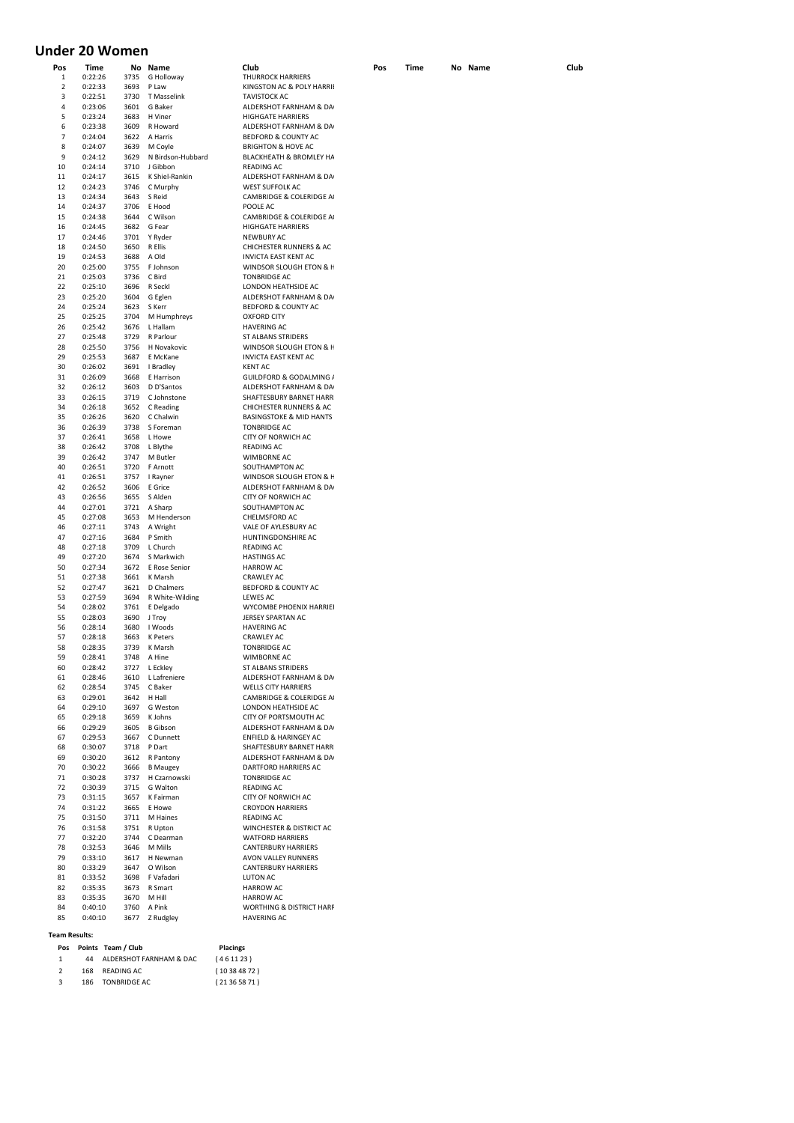# **Under 20 Women**

| Pos | Time    |      | No Name           | Club                                | Pos | Time | No Name | Club |
|-----|---------|------|-------------------|-------------------------------------|-----|------|---------|------|
| 1   | 0:22:26 | 3735 | G Holloway        | <b>THURROCK HARRIERS</b>            |     |      |         |      |
| 2   | 0:22:33 | 3693 | P Law             | KINGSTON AC & POLY HARRII           |     |      |         |      |
| 3   | 0:22:51 | 3730 | T Masselink       | <b>TAVISTOCK AC</b>                 |     |      |         |      |
|     |         |      |                   |                                     |     |      |         |      |
| 4   | 0:23:06 | 3601 | G Baker           | ALDERSHOT FARNHAM & DA              |     |      |         |      |
| 5   | 0:23:24 | 3683 | H Viner           | <b>HIGHGATE HARRIERS</b>            |     |      |         |      |
| 6   | 0:23:38 | 3609 | R Howard          | ALDERSHOT FARNHAM & DA              |     |      |         |      |
| 7   | 0:24:04 | 3622 | A Harris          | BEDFORD & COUNTY AC                 |     |      |         |      |
| 8   | 0:24:07 | 3639 | M Coyle           | <b>BRIGHTON &amp; HOVE AC</b>       |     |      |         |      |
| 9   | 0:24:12 | 3629 | N Birdson-Hubbard | BLACKHEATH & BROMLEY HA             |     |      |         |      |
| 10  | 0:24:14 | 3710 | J Gibbon          | <b>READING AC</b>                   |     |      |         |      |
|     |         |      |                   |                                     |     |      |         |      |
| 11  | 0:24:17 | 3615 | K Shiel-Rankin    | ALDERSHOT FARNHAM & DA              |     |      |         |      |
| 12  | 0:24:23 | 3746 | C Murphy          | <b>WEST SUFFOLK AC</b>              |     |      |         |      |
| 13  | 0:24:34 | 3643 | S Reid            | CAMBRIDGE & COLERIDGE A             |     |      |         |      |
| 14  | 0:24:37 | 3706 | E Hood            | POOLE AC                            |     |      |         |      |
| 15  | 0:24:38 | 3644 | C Wilson          | CAMBRIDGE & COLERIDGE A             |     |      |         |      |
| 16  | 0:24:45 | 3682 | G Fear            | <b>HIGHGATE HARRIERS</b>            |     |      |         |      |
| 17  | 0:24:46 | 3701 | Y Ryder           | <b>NEWBURY AC</b>                   |     |      |         |      |
| 18  | 0:24:50 | 3650 | R Ellis           | <b>CHICHESTER RUNNERS &amp; AC</b>  |     |      |         |      |
|     |         |      |                   |                                     |     |      |         |      |
| 19  | 0:24:53 | 3688 | A Old             | <b>INVICTA EAST KENT AC</b>         |     |      |         |      |
| 20  | 0:25:00 | 3755 | F Johnson         | WINDSOR SLOUGH ETON & F             |     |      |         |      |
| 21  | 0:25:03 | 3736 | C Bird            | <b>TONBRIDGE AC</b>                 |     |      |         |      |
| 22  | 0:25:10 | 3696 | R Seckl           | LONDON HEATHSIDE AC                 |     |      |         |      |
| 23  | 0:25:20 | 3604 | G Eglen           | ALDERSHOT FARNHAM & DA              |     |      |         |      |
| 24  | 0:25:24 | 3623 | S Kerr            | BEDFORD & COUNTY AC                 |     |      |         |      |
| 25  | 0:25:25 | 3704 | M Humphreys       | <b>OXFORD CITY</b>                  |     |      |         |      |
| 26  | 0:25:42 | 3676 | L Hallam          | <b>HAVERING AC</b>                  |     |      |         |      |
| 27  | 0:25:48 | 3729 | R Parlour         | ST ALBANS STRIDERS                  |     |      |         |      |
|     |         |      |                   |                                     |     |      |         |      |
| 28  | 0:25:50 | 3756 | H Novakovic       | WINDSOR SLOUGH ETON & F             |     |      |         |      |
| 29  | 0:25:53 | 3687 | E McKane          | <b>INVICTA EAST KENT AC</b>         |     |      |         |      |
| 30  | 0:26:02 | 3691 | I Bradley         | <b>KENT AC</b>                      |     |      |         |      |
| 31  | 0:26:09 | 3668 | E Harrison        | GUILDFORD & GODALMING /             |     |      |         |      |
| 32  | 0:26:12 | 3603 | D D'Santos        | ALDERSHOT FARNHAM & DA              |     |      |         |      |
| 33  | 0:26:15 | 3719 | C Johnstone       | SHAFTESBURY BARNET HARR             |     |      |         |      |
| 34  | 0:26:18 | 3652 | C Reading         | <b>CHICHESTER RUNNERS &amp; AC</b>  |     |      |         |      |
|     | 0:26:26 |      |                   | <b>BASINGSTOKE &amp; MID HANTS</b>  |     |      |         |      |
| 35  |         | 3620 | C Chalwin         |                                     |     |      |         |      |
| 36  | 0:26:39 | 3738 | S Foreman         | <b>TONBRIDGE AC</b>                 |     |      |         |      |
| 37  | 0:26:41 | 3658 | L Howe            | CITY OF NORWICH AC                  |     |      |         |      |
| 38  | 0:26:42 | 3708 | L Blythe          | <b>READING AC</b>                   |     |      |         |      |
| 39  | 0:26:42 | 3747 | M Butler          | <b>WIMBORNE AC</b>                  |     |      |         |      |
| 40  | 0:26:51 | 3720 | F Arnott          | SOUTHAMPTON AC                      |     |      |         |      |
| 41  | 0:26:51 | 3757 | I Rayner          | WINDSOR SLOUGH ETON & F             |     |      |         |      |
| 42  | 0:26:52 | 3606 | E Grice           | ALDERSHOT FARNHAM & DA              |     |      |         |      |
| 43  | 0:26:56 | 3655 | S Alden           | CITY OF NORWICH AC                  |     |      |         |      |
|     |         |      |                   |                                     |     |      |         |      |
| 44  | 0:27:01 | 3721 | A Sharp           | SOUTHAMPTON AC                      |     |      |         |      |
| 45  | 0:27:08 | 3653 | M Henderson       | CHELMSFORD AC                       |     |      |         |      |
| 46  | 0:27:11 | 3743 | A Wright          | VALE OF AYLESBURY AC                |     |      |         |      |
| 47  | 0:27:16 | 3684 | P Smith           | HUNTINGDONSHIRE AC                  |     |      |         |      |
| 48  | 0:27:18 | 3709 | L Church          | <b>READING AC</b>                   |     |      |         |      |
| 49  | 0:27:20 | 3674 | S Markwich        | <b>HASTINGS AC</b>                  |     |      |         |      |
| 50  | 0:27:34 | 3672 | E Rose Senior     | <b>HARROW AC</b>                    |     |      |         |      |
| 51  | 0:27:38 | 3661 | K Marsh           | <b>CRAWLEY AC</b>                   |     |      |         |      |
| 52  |         |      |                   |                                     |     |      |         |      |
|     | 0:27:47 | 3621 | D Chalmers        | BEDFORD & COUNTY AC                 |     |      |         |      |
| 53  | 0:27:59 | 3694 | R White-Wilding   | LEWES AC                            |     |      |         |      |
| 54  | 0:28:02 | 3761 | E Delgado         | WYCOMBE PHOENIX HARRIEI             |     |      |         |      |
| 55  | 0:28:03 | 3690 | J Troy            | JERSEY SPARTAN AC                   |     |      |         |      |
| 56  | 0:28:14 | 3680 | I Woods           | <b>HAVERING AC</b>                  |     |      |         |      |
| 57  | 0:28:18 | 3663 | <b>K</b> Peters   | <b>CRAWLEY AC</b>                   |     |      |         |      |
| 58  | 0:28:35 | 3739 | K Marsh           | <b>TONBRIDGE AC</b>                 |     |      |         |      |
| 59  | 0:28:41 | 3748 | A Hine            | <b>WIMBORNE AC</b>                  |     |      |         |      |
| 60  | 0:28:42 | 3727 | L Eckley          | <b>ST ALBANS STRIDERS</b>           |     |      |         |      |
| 61  | 0:28:46 | 3610 | L Lafreniere      | ALDERSHOT FARNHAM & DA              |     |      |         |      |
| 62  | 0:28:54 | 3745 | C Baker           | <b>WELLS CITY HARRIERS</b>          |     |      |         |      |
|     |         |      |                   |                                     |     |      |         |      |
| 63  | 0:29:01 | 3642 | H Hall            | CAMBRIDGE & COLERIDGE A             |     |      |         |      |
| 64  | 0:29:10 | 3697 | G Weston          | LONDON HEATHSIDE AC                 |     |      |         |      |
| 65  | 0:29:18 | 3659 | K Johns           | CITY OF PORTSMOUTH AC               |     |      |         |      |
| 66  | 0:29:29 | 3605 | <b>B</b> Gibson   | ALDERSHOT FARNHAM & DA              |     |      |         |      |
| 67  | 0:29:53 | 3667 | C Dunnett         | <b>ENFIELD &amp; HARINGEY AC</b>    |     |      |         |      |
| 68  | 0:30:07 | 3718 | P Dart            | SHAFTESBURY BARNET HARR             |     |      |         |      |
| 69  | 0:30:20 | 3612 | R Pantony         | ALDERSHOT FARNHAM & DA              |     |      |         |      |
| 70  | 0:30:22 | 3666 | <b>B</b> Maugey   | DARTFORD HARRIERS AC                |     |      |         |      |
| 71  | 0:30:28 | 3737 | H Czarnowski      | <b>TONBRIDGE AC</b>                 |     |      |         |      |
|     |         |      |                   |                                     |     |      |         |      |
| 72  | 0:30:39 | 3715 | G Walton          | <b>READING AC</b>                   |     |      |         |      |
| 73  | 0:31:15 | 3657 | K Fairman         | CITY OF NORWICH AC                  |     |      |         |      |
| 74  | 0:31:22 | 3665 | E Howe            | <b>CROYDON HARRIERS</b>             |     |      |         |      |
| 75  | 0:31:50 | 3711 | M Haines          | <b>READING AC</b>                   |     |      |         |      |
| 76  | 0:31:58 | 3751 | R Upton           | WINCHESTER & DISTRICT AC            |     |      |         |      |
| 77  | 0:32:20 | 3744 | C Dearman         | <b>WATFORD HARRIERS</b>             |     |      |         |      |
| 78  | 0:32:53 | 3646 | M Mills           | <b>CANTERBURY HARRIERS</b>          |     |      |         |      |
| 79  | 0:33:10 | 3617 | H Newman          | AVON VALLEY RUNNERS                 |     |      |         |      |
| 80  | 0:33:29 | 3647 | O Wilson          | <b>CANTERBURY HARRIERS</b>          |     |      |         |      |
|     |         |      |                   |                                     |     |      |         |      |
| 81  | 0:33:52 | 3698 | F Vafadari        | <b>LUTON AC</b>                     |     |      |         |      |
| 82  | 0:35:35 | 3673 | R Smart           | <b>HARROW AC</b>                    |     |      |         |      |
| 83  | 0:35:35 | 3670 | M Hill            | <b>HARROW AC</b>                    |     |      |         |      |
| 84  | 0:40:10 | 3760 | A Pink            | <b>WORTHING &amp; DISTRICT HARF</b> |     |      |         |      |
| 85  | 0:40:10 | 3677 | Z Rudgley         | <b>HAVERING AC</b>                  |     |      |         |      |
|     |         |      |                   |                                     |     |      |         |      |

# **Team Results:**

| Pos                     |     | Points Team / Club      | <b>Placings</b> |
|-------------------------|-----|-------------------------|-----------------|
| -1                      | 44  | ALDERSHOT FARNHAM & DAC | (461123)        |
| $\overline{2}$          | 168 | READING AC              | (10384872)      |
| $\overline{\mathbf{3}}$ | 186 | TONBRIDGE AC            | (21365871)      |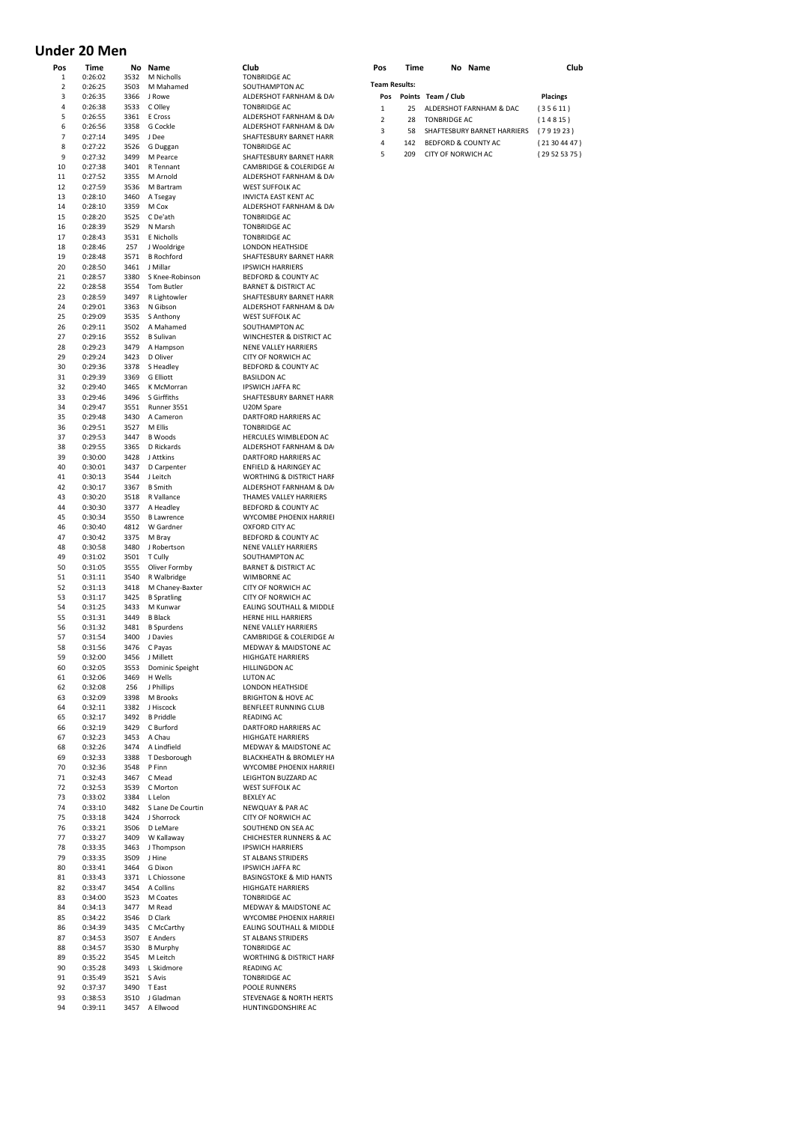## **Under 20 Men**

| Pos      | Time               |              | No Name                          | Club                                                | Pos                  | Time |                           | No Name                     | Club            |
|----------|--------------------|--------------|----------------------------------|-----------------------------------------------------|----------------------|------|---------------------------|-----------------------------|-----------------|
| 1        | 0:26:02<br>0:26:25 | 3532         | M Nicholls                       | <b>TONBRIDGE AC</b>                                 | <b>Team Results:</b> |      |                           |                             |                 |
| 2<br>3   |                    | 3503<br>3366 | M Mahamed                        | SOUTHAMPTON AC                                      |                      |      | Pos Points Team / Club    |                             |                 |
| 4        | 0:26:35<br>0:26:38 | 3533         | J Rowe<br>C Olley                | ALDERSHOT FARNHAM & DA<br><b>TONBRIDGE AC</b>       |                      |      |                           |                             | <b>Placings</b> |
| 5        | 0:26:55            | 3361         | E Cross                          | ALDERSHOT FARNHAM & DA                              | $\mathbf 1$          | 25   |                           | ALDERSHOT FARNHAM & DAC     | (35611)         |
| 6        | 0:26:56            | 3358         | G Cockle                         | ALDERSHOT FARNHAM & DA                              | $\overline{2}$       | 28   | <b>TONBRIDGE AC</b>       |                             | (14815)         |
| 7        | 0:27:14            | 3495         | J Dee                            | SHAFTESBURY BARNET HARR                             | 3                    | 58   |                           | SHAFTESBURY BARNET HARRIERS | (791923)        |
| 8        | 0:27:22            | 3526         | G Duggan                         | <b>TONBRIDGE AC</b>                                 | 4                    | 142  | BEDFORD & COUNTY AC       |                             | (21304447)      |
| 9        | 0:27:32            | 3499         | M Pearce                         | SHAFTESBURY BARNET HARR                             | 5                    | 209  | <b>CITY OF NORWICH AC</b> |                             | (29525375)      |
| 10       | 0:27:38            | 3401         | R Tennant                        | CAMBRIDGE & COLERIDGE A                             |                      |      |                           |                             |                 |
| 11       | 0:27:52            | 3355         | M Arnold                         | ALDERSHOT FARNHAM & DA                              |                      |      |                           |                             |                 |
| 12       | 0:27:59            | 3536         | M Bartram                        | <b>WEST SUFFOLK AC</b>                              |                      |      |                           |                             |                 |
| 13       | 0:28:10            | 3460         | A Tsegay                         | <b>INVICTA EAST KENT AC</b>                         |                      |      |                           |                             |                 |
| 14       | 0:28:10            | 3359         | M Cox                            | ALDERSHOT FARNHAM & DA                              |                      |      |                           |                             |                 |
| 15       | 0:28:20            | 3525         | C De'ath                         | <b>TONBRIDGE AC</b>                                 |                      |      |                           |                             |                 |
| 16       | 0:28:39            | 3529         | N Marsh                          | <b>TONBRIDGE AC</b>                                 |                      |      |                           |                             |                 |
| 17       | 0:28:43            | 3531         | E Nicholls                       | <b>TONBRIDGE AC</b>                                 |                      |      |                           |                             |                 |
| 18<br>19 | 0:28:46<br>0:28:48 | 257<br>3571  | J Wooldrige<br><b>B</b> Rochford | LONDON HEATHSIDE<br>SHAFTESBURY BARNET HARR         |                      |      |                           |                             |                 |
| 20       | 0:28:50            | 3461         | J Millar                         | <b>IPSWICH HARRIERS</b>                             |                      |      |                           |                             |                 |
| 21       | 0:28:57            | 3380         | S Knee-Robinson                  | BEDFORD & COUNTY AC                                 |                      |      |                           |                             |                 |
| 22       | 0:28:58            | 3554         | Tom Butler                       | <b>BARNET &amp; DISTRICT AC</b>                     |                      |      |                           |                             |                 |
| 23       | 0:28:59            | 3497         | R Lightowler                     | SHAFTESBURY BARNET HARR                             |                      |      |                           |                             |                 |
| 24       | 0:29:01            | 3363         | N Gibson                         | ALDERSHOT FARNHAM & DA                              |                      |      |                           |                             |                 |
| 25       | 0:29:09            | 3535         | S Anthony                        | WEST SUFFOLK AC                                     |                      |      |                           |                             |                 |
| 26       | 0:29:11            | 3502         | A Mahamed                        | SOUTHAMPTON AC                                      |                      |      |                           |                             |                 |
| 27       | 0:29:16            | 3552         | <b>B</b> Sulivan                 | WINCHESTER & DISTRICT AC                            |                      |      |                           |                             |                 |
| 28       | 0:29:23            | 3479         | A Hampson                        | NENE VALLEY HARRIERS                                |                      |      |                           |                             |                 |
| 29       | 0:29:24            | 3423         | D Oliver                         | CITY OF NORWICH AC                                  |                      |      |                           |                             |                 |
| 30       | 0:29:36            | 3378         | S Headley                        | BEDFORD & COUNTY AC                                 |                      |      |                           |                             |                 |
| 31       | 0:29:39            | 3369         | G Elliott                        | <b>BASILDON AC</b>                                  |                      |      |                           |                             |                 |
| 32       | 0:29:40            | 3465         | K McMorran                       | <b>IPSWICH JAFFA RC</b>                             |                      |      |                           |                             |                 |
| 33<br>34 | 0:29:46            | 3496         | S Girffiths                      | SHAFTESBURY BARNET HARR<br>U20M Spare               |                      |      |                           |                             |                 |
| 35       | 0:29:47<br>0:29:48 | 3551<br>3430 | Runner 3551<br>A Cameron         | DARTFORD HARRIERS AC                                |                      |      |                           |                             |                 |
| 36       | 0:29:51            | 3527         | M Ellis                          | <b>TONBRIDGE AC</b>                                 |                      |      |                           |                             |                 |
| 37       | 0:29:53            | 3447         | <b>B</b> Woods                   | HERCULES WIMBLEDON AC                               |                      |      |                           |                             |                 |
| 38       | 0:29:55            | 3365         | D Rickards                       | ALDERSHOT FARNHAM & DA                              |                      |      |                           |                             |                 |
| 39       | 0:30:00            | 3428         | J Attkins                        | DARTFORD HARRIERS AC                                |                      |      |                           |                             |                 |
| 40       | 0:30:01            | 3437         | D Carpenter                      | <b>ENFIELD &amp; HARINGEY AC</b>                    |                      |      |                           |                             |                 |
| 41       | 0:30:13            | 3544         | J Leitch                         | <b>WORTHING &amp; DISTRICT HARF</b>                 |                      |      |                           |                             |                 |
| 42       | 0:30:17            | 3367         | <b>B</b> Smith                   | ALDERSHOT FARNHAM & DA                              |                      |      |                           |                             |                 |
| 43       | 0:30:20            | 3518         | R Vallance                       | THAMES VALLEY HARRIERS                              |                      |      |                           |                             |                 |
| 44       | 0:30:30            | 3377         | A Headley                        | BEDFORD & COUNTY AC                                 |                      |      |                           |                             |                 |
| 45       | 0:30:34            | 3550         | <b>B</b> Lawrence                | WYCOMBE PHOENIX HARRIEI                             |                      |      |                           |                             |                 |
| 46       | 0:30:40            | 4812         | W Gardner                        | OXFORD CITY AC                                      |                      |      |                           |                             |                 |
| 47<br>48 | 0:30:42<br>0:30:58 | 3375<br>3480 | M Bray<br>J Robertson            | BEDFORD & COUNTY AC<br>NENE VALLEY HARRIERS         |                      |      |                           |                             |                 |
| 49       | 0:31:02            | 3501         | T Cully                          | SOUTHAMPTON AC                                      |                      |      |                           |                             |                 |
| 50       | 0:31:05            | 3555         | Oliver Formby                    | <b>BARNET &amp; DISTRICT AC</b>                     |                      |      |                           |                             |                 |
| 51       | 0:31:11            | 3540         | R Walbridge                      | WIMBORNE AC                                         |                      |      |                           |                             |                 |
| 52       | 0:31:13            | 3418         | M Chaney-Baxter                  | CITY OF NORWICH AC                                  |                      |      |                           |                             |                 |
| 53       | 0:31:17            | 3425         | <b>B</b> Spratling               | CITY OF NORWICH AC                                  |                      |      |                           |                             |                 |
| 54       | 0:31:25            | 3433         | M Kunwar                         | EALING SOUTHALL & MIDDLE                            |                      |      |                           |                             |                 |
| 55       | 0:31:31            | 3449         | <b>B</b> Black                   | HERNE HILL HARRIERS                                 |                      |      |                           |                             |                 |
| 56       | 0:31:32            | 3481         | <b>B</b> Spurdens                | <b>NENE VALLEY HARRIERS</b>                         |                      |      |                           |                             |                 |
| 57       | 0:31:54            | 3400         | J Davies                         | CAMBRIDGE & COLERIDGE A                             |                      |      |                           |                             |                 |
| 58       | 0:31:56            | 3476         | C Payas                          | MEDWAY & MAIDSTONE AC                               |                      |      |                           |                             |                 |
| 59       | 0:32:00            | 3456         | J Millett                        | <b>HIGHGATE HARRIERS</b>                            |                      |      |                           |                             |                 |
| 60<br>61 | 0:32:05<br>0:32:06 | 3553<br>3469 | Dominic Speight<br>H Wells       | HILLINGDON AC<br><b>LUTON AC</b>                    |                      |      |                           |                             |                 |
| 62       | 0:32:08            | 256          | J Phillips                       | LONDON HEATHSIDE                                    |                      |      |                           |                             |                 |
| 63       | 0:32:09            | 3398         | M Brooks                         | <b>BRIGHTON &amp; HOVE AC</b>                       |                      |      |                           |                             |                 |
| 64       | 0:32:11            | 3382         | J Hiscock                        | BENFLEET RUNNING CLUB                               |                      |      |                           |                             |                 |
| 65       | 0:32:17            | 3492         | <b>B</b> Priddle                 | <b>READING AC</b>                                   |                      |      |                           |                             |                 |
| 66       | 0:32:19            | 3429         | C Burford                        | DARTFORD HARRIERS AC                                |                      |      |                           |                             |                 |
| 67       | 0:32:23            | 3453         | A Chau                           | <b>HIGHGATE HARRIERS</b>                            |                      |      |                           |                             |                 |
| 68       | 0:32:26            | 3474         | A Lindfield                      | MEDWAY & MAIDSTONE AC                               |                      |      |                           |                             |                 |
| 69       | 0:32:33            | 3388         | T Desborough                     | BLACKHEATH & BROMLEY HA                             |                      |      |                           |                             |                 |
| 70       | 0:32:36            | 3548         | P Finn                           | WYCOMBE PHOENIX HARRIEI                             |                      |      |                           |                             |                 |
| 71       | 0:32:43            | 3467         | C Mead                           | LEIGHTON BUZZARD AC                                 |                      |      |                           |                             |                 |
| 72<br>73 | 0:32:53<br>0:33:02 | 3539<br>3384 | C Morton<br>L Lelon              | WEST SUFFOLK AC<br><b>BEXLEY AC</b>                 |                      |      |                           |                             |                 |
| 74       | 0:33:10            | 3482         | S Lane De Courtin                | <b>NEWQUAY &amp; PAR AC</b>                         |                      |      |                           |                             |                 |
| 75       | 0:33:18            |              | 3424 J Shorrock                  | CITY OF NORWICH AC                                  |                      |      |                           |                             |                 |
| 76       | 0:33:21            | 3506         | D LeMare                         | SOUTHEND ON SEA AC                                  |                      |      |                           |                             |                 |
| 77       | 0:33:27            | 3409         | W Kallaway                       | <b>CHICHESTER RUNNERS &amp; AC</b>                  |                      |      |                           |                             |                 |
| 78       | 0:33:35            | 3463         | J Thompson                       | <b>IPSWICH HARRIERS</b>                             |                      |      |                           |                             |                 |
| 79       | 0:33:35            | 3509         | J Hine                           | ST ALBANS STRIDERS                                  |                      |      |                           |                             |                 |
| 80       | 0:33:41            | 3464         | G Dixon                          | <b>IPSWICH JAFFA RC</b>                             |                      |      |                           |                             |                 |
| 81       | 0:33:43            | 3371         | L Chiossone                      | <b>BASINGSTOKE &amp; MID HANTS</b>                  |                      |      |                           |                             |                 |
| 82       | 0:33:47            | 3454         | A Collins                        | <b>HIGHGATE HARRIERS</b>                            |                      |      |                           |                             |                 |
| 83       | 0:34:00            | 3523         | M Coates                         | <b>TONBRIDGE AC</b>                                 |                      |      |                           |                             |                 |
| 84       | 0:34:13            | 3477         | M Read                           | MEDWAY & MAIDSTONE AC                               |                      |      |                           |                             |                 |
| 85<br>86 | 0:34:22            | 3546<br>3435 | D Clark<br>C McCarthy            | WYCOMBE PHOENIX HARRIEI<br>EALING SOUTHALL & MIDDLE |                      |      |                           |                             |                 |
| 87       | 0:34:39<br>0:34:53 | 3507         | E Anders                         | ST ALBANS STRIDERS                                  |                      |      |                           |                             |                 |
| 88       | 0:34:57            | 3530         | <b>B</b> Murphy                  | <b>TONBRIDGE AC</b>                                 |                      |      |                           |                             |                 |
| 89       | 0:35:22            | 3545         | M Leitch                         | <b>WORTHING &amp; DISTRICT HARF</b>                 |                      |      |                           |                             |                 |
| 90       | 0:35:28            | 3493         | L Skidmore                       | READING AC                                          |                      |      |                           |                             |                 |
| 91       | 0:35:49            | 3521         | S Avis                           | <b>TONBRIDGE AC</b>                                 |                      |      |                           |                             |                 |
| 92       | 0:37:37            | 3490         | T East                           | POOLE RUNNERS                                       |                      |      |                           |                             |                 |
| 93       | 0:38:53            | 3510         | J Gladman                        | STEVENAGE & NORTH HERTS                             |                      |      |                           |                             |                 |
| 94       | 0:39:11            | 3457         | A Ellwood                        | HUNTINGDONSHIRE AC                                  |                      |      |                           |                             |                 |

| Pos                  | Time | Nο |
|----------------------|------|----|
| <b>Team Results:</b> |      |    |

|                | am Results: |                                |                 |  |  |  |  |  |  |  |  |  |
|----------------|-------------|--------------------------------|-----------------|--|--|--|--|--|--|--|--|--|
| Pos            |             | Points Team / Club             | <b>Placings</b> |  |  |  |  |  |  |  |  |  |
| 1              | 25.         | ALDERSHOT FARNHAM & DAC        | (35611)         |  |  |  |  |  |  |  |  |  |
| $\overline{2}$ | 28          | <b>TONBRIDGE AC</b>            | (14815)         |  |  |  |  |  |  |  |  |  |
| 3              | 58          | SHAFTESBURY BARNET HARRIERS    | (791923)        |  |  |  |  |  |  |  |  |  |
| 4              | 142         | <b>BEDFORD &amp; COUNTY AC</b> | (21304447)      |  |  |  |  |  |  |  |  |  |
| 5              | 209         | CITY OF NORWICH AC             | (29525375)      |  |  |  |  |  |  |  |  |  |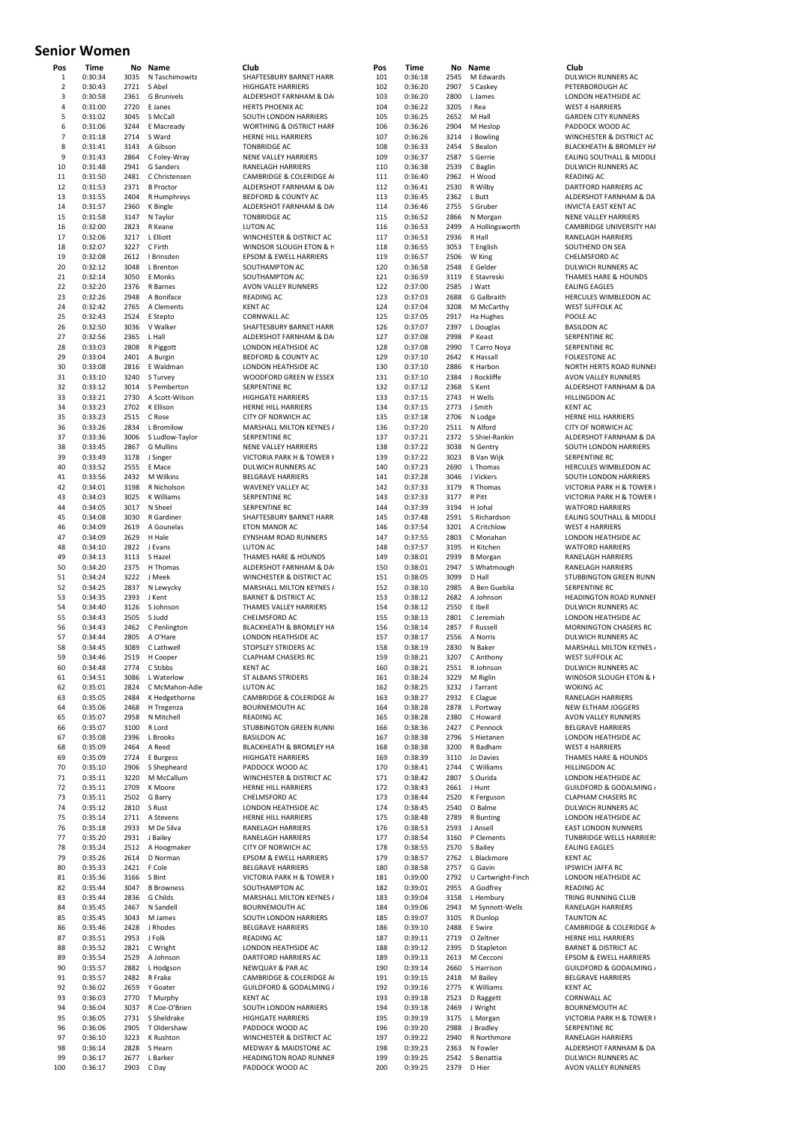### **Senior Women**

| Pos            | Time               | Νo<br>3035   | Name                         | Club                                                     |
|----------------|--------------------|--------------|------------------------------|----------------------------------------------------------|
| 1<br>2         | 0:30:34<br>0:30:43 | 2721         | N Taschimowitz<br>S Abel     | SHAFTESBURY BARNET HARR<br><b>HIGHGATE HARRIERS</b>      |
| 3              | 0:30:58            | 2361         | G Brunivels                  | ALDERSHOT FARNHAM & DA                                   |
| 4              | 0:31:00            | 2720         | E Janes                      | <b>HERTS PHOENIX AC</b>                                  |
| 5              | 0:31:02            | 3045         | S McCall                     | SOUTH LONDON HARRIERS                                    |
| 6              | 0:31:06            | 3244         | E Macready                   | WORTHING & DISTRICT HARF                                 |
| $\overline{7}$ | 0:31:18            | 2714         | S Ward                       | HERNE HILL HARRIERS                                      |
| 8              | 0:31:41            | 3143         | A Gibson                     | <b>TONBRIDGE AC</b>                                      |
| 9              | 0:31:43            | 2864         | C Foley-Wray                 | <b>NENE VALLEY HARRIERS</b>                              |
| 10             | 0:31:48            | 2941         | G Sanders                    | RANELAGH HARRIERS                                        |
| 11             | 0:31:50            | 2481         | C Christensen                | CAMBRIDGE & COLERIDGE A                                  |
| 12             | 0:31:53            | 2371         | <b>B</b> Proctor             | ALDERSHOT FARNHAM & DA                                   |
| 13             | 0:31:55            | 2404         | R Humphreys                  | BEDFORD & COUNTY AC                                      |
| 14             | 0:31:57            | 2360         | K Bingle                     | ALDERSHOT FARNHAM & DA                                   |
| 15             | 0:31:58            | 3147         | N Taylor                     | <b>TONBRIDGE AC</b>                                      |
| 16             | 0:32:00            | 2823         | R Keane                      | <b>LUTON AC</b>                                          |
| 17             | 0:32:06            | 3217         | L Elliott<br>C Firth         | WINCHESTER & DISTRICT AC<br>WINDSOR SLOUGH ETON & H      |
| 18<br>19       | 0:32:07            | 3227         |                              |                                                          |
| 20             | 0:32:08<br>0:32:12 | 2612<br>3048 | I Brinsden<br>L Brenton      | EPSOM & EWELL HARRIERS<br>SOUTHAMPTON AC                 |
| 21             | 0:32:14            | 3050         | E Monks                      | SOUTHAMPTON AC                                           |
| 22             | 0:32:20            | 2376         | R Barnes                     | AVON VALLEY RUNNERS                                      |
| 23             | 0:32:26            | 2948         | A Boniface                   | <b>READING AC</b>                                        |
| 24             | 0:32:42            | 2765         | A Clements                   | <b>KENT AC</b>                                           |
| 25             | 0:32:43            | 2524         | E Stepto                     | CORNWALL AC                                              |
| 26             | 0:32:50            | 3036         | V Walker                     | SHAFTESBURY BARNET HARR                                  |
| 27             | 0:32:56            | 2365         | L Hall                       | ALDERSHOT FARNHAM & DA                                   |
| 28             | 0:33:03            | 2808         | R Piggott                    | LONDON HEATHSIDE AC                                      |
| 29             | 0:33:04            | 2401         | A Burgin                     | BEDFORD & COUNTY AC                                      |
| 30             | 0:33:08            | 2816         | E Waldman                    | LONDON HEATHSIDE AC                                      |
| 31             | 0:33:10            | 3240         | S Turvey                     | WOODFORD GREEN W ESSEX                                   |
| 32             | 0:33:12            | 3014         | S Pemberton                  | SERPENTINE RC                                            |
| 33             | 0:33:21            | 2730         | A Scott-Wilson               | <b>HIGHGATE HARRIERS</b>                                 |
| 34             | 0:33:23            | 2702         | K Ellison                    | HERNE HILL HARRIERS                                      |
| 35             | 0:33:23            | 2515         | C Rose                       | CITY OF NORWICH AC                                       |
| 36             | 0:33:26            | 2834         | L Bromilow                   | MARSHALL MILTON KEYNES /                                 |
| 37             | 0:33:36            | 3006         | S Ludlow-Taylor              | SERPENTINE RC                                            |
| 38<br>39       | 0:33:45<br>0:33:49 | 2867<br>3178 | <b>G</b> Mullins<br>J Singer | <b>NENE VALLEY HARRIERS</b><br>VICTORIA PARK H & TOWER H |
| 40             | 0:33:52            | 2555         | E Mace                       | DULWICH RUNNERS AC                                       |
| 41             | 0:33:56            | 2432         | M Wilkins                    | <b>BELGRAVE HARRIERS</b>                                 |
| 42             | 0:34:01            | 3198         | R Nicholson                  | <b>WAVENEY VALLEY AC</b>                                 |
| 43             | 0:34:03            | 3025         | K Williams                   | SERPENTINE RC                                            |
| 44             | 0:34:05            | 3017         | N Sheel                      | SERPENTINE RC                                            |
| 45             | 0:34:08            | 3030         | R Gardiner                   | SHAFTESBURY BARNET HARR                                  |
| 46             | 0:34:09            | 2619         | A Gounelas                   | ETON MANOR AC                                            |
| 47             | 0:34:09            | 2629         | H Hale                       | EYNSHAM ROAD RUNNERS                                     |
| 48             | 0:34:10            | 2822         | J Evans                      | LUTON AC                                                 |
| 49             | 0:34:13            | 3113         | S Hazel                      | THAMES HARE & HOUNDS                                     |
| 50             | 0:34:20            | 2375         | H Thomas                     | ALDERSHOT FARNHAM & DA                                   |
| 51             | 0:34:24            | 3222         | J Meek                       | WINCHESTER & DISTRICT AC                                 |
| 52             | 0:34:25            | 2837         | N Lewycky                    | MARSHALL MILTON KEYNES /                                 |
| 53             | 0:34:35            | 2393         | J Kent                       | <b>BARNET &amp; DISTRICT AC</b>                          |
| 54             | 0:34:40            | 3126         | S Johnson                    | THAMES VALLEY HARRIERS                                   |
| 55             | 0:34:43            | 2505<br>2462 | S Judd                       | CHELMSFORD AC                                            |
| 56<br>57       | 0:34:43<br>0:34:44 | 2805         | C Penlington<br>A O'Hare     | BLACKHEATH & BROMLEY HA<br>LONDON HEATHSIDE AC           |
| 58             | 0:34:45            | 3089         | C Lathwell                   | STOPSLEY STRIDERS AC                                     |
| 59             | 0:34:46            | 2519         | H Cooper                     | <b>CLAPHAM CHASERS RC</b>                                |
| 60             | 0:34:48            |              | 2774 C Stibbs                | KENT AC                                                  |
| 61             | 0:34:51            | 3086         | L Waterlow                   | <b>ST ALBANS STRIDERS</b>                                |
| 62             | 0:35:01            | 2824         | C McMahon-Adie               | LUTON AC                                                 |
| 63             | 0:35:05            | 2484         | K Hedgethorne                | CAMBRIDGE & COLERIDGE A                                  |
| 64             | 0:35:06            |              | 2468 H Tregenza              | <b>BOURNEMOUTH AC</b>                                    |
| 65             | 0:35:07            | 2958         | N Mitchell                   | <b>READING AC</b>                                        |
| 66             | 0:35:07            | 3100         | R Lord                       | STUBBINGTON GREEN RUNN                                   |
| 67             | 0:35:08            | 2396         | L Brooks                     | <b>BASILDON AC</b>                                       |
| 68             | 0:35:09            | 2464         | A Reed                       | BLACKHEATH & BROMLEY HA                                  |
| 69<br>70       | 0:35:09            | 2724         | E Burgess<br>S Shepheard     | <b>HIGHGATE HARRIERS</b><br>PADDOCK WOOD AC              |
| 71             | 0:35:10<br>0:35:11 | 2906<br>3220 | M McCallum                   | WINCHESTER & DISTRICT AC                                 |
| 72             | 0:35:11            |              | 2709 K Moore                 | HERNE HILL HARRIERS                                      |
| 73             | 0:35:11            | 2502         | G Barry                      | CHELMSFORD AC                                            |
| 74             | 0:35:12            | 2810         | S Rust                       | LONDON HEATHSIDE AC                                      |
| 75             | 0:35:14            | 2711         | A Stevens                    | HERNE HILL HARRIERS                                      |
| 76             | 0:35:18            | 2933         | M De Silva                   | RANELAGH HARRIERS                                        |
| 77             | 0:35:20            | 2931         | J Bailey                     | RANELAGH HARRIERS                                        |
| 78             | 0:35:24            |              | 2512 A Hoogmaker             | CITY OF NORWICH AC                                       |
| 79             | 0:35:26            | 2614         | D Norman                     | EPSOM & EWELL HARRIERS                                   |
| 80             | 0:35:33            | 2421         | F Cole                       | <b>BELGRAVE HARRIERS</b>                                 |
| 81             | 0:35:36            | 3166         | S Bint                       | VICTORIA PARK H & TOWER I                                |
| 82             | 0:35:44            |              | 3047 B Browness              | SOUTHAMPTON AC                                           |
| 83             | 0:35:44            | 2836         | G Childs                     | MARSHALL MILTON KEYNES /                                 |
| 84             | 0:35:45            | 2467         | N Sandell                    | <b>BOURNEMOUTH AC</b>                                    |
| 85             | 0:35:45            | 3043         | M James                      | SOUTH LONDON HARRIERS                                    |
| 86             | 0:35:46            | 2428         | J Rhodes                     | <b>BELGRAVE HARRIERS</b>                                 |
| 87<br>88       | 0:35:51            | 2953         | J Folk                       | <b>READING AC</b><br>LONDON HEATHSIDE AC                 |
| 89             | 0:35:52<br>0:35:54 | 2821<br>2529 | C Wright<br>A Johnson        | DARTFORD HARRIERS AC                                     |
| 90             | 0:35:57            |              | 2882 L Hodgson               | NEWQUAY & PAR AC                                         |
| 91             | 0:35:57            | 2482         | R Frake                      | CAMBRIDGE & COLERIDGE A                                  |
| 92             | 0:36:02            |              | 2659 Y Goater                | GUILDFORD & GODALMING /                                  |
| 93             | 0:36:03            | 2770         | T Murphy                     | <b>KENT AC</b>                                           |
|                |                    |              | R Coe-O'Brien                | SOUTH LONDON HARRIERS                                    |
| 94             | 0:36:04            | 3037         |                              |                                                          |
| 95             | 0:36:05            | 2731         | S Sheldrake                  | <b>HIGHGATE HARRIERS</b>                                 |
| 96             | 0:36:06            | 2905         | T Oldershaw                  | PADDOCK WOOD AC                                          |
| 97             | 0:36:10            | 3223         | K Rushton                    | WINCHESTER & DISTRICT AC                                 |
| 98             | 0:36:14            | 2828         | S Hearn                      | MEDWAY & MAIDSTONE AC                                    |
| 99<br>100      | 0:36:17<br>0:36:17 | 2677<br>2903 | L Barker<br>C Dav            | <b>HEADINGTON ROAD RUNNEF</b><br>PADDOCK WOOD AC         |

| ישיי                         | vv v i             |              |                               |                                                             |            |                    |              |                          |                                                           |
|------------------------------|--------------------|--------------|-------------------------------|-------------------------------------------------------------|------------|--------------------|--------------|--------------------------|-----------------------------------------------------------|
| Pos                          | Time               | No           | Name                          | Club                                                        | Pos        | Time               | No           | Name                     | Club                                                      |
| $\mathbf{1}$                 | 0:30:34            | 3035         | N Taschimowitz                | SHAFTESBURY BARNET HARR                                     | 101        | 0:36:18            | 2545         | M Edwards                | DULWICH RUNNERS AC                                        |
| $\overline{\mathbf{2}}$<br>3 | 0:30:43<br>0:30:58 | 2721<br>2361 | S Abel<br><b>G</b> Brunivels  | <b>HIGHGATE HARRIERS</b><br>ALDERSHOT FARNHAM & DA          | 102<br>103 | 0:36:20<br>0:36:20 | 2907<br>2800 | S Caskey<br>L James      | PETERBOROUGH AC<br>LONDON HEATHSIDE AC                    |
| 4                            | 0:31:00            | 2720         | E Janes                       | <b>HERTS PHOENIX AC</b>                                     | 104        | 0:36:22            | 3205         | I Rea                    | <b>WEST 4 HARRIERS</b>                                    |
| 5                            | 0:31:02            | 3045         | S McCall                      | SOUTH LONDON HARRIERS                                       | 105        | 0:36:25            | 2652         | M Hall                   | <b>GARDEN CITY RUNNERS</b>                                |
| 6                            | 0:31:06            | 3244         | E Macready                    | WORTHING & DISTRICT HARF                                    | 106        | 0:36:26            | 2904         | M Heslop                 | PADDOCK WOOD AC                                           |
| $\overline{7}$               | 0:31:18            | 2714         | S Ward                        | <b>HERNE HILL HARRIERS</b>                                  | 107        | 0:36:26            | 3214         | J Bowling                | WINCHESTER & DISTRICT AC                                  |
| 8                            | 0:31:41            | 3143         | A Gibson                      | <b>TONBRIDGE AC</b>                                         | 108        | 0:36:33            | 2454         | S Bealon                 | BLACKHEATH & BROMLEY HA                                   |
| 9                            | 0:31:43            | 2864         | C Foley-Wray                  | NENE VALLEY HARRIERS                                        | 109        | 0:36:37            | 2587         | S Gerrie                 | EALING SOUTHALL & MIDDLE                                  |
| 10                           | 0:31:48            | 2941         | G Sanders                     | <b>RANELAGH HARRIERS</b>                                    | 110        | 0:36:38            | 2539         | C Baglin                 | DULWICH RUNNERS AC                                        |
| 11                           | 0:31:50            | 2481         | C Christensen                 | CAMBRIDGE & COLERIDGE A                                     | 111        | 0:36:40            | 2962         | H Wood                   | <b>READING AC</b>                                         |
| 12                           | 0:31:53            | 2371         | <b>B</b> Proctor              | ALDERSHOT FARNHAM & DA                                      | 112        | 0:36:41            | 2530         | R Wilby                  | <b>DARTFORD HARRIERS AC</b>                               |
| 13                           | 0:31:55            | 2404         | R Humphreys                   | <b>BEDFORD &amp; COUNTY AC</b>                              | 113        | 0:36:45            | 2362         | L Butt                   | ALDERSHOT FARNHAM & DA                                    |
| 14                           | 0:31:57            | 2360         | K Bingle                      | ALDERSHOT FARNHAM & DA                                      | 114        | 0:36:46            | 2755         | S Gruber                 | <b>INVICTA EAST KENT AC</b>                               |
| 15                           | 0:31:58            | 3147         | N Taylor                      | <b>TONBRIDGE AC</b>                                         | 115        | 0:36:52            | 2866         | N Morgan                 | <b>NENE VALLEY HARRIERS</b>                               |
| 16                           | 0:32:00            | 2823<br>3217 | R Keane                       | <b>LUTON AC</b>                                             | 116        | 0:36:53            | 2499         | A Hollingsworth          | CAMBRIDGE UNIVERSITY HAF                                  |
| 17<br>18                     | 0:32:06<br>0:32:07 | 3227         | L Elliott<br>C Firth          | WINCHESTER & DISTRICT AC<br>WINDSOR SLOUGH ETON & F         | 117<br>118 | 0:36:53<br>0:36:55 | 2936<br>3053 | R Hall<br>T English      | RANELAGH HARRIERS<br>SOUTHEND ON SEA                      |
| 19                           | 0:32:08            | 2612         | I Brinsden                    | <b>EPSOM &amp; EWELL HARRIERS</b>                           | 119        | 0:36:57            | 2506         | W King                   | CHELMSFORD AC                                             |
| 20                           | 0:32:12            | 3048         | L Brenton                     | SOUTHAMPTON AC                                              | 120        | 0:36:58            | 2548         | E Gelder                 | DULWICH RUNNERS AC                                        |
| 21                           | 0:32:14            | 3050         | E Monks                       | SOUTHAMPTON AC                                              | 121        | 0:36:59            | 3119         | E Stavreski              | THAMES HARE & HOUNDS                                      |
| 22                           | 0:32:20            | 2376         | R Barnes                      | AVON VALLEY RUNNERS                                         | 122        | 0:37:00            | 2585         | J Watt                   | <b>EALING EAGLES</b>                                      |
| 23                           | 0:32:26            | 2948         | A Boniface                    | <b>READING AC</b>                                           | 123        | 0:37:03            | 2688         | G Galbraith              | HERCULES WIMBLEDON AC                                     |
| 24                           | 0:32:42            | 2765         | A Clements                    | <b>KENT AC</b>                                              | 124        | 0:37:04            | 3208         | M McCarthy               | WEST SUFFOLK AC                                           |
| 25                           | 0:32:43            | 2524         | E Stepto                      | <b>CORNWALL AC</b>                                          | 125        | 0:37:05            | 2917         | Ha Hughes                | POOLE AC                                                  |
| 26                           | 0:32:50            | 3036         | V Walker                      | SHAFTESBURY BARNET HARR                                     | 126        | 0:37:07            | 2397         | L Douglas                | <b>BASILDON AC</b>                                        |
| 27                           | 0:32:56            | 2365         | L Hall                        | ALDERSHOT FARNHAM & DA                                      | 127        | 0:37:08            | 2998         | P Keast                  | SERPENTINE RC                                             |
| 28                           | 0:33:03            | 2808         | R Piggott                     | LONDON HEATHSIDE AC                                         | 128        | 0:37:08            | 2990         | T Carro Noya             | <b>SERPENTINE RC</b>                                      |
| 29                           | 0:33:04            | 2401         | A Burgin                      | BEDFORD & COUNTY AC                                         | 129        | 0:37:10            | 2642         | K Hassall                | <b>FOLKESTONE AC</b>                                      |
| 30                           | 0:33:08            | 2816         | E Waldman                     | LONDON HEATHSIDE AC                                         | 130        | 0:37:10            | 2886         | K Harbon                 | NORTH HERTS ROAD RUNNER                                   |
| 31                           | 0:33:10            | 3240         | S Turvey                      | WOODFORD GREEN W ESSEX                                      | 131        | 0:37:10            | 2384         | J Rockliffe              | <b>AVON VALLEY RUNNERS</b>                                |
| 32                           | 0:33:12            | 3014         | S Pemberton                   | <b>SERPENTINE RC</b>                                        | 132        | 0:37:12            | 2368         | S Kent                   | ALDERSHOT FARNHAM & DA                                    |
| 33                           | 0:33:21            | 2730         | A Scott-Wilson<br>K Ellison   | <b>HIGHGATE HARRIERS</b>                                    | 133        | 0:37:15            | 2743         | H Wells                  | HILLINGDON AC                                             |
| 34<br>35                     | 0:33:23            | 2702<br>2515 | C Rose                        | <b>HERNE HILL HARRIERS</b>                                  | 134<br>135 | 0:37:15<br>0:37:18 | 2773<br>2706 | J Smith                  | <b>KENT AC</b>                                            |
| 36                           | 0:33:23<br>0:33:26 | 2834         |                               | CITY OF NORWICH AC<br>MARSHALL MILTON KEYNES /              | 136        | 0:37:20            | 2511         | N Lodge<br>N Alford      | HERNE HILL HARRIERS<br>CITY OF NORWICH AC                 |
| 37                           | 0:33:36            | 3006         | L Bromilow<br>S Ludlow-Taylor | <b>SERPENTINE RC</b>                                        | 137        | 0:37:21            | 2372         | S Shiel-Rankin           | ALDERSHOT FARNHAM & DA                                    |
| 38                           | 0:33:45            | 2867         | <b>G</b> Mullins              | NENE VALLEY HARRIERS                                        | 138        | 0:37:22            | 3038         | N Gentry                 | SOUTH LONDON HARRIERS                                     |
| 39                           | 0:33:49            | 3178         | J Singer                      | VICTORIA PARK H & TOWER H                                   | 139        | 0:37:22            | 3023         | <b>B</b> Van Wijk        | SERPENTINE RC                                             |
| 40                           | 0:33:52            | 2555         | E Mace                        | DULWICH RUNNERS AC                                          | 140        | 0:37:23            | 2690         | L Thomas                 | HERCULES WIMBLEDON AC                                     |
| 41                           | 0:33:56            | 2432         | M Wilkins                     | <b>BELGRAVE HARRIERS</b>                                    | 141        | 0:37:28            | 3046         | J Vickers                | SOUTH LONDON HARRIERS                                     |
| 42                           | 0:34:01            | 3198         | R Nicholson                   | WAVENEY VALLEY AC                                           | 142        | 0:37:33            | 3179         | R Thomas                 | VICTORIA PARK H & TOWER H                                 |
| 43                           | 0:34:03            | 3025         | K Williams                    | SERPENTINE RC                                               | 143        | 0:37:33            | 3177         | R Pitt                   | VICTORIA PARK H & TOWER H                                 |
| 44                           | 0:34:05            | 3017         | N Sheel                       | <b>SERPENTINE RC</b>                                        | 144        | 0:37:39            | 3194         | H Johal                  | <b>WATFORD HARRIERS</b>                                   |
| 45                           | 0:34:08            | 3030         | R Gardiner                    | SHAFTESBURY BARNET HARR                                     | 145        | 0:37:48            | 2591         | S Richardson             | EALING SOUTHALL & MIDDLE                                  |
| 46                           | 0:34:09            | 2619         | A Gounelas                    | ETON MANOR AC                                               | 146        | 0:37:54            | 3201         | A Critchlow              | <b>WEST 4 HARRIERS</b>                                    |
| 47                           | 0:34:09            | 2629         | H Hale                        | EYNSHAM ROAD RUNNERS                                        | 147        | 0:37:55            | 2803         | C Monahan                | LONDON HEATHSIDE AC                                       |
| 48                           | 0:34:10            | 2822         | J Evans                       | <b>LUTON AC</b>                                             | 148        | 0:37:57            | 3195         | H Kitchen                | <b>WATFORD HARRIERS</b>                                   |
| 49                           | 0:34:13            | 3113         | S Hazel                       | THAMES HARE & HOUNDS                                        | 149        | 0:38:01            | 2939         | <b>B</b> Morgan          | RANELAGH HARRIERS                                         |
| 50                           | 0:34:20            | 2375         | H Thomas                      | ALDERSHOT FARNHAM & DA                                      | 150        | 0:38:01            | 2947         | S Whatmough              | RANELAGH HARRIERS                                         |
| 51                           | 0:34:24            | 3222         | J Meek                        | WINCHESTER & DISTRICT AC                                    | 151        | 0:38:05            | 3099         | D Hall                   | STUBBINGTON GREEN RUNN                                    |
| 52                           | 0:34:25            | 2837         | N Lewycky<br>J Kent           | MARSHALL MILTON KEYNES /<br><b>BARNET &amp; DISTRICT AC</b> | 152        | 0:38:10            | 2985         | A Ben Gueblia            | <b>SERPENTINE RC</b>                                      |
| 53<br>54                     | 0:34:35<br>0:34:40 | 2393<br>3126 |                               |                                                             | 153<br>154 | 0:38:12<br>0:38:12 | 2682<br>2550 | A Johnson                | <b>HEADINGTON ROAD RUNNEF</b>                             |
| 55                           | 0:34:43            | 2505         | S Johnson<br>S Judd           | THAMES VALLEY HARRIERS<br>CHELMSFORD AC                     | 155        | 0:38:13            | 2801         | E Ibell<br>C Jeremiah    | DULWICH RUNNERS AC<br>LONDON HEATHSIDE AC                 |
| 56                           | 0:34:43            | 2462         | C Penlington                  | BLACKHEATH & BROMLEY HA                                     | 156        | 0:38:14            | 2857         | F Russell                | MORNINGTON CHASERS RC                                     |
| 57                           | 0:34:44            | 2805         | A O'Hare                      | LONDON HEATHSIDE AC                                         | 157        | 0:38:17            | 2556         | A Norris                 | DULWICH RUNNERS AC                                        |
| 58                           | 0:34:45            | 3089         | C Lathwell                    | STOPSLEY STRIDERS AC                                        | 158        | 0:38:19            | 2830         | N Baker                  | MARSHALL MILTON KEYNES /                                  |
| 59                           | 0:34:46            | 2519         | H Cooper                      | <b>CLAPHAM CHASERS RC</b>                                   | 159        | 0:38:21            | 3207         | C Anthony                | <b>WEST SUFFOLK AC</b>                                    |
| 60                           | 0:34:48            | 2774         | C Stibbs                      | <b>KENT AC</b>                                              | 160        | 0:38:21            | 2551         | R Johnson                | DULWICH RUNNERS AC                                        |
| 61                           | 0:34:51            | 3086         | L Waterlow                    | <b>ST ALBANS STRIDERS</b>                                   | 161        | 0:38:24            | 3229         | M Riglin                 | WINDSOR SLOUGH ETON & F                                   |
| 62                           | 0:35:01            | 2824         | C McMahon-Adie                | <b>LUTON AC</b>                                             | 162        | 0:38:25            | 3232         | J Tarrant                | <b>WOKING AC</b>                                          |
| 63                           | 0:35:05            | 2484         | K Hedgethorne                 | CAMBRIDGE & COLERIDGE A                                     | 163        | 0:38:27            | 2932         | E Clague                 | RANELAGH HARRIERS                                         |
| 64                           | 0:35:06            | 2468         | H Tregenza                    | <b>BOURNEMOUTH AC</b>                                       | 164        | 0:38:28            | 2878         | L Portway                | NEW ELTHAM JOGGERS                                        |
| 65                           | 0:35:07            | 2958         | N Mitchell                    | <b>READING AC</b>                                           | 165        | 0:38:28            | 2380         | C Howard                 | AVON VALLEY RUNNERS                                       |
| 66                           | 0:35:07            | 3100         | R Lord                        | STUBBINGTON GREEN RUNN                                      | 166        | 0:38:36            | 2427         | C Pennock                | <b>BELGRAVE HARRIERS</b>                                  |
| 67                           | 0:35:08            | 2396         | L Brooks                      | <b>BASILDON AC</b>                                          | 167        | 0:38:38            | 2796         | S Hietanen               | LONDON HEATHSIDE AC                                       |
| 68                           | 0:35:09            | 2464         | A Reed<br>E Burgess           | BLACKHEATH & BROMLEY HA                                     | 168        | 0:38:38            | 3200         | R Badham                 | <b>WEST 4 HARRIERS</b>                                    |
| 69<br>70                     | 0:35:09<br>0:35:10 | 2724<br>2906 | S Shepheard                   | <b>HIGHGATE HARRIERS</b><br>PADDOCK WOOD AC                 | 169<br>170 | 0:38:39<br>0:38:41 | 3110<br>2744 | Jo Davies<br>C Williams  | THAMES HARE & HOUNDS<br><b>HILLINGDON AC</b>              |
| 71                           | 0:35:11            | 3220         | M McCallum                    | WINCHESTER & DISTRICT AC                                    | 171        | 0:38:42            | 2807         | S Ourida                 | LONDON HEATHSIDE AC                                       |
| 72                           | 0:35:11            | 2709         | K Moore                       | HERNE HILL HARRIERS                                         | 172        | 0:38:43            | 2661         | J Hunt                   | GUILDFORD & GODALMING /                                   |
| 73                           | 0:35:11            | 2502         | G Barry                       | CHELMSFORD AC                                               | 173        | 0:38:44            | 2520         | K Ferguson               | <b>CLAPHAM CHASERS RC</b>                                 |
| 74                           | 0:35:12            | 2810         | S Rust                        | LONDON HEATHSIDE AC                                         | 174        | 0:38:45            | 2540         | O Balme                  | DULWICH RUNNERS AC                                        |
| 75                           | 0:35:14            | 2711         | A Stevens                     | HERNE HILL HARRIERS                                         | 175        | 0:38:48            | 2789         | R Bunting                | LONDON HEATHSIDE AC                                       |
| 76                           | 0:35:18            | 2933         | M De Silva                    | RANELAGH HARRIERS                                           | 176        | 0:38:53            | 2593         | J Ansell                 | <b>EAST LONDON RUNNERS</b>                                |
| 77                           | 0:35:20            | 2931         | J Bailey                      | <b>RANELAGH HARRIERS</b>                                    | 177        | 0:38:54            | 3160         | P Clements               | TUNBRIDGE WELLS HARRIERS                                  |
| 78                           | 0:35:24            | 2512         | A Hoogmaker                   | CITY OF NORWICH AC                                          | 178        | 0:38:55            | 2570         | S Bailey                 | <b>EALING EAGLES</b>                                      |
| 79                           | 0:35:26            | 2614         | D Norman                      | EPSOM & EWELL HARRIERS                                      | 179        | 0:38:57            | 2762         | L Blackmore              | <b>KENT AC</b>                                            |
| 80                           | 0:35:33            | 2421         | F Cole                        | <b>BELGRAVE HARRIERS</b>                                    | 180        | 0:38:58            | 2757         | G Gavin                  | <b>IPSWICH JAFFA RC</b>                                   |
| 81                           | 0:35:36            | 3166         | S Bint                        | VICTORIA PARK H & TOWER I                                   | 181        | 0:39:00            | 2792         | U Cartwright-Finch       | LONDON HEATHSIDE AC                                       |
| 82                           | 0:35:44            | 3047         | <b>B</b> Browness             | SOUTHAMPTON AC                                              | 182        | 0:39:01            | 2955         | A Godfrey                | <b>READING AC</b>                                         |
| 83                           | 0:35:44            | 2836         | G Childs                      | MARSHALL MILTON KEYNES /                                    | 183        | 0:39:04            | 3158         | L Hembury                | TRING RUNNING CLUB                                        |
| 84                           | 0:35:45            | 2467         | N Sandell                     | BOURNEMOUTH AC                                              | 184        | 0:39:06            | 2943         | M Synnott-Wells          | RANELAGH HARRIERS                                         |
| 85                           | 0:35:45            | 3043         | M James                       | SOUTH LONDON HARRIERS                                       | 185        | 0:39:07            | 3105         | R Dunlop                 | <b>TAUNTON AC</b>                                         |
| 86                           | 0:35:46            | 2428         | J Rhodes                      | <b>BELGRAVE HARRIERS</b>                                    | 186        | 0:39:10            | 2488         | E Swire                  | CAMBRIDGE & COLERIDGE A                                   |
| 87<br>88                     | 0:35:51            | 2953<br>2821 | J Folk                        | <b>READING AC</b>                                           | 187<br>188 | 0:39:11            | 2719<br>2395 | O Zeltner                | HERNE HILL HARRIERS                                       |
| 89                           | 0:35:52<br>0:35:54 | 2529         | C Wright<br>A Johnson         | LONDON HEATHSIDE AC<br>DARTFORD HARRIERS AC                 | 189        | 0:39:12<br>0:39:13 | 2613         | D Stapleton<br>M Cecconi | <b>BARNET &amp; DISTRICT AC</b><br>EPSOM & EWELL HARRIERS |
| 90                           | 0:35:57            | 2882         | L Hodgson                     | NEWQUAY & PAR AC                                            | 190        | 0:39:14            | 2660         | S Harrison               | GUILDFORD & GODALMING /                                   |
| 91                           | 0:35:57            | 2482         | R Frake                       | CAMBRIDGE & COLERIDGE A                                     | 191        | 0:39:15            | 2418         | M Bailey                 | <b>BELGRAVE HARRIERS</b>                                  |
| 92                           | 0:36:02            | 2659         | Y Goater                      | GUILDFORD & GODALMING /                                     | 192        | 0:39:16            | 2775         | K Williams               | <b>KENT AC</b>                                            |
| 93                           | 0:36:03            | 2770         | T Murphy                      | <b>KENT AC</b>                                              | 193        | 0:39:18            | 2523         | D Raggett                | CORNWALL AC                                               |
| 94                           | 0:36:04            | 3037         | R Coe-O'Brien                 | SOUTH LONDON HARRIERS                                       | 194        | 0:39:18            | 2469         | J Wright                 | <b>BOURNEMOUTH AC</b>                                     |
| 95                           | 0:36:05            | 2731         | S Sheldrake                   | <b>HIGHGATE HARRIERS</b>                                    | 195        | 0:39:19            | 3175         | L Morgan                 | VICTORIA PARK H & TOWER I                                 |
| 96                           | 0:36:06            | 2905         | T Oldershaw                   | PADDOCK WOOD AC                                             | 196        | 0:39:20            | 2988         | J Bradley                | SERPENTINE RC                                             |
| 97                           | 0:36:10            | 3223         | K Rushton                     | WINCHESTER & DISTRICT AC                                    | 197        | 0:39:22            | 2940         | R Northmore              | RANELAGH HARRIERS                                         |
| 98                           | 0:36:14            | 2828         | S Hearn                       | MEDWAY & MAIDSTONE AC                                       | 198        | 0:39:23            | 2363         | N Fowler                 | ALDERSHOT FARNHAM & DA                                    |
| 99                           | 0:36:17            | 2677         | L Barker                      | <b>HEADINGTON ROAD RUNNER</b>                               | 199        | 0:39:25            | 2542         | S Benattia               | DULWICH RUNNERS AC                                        |
| 100                          | 0:36:17            | 2903         | C Dav                         | PADDOCK WOOD AC                                             | 200        | 0:39:25            | 2379         | D Hier                   | AVON VALLEY RUNNERS                                       |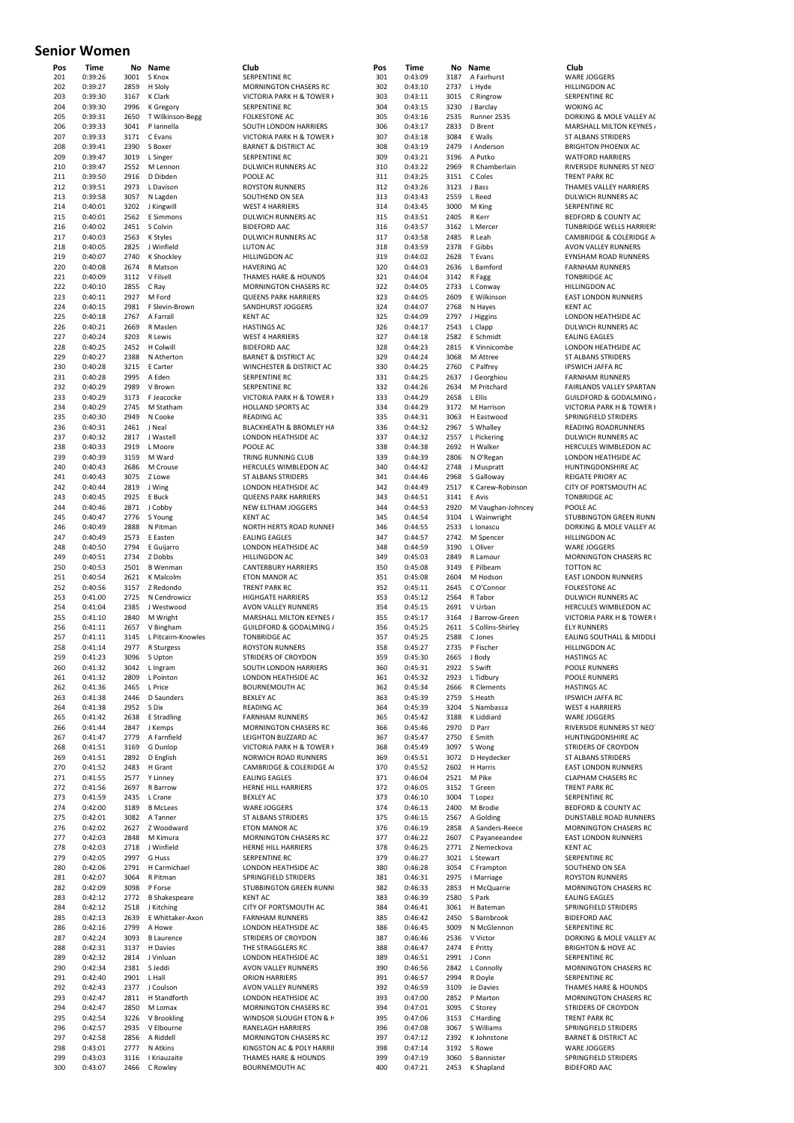#### **Senior Women**

| 201        | Time               | Νo<br>3001   | Name                             | Club                                                         |
|------------|--------------------|--------------|----------------------------------|--------------------------------------------------------------|
| 202        | 0:39:26<br>0:39:27 | 2859         | S Knox<br>H Sloly                | SERPENTINE RC<br><b>MORNINGTON CHASERS RC</b>                |
| 203        | 0:39:30            | 3167         | K Clark                          | VICTORIA PARK H & TOWER I                                    |
| 204        | 0:39:30            | 2996         | K Gregory                        | <b>SERPENTINE RC</b>                                         |
| 205        | 0:39:31            | 2650         | T Wilkinson-Begg                 | <b>FOLKESTONE AC</b>                                         |
| 206        | 0:39:33            | 3041         | P lannella                       | SOUTH LONDON HARRIERS                                        |
| 207<br>208 | 0:39:33<br>0:39:41 | 3171<br>2390 | C Evans<br>S Boxer               | VICTORIA PARK H & TOWER I<br><b>BARNET &amp; DISTRICT AC</b> |
| 209        | 0:39:47            | 3019         | L Singer                         | <b>SERPENTINE RC</b>                                         |
| 210        | 0:39:47            | 2552         | M Lennon                         | DULWICH RUNNERS AC                                           |
| 211        | 0:39:50            | 2916         | D Dibden                         | POOLE AC                                                     |
| 212        | 0:39:51            | 2973         | L Davison                        | <b>ROYSTON RUNNERS</b>                                       |
| 213        | 0:39:58            | 3057         | N Lagden                         | SOUTHEND ON SEA                                              |
| 214<br>215 | 0:40:01<br>0:40:01 | 3202<br>2562 | J Kingwill                       | <b>WEST 4 HARRIERS</b><br><b>DULWICH RUNNERS AC</b>          |
| 216        | 0:40:02            | 2451         | E Simmons<br>S Colvin            | <b>BIDEFORD AAC</b>                                          |
| 217        | 0:40:03            | 2563         | K Styles                         | <b>DULWICH RUNNERS AC</b>                                    |
| 218        | 0:40:05            | 2825         | J Winfield                       | <b>LUTON AC</b>                                              |
| 219        | 0:40:07            | 2740         | K Shockley                       | <b>HILLINGDON AC</b>                                         |
| 220        | 0:40:08            | 2674         | R Matson                         | <b>HAVERING AC</b>                                           |
| 221        | 0:40:09            | 3112         | V Filsell                        | THAMES HARE & HOUNDS                                         |
| 222<br>223 | 0:40:10            | 2855         | C Ray<br>M Ford                  | <b>MORNINGTON CHASERS RC</b><br><b>QUEENS PARK HARRIERS</b>  |
| 224        | 0:40:11<br>0:40:15 | 2927<br>2981 | F Slevin-Brown                   | SANDHURST JOGGERS                                            |
| 225        | 0:40:18            | 2767         | A Farrall                        | <b>KENT AC</b>                                               |
| 226        | 0:40:21            | 2669         | R Maslen                         | <b>HASTINGS AC</b>                                           |
| 227        | 0:40:24            | 3203         | R Lewis                          | <b>WEST 4 HARRIERS</b>                                       |
| 228        | 0:40:25            | 2452         | H Colwill                        | <b>BIDEFORD AAC</b>                                          |
| 229        | 0:40:27            | 2388         | N Atherton                       | <b>BARNET &amp; DISTRICT AC</b>                              |
| 230<br>231 | 0:40:28<br>0:40:28 | 3215<br>2995 | E Carter<br>A Eden               | WINCHESTER & DISTRICT AC<br><b>SERPENTINE RC</b>             |
| 232        | 0:40:29            | 2989         | V Brown                          | SERPENTINE RC                                                |
| 233        | 0:40:29            | 3173         | F Jeacocke                       | <b>VICTORIA PARK H &amp; TOWER H</b>                         |
| 234        | 0:40:29            | 2745         | M Statham                        | <b>HOLLAND SPORTS AC</b>                                     |
| 235        | 0:40:30            | 2949         | N Cooke                          | <b>READING AC</b>                                            |
| 236        | 0:40:31            | 2461         | J Neal                           | BLACKHEATH & BROMLEY HA                                      |
| 237        | 0:40:32            | 2817         | J Wastell                        | LONDON HEATHSIDE AC                                          |
| 238<br>239 | 0:40:33<br>0:40:39 | 2919<br>3159 | L Moore<br>M Ward                | POOLE AC<br>TRING RUNNING CLUB                               |
| 240        | 0:40:43            | 2686         | M Crouse                         | HERCULES WIMBLEDON AC                                        |
| 241        | 0:40:43            | 3075         | Z Lowe                           | <b>ST ALBANS STRIDERS</b>                                    |
| 242        | 0:40:44            | 2819         | J Wing                           | LONDON HEATHSIDE AC                                          |
| 243        | 0:40:45            | 2925         | E Buck                           | <b>QUEENS PARK HARRIERS</b>                                  |
| 244        | 0:40:46            | 2871         | J Cobby                          | NEW ELTHAM JOGGERS                                           |
| 245        | 0:40:47            | 2776         | S Young                          | <b>KENT AC</b>                                               |
| 246        | 0:40:49            | 2888         | N Pitman                         | NORTH HERTS ROAD RUNNEI<br><b>EALING EAGLES</b>              |
| 247<br>248 | 0:40:49<br>0:40:50 | 2573<br>2794 | E Easten<br>E Guijarro           | LONDON HEATHSIDE AC                                          |
| 249        | 0:40:51            | 2734         | Z Dobbs                          | HILLINGDON AC                                                |
| 250        | 0:40:53            | 2501         | <b>B</b> Wenman                  | <b>CANTERBURY HARRIERS</b>                                   |
| 251        | 0:40:54            | 2621         | K Malcolm                        | <b>ETON MANOR AC</b>                                         |
| 252        | 0:40:56            | 3157         | Z Redondo                        | <b>TRENT PARK RC</b>                                         |
| 253        | 0:41:00            | 2725         | N Cendrowicz                     | <b>HIGHGATE HARRIERS</b>                                     |
| 254<br>255 | 0:41:04            | 2385         | J Westwood                       | <b>AVON VALLEY RUNNERS</b><br>MARSHALL MILTON KEYNES /       |
|            |                    |              |                                  |                                                              |
|            | 0:41:10            | 2840         | M Wright                         |                                                              |
| 256<br>257 | 0:41:11<br>0:41:11 | 2657<br>3145 | V Bingham                        | GUILDFORD & GODALMING /<br><b>TONBRIDGE AC</b>               |
| 258        | 0:41:14            | 2977         | L Pitcairn-Knowles<br>R Sturgess | <b>ROYSTON RUNNERS</b>                                       |
| 259        | 0:41:23            | 3096         | S Upton                          | STRIDERS OF CROYDON                                          |
| 260        | 0:41:32            | 3042         | L Ingram                         | SOUTH LONDON HARRIERS                                        |
| 261        | 0:41:32            | 2809         | L Pointon                        | LONDON HEATHSIDE AC                                          |
| 262        | 0:41:36            | 2465         | L Price                          | BOURNEMOUTH AC                                               |
| 263<br>264 | 0:41:38<br>0:41:38 | 2446<br>2952 | <b>D</b> Saunders<br>S Dix       | <b>BEXLEY AC</b><br><b>READING AC</b>                        |
| 265        | 0:41:42            | 2638         | E Stradling                      | <b>FARNHAM RUNNERS</b>                                       |
| 266        | 0:41:44            | 2847         | J Kemps                          | <b>MORNINGTON CHASERS RC</b>                                 |
| 267        | 0:41:47            | 2779         | A Farnfield                      | LEIGHTON BUZZARD AC                                          |
| 268        | 0:41:51            | 3169         | G Dunlop                         | VICTORIA PARK H & TOWER I                                    |
| 269        | 0:41:51            | 2892         | D English                        | <b>NORWICH ROAD RUNNERS</b>                                  |
| 270<br>271 | 0:41:52<br>0:41:55 | 2483<br>2577 | H Grant<br>Y Linney              | CAMBRIDGE & COLERIDGE A<br><b>EALING EAGLES</b>              |
| 272        | 0:41:56            | 2697         | R Barrow                         | HERNE HILL HARRIERS                                          |
| 273        | 0:41:59            | 2435         | L Crane                          | <b>BEXLEY AC</b>                                             |
| 274        | 0:42:00            | 3189         | <b>B</b> McLees                  | <b>WARE JOGGERS</b>                                          |
| 275        | 0:42:01            | 3082         | A Tanner                         | <b>ST ALBANS STRIDERS</b>                                    |
| 276        | 0:42:02            | 2627         | Z Woodward                       | <b>ETON MANOR AC</b>                                         |
| 277        | 0:42:03            | 2848         | M Kimura                         | <b>MORNINGTON CHASERS RC</b>                                 |
| 278        | 0:42:03            | 2718         | J Winfield<br>G Huss             | HERNE HILL HARRIERS                                          |
| 279<br>280 | 0:42:05<br>0:42:06 | 2997<br>2791 | H Carmichael                     | <b>SERPENTINE RC</b><br>LONDON HEATHSIDE AC                  |
| 281        | 0:42:07            | 3064         | R Pitman                         | SPRINGFIELD STRIDERS                                         |
| 282        | 0:42:09            | 3098         | P Forse                          | STUBBINGTON GREEN RUNN                                       |
| 283        | 0:42:12            | 2772         | <b>B</b> Shakespeare             | <b>KENT AC</b>                                               |
| 284        | 0:42:12            | 2518         | J Kitching                       | CITY OF PORTSMOUTH AC                                        |
| 285        | 0:42:13            | 2639         | E Whittaker-Axon                 | <b>FARNHAM RUNNERS</b>                                       |
| 286<br>287 | 0:42:16<br>0:42:24 | 2799<br>3093 | A Howe<br><b>B</b> Laurence      | LONDON HEATHSIDE AC<br>STRIDERS OF CROYDON                   |
| 288        | 0:42:31            | 3137         | H Davies                         | THE STRAGGLERS RC                                            |
| 289        | 0:42:32            | 2814         | J Vinluan                        | LONDON HEATHSIDE AC                                          |
| 290        | 0:42:34            | 2381         | S Jeddi                          | AVON VALLEY RUNNERS                                          |
| 291        | 0:42:40            | 2901         | L Hall                           | <b>ORION HARRIERS</b>                                        |
| 292        | 0:42:43            | 2377         | J Coulson                        | AVON VALLEY RUNNERS                                          |
| 293<br>294 | 0:42:47<br>0:42:47 | 2811<br>2850 | H Standforth<br>M Lomax          | LONDON HEATHSIDE AC<br><b>MORNINGTON CHASERS RC</b>          |
| 295        | 0:42:54            | 3226         | V Brookling                      | WINDSOR SLOUGH ETON & F                                      |
| 296        | 0:42:57            | 2935         | V Elbourne                       | RANELAGH HARRIERS                                            |
| 297        | 0:42:58            | 2856         | A Riddell                        | <b>MORNINGTON CHASERS RC</b>                                 |
| 298<br>299 | 0:43:01<br>0:43:03 | 2777<br>3116 | N Atkins<br>I Kriauzaite         | KINGSTON AC & POLY HARRII<br>THAMES HARE & HOUNDS            |

| Pos        | <b>Time</b>        | No           | Name                   | Club                                         | Pos        | Time               |              | No Name                  | Club                                                 |
|------------|--------------------|--------------|------------------------|----------------------------------------------|------------|--------------------|--------------|--------------------------|------------------------------------------------------|
| 201        | 0:39:26            | 3001         | S Knox                 | SERPENTINE RC                                | 301        | 0:43:09            | 3187         | A Fairhurst              | <b>WARE JOGGERS</b>                                  |
| 202        | 0:39:27            | 2859         | H Sloly                | MORNINGTON CHASERS RC                        | 302        | 0:43:10            | 2737         | L Hyde                   | <b>HILLINGDON AC</b>                                 |
| 203        | 0:39:30            | 3167         | K Clark                | VICTORIA PARK H & TOWER I                    | 303        | 0:43:11            | 3015         | C Ringrow                | <b>SERPENTINE RC</b>                                 |
| 204        | 0:39:30            | 2996         | K Gregory              | <b>SERPENTINE RC</b>                         | 304        | 0:43:15            | 3230         | J Barclay                | <b>WOKING AC</b>                                     |
| 205        | 0:39:31            | 2650         | T Wilkinson-Begg       | <b>FOLKESTONE AC</b>                         | 305        | 0:43:16            | 2535         | Runner 2535              | DORKING & MOLE VALLEY                                |
| 206        | 0:39:33            | 3041         | P lannella             | SOUTH LONDON HARRIERS                        | 306        | 0:43:17            | 2833         | D Brent                  | MARSHALL MILTON KEYNE                                |
| 207        | 0:39:33            |              | 3171 C Evans           | VICTORIA PARK H & TOWER I                    | 307        | 0:43:18            | 3084         | E Walls                  | ST ALBANS STRIDERS                                   |
| 208        | 0:39:41            | 2390         | S Boxer                | <b>BARNET &amp; DISTRICT AC</b>              | 308        | 0:43:19            | 2479         | I Anderson               | <b>BRIGHTON PHOENIX AC</b>                           |
| 209        | 0:39:47            | 3019         | L Singer               | <b>SERPENTINE RC</b>                         | 309        | 0:43:21            | 3196         | A Putko                  | <b>WATFORD HARRIERS</b>                              |
| 210        | 0:39:47            | 2552         | M Lennon               | DULWICH RUNNERS AC                           | 310        | 0:43:22            | 2969         | R Chamberlain            | RIVERSIDE RUNNERS ST NE                              |
| 211        | 0:39:50<br>0:39:51 | 2916<br>2973 | D Dibden               | POOLE AC                                     | 311        | 0:43:25            | 3151         | C Coles                  | <b>TRENT PARK RC</b>                                 |
| 212        | 0:39:58            | 3057         | L Davison<br>N Lagden  | <b>ROYSTON RUNNERS</b>                       | 312<br>313 | 0:43:26<br>0:43:43 | 3123<br>2559 | J Bass<br>L Reed         | THAMES VALLEY HARRIERS<br>DULWICH RUNNERS AC         |
| 213<br>214 | 0:40:01            | 3202         | J Kingwill             | SOUTHEND ON SEA<br><b>WEST 4 HARRIERS</b>    | 314        | 0:43:45            | 3000         | M King                   | <b>SERPENTINE RC</b>                                 |
| 215        | 0:40:01            | 2562         | E Simmons              | DULWICH RUNNERS AC                           | 315        | 0:43:51            | 2405         | R Kerr                   | BEDFORD & COUNTY AC                                  |
| 216        | 0:40:02            | 2451         | S Colvin               | <b>BIDEFORD AAC</b>                          | 316        | 0:43:57            | 3162         | L Mercer                 | <b>TUNBRIDGE WELLS HARRIE</b>                        |
| 217        | 0:40:03            | 2563         | K Styles               | DULWICH RUNNERS AC                           | 317        | 0:43:58            | 2485         | R Leah                   | <b>CAMBRIDGE &amp; COLERIDGE</b>                     |
| 218        | 0:40:05            | 2825         | J Winfield             | <b>LUTON AC</b>                              | 318        | 0:43:59            | 2378         | F Gibbs                  | AVON VALLEY RUNNERS                                  |
| 219        | 0:40:07            | 2740         | K Shockley             | <b>HILLINGDON AC</b>                         | 319        | 0:44:02            | 2628         | T Evans                  | EYNSHAM ROAD RUNNERS                                 |
| 220        | 0:40:08            | 2674         | R Matson               | <b>HAVERING AC</b>                           | 320        | 0:44:03            | 2636         | L Bamford                | <b>FARNHAM RUNNERS</b>                               |
| 221        | 0:40:09            | 3112         | V Filsell              | THAMES HARE & HOUNDS                         | 321        | 0:44:04            | 3142         | R Fagg                   | <b>TONBRIDGE AC</b>                                  |
| 222        | 0:40:10            | 2855         | C Ray                  | MORNINGTON CHASERS RC                        | 322        | 0:44:05            | 2733         | L Conway                 | <b>HILLINGDON AC</b>                                 |
| 223        | 0:40:11            | 2927         | M Ford                 | <b>QUEENS PARK HARRIERS</b>                  | 323        | 0:44:05            | 2609         | E Wilkinson              | <b>EAST LONDON RUNNERS</b>                           |
| 224        | 0:40:15            | 2981         | F Slevin-Brown         | SANDHURST JOGGERS                            | 324        | 0:44:07            | 2768         | N Hayes                  | <b>KENT AC</b>                                       |
| 225        | 0:40:18            | 2767         | A Farrall              | <b>KENT AC</b>                               | 325        | 0:44:09            | 2797         | J Higgins                | LONDON HEATHSIDE AC                                  |
| 226        | 0:40:21            | 2669         | R Maslen               | <b>HASTINGS AC</b>                           | 326        | 0:44:17            | 2543         | L Clapp                  | DULWICH RUNNERS AC                                   |
| 227        | 0:40:24            | 3203         | R Lewis                | <b>WEST 4 HARRIERS</b>                       | 327        | 0:44:18            | 2582         | E Schmidt                | <b>EALING EAGLES</b>                                 |
| 228        | 0:40:25            | 2452         | H Colwill              | <b>BIDEFORD AAC</b>                          | 328        | 0:44:23            | 2815         | K Vinnicombe             | LONDON HEATHSIDE AC                                  |
| 229        | 0:40:27            | 2388         | N Atherton             | <b>BARNET &amp; DISTRICT AC</b>              | 329        | 0:44:24            | 3068         | M Attree                 | ST ALBANS STRIDERS                                   |
| 230        | 0:40:28            | 3215         | E Carter               | WINCHESTER & DISTRICT AC                     | 330        | 0:44:25            | 2760         | C Palfrey                | <b>IPSWICH JAFFA RC</b>                              |
| 231        | 0:40:28            | 2995         | A Eden                 | SERPENTINE RC                                | 331        | 0:44:25            | 2637         | J Georghiou              | <b>FARNHAM RUNNERS</b>                               |
| 232        | 0:40:29            | 2989         | V Brown                | <b>SERPENTINE RC</b>                         | 332        | 0:44:26            | 2634         | M Pritchard              | FAIRLANDS VALLEY SPARTA                              |
| 233        | 0:40:29            | 3173         | F Jeacocke             | VICTORIA PARK H & TOWER I                    | 333        | 0:44:29            | 2658         | L Ellis                  | <b>GUILDFORD &amp; GODALMING</b>                     |
| 234        | 0:40:29            | 2745         | M Statham              | HOLLAND SPORTS AC                            | 334        | 0:44:29            | 3172         | M Harrison               | VICTORIA PARK H & TOWEI                              |
| 235        | 0:40:30            | 2949         | N Cooke                | <b>READING AC</b>                            | 335        | 0:44:31            | 3063         | H Eastwood               | SPRINGFIELD STRIDERS                                 |
| 236        | 0:40:31            | 2461         | J Neal                 | BLACKHEATH & BROMLEY HA                      | 336        | 0:44:32            | 2967         | S Whalley                | READING ROADRUNNERS                                  |
| 237        | 0:40:32            | 2817         | J Wastell              | LONDON HEATHSIDE AC                          | 337        | 0:44:32            | 2557         | L Pickering              | DULWICH RUNNERS AC                                   |
| 238        | 0:40:33<br>0:40:39 | 2919<br>3159 | L Moore<br>M Ward      | POOLE AC                                     | 338<br>339 | 0:44:38<br>0:44:39 | 2692<br>2806 | H Walker                 | HERCULES WIMBLEDON AO                                |
| 239<br>240 | 0:40:43            | 2686         | M Crouse               | TRING RUNNING CLUB                           | 340        | 0:44:42            | 2748         | N O'Regan<br>J Muspratt  | LONDON HEATHSIDE AC<br>HUNTINGDONSHIRE AC            |
| 241        | 0:40:43            | 3075         | Z Lowe                 | HERCULES WIMBLEDON AC<br>ST ALBANS STRIDERS  | 341        | 0:44:46            | 2968         | S Galloway               | <b>REIGATE PRIORY AC</b>                             |
| 242        | 0:40:44            | 2819         | J Wing                 | LONDON HEATHSIDE AC                          | 342        | 0:44:49            | 2517         | K Carew-Robinson         | CITY OF PORTSMOUTH AC                                |
| 243        | 0:40:45            | 2925         | E Buck                 | <b>QUEENS PARK HARRIERS</b>                  | 343        | 0:44:51            | 3141         | E Avis                   | <b>TONBRIDGE AC</b>                                  |
| 244        | 0:40:46            | 2871         | J Cobby                | NEW ELTHAM JOGGERS                           | 344        | 0:44:53            | 2920         | M Vaughan-Johncey        | POOLE AC                                             |
| 245        | 0:40:47            | 2776         | S Young                | <b>KENT AC</b>                               | 345        | 0:44:54            | 3104         | L Wainwright             | STUBBINGTON GREEN RUN                                |
| 246        | 0:40:49            | 2888         | N Pitman               | NORTH HERTS ROAD RUNNER                      | 346        | 0:44:55            | 2533         | L Ionascu                | DORKING & MOLE VALLEY.                               |
| 247        | 0:40:49            | 2573         | E Easten               | <b>EALING EAGLES</b>                         | 347        | 0:44:57            | 2742         | M Spencer                | HILLINGDON AC                                        |
| 248        | 0:40:50            | 2794         | E Guijarro             | LONDON HEATHSIDE AC                          | 348        | 0:44:59            | 3190         | L Oliver                 | <b>WARE JOGGERS</b>                                  |
| 249        | 0:40:51            | 2734         | Z Dobbs                | HILLINGDON AC                                | 349        | 0:45:03            | 2849         | R Lamour                 | <b>MORNINGTON CHASERS RO</b>                         |
| 250        | 0:40:53            | 2501         | <b>B</b> Wenman        | <b>CANTERBURY HARRIERS</b>                   | 350        | 0:45:08            | 3149         | E Pilbeam                | <b>TOTTON RC</b>                                     |
| 251        | 0:40:54            | 2621         | K Malcolm              | <b>ETON MANOR AC</b>                         | 351        | 0:45:08            | 2604         | M Hodson                 | <b>EAST LONDON RUNNERS</b>                           |
| 252        | 0:40:56            | 3157         | Z Redondo              | <b>TRENT PARK RC</b>                         | 352        | 0:45:11            | 2645         | C O'Connor               | <b>FOLKESTONE AC</b>                                 |
| 253        | 0:41:00            | 2725         | N Cendrowicz           | <b>HIGHGATE HARRIERS</b>                     | 353        | 0:45:12            | 2564         | R Tabor                  | DULWICH RUNNERS AC                                   |
| 254        | 0:41:04            | 2385         | J Westwood             | AVON VALLEY RUNNERS                          | 354        | 0:45:15            | 2691         | V Urban                  | HERCULES WIMBLEDON AO                                |
| 255        | 0:41:10            | 2840         | M Wright               | MARSHALL MILTON KEYNES /                     | 355        | 0:45:17            | 3164         | J Barrow-Green           | VICTORIA PARK H & TOWEI                              |
| 256        | 0:41:11            | 2657         | V Bingham              | GUILDFORD & GODALMING /                      | 356        | 0:45:25            | 2611         | S Collins-Shirley        | <b>ELY RUNNERS</b>                                   |
| 257        | 0:41:11            | 3145         | L Pitcairn-Knowles     | <b>TONBRIDGE AC</b>                          | 357        | 0:45:25            | 2588         | C Jones                  | EALING SOUTHALL & MIDD                               |
| 258        | 0:41:14            | 2977         | R Sturgess             | <b>ROYSTON RUNNERS</b>                       | 358        | 0:45:27            |              | 2735 P Fischer           | <b>HILLINGDON AC</b>                                 |
| 259        | 0:41:23            |              | 3096 S Upton           | STRIDERS OF CROYDON                          | 359        | 0:45:30            |              | 2665 J Body              | <b>HASTINGS AC</b>                                   |
| 260        | 0:41:32            | 3042         | L Ingram               | SOUTH LONDON HARRIERS                        | 360        | 0:45:31            | 2922         | S Swift                  | POOLE RUNNERS                                        |
| 261        | 0:41:32            | 2809         | L Pointon              | LONDON HEATHSIDE AC                          | 361        | 0:45:32            | 2923         | L Tidbury                | POOLE RUNNERS                                        |
| 262        | 0:41:36            | 2465         | L Price                | <b>BOURNEMOUTH AC</b>                        | 362        | 0:45:34            | 2666         | R Clements               | <b>HASTINGS AC</b>                                   |
| 263        | 0:41:38            | 2446         | D Saunders             | <b>BEXLEY AC</b>                             | 363        | 0:45:39            | 2759         | S Heath                  | <b>IPSWICH JAFFA RC</b>                              |
| 264        | 0:41:38            | 2952<br>2638 | S Dix                  | READING AC                                   | 364        | 0:45:39            | 3204<br>3188 | S Nambassa<br>K Liddiard | <b>WEST 4 HARRIERS</b>                               |
| 265        | 0:41:42<br>0:41:44 | 2847         | E Stradling<br>J Kemps | <b>FARNHAM RUNNERS</b>                       | 365<br>366 | 0:45:42<br>0:45:46 | 2970         | D Parr                   | WARE JOGGERS<br>RIVERSIDE RUNNERS ST NE              |
| 266<br>267 | 0:41:47            | 2779         | A Farnfield            | MORNINGTON CHASERS RC<br>LEIGHTON BUZZARD AC | 367        | 0:45:47            | 2750         | E Smith                  | HUNTINGDONSHIRE AC                                   |
| 268        | 0:41:51            | 3169         | G Dunlop               | VICTORIA PARK H & TOWER H                    | 368        | 0:45:49            | 3097         | S Wong                   | STRIDERS OF CROYDON                                  |
| 269        | 0:41:51            | 2892         | D English              | NORWICH ROAD RUNNERS                         | 369        | 0:45:51            | 3072         | D Heydecker              | ST ALBANS STRIDERS                                   |
| 270        | 0:41:52            | 2483         | H Grant                | CAMBRIDGE & COLERIDGE A                      | 370        | 0:45:52            | 2602         | H Harris                 | <b>EAST LONDON RUNNERS</b>                           |
| 271        | 0:41:55            | 2577         | Y Linney               | <b>EALING EAGLES</b>                         | 371        | 0:46:04            | 2521         | M Pike                   | <b>CLAPHAM CHASERS RC</b>                            |
| 272        | 0:41:56            | 2697         | R Barrow               | HERNE HILL HARRIERS                          | 372        | 0:46:05            | 3152         | T Green                  | <b>TRENT PARK RC</b>                                 |
| 273        | 0:41:59            | 2435         | L Crane                | <b>BEXLEY AC</b>                             | 373        | 0:46:10            | 3004         | T Lopez                  | SERPENTINE RC                                        |
| 274        | 0:42:00            | 3189         | <b>B</b> McLees        | WARE JOGGERS                                 | 374        | 0:46:13            | 2400         | M Brodie                 | BEDFORD & COUNTY AC                                  |
| 275        | 0:42:01            | 3082         | A Tanner               | ST ALBANS STRIDERS                           | 375        | 0:46:15            | 2567         | A Golding                | DUNSTABLE ROAD RUNNER                                |
| 276        | 0:42:02            | 2627         | Z Woodward             | ETON MANOR AC                                | 376        | 0:46:19            | 2858         | A Sanders-Reece          | <b>MORNINGTON CHASERS RO</b>                         |
| 277        | 0:42:03            | 2848         | M Kimura               | MORNINGTON CHASERS RC                        | 377        | 0:46:22            | 2607         | C Payaneeandee           | <b>EAST LONDON RUNNERS</b>                           |
| 278        | 0:42:03            | 2718         | J Winfield             | HERNE HILL HARRIERS                          | 378        | 0:46:25            | 2771         | Z Nemeckova              | <b>KENT AC</b>                                       |
| 279        | 0:42:05            | 2997         | G Huss                 | <b>SERPENTINE RC</b>                         | 379        | 0:46:27            | 3021         | L Stewart                | <b>SERPENTINE RC</b>                                 |
| 280        | 0:42:06            | 2791         | H Carmichael           | LONDON HEATHSIDE AC                          | 380        | 0:46:28            | 3054         | C Frampton               | SOUTHEND ON SEA                                      |
| 281        | 0:42:07            | 3064         | R Pitman               | SPRINGFIELD STRIDERS                         | 381        | 0:46:31            | 2975         | I Marriage               | <b>ROYSTON RUNNERS</b>                               |
| 282        | 0:42:09            | 3098         | P Forse                | STUBBINGTON GREEN RUNN                       | 382        | 0:46:33            | 2853         | H McQuarrie              | <b>MORNINGTON CHASERS RO</b>                         |
| 283        | 0:42:12            | 2772         | <b>B</b> Shakespeare   | <b>KENT AC</b>                               | 383        | 0:46:39            | 2580         | S Park                   | <b>EALING EAGLES</b>                                 |
| 284        | 0:42:12            | 2518         | J Kitching             | CITY OF PORTSMOUTH AC                        | 384        | 0:46:41            | 3061         | H Bateman                | SPRINGFIELD STRIDERS                                 |
| 285        | 0:42:13            | 2639         | E Whittaker-Axon       | <b>FARNHAM RUNNERS</b>                       | 385        | 0:46:42            | 2450         | S Barnbrook              | <b>BIDEFORD AAC</b>                                  |
| 286        | 0:42:16            | 2799         | A Howe                 | LONDON HEATHSIDE AC                          | 386        | 0:46:45            | 3009         | N McGlennon              | <b>SERPENTINE RC</b>                                 |
| 287        | 0:42:24            | 3093         | <b>B</b> Laurence      | STRIDERS OF CROYDON                          | 387        | 0:46:46            | 2536         | V Victor                 | DORKING & MOLE VALLEY                                |
| 288        | 0:42:31            | 3137         | H Davies               | THE STRAGGLERS RC                            | 388        | 0:46:47            | 2474         | E Pritty                 | <b>BRIGHTON &amp; HOVE AC</b>                        |
| 289        | 0:42:32            | 2814         | J Vinluan              | LONDON HEATHSIDE AC                          | 389        | 0:46:51            | 2991         | J Conn                   | <b>SERPENTINE RC</b>                                 |
| 290        | 0:42:34            | 2381<br>2901 | S Jeddi<br>L Hall      | AVON VALLEY RUNNERS                          | 390<br>391 | 0:46:56            | 2842<br>2994 | L Connolly               | <b>MORNINGTON CHASERS RO</b><br><b>SERPENTINE RC</b> |
| 291<br>292 | 0:42:40<br>0:42:43 | 2377         | J Coulson              | <b>ORION HARRIERS</b><br>AVON VALLEY RUNNERS | 392        | 0:46:57<br>0:46:59 | 3109         | R Doyle<br>Je Davies     | THAMES HARE & HOUNDS                                 |
| 293        | 0:42:47            | 2811         | H Standforth           | LONDON HEATHSIDE AC                          | 393        | 0:47:00            | 2852         | P Marton                 | <b>MORNINGTON CHASERS RO</b>                         |
| 294        | 0:42:47            | 2850         | M Lomax                | MORNINGTON CHASERS RC                        | 394        | 0:47:01            | 3095         | C Storey                 | STRIDERS OF CROYDON                                  |
| 295        | 0:42:54            | 3226         | V Brookling            | WINDSOR SLOUGH ETON & H                      | 395        | 0:47:06            | 3153         | C Harding                | <b>TRENT PARK RC</b>                                 |
| 296        | 0:42:57            | 2935         | V Elbourne             | RANELAGH HARRIERS                            | 396        | 0:47:08            | 3067         | S Williams               | SPRINGFIELD STRIDERS                                 |
| 297        | 0:42:58            | 2856         | A Riddell              | <b>MORNINGTON CHASERS RC</b>                 | 397        | 0:47:12            | 2392         | K Johnstone              | <b>BARNET &amp; DISTRICT AC</b>                      |
| 298        | 0:43:01            | 2777         | N Atkins               | KINGSTON AC & POLY HARRII                    | 398        | 0:47:14            | 3192         | S Rowe                   | WARE JOGGERS                                         |
| 299        | 0:43:03            | 3116         | I Kriauzaite           | THAMES HARE & HOUNDS                         | 399        | 0:47:19            | 3060         | S Bannister              | SPRINGFIELD STRIDERS                                 |
| 300        | 0:43:07            | 2466         | C Rowley               | <b>BOURNEMOUTH AC</b>                        | 400        | 0:47:21            | 2453         | K Shapland               | <b>BIDEFORD AAC</b>                                  |

**Club**<br>3151 WARE JOGGERS 332<br>HILLINGDON AC<br>SERPENTINE RC SERPENTINE RC 304 0:43:15 3230 J Barclay WOKING AC 305 0:43:16 2535 Runner 2535 DORKING & MOLE VALLEY AC MARSHALL MILTON KEYNES ST ALBANS STRIDERS on BRIGHTON PHOENIX AC Example 19 WATFORD HARRIERS<br>309 Putkin 2009 BIVERSIDE RUNNERS RIVERSIDE RUNNERS ST NEOT **TRENT PARK RC** THAMES VALLEY HARRIERS DULWICH RUNNERS AC SERPENTINE RC BEDFORD & COUNTY AC TUNBRIDGE WELLS HARRIERS CAMBRIDGE & COLERIDGE A AVON VALLEY RUNNERS TONBRIDGE AC HILLINGDON AC <sup>2</sup><br>523 EAST LONDON RUNNERS KENT AC dt EALING EAGLES<br>327 EALING EAGLES<br>327 LONDON HFATH **230 1230 PSWICH JAFFA RC**<br>330 DEARNHAM RUNNEL FARNHAM RUNNERS and **FAIRLANDS VALLEY SPARTAN GUILDFORD & GODALMING A** 334 3134 3134 VICTORIA PARK H & TOWER 335 0:44:31 3063 H Eastwood SPRINGFIELD STRIDERS 336 0:44:32 2967 S Whalley READING ROADRUNNERS .<br>3<br>337 DULWICH RUNNERS AC 338 0:44:38 2692 H Walker HERCULES WIMBLEDON AC 339 0:44:39 2806 N O'Regan LONDON HEATHSIDE AC HUNTINGDONSHIRE AC ay REIGATE PRIORY AC<br>-Robinson CITY OF PORTSMOU CITY OF PORTSMOUTH AC TONBRIDGE AC aan-Johncey POOLE AC 1441 Somecy<br>  $350 \text{ m}^2$ <br>  $350 \text{ m}^2$ <br>  $350 \text{ m}^2$ <br>  $350 \text{ m}^2$ <br>  $350 \text{ m}^2$ <br>  $350 \text{ m}^2$ <br>  $350 \text{ m}^2$ <br>  $350 \text{ m}^2$ <br>  $350 \text{ m}^2$ <br>  $350 \text{ m}^2$ a<br>346 DORKING & MOLE VALLEY AC 347 0:44:57 2742 M Spencer HILLINGDON AC WARE JOGGERS MORNINGTON CHASERS RC and the TOTTON RC 351 0:45:08 2604 M Hodson EAST LONDON RUNNERS nor FOLKESTONE AC DULWICH RUNNERS AC 55211161116111218.716<br>HERCULES WIMBLEDON AC<br>VICTORIA PARK H & TOWER VICTORIA PARK H & TOWER H 356 0:45:25 2611 S Collins-Shirley ELY RUNNERS EET NONNENS<br>EALING SOUTHALL & MIDDLE 358 0:45:27 2735 P Fischer HILLINGDON AC HASTINGS AC POOLE RUNNERS POOLE RUNNERS ants **HASTINGS AC** 11.3<br>IPSWICH JAFFA RC<br>IPSWICH JAFFA RC<br>WEST 4 HARRIERS 364 0:45:39 3204 S Nambassa WEST 4 HARRIERS WARE JOGGERS **RIVERSIDE RUNNERS ST NEOTS** HUNTINGDONSHIRE AC STRIDERS OF CROYDON 369 0:45:51 3072 D Heydecker ST ALBANS STRIDERS EAST LONDON RUNNERS CLAPHAM CHASERS RC 372 0:46:05 3152 T Green TRENT PARK RC SERPENTINE RC BEDFORD & COUNTY AC Example of the disconsitivity of the second of the second of the second of the second of the second of the second of the second of the second of the second of the second of the second of the second of the second of the sec 376 0:46:19 2858 A Sanders-Reece MORNINGTON CHASERS RC EAST LONDON RUNNERS<br>KENT AC 379 0:46:27 3021 L Stewart SERPENTINE RC SOUTHEND ON SEA e<br>1991 - BROYSTON RUNNERS<br>31 2975 - MORNINGTON CHA MORNINGTON CHASERS RC 386.16.12<br>Took BIDEFORD AAC<br>SERPENTINE RC SERPENTINE RC 387 0:46:46 2536 V Victor DORKING & MOLE VALLEY AC BRIGHTON & HOVE AC SERPENTINE RC<br>اساسه MORNINGTON 390 0:46:56 2842 L Connolly MORNINGTON CHASERS RC 391 0:46:57 2994 R Doyle SERPENTINE RC THAMES HARE & HOUNDS **393 1:47:00 293 MORNINGTON CHASERS RC** 394 0:47:01 3095 C Storey STRIDERS OF CROYDON 397 0:47:12 2392 K Johnstone BARNET & DISTRICT AC 14<br>398 WARE JOGGERS<br>398 SPRINGFIELD STE 399 0:47:19 3060 S Bannister SPRINGFIELD STRIDERS and BIDEFORD AAC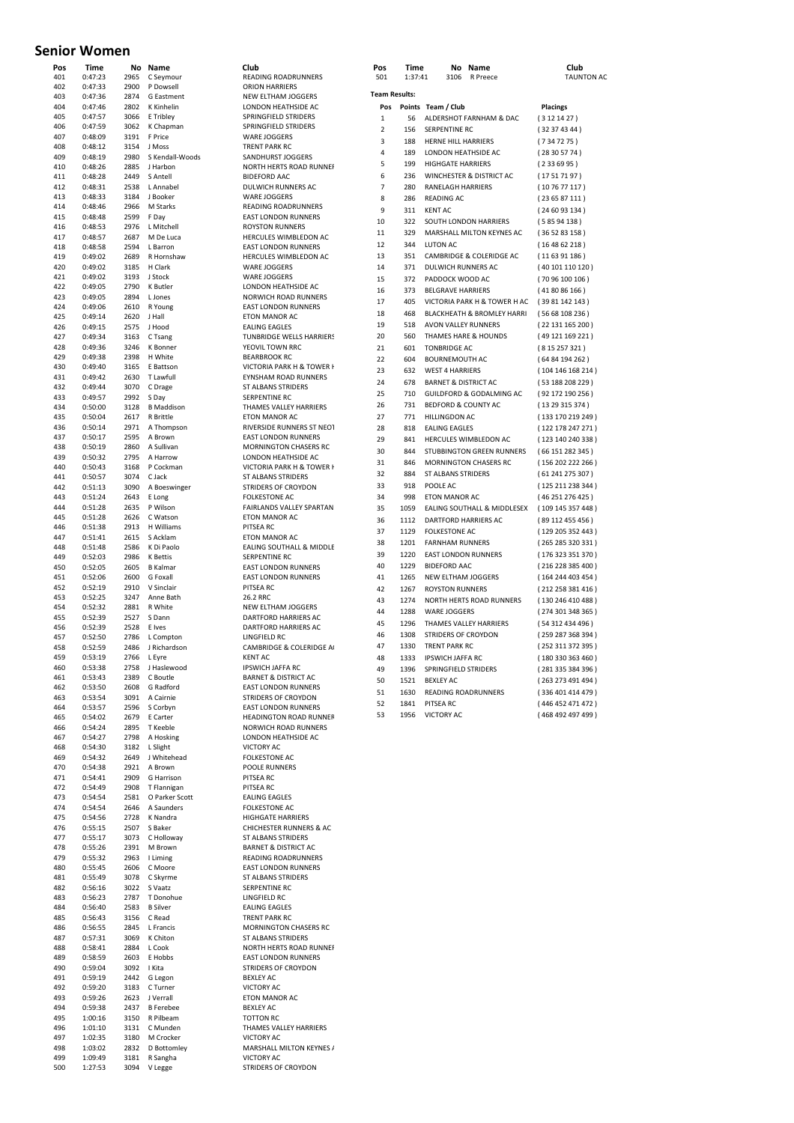# **Senior Women**

| POS<br>401 | Time<br>0:47:23    | 2965         | No Name<br>C Seymour        | Club<br>READING ROADRUNNER                              |
|------------|--------------------|--------------|-----------------------------|---------------------------------------------------------|
| 402        | 0:47:33            | 2900         | P Dowsell                   | <b>ORION HARRIERS</b>                                   |
| 403        | 0:47:36            |              | 2874 G Eastment             | NEW ELTHAM JOGGERS                                      |
| 404        | 0:47:46            | 2802         | K Kinhelin                  | LONDON HEATHSIDE AC                                     |
| 405        | 0:47:57            | 3066         | E Tribley                   | SPRINGFIELD STRIDERS                                    |
| 406        | 0:47:59            | 3062         | K Chapman                   | SPRINGFIELD STRIDERS                                    |
| 407<br>408 | 0:48:09<br>0:48:12 | 3191<br>3154 | F Price<br>J Moss           | <b>WARE JOGGERS</b><br><b>TRENT PARK RC</b>             |
| 409        | 0:48:19            | 2980         | S Kendall-Woods             | SANDHURST JOGGERS                                       |
| 410        | 0:48:26            | 2885         | J Harbon                    | NORTH HERTS ROAD RUI                                    |
| 411        | 0:48:28            |              | 2449 S Antell               | <b>BIDEFORD AAC</b>                                     |
| 412        | 0:48:31            |              | 2538 L Annabel              | DULWICH RUNNERS AC                                      |
| 413        | 0:48:33            |              | 3184 J Booker               | <b>WARE JOGGERS</b>                                     |
| 414        | 0:48:46            | 2966         | M Starks                    | READING ROADRUNNER                                      |
| 415        | 0:48:48            | 2599 F Day   |                             | <b>EAST LONDON RUNNERS</b>                              |
| 416        | 0:48:53            | 2976         | L Mitchell                  | <b>ROYSTON RUNNERS</b>                                  |
| 417<br>418 | 0:48:57<br>0:48:58 | 2687<br>2594 | M De Luca<br>L Barron       | HERCULES WIMBLEDON<br><b>EAST LONDON RUNNERS</b>        |
| 419        | 0:49:02            |              | 2689 R Hornshaw             | HERCULES WIMBLEDON                                      |
| 420        | 0:49:02            | 3185         | H Clark                     | <b>WARE JOGGERS</b>                                     |
| 421        | 0:49:02            | 3193         | J Stock                     | <b>WARE JOGGERS</b>                                     |
| 422        | 0:49:05            | 2790         | K Butler                    | LONDON HEATHSIDE AC                                     |
| 423        | 0:49:05            | 2894         | L Jones                     | NORWICH ROAD RUNNE                                      |
| 424        | 0:49:06            | 2610         | R Young                     | <b>EAST LONDON RUNNERS</b>                              |
| 425        | 0:49:14            | 2620         | J Hall                      | ETON MANOR AC                                           |
| 426        | 0:49:15            | 2575         | J Hood                      | <b>EALING EAGLES</b>                                    |
| 427<br>428 | 0:49:34<br>0:49:36 | 3163         | C Tsang<br>K Bonner         | <b>TUNBRIDGE WELLS HARR</b><br>YEOVIL TOWN RRC          |
| 429        | 0:49:38            | 3246         | 2398 H White                | <b>BEARBROOK RC</b>                                     |
| 430        | 0:49:40            | 3165         | E Battson                   | VICTORIA PARK H & TOW                                   |
| 431        | 0:49:42            | 2630         | T Lawfull                   | EYNSHAM ROAD RUNNE                                      |
| 432        | 0:49:44            | 3070         | C Drage                     | ST ALBANS STRIDERS                                      |
| 433        | 0:49:57            | 2992         | S Day                       | <b>SERPENTINE RC</b>                                    |
| 434        | 0:50:00            | 3128         | <b>B</b> Maddison           | THAMES VALLEY HARRIE                                    |
| 435        | 0:50:04            | 2617         | R Brittle                   | ETON MANOR AC                                           |
| 436        | 0:50:14            |              | 2971 A Thompson             | RIVERSIDE RUNNERS ST I                                  |
| 437        | 0:50:17            | 2595         | A Brown                     | <b>EAST LONDON RUNNERS</b>                              |
| 438        | 0:50:19            | 2860         | A Sullivan                  | <b>MORNINGTON CHASERS</b><br>LONDON HEATHSIDE AC        |
| 439<br>440 | 0:50:32<br>0:50:43 | 2795<br>3168 | A Harrow<br>P Cockman       | VICTORIA PARK H & TOW                                   |
| 441        | 0:50:57            | 3074         | C Jack                      | <b>ST ALBANS STRIDERS</b>                               |
| 442        | 0:51:13            | 3090         | A Boeswinger                | STRIDERS OF CROYDON                                     |
| 443        | 0:51:24            | 2643         | E Long                      | <b>FOLKESTONE AC</b>                                    |
| 444        | 0:51:28            | 2635         | P Wilson                    | <b>FAIRLANDS VALLEY SPAR</b>                            |
| 445        | 0:51:28            | 2626         | C Watson                    | ETON MANOR AC                                           |
| 446        | 0:51:38            | 2913         | H Williams                  | PITSEA RC                                               |
| 447        | 0:51:41            | 2615         | S Acklam                    | ETON MANOR AC                                           |
| 448        | 0:51:48            | 2586         | K Di Paolo                  | EALING SOUTHALL & MII                                   |
| 449<br>450 | 0:52:03<br>0:52:05 | 2986<br>2605 | K Bettis<br><b>B</b> Kalmar | <b>SERPENTINE RC</b><br><b>EAST LONDON RUNNERS</b>      |
| 451        | 0:52:06            | 2600         | G Foxall                    | <b>EAST LONDON RUNNERS</b>                              |
| 452        | 0:52:19            | 2910         | V Sinclair                  | PITSEA RC                                               |
| 453        | 0:52:25            | 3247         | Anne Bath                   | 26.2 RRC                                                |
| 454        | 0:52:32            | 2881         | R White                     | NEW ELTHAM JOGGERS                                      |
| 455        | 0:52:39            | 2527         | S Dann                      | DARTFORD HARRIERS AC                                    |
| 456        | 0:52:39            | 2528         | E Ives                      | DARTFORD HARRIERS AC                                    |
| 457        | 0:52:50            | 2786         | L Compton                   | <b>LINGFIELD RC</b>                                     |
| 458<br>459 | 0:52:59<br>0:53:19 | 2486<br>2766 | J Richardson<br>L Eyre      | CAMBRIDGE & COLERIDO<br><b>KENT AC</b>                  |
| 460        | 0:53:38            | 2758         | J Haslewood                 | IPSWICH JAFFA RC                                        |
| 461        | 0:53:43            | 2389         | C Boutle                    | <b>BARNET &amp; DISTRICT AC</b>                         |
| 462        | 0:53:50            | 2608         | G Radford                   | <b>EAST LONDON RUNNERS</b>                              |
| 463        | 0:53:54            |              | 3091 A Cairnie              | STRIDERS OF CROYDON                                     |
| 464        | 0:53:57            |              | 2596 S Corbyn               | <b>EAST LONDON RUNNERS</b>                              |
| 465        | 0:54:02            |              | 2679 E Carter               | <b>HEADINGTON ROAD RUN</b>                              |
| 466        | 0:54:24            | 2895         | T Keeble                    | NORWICH ROAD RUNNE                                      |
| 467        | 0:54:27            |              | 2798 A Hosking              | LONDON HEATHSIDE AC                                     |
| 468        | 0:54:30<br>0:54:32 | 3182<br>2649 | L Slight<br>J Whitehead     | <b>VICTORY AC</b><br><b>FOLKESTONE AC</b>               |
| 469<br>470 | 0:54:38            | 2921         | A Brown                     | POOLE RUNNERS                                           |
| 471        | 0:54:41            | 2909         | G Harrison                  | PITSEA RC                                               |
| 472        | 0:54:49            |              | 2908 T Flannigan            | PITSEA RC                                               |
| 473        | 0:54:54            | 2581         | O Parker Scott              | <b>EALING EAGLES</b>                                    |
| 474        | 0:54:54            | 2646         | A Saunders                  | <b>FOLKESTONE AC</b>                                    |
| 475        | 0:54:56            | 2728         | K Nandra                    | HIGHGATE HARRIERS                                       |
| 476        | 0:55:15            | 2507         | S Baker                     | <b>CHICHESTER RUNNERS &amp;</b>                         |
| 477        | 0:55:17            | 3073         | C Holloway                  | <b>ST ALBANS STRIDERS</b>                               |
| 478        | 0:55:26            | 2391         | M Brown                     | <b>BARNET &amp; DISTRICT AC</b>                         |
| 479<br>480 | 0:55:32<br>0:55:45 | 2963<br>2606 | I Liming<br>C Moore         | <b>READING ROADRUNNER</b><br><b>EAST LONDON RUNNERS</b> |
| 481        | 0:55:49            | 3078         | C Skyrme                    | ST ALBANS STRIDERS                                      |
| 482        | 0:56:16            | 3022         | S Vaatz                     | <b>SERPENTINE RC</b>                                    |
| 483        | 0:56:23            | 2787         | T Donohue                   | <b>LINGFIELD RC</b>                                     |
| 484        | 0:56:40            | 2583         | <b>B</b> Silver             | <b>EALING EAGLES</b>                                    |
| 485        | 0:56:43            | 3156         | C Read                      | <b>TRENT PARK RC</b>                                    |
| 486        | 0:56:55            | 2845         | L Francis                   | <b>MORNINGTON CHASERS</b>                               |
| 487        | 0:57:31            | 3069         | K Chiton                    | ST ALBANS STRIDERS                                      |
| 488        | 0:58:41            | 2884         | L Cook                      | NORTH HERTS ROAD RUI                                    |
| 489        | 0:58:59            | 2603         | E Hobbs<br>I Kita           | <b>EAST LONDON RUNNERS</b><br>STRIDERS OF CROYDON       |
| 490<br>491 | 0:59:04<br>0:59:19 | 3092<br>2442 | G Legon                     | <b>BEXLEY AC</b>                                        |
| 492        | 0:59:20            | 3183         | C Turner                    | <b>VICTORY AC</b>                                       |
| 493        | 0:59:26            | 2623         | J Verrall                   | ETON MANOR AC                                           |
| 494        | 0:59:38            | 2437         | <b>B</b> Ferebee            | <b>BEXLEY AC</b>                                        |
| 495        | 1:00:16            | 3150         | R Pilbeam                   | <b>TOTTON RC</b>                                        |
| 496        | 1:01:10            | 3131         | C Munden                    | THAMES VALLEY HARRIE                                    |
| 497        | 1:02:35            | 3180         | M Crocker                   | <b>VICTORY AC</b>                                       |
| 498        |                    |              | D Bottomley                 | MARSHALL MILTON KEYI                                    |
|            | 1:03:02            | 2832         |                             |                                                         |
| 499<br>500 | 1:09:49<br>1:27:53 | 3181<br>3094 | R Sangha<br>V Legge         | <b>VICTORY AC</b><br>STRIDERS OF CROYDON                |

ORION HARRIERS NEW ELTHAM JOGGERS SPRINGFIELD STRIDERS WARE JOGGERS 108866216<br>TRENT PARK RC SANDHURST JOGGERS NORTH HERTS ROAD RUNNER **BIDEFORD AAC** DULWICH RUNNERS AC WARE JOGGERS READING ROADRUNNERS EAST LONDON RUNNERS ROYSTON RUNNERS HERCULES WIMBLEDON AC EAST LONDON RUNNERS HERCULES WIMBLEDON AC WARE JOGGERS WARE JOGGERS LONDON HEATHSIDE AC NORWICH ROAD RUNNERS EAST LONDON RUNNERS ETON MANOR AC EALING EAGLES TUNBRIDGE WELLS HARRIERS YEOVIL TOWN RRC BEARBROOK RC VICTORIA PARK H & TOWER H EYNSHAM ROAD RUNNERS ST ALBANS STRIDERS SERPENTINE RC THAMES VALLEY HARRIERS **ETON MANOR ACT RIVERSIDE RUNNERS ST NEOT** EAST LONDON RUNNERS MORNINGTON CHASERS RC 439 0:50:32 2795 A Harrow LONDON HEATHSIDE AC VICTORIA PARK H & TOWER H **5T ALBANS STRIDERS** 442 0:51:13 3090 A Boeswinger STRIDERS OF CROYDON FOLKESTONE AC FAIRLANDS VALLEY SPARTAN **ETON MANOR AC** PITSEA RC **ETON MANOR AC** ETON MANON AC SERPENTINE RC 450 0:52:05 2605 B Kalmar EAST LONDON RUNNERS EAST LONDON RUNNERS PITSEA RC 454 0:52:32 2881 R White NEW ELTHAM JOGGERS DARTFORD HARRIERS AC DARTFORD HARRIERS AC 457 0:52:50 2786 L Compton LINGFIELD RC 458 0:52:59 2486 J Richardson CAMBRIDGE & COLERIDGE AC HERT AC<br>IPSWICH JAFFA RC **BARNET & DISTRICT AC EAST LONDON RUNNERS** 463 0:53:54 3091 A Cairnie STRIDERS OF CROYDON EAST LONDON RUNNERS **HEADINGTON ROAD RUNNER** 1466 DIE 1666 DE NORWICH ROAD RUNNERS LONDON HEATHSIDE AC VICTORY AC 469 0:54:32 2649 J Whitehead FOLKESTONE AC POOLE RUNNERS PITSEA RC PITSEA RC EALING EAGLES 476 0:55:15 2507 S Baker CHICHESTER RUNNERS & AC **ST ALBANS STRIDERS** BARNET & DISTRICT AC 479 0:55:32 2963 I Liming READING ROADRUNNERS 482 0:56:16 3022 S Vaatz SERPENTINE RC .<br>**IINGEIELD RC EALING EAGLES** 485 0:56:43 3156 C Read TRENT PARK RC MORNINGTON CHASERS RC ST ALBANS STRIDERS 1917 NEBRUS STRIBERS EAST LONDON RUNNERS STRIDERS OF CROYDON BEXLEY AC VICTORY AC **ETON MANOR AC** BEXLEY AC TOTTON RC THAMES VALLEY HARRIERS 1:02:00 MM<br>VICTORY AC MARSHALL MILTON KEYNES /

| Pos<br>401 | Time<br>0:47:23    | No.<br>2965  | Name<br>C Seymour      | Club<br><b>READING ROADRUNNERS</b>                            | Pos<br>501           | Time<br>1:37:41 | 3106                            | No Name<br>R Preece          | Club<br><b>TAUNTON AC</b> |
|------------|--------------------|--------------|------------------------|---------------------------------------------------------------|----------------------|-----------------|---------------------------------|------------------------------|---------------------------|
| 402        | 0:47:33            | 2900         | P Dowsell              | <b>ORION HARRIERS</b>                                         |                      |                 |                                 |                              |                           |
| 403        | 0:47:36            | 2874         | G Eastment             | NEW ELTHAM JOGGERS                                            | <b>Team Results:</b> |                 |                                 |                              |                           |
| 404        | 0:47:46            | 2802         | <b>K</b> Kinhelin      | LONDON HEATHSIDE AC                                           | Pos                  |                 | Points Team / Club              |                              | <b>Placings</b>           |
| 405        | 0:47:57            | 3066         | E Tribley              | SPRINGFIELD STRIDERS                                          | $\mathbf{1}$         | 56              |                                 | ALDERSHOT FARNHAM & DAC      | (3121427)                 |
| 406        | 0:47:59            | 3062         | K Chapman              | SPRINGFIELD STRIDERS                                          | $\mathbf 2$          | 156             | <b>SERPENTINE RC</b>            |                              | (32374344)                |
| 407        | 0:48:09            | 3191         | F Price                | <b>WARE JOGGERS</b>                                           | 3                    | 188             | HERNE HILL HARRIERS             |                              | (7347275)                 |
| 408        | 0:48:12            | 3154         | J Moss                 | <b>TRENT PARK RC</b>                                          | 4                    | 189             | LONDON HEATHSIDE AC             |                              | (28305774)                |
| 409        | 0:48:19            | 2980         | S Kendall-Woods        | SANDHURST JOGGERS                                             | 5                    | 199             | <b>HIGHGATE HARRIERS</b>        |                              | (2336995)                 |
| 410        | 0:48:26            | 2885         | J Harbon               | NORTH HERTS ROAD RUNNER                                       | 6                    | 236             |                                 | WINCHESTER & DISTRICT AC     |                           |
| 411        | 0:48:28            | 2449<br>2538 | S Antell               | <b>BIDEFORD AAC</b><br>DULWICH RUNNERS AC                     |                      |                 |                                 |                              | (17517197)                |
| 412<br>413 | 0:48:31<br>0:48:33 | 3184         | L Annabel<br>J Booker  | <b>WARE JOGGERS</b>                                           | $\overline{7}$       | 280             | RANELAGH HARRIERS               |                              | (107677117)               |
| 414        | 0:48:46            | 2966         | M Starks               | READING ROADRUNNERS                                           | 8                    | 286             | <b>READING AC</b>               |                              | (236587111)               |
| 415        | 0:48:48            | 2599         | F Day                  | <b>EAST LONDON RUNNERS</b>                                    | 9                    | 311             | <b>KENT AC</b>                  |                              | (246093134)               |
| 416        | 0:48:53            | 2976         | L Mitchell             | <b>ROYSTON RUNNERS</b>                                        | 10                   | 322             | SOUTH LONDON HARRIERS           |                              | (58594138)                |
| 417        | 0:48:57            | 2687         | M De Luca              | HERCULES WIMBLEDON AC                                         | 11                   | 329             |                                 | MARSHALL MILTON KEYNES AC    | (365283158)               |
| 418        | 0:48:58            | 2594         | L Barron               | <b>EAST LONDON RUNNERS</b>                                    | 12                   | 344             | <b>LUTON AC</b>                 |                              | (164862218)               |
| 419        | 0:49:02            | 2689         | R Hornshaw             | HERCULES WIMBLEDON AC                                         | 13                   | 351             |                                 | CAMBRIDGE & COLERIDGE AC     | (116391186)               |
| 420        | 0:49:02            | 3185         | H Clark                | <b>WARE JOGGERS</b>                                           | 14                   | 371             | <b>DULWICH RUNNERS AC</b>       |                              | (40101110120)             |
| 421        | 0:49:02            | 3193         | J Stock                | <b>WARE JOGGERS</b>                                           | 15                   | 372             | PADDOCK WOOD AC                 |                              | (70 96 100 106)           |
| 422        | 0:49:05            | 2790         | K Butler               | LONDON HEATHSIDE AC                                           | 16                   | 373             | <b>BELGRAVE HARRIERS</b>        |                              | (418086166)               |
| 423        | 0:49:05            | 2894         | L Jones                | NORWICH ROAD RUNNERS                                          | 17                   | 405             |                                 | VICTORIA PARK H & TOWER H AC | (39 81 142 143)           |
| 424        | 0:49:06            | 2610         | R Young                | <b>EAST LONDON RUNNERS</b>                                    | 18                   | 468             |                                 | BLACKHEATH & BROMLEY HARRI   | (5668108236)              |
| 425        | 0:49:14            | 2620         | J Hall                 | ETON MANOR AC                                                 | 19                   | 518             | AVON VALLEY RUNNERS             |                              |                           |
| 426        | 0:49:15            | 2575         | J Hood                 | <b>EALING EAGLES</b>                                          |                      |                 |                                 |                              | (22131165200)             |
| 427        | 0:49:34            | 3163         | C Tsang                | TUNBRIDGE WELLS HARRIERS                                      | 20                   | 560             | THAMES HARE & HOUNDS            |                              | (49 121 169 221)          |
| 428        | 0:49:36            | 3246         | K Bonner               | YEOVIL TOWN RRC                                               | 21                   | 601             | <b>TONBRIDGE AC</b>             |                              | (815257321)               |
| 429<br>430 | 0:49:38<br>0:49:40 | 2398<br>3165 | H White<br>E Battson   | <b>BEARBROOK RC</b><br>VICTORIA PARK H & TOWER I              | 22                   | 604             | <b>BOURNEMOUTH AC</b>           |                              | (6484194262)              |
| 431        | 0:49:42            | 2630         | T Lawfull              | EYNSHAM ROAD RUNNERS                                          | 23                   | 632             | <b>WEST 4 HARRIERS</b>          |                              | (104146168214)            |
| 432        | 0:49:44            | 3070         | C Drage                | <b>ST ALBANS STRIDERS</b>                                     | 24                   | 678             | <b>BARNET &amp; DISTRICT AC</b> |                              | (53 188 208 229)          |
| 433        | 0:49:57            | 2992         | S Day                  | <b>SERPENTINE RC</b>                                          | 25                   | 710             |                                 | GUILDFORD & GODALMING AC     | (92 172 190 256)          |
| 434        | 0:50:00            | 3128         | <b>B</b> Maddison      | <b>THAMES VALLEY HARRIERS</b>                                 | 26                   | 731             | BEDFORD & COUNTY AC             |                              | (13 29 315 374)           |
| 435        | 0:50:04            | 2617         | R Brittle              | <b>ETON MANOR AC</b>                                          | 27                   | 771             | <b>HILLINGDON AC</b>            |                              | (133 170 219 249)         |
| 436        | 0:50:14            | 2971         | A Thompson             | RIVERSIDE RUNNERS ST NEOT                                     | 28                   | 818             | <b>EALING EAGLES</b>            |                              | (122 178 247 271)         |
| 437        | 0:50:17            | 2595         | A Brown                | <b>EAST LONDON RUNNERS</b>                                    | 29                   | 841             | HERCULES WIMBLEDON AC           |                              | (123 140 240 338)         |
| 438        | 0:50:19            | 2860         | A Sullivan             | <b>MORNINGTON CHASERS RC</b>                                  | 30                   | 844             |                                 | STUBBINGTON GREEN RUNNERS    | (66 151 282 345)          |
| 439        | 0:50:32            | 2795         | A Harrow               | LONDON HEATHSIDE AC                                           | 31                   | 846             |                                 | <b>MORNINGTON CHASERS RC</b> | (156 202 222 266)         |
| 440        | 0:50:43            | 3168         | P Cockman              | VICTORIA PARK H & TOWER I                                     | 32                   | 884             | <b>ST ALBANS STRIDERS</b>       |                              | (61241275307)             |
| 441        | 0:50:57            | 3074         | C Jack                 | <b>ST ALBANS STRIDERS</b>                                     |                      |                 |                                 |                              |                           |
| 442        | 0:51:13            | 3090         | A Boeswinger           | STRIDERS OF CROYDON                                           | 33                   | 918             | POOLE AC                        |                              | (125 211 238 344)         |
| 443        | 0:51:24            | 2643         | E Long                 | <b>FOLKESTONE AC</b>                                          | 34                   | 998             | <b>ETON MANOR AC</b>            |                              | (46251276425)             |
| 444        | 0:51:28            | 2635         | P Wilson               | FAIRLANDS VALLEY SPARTAN<br>ETON MANOR AC                     | 35                   | 1059            |                                 | EALING SOUTHALL & MIDDLESEX  | (109 145 357 448)         |
| 445<br>446 | 0:51:28<br>0:51:38 | 2626<br>2913 | C Watson<br>H Williams | PITSEA RC                                                     | 36                   | 1112            | DARTFORD HARRIERS AC            |                              | (89 112 455 456)          |
| 447        | 0:51:41            | 2615         | S Acklam               | ETON MANOR AC                                                 | 37                   | 1129            | <b>FOLKESTONE AC</b>            |                              | (129 205 352 443)         |
| 448        | 0:51:48            | 2586         | K Di Paolo             | <b>EALING SOUTHALL &amp; MIDDLE</b>                           | 38                   | 1201            | <b>FARNHAM RUNNERS</b>          |                              | (265 285 320 331)         |
| 449        | 0:52:03            | 2986         | <b>K</b> Bettis        | <b>SERPENTINE RC</b>                                          | 39                   | 1220            | <b>EAST LONDON RUNNERS</b>      |                              | (176 323 351 370)         |
| 450        | 0:52:05            | 2605         | <b>B</b> Kalmar        | <b>EAST LONDON RUNNERS</b>                                    | 40                   | 1229            | <b>BIDEFORD AAC</b>             |                              | (216 228 385 400)         |
| 451        | 0:52:06            | 2600         | <b>G</b> Foxall        | <b>EAST LONDON RUNNERS</b>                                    | 41                   | 1265            | NEW ELTHAM JOGGERS              |                              | (164 244 403 454)         |
| 452        | 0:52:19            | 2910         | V Sinclair             | PITSEA RC                                                     | 42                   | 1267            | <b>ROYSTON RUNNERS</b>          |                              | (212 258 381 416)         |
| 453        | 0:52:25            | 3247         | Anne Bath              | 26.2 RRC                                                      | 43                   | 1274            |                                 | NORTH HERTS ROAD RUNNERS     | (130 246 410 488)         |
| 454        | 0:52:32            | 2881         | R White                | NEW ELTHAM JOGGERS                                            | 44                   | 1288            | <b>WARE JOGGERS</b>             |                              | (274 301 348 365)         |
| 455        | 0:52:39            | 2527         | S Dann                 | <b>DARTFORD HARRIERS AC</b>                                   | 45                   | 1296            | THAMES VALLEY HARRIERS          |                              | (54 312 434 496)          |
| 456        | 0:52:39            | 2528         | E Ives                 | DARTFORD HARRIERS AC                                          | 46                   | 1308            | STRIDERS OF CROYDON             |                              |                           |
| 457        | 0:52:50            | 2786         | L Compton              | LINGFIELD RC                                                  |                      |                 |                                 |                              | (259 287 368 394)         |
| 458        | 0:52:59            | 2486         | J Richardson           | CAMBRIDGE & COLERIDGE A                                       | 47                   | 1330            | <b>TRENT PARK RC</b>            |                              | (252 311 372 395)         |
| 459        | 0:53:19            | 2766         | L Eyre                 | <b>KENT AC</b>                                                | 48                   | 1333            | <b>IPSWICH JAFFA RC</b>         |                              | (180 330 363 460)         |
| 460        | 0:53:38            | 2758         | J Haslewood            | <b>IPSWICH JAFFA RC</b>                                       | 49                   | 1396            | SPRINGFIELD STRIDERS            |                              | (281 335 384 396)         |
| 461<br>462 | 0:53:43<br>0:53:50 | 2389<br>2608 | C Boutle<br>G Radford  | <b>BARNET &amp; DISTRICT AC</b><br><b>EAST LONDON RUNNERS</b> | 50                   | 1521            | <b>BEXLEY AC</b>                |                              | (263 273 491 494)         |
| 463        | 0:53:54            | 3091         | A Cairnie              | STRIDERS OF CROYDON                                           | 51                   | 1630            | READING ROADRUNNERS             |                              | (336 401 414 479)         |
| 464        | 0:53:57            | 2596         | S Corbyn               | <b>EAST LONDON RUNNERS</b>                                    | 52                   | 1841            | PITSEA RC                       |                              | (446 452 471 472)         |
| 465        | 0.54.02            | 2679         | F Carter               | <b>HEADINGTON ROAD RUNNEE</b>                                 | 53                   | 1956            | <b>VICTORY AC</b>               |                              | (468 492 497 499)         |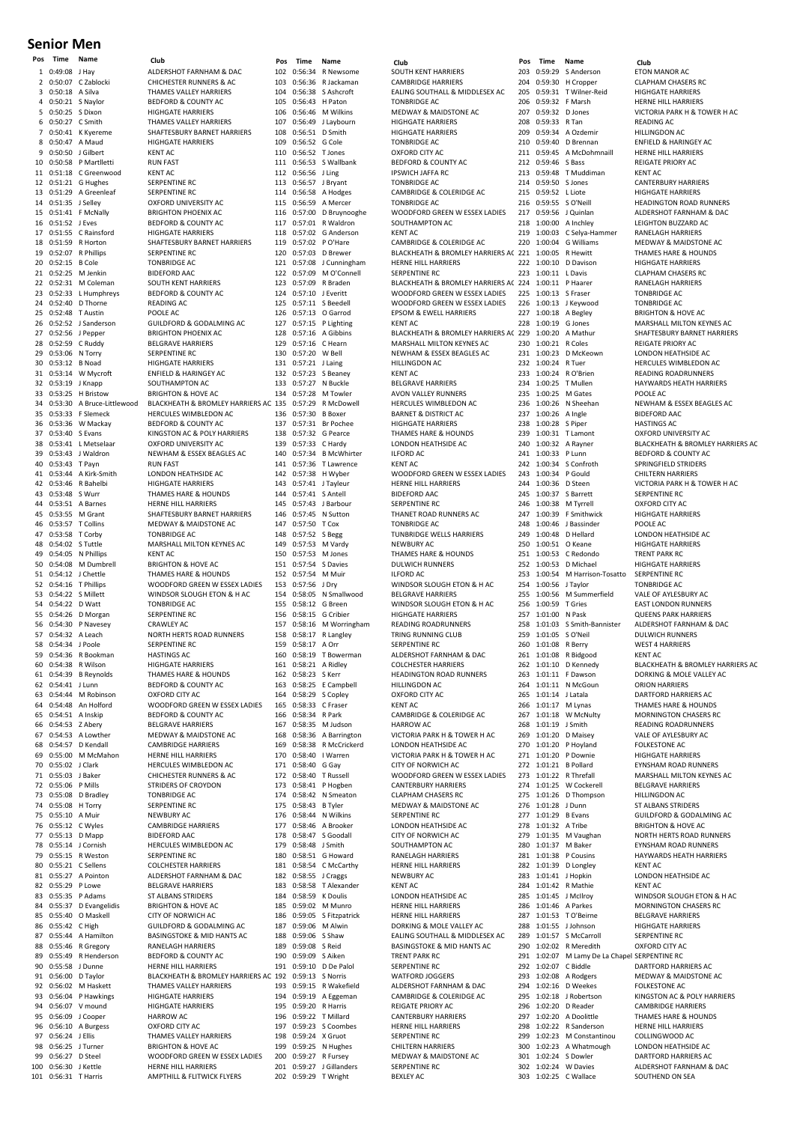#### **Senior Men**

| $\mathbf{1}$<br>$\mathbf{2}$<br>3<br>4<br>5<br>6<br>7 | 0:49:08                                | Name                                            | Club                                                            |
|-------------------------------------------------------|----------------------------------------|-------------------------------------------------|-----------------------------------------------------------------|
|                                                       |                                        | J Hay                                           | ALDERSHOT FARNHAM & DAC                                         |
|                                                       |                                        | 0:50:07 C Zablocki                              | CHICHESTER RUNNERS & AC                                         |
|                                                       | 0:50:18                                | A Silva                                         | THAMES VALLEY HARRIERS                                          |
|                                                       |                                        | 0:50:21 S Naylor                                | <b>BEDFORD &amp; COUNTY AC</b>                                  |
|                                                       |                                        | 0:50:25 S Dixon                                 | <b>HIGHGATE HARRIERS</b>                                        |
|                                                       |                                        | 0:50:27 C Smith<br>0:50:41 K Kyereme            | THAMES VALLEY HARRIERS<br>SHAFTESBURY BARNET HARRIERS           |
| 8                                                     |                                        | 0:50:47 A Maud                                  | <b>HIGHGATE HARRIERS</b>                                        |
| 9                                                     |                                        | 0:50:50 J Gilbert                               | <b>KENT AC</b>                                                  |
| 10                                                    |                                        | 0:50:58 P Martlletti                            | <b>RUN FAST</b>                                                 |
| 11                                                    |                                        | 0:51:18 C Greenwood                             | <b>KENT AC</b>                                                  |
| 12                                                    |                                        | 0:51:21 G Hughes                                | <b>SERPENTINE RC</b>                                            |
| 13                                                    |                                        | 0:51:29 A Greenleaf                             | <b>SERPENTINE RC</b>                                            |
| 14                                                    | 0:51:35                                | J Selley                                        | OXFORD UNIVERSITY AC                                            |
| 15                                                    |                                        | 0:51:41 F McNally                               | <b>BRIGHTON PHOENIX AC</b>                                      |
| 16<br>17                                              | 0:51:52 J Eves                         | 0:51:55 C Rainsford                             | <b>BEDFORD &amp; COUNTY AC</b><br><b>HIGHGATE HARRIERS</b>      |
| 18                                                    |                                        | 0:51:59 R Horton                                | SHAFTESBURY BARNET HARRIERS                                     |
| 19                                                    |                                        | 0:52:07 R Phillips                              | <b>SERPENTINE RC</b>                                            |
| 20                                                    | 0:52:15 B Cole                         |                                                 | <b>TONBRIDGE AC</b>                                             |
| 21                                                    |                                        | 0:52:25 M Jenkin                                | <b>BIDEFORD AAC</b>                                             |
| 22                                                    |                                        | 0:52:31 M Coleman                               | <b>SOUTH KENT HARRIERS</b>                                      |
| 23                                                    |                                        | 0:52:33 L Humphreys                             | <b>BEDFORD &amp; COUNTY AC</b>                                  |
| 24                                                    |                                        | 0:52:40 D Thorne                                | <b>READING AC</b>                                               |
| 25<br>26                                              | 0:52:52                                | 0:52:48 T Austin<br>J Sanderson                 | POOLE AC<br><b>GUILDFORD &amp; GODALMING AC</b>                 |
| 27                                                    |                                        | 0:52:56 J Pepper                                | <b>BRIGHTON PHOENIX AC</b>                                      |
| 28                                                    |                                        | 0:52:59 C Ruddy                                 | <b>BELGRAVE HARRIERS</b>                                        |
| 29                                                    |                                        | 0:53:06 N Torry                                 | <b>SERPENTINE RC</b>                                            |
| 30                                                    | 0:53:12 B Noad                         |                                                 | <b>HIGHGATE HARRIERS</b>                                        |
| 31                                                    |                                        | 0:53:14 W Mycroft                               | <b>ENFIELD &amp; HARINGEY AC</b>                                |
| 32                                                    |                                        | 0:53:19 J Knapp                                 | SOUTHAMPTON AC                                                  |
| 33                                                    |                                        | 0:53:25 H Bristow                               | <b>BRIGHTON &amp; HOVE AC</b>                                   |
| 34<br>35                                              |                                        | 0:53:30 A Bruce-Littlewood<br>0:53:33 F Slemeck | <b>BLACKHEATH &amp; BROMLEY HARRII</b><br>HERCULES WIMBLEDON AC |
| 36                                                    |                                        | 0:53:36 W Mackay                                | <b>BEDFORD &amp; COUNTY AC</b>                                  |
| 37                                                    | 0:53:40 S Evans                        |                                                 | KINGSTON AC & POLY HARRIERS                                     |
| 38                                                    |                                        | 0:53:41 L Metselaar                             | OXFORD UNIVERSITY AC                                            |
|                                                       |                                        | 39 0:53:43 J Waldron                            | NEWHAM & ESSEX BEAGLES AC                                       |
|                                                       | 40 0:53:43 T Payn                      |                                                 | <b>RUN FAST</b>                                                 |
| 41                                                    |                                        | 0:53:44 A Kirk-Smith                            | LONDON HEATHSIDE AC                                             |
| 42                                                    |                                        | 0:53:46 R Bahelbi                               | <b>HIGHGATE HARRIERS</b>                                        |
| 43                                                    | 0:53:48 S Wurr                         | 44 0:53:51 A Barnes                             | THAMES HARE & HOUNDS<br>HERNE HILL HARRIERS                     |
| 45                                                    |                                        | 0:53:55 M Grant                                 | SHAFTESBURY BARNET HARRIERS                                     |
| 46                                                    | 0:53:57                                | <b>T</b> Collins                                | MEDWAY & MAIDSTONE AC                                           |
| 47                                                    | 0:53:58                                | T Corby                                         | <b>TONBRIDGE AC</b>                                             |
|                                                       | 48 0:54:02 S Tuttle                    |                                                 | MARSHALL MILTON KEYNES AC                                       |
| 49                                                    |                                        | 0:54:05 N Phillips                              | <b>KENT AC</b>                                                  |
| 50                                                    |                                        | 0:54:08 M Dumbrell                              | <b>BRIGHTON &amp; HOVE AC</b>                                   |
| 51                                                    |                                        | 0:54:12 J Chettle                               | THAMES HARE & HOUNDS                                            |
| 53                                                    | 0:54:22                                | 52 0:54:16 T Phillips<br>S Millett              | WOODFORD GREEN W ESSEX LAD<br>WINDSOR SLOUGH ETON & H AC        |
| 54                                                    | 0:54:22 D Watt                         |                                                 | <b>TONBRIDGE AC</b>                                             |
| 55                                                    |                                        | 0:54:26 D Morgan                                | SERPENTINE RC                                                   |
|                                                       |                                        | 56 0:54:30 P Navesey                            | <b>CRAWLEY AC</b>                                               |
| 57                                                    |                                        | 0:54:32 A Leach                                 | NORTH HERTS ROAD RUNNERS                                        |
| 58                                                    | 0:54:34 J Poole                        |                                                 | <b>SERPENTINE RC</b>                                            |
| 59                                                    |                                        | 0:54:36 R Bookman                               | <b>HASTINGS AC</b>                                              |
|                                                       |                                        | 60 0:54:38 R Wilson                             | <b>HIGHGATE HARRIERS</b>                                        |
| 61                                                    |                                        | 0:54:39 B Reynolds                              | THAMES HARE & HOUNDS                                            |
|                                                       | 62 0:54:41 J Lunn                      |                                                 |                                                                 |
|                                                       |                                        |                                                 | <b>BEDFORD &amp; COUNTY AC</b>                                  |
|                                                       | 63 0:54:44 M Robinson                  |                                                 | <b>OXFORD CITY AC</b>                                           |
| 65                                                    |                                        | 64 0:54:48 An Holford                           | WOODFORD GREEN W ESSEX LAD<br><b>BEDFORD &amp; COUNTY AC</b>    |
|                                                       | 66 0:54:53 Z Abery                     | 0:54:51 A Inskip                                | <b>BELGRAVE HARRIERS</b>                                        |
| 67                                                    |                                        | 0:54:53 A Lowther                               | <b>MEDWAY &amp; MAIDSTONE AC</b>                                |
|                                                       |                                        | 68 0:54:57 D Kendall                            | <b>CAMBRIDGE HARRIERS</b>                                       |
| 69                                                    |                                        | 0:55:00 M McMahon                               | HERNE HILL HARRIERS                                             |
|                                                       | 70 0:55:02 J Clark                     |                                                 | HERCULES WIMBLEDON AC                                           |
|                                                       | 71 0:55:03 J Baker                     |                                                 | <b>CHICHESTER RUNNERS &amp; AC</b>                              |
| 73                                                    | 72 0:55:06 P Mills                     | $0:55:08$ D Bradley                             | STRIDERS OF CROYDON<br><b>TONBRIDGE AC</b>                      |
|                                                       | 74 0:55:08 H Torry                     |                                                 | <b>SERPENTINE RC</b>                                            |
|                                                       | 75 0:55:10 A Muir                      |                                                 | <b>NEWBURY AC</b>                                               |
|                                                       |                                        | 76 0:55:12 C Wyles                              | <b>CAMBRIDGE HARRIERS</b>                                       |
| 77                                                    |                                        | 0:55:13 D Mapp                                  | <b>BIDEFORD AAC</b>                                             |
|                                                       |                                        | 78 0:55:14 J Cornish                            | HERCULES WIMBLEDON AC                                           |
|                                                       |                                        | 79 0:55:15 R Weston                             | <b>SERPENTINE RC</b>                                            |
|                                                       |                                        | 80 0:55:21 C Sellens                            | <b>COLCHESTER HARRIERS</b>                                      |
|                                                       | 82 0:55:29 P Lowe                      | 81 0:55:27 A Pointon                            | ALDERSHOT FARNHAM & DAC<br><b>BELGRAVE HARRIERS</b>             |
|                                                       |                                        | 83 0:55:35 P Adams                              | <b>ST ALBANS STRIDERS</b>                                       |
|                                                       |                                        | 84 0:55:37 D Evangelidis                        | <b>BRIGHTON &amp; HOVE AC</b>                                   |
| 85                                                    |                                        | 0:55:40 O Maskell                               | CITY OF NORWICH AC                                              |
|                                                       | 86 0:55:42 C High                      |                                                 | GUILDFORD & GODALMING AC                                        |
|                                                       |                                        | 87 0:55:44 A Hamilton                           | BASINGSTOKE & MID HANTS AC                                      |
| 88                                                    |                                        | 0:55:46 R Gregory                               | <b>RANELAGH HARRIERS</b>                                        |
| 89                                                    |                                        | 0:55:49 R Henderson                             | <b>BEDFORD &amp; COUNTY AC</b>                                  |
|                                                       | 90 0:55:58 J Dunne                     | 91 0:56:00 D Taylor                             | HERNE HILL HARRIERS<br><b>BLACKHEATH &amp; BROMLEY HARRII</b>   |
| 92                                                    |                                        | 0:56:02 M Haskett                               | THAMES VALLEY HARRIERS                                          |
|                                                       |                                        | 93 0:56:04 P Hawkings                           | <b>HIGHGATE HARRIERS</b>                                        |
|                                                       |                                        | 94 0:56:07 V mound                              | <b>HIGHGATE HARRIERS</b>                                        |
|                                                       |                                        | 95 0:56:09 J Cooper                             | <b>HARROW AC</b>                                                |
| 96                                                    |                                        | 0:56:10 A Burgess                               | <b>OXFORD CITY AC</b>                                           |
| 97                                                    | 0:56:24 J Ellis                        |                                                 | THAMES VALLEY HARRIERS                                          |
|                                                       | 98 0:56:25 J Turner                    |                                                 | <b>BRIGHTON &amp; HOVE AC</b>                                   |
| 100                                                   | 99 0:56:27 D Steel<br>0:56:30 J Kettle |                                                 | WOODFORD GREEN W ESSEX LAD<br>HERNE HILL HARRIERS               |

| Pos | Time                 | Name                          | Club                                                  | Pos | Time                 | Name                     | Club                                                  | Pos | Time                  | Name                                 | Club              |
|-----|----------------------|-------------------------------|-------------------------------------------------------|-----|----------------------|--------------------------|-------------------------------------------------------|-----|-----------------------|--------------------------------------|-------------------|
|     | 1 0:49:08 J Hay      |                               | ALDERSHOT FARNHAM & DAC                               |     |                      | 102 0:56:34 R Newsome    | SOUTH KENT HARRIERS                                   | 203 |                       | 0:59:29 S Anderson                   | <b>ETON</b>       |
|     |                      | 2 0:50:07 C Zablocki          | CHICHESTER RUNNERS & AC                               | 103 |                      | 0:56:36 R Jackaman       | <b>CAMBRIDGE HARRIERS</b>                             | 204 |                       | 0:59:30 H Cropper                    | <b>CLAP</b>       |
|     |                      |                               |                                                       |     |                      |                          |                                                       |     |                       |                                      |                   |
|     | 3 0:50:18 A Silva    |                               | THAMES VALLEY HARRIERS                                | 104 |                      | 0:56:38 S Ashcroft       | EALING SOUTHALL & MIDDLESEX AC                        | 205 |                       | 0:59:31 T Wilner-Reid                | HIGH              |
|     | 4 0:50:21 S Naylor   |                               | <b>BEDFORD &amp; COUNTY AC</b>                        | 105 |                      | 0:56:43 H Paton          | <b>TONBRIDGE AC</b>                                   | 206 |                       | 0:59:32 F Marsh                      | <b>HERM</b>       |
|     | 5 0:50:25 S Dixon    |                               | <b>HIGHGATE HARRIERS</b>                              | 106 |                      | 0:56:46 M Wilkins        | MEDWAY & MAIDSTONE AC                                 |     | 207 0:59:32 D Jones   |                                      | <b>VICT</b>       |
|     | 6 0:50:27 C Smith    |                               | THAMES VALLEY HARRIERS                                | 107 |                      | 0:56:49 J Laybourn       | <b>HIGHGATE HARRIERS</b>                              | 208 | 0:59:33 R Tan         |                                      | READ              |
|     |                      | 7 0:50:41 K Kyereme           | SHAFTESBURY BARNET HARRIERS                           | 108 | 0:56:51 D Smith      |                          | <b>HIGHGATE HARRIERS</b>                              | 209 |                       | 0:59:34 A Ozdemir                    | HILLI             |
|     | 8 0:50:47 A Maud     |                               | <b>HIGHGATE HARRIERS</b>                              | 109 | 0:56:52 G Cole       |                          | <b>TONBRIDGE AC</b>                                   | 210 |                       | 0:59:40 D Brennan                    | ENFI              |
|     | 9 0:50:50 J Gilbert  |                               | <b>KENT AC</b>                                        | 110 | 0:56:52 T Jones      |                          | OXFORD CITY AC                                        |     |                       | 211 0:59:45 A McDohmnaill            | <b>HERM</b>       |
|     |                      | 10 0:50:58 P Martlletti       | <b>RUN FAST</b>                                       | 111 |                      | 0:56:53 S Wallbank       | BEDFORD & COUNTY AC                                   |     | 212 0:59:46 S Bass    |                                      | REIG.             |
|     |                      | 11 0:51:18 C Greenwood        | <b>KENT AC</b>                                        |     | 112 0:56:56 J Ling   |                          |                                                       |     |                       | 213 0:59:48 T Muddiman               | <b>KENT</b>       |
|     |                      |                               |                                                       |     |                      |                          | <b>IPSWICH JAFFA RC</b>                               |     |                       |                                      |                   |
|     |                      | 12 0:51:21 G Hughes           | SERPENTINE RC                                         | 113 |                      | 0:56:57 J Bryant         | <b>TONBRIDGE AC</b>                                   | 214 | 0:59:50 S Jones       |                                      | CAN <sub>T</sub>  |
|     |                      | 13 0:51:29 A Greenleaf        | <b>SERPENTINE RC</b>                                  |     |                      | 114 0:56:58 A Hodges     | CAMBRIDGE & COLERIDGE AC                              |     | 215 0:59:52 L Liote   |                                      | HIGH              |
|     | 14 0:51:35 J Selley  |                               | OXFORD UNIVERSITY AC                                  | 115 |                      | 0:56:59 A Mercer         | <b>TONBRIDGE AC</b>                                   | 216 |                       | 0:59:55 S O'Neill                    | HEAD              |
|     |                      | 15 0:51:41 F McNally          | <b>BRIGHTON PHOENIX AC</b>                            | 116 |                      | 0:57:00 D Bruynooghe     | WOODFORD GREEN W ESSEX LADIES                         | 217 |                       | 0:59:56 J Quinlan                    | <b>ALDE</b>       |
|     | 16 0:51:52 J Eves    |                               | <b>BEDFORD &amp; COUNTY AC</b>                        | 117 |                      | 0:57:01 R Waldron        | SOUTHAMPTON AC                                        | 218 |                       | 1:00:00 A Inchley                    | LEIGI             |
|     |                      | 17 0:51:55 C Rainsford        | <b>HIGHGATE HARRIERS</b>                              | 118 |                      | 0:57:02 G Anderson       | <b>KENT AC</b>                                        | 219 |                       | 1:00:03 C Selya-Hammer               | RANI              |
|     |                      |                               |                                                       |     |                      |                          | CAMBRIDGE & COLERIDGE AC                              |     |                       |                                      |                   |
|     |                      | 18 0:51:59 R Horton           | SHAFTESBURY BARNET HARRIERS                           | 119 |                      | 0:57:02 P O'Hare         |                                                       |     |                       | 220 1:00:04 G Williams               | MED               |
| 19  |                      | 0:52:07 R Phillips            | <b>SERPENTINE RC</b>                                  | 120 |                      | 0:57:03 D Brewer         | BLACKHEATH & BROMLEY HARRIERS AC 221 1:00:05 R Hewitt |     |                       |                                      | <b>THAM</b>       |
|     | 20 0:52:15 B Cole    |                               | <b>TONBRIDGE AC</b>                                   |     |                      | 121 0:57:08 J Cunningham | HERNE HILL HARRIERS                                   |     |                       | 222 1:00:10 D Davison                | HIGH              |
|     |                      | 21 0:52:25 M Jenkin           | <b>BIDEFORD AAC</b>                                   |     |                      | 122 0:57:09 M O'Connell  | SERPENTINE RC                                         |     | 223 1:00:11 L Davis   |                                      | <b>CLAP</b>       |
|     |                      | 22 0:52:31 M Coleman          | <b>SOUTH KENT HARRIERS</b>                            | 123 |                      | 0:57:09 R Braden         | BLACKHEATH & BROMLEY HARRIERS AC 224 1:00:11 P Haarer |     |                       |                                      | RANI              |
|     |                      | 23 0:52:33 L Humphreys        | <b>BEDFORD &amp; COUNTY AC</b>                        | 124 | 0:57:10 J Everitt    |                          | WOODFORD GREEN W ESSEX LADIES                         |     | 225 1:00:13 S Fraser  |                                      | <b>TONI</b>       |
|     |                      | 24 0:52:40 D Thorne           | <b>READING AC</b>                                     | 125 |                      | 0:57:11 S Beedell        | WOODFORD GREEN W ESSEX LADIES                         |     |                       | 226 1:00:13 J Keywood                | <b>TONI</b>       |
|     | 25 0:52:48 T Austin  |                               | POOLE AC                                              |     |                      | 126 0:57:13 O Garrod     | <b>EPSOM &amp; EWELL HARRIERS</b>                     |     |                       | 227 1:00:18 A Begley                 | <b>BRIG</b>       |
|     |                      |                               |                                                       |     |                      |                          |                                                       |     |                       |                                      |                   |
|     |                      | 26 0:52:52 J Sanderson        | GUILDFORD & GODALMING AC                              | 127 |                      | $0:57:15$ P Lighting     | <b>KENT AC</b>                                        |     | 228 1:00:19 G Jones   |                                      | MAR               |
|     |                      | 27 0:52:56 J Pepper           | <b>BRIGHTON PHOENIX AC</b>                            | 128 |                      | 0:57:16 A Gibbins        | BLACKHEATH & BROMLEY HARRIERS AC 229                  |     |                       | 1:00:20 A Mathur                     | <b>SHAF</b>       |
|     | 28 0:52:59 C Ruddy   |                               | <b>BELGRAVE HARRIERS</b>                              | 129 | 0:57:16 C Hearn      |                          | MARSHALL MILTON KEYNES AC                             |     | 230 1:00:21 R Coles   |                                      | REIG.             |
|     | 29 0:53:06 N Torry   |                               | <b>SERPENTINE RC</b>                                  |     | 130 0:57:20 W Bell   |                          | NEWHAM & ESSEX BEAGLES AC                             |     |                       | 231 1:00:23 D McKeown                | <b>LOND</b>       |
|     | 30 0:53:12 B Noad    |                               | <b>HIGHGATE HARRIERS</b>                              |     | 131 0:57:21 J Laing  |                          | <b>HILLINGDON AC</b>                                  |     | 232 1:00:24 R Tuer    |                                      | <b>HERC</b>       |
|     |                      | 31 0:53:14 W Mycroft          | <b>ENFIELD &amp; HARINGEY AC</b>                      |     |                      | 132 0:57:23 S Beaney     | <b>KENT AC</b>                                        |     |                       | 233 1:00:24 R O'Brien                | READ              |
|     | 32 0:53:19 J Knapp   |                               | SOUTHAMPTON AC                                        | 133 |                      | 0:57:27 N Buckle         | <b>BELGRAVE HARRIERS</b>                              |     |                       | 234 1:00:25 T Mullen                 | <b>HAY\</b>       |
|     |                      |                               |                                                       |     |                      |                          |                                                       |     |                       | 235 1:00:25 M Gates                  | POOI              |
|     |                      | 33 0:53:25 H Bristow          | <b>BRIGHTON &amp; HOVE AC</b>                         |     |                      | 134 0:57:28 M Towler     | AVON VALLEY RUNNERS                                   |     |                       |                                      |                   |
|     |                      | 34 0:53:30 A Bruce-Littlewood | BLACKHEATH & BROMLEY HARRIERS AC 135                  |     |                      | 0:57:29 R McDowell       | HERCULES WIMBLEDON AC                                 |     |                       | 236 1:00:26 N Sheehan                | <b>NEW</b>        |
|     |                      | 35 0:53:33 F Slemeck          | HERCULES WIMBLEDON AC                                 | 136 | 0:57:30 B Boxer      |                          | <b>BARNET &amp; DISTRICT AC</b>                       |     | 237 1:00:26           | A Ingle                              | <b>BIDE</b>       |
|     |                      | 36 0:53:36 W Mackay           | <b>BEDFORD &amp; COUNTY AC</b>                        |     |                      | 137 0:57:31 Br Pochee    | <b>HIGHGATE HARRIERS</b>                              |     | 238 1:00:28 S Piper   |                                      | <b>HAST</b>       |
|     | 37 0:53:40 S Evans   |                               | KINGSTON AC & POLY HARRIERS                           |     |                      | 138 0:57:32 G Pearce     | THAMES HARE & HOUNDS                                  | 239 |                       | 1:00:31 T Lamont                     | OXFO              |
|     |                      | 38 0:53:41 L Metselaar        | OXFORD UNIVERSITY AC                                  | 139 | 0:57:33 C Hardy      |                          | LONDON HEATHSIDE AC                                   |     |                       | 240 1:00:32 A Rayner                 | <b>BLAC</b>       |
|     |                      | 39 0:53:43 J Waldron          | NEWHAM & ESSEX BEAGLES AC                             | 140 |                      | 0:57:34 B McWhirter      | <b>ILFORD AC</b>                                      |     | 241 1:00:33 P Lunn    |                                      | <b>BEDF</b>       |
|     |                      |                               |                                                       |     |                      |                          |                                                       |     |                       |                                      |                   |
|     | 40 0:53:43 T Payn    |                               | <b>RUN FAST</b>                                       |     |                      | 141 0:57:36 T Lawrence   | <b>KENT AC</b>                                        |     |                       | 242 1:00:34 S Confroth               | SPRII             |
|     |                      | 41 0:53:44 A Kirk-Smith       | LONDON HEATHSIDE AC                                   |     |                      | 142 0:57:38 H Wyber      | WOODFORD GREEN W ESSEX LADIES                         | 243 | 1:00:34 P Gould       |                                      | CHIL <sup>®</sup> |
|     |                      | 42 0:53:46 R Bahelbi          | <b>HIGHGATE HARRIERS</b>                              | 143 |                      | 0:57:41 J Tayleur        | HERNE HILL HARRIERS                                   |     | 244 1:00:36 D Steen   |                                      | <b>VICT</b>       |
|     | 43 0:53:48 S Wurr    |                               | THAMES HARE & HOUNDS                                  | 144 | 0:57:41 S Antell     |                          | <b>BIDEFORD AAC</b>                                   |     |                       | 245 1:00:37 S Barrett                | <b>SERP</b>       |
|     |                      | 44 0:53:51 A Barnes           | HERNE HILL HARRIERS                                   | 145 |                      | 0:57:43 J Barbour        | SERPENTINE RC                                         | 246 |                       | 1:00:38 M Tyrrell                    | <b>OXFC</b>       |
| 45  |                      | 0:53:55 M Grant               | SHAFTESBURY BARNET HARRIERS                           |     |                      | 146 0:57:45 N Sutton     | THANET ROAD RUNNERS AC                                | 247 |                       | 1:00:39 F Smithwick                  | HIGH              |
| 46  | 0:53:57 T Collins    |                               | MEDWAY & MAIDSTONE AC                                 | 147 | 0:57:50 T Cox        |                          | <b>TONBRIDGE AC</b>                                   | 248 |                       | 1:00:46 J Bassinder                  | POOI              |
|     | 47 0:53:58 T Corby   |                               | <b>TONBRIDGE AC</b>                                   | 148 | 0:57:52 S Begg       |                          | TUNBRIDGE WELLS HARRIERS                              | 249 |                       | 1:00:48 D Hellard                    | <b>LOND</b>       |
|     |                      |                               |                                                       |     |                      |                          |                                                       |     |                       |                                      | HIGH              |
| 48  | 0:54:02 S Tuttle     |                               | MARSHALL MILTON KEYNES AC                             | 149 | 0:57:53 M Vardy      |                          | <b>NEWBURY AC</b>                                     | 250 |                       | 1:00:51 O Keane                      |                   |
|     |                      | 49 0:54:05 N Phillips         | <b>KENT AC</b>                                        | 150 |                      | 0:57:53 M Jones          | THAMES HARE & HOUNDS                                  |     |                       | 251 1:00:53 C Redondo                | TREN              |
|     |                      | 50 0:54:08 M Dumbrell         | <b>BRIGHTON &amp; HOVE AC</b>                         |     | 151 0:57:54 S Davies |                          | <b>DULWICH RUNNERS</b>                                |     |                       | 252 1:00:53 D Michael                | HIGH              |
|     |                      | 51 0:54:12 J Chettle          | THAMES HARE & HOUNDS                                  |     | 152 0:57:54 M Muir   |                          | <b>ILFORD AC</b>                                      | 253 |                       | 1:00:54 M Harrison-Tosatto           | <b>SERP</b>       |
|     |                      | 52 0:54:16 T Phillips         | WOODFORD GREEN W ESSEX LADIES                         |     | 153 0:57:56 J Dry    |                          | WINDSOR SLOUGH ETON & H AC                            | 254 | 1:00:56 J Taylor      |                                      | <b>TONI</b>       |
|     |                      | 53 0:54:22 S Millett          | WINDSOR SLOUGH ETON & H AC                            |     |                      | 154 0:58:05 N Smallwood  | <b>BELGRAVE HARRIERS</b>                              | 255 |                       | 1:00:56 M Summerfield                | VALE              |
|     | 54 0:54:22 D Watt    |                               | <b>TONBRIDGE AC</b>                                   | 155 | 0:58:12 G Breen      |                          | WINDSOR SLOUGH ETON & H AC                            |     | 256 1:00:59 T Gries   |                                      | EAST              |
|     |                      | 55 0:54:26 D Morgan           | SERPENTINE RC                                         | 156 |                      | 0:58:15 G Cribier        | <b>HIGHGATE HARRIERS</b>                              |     | 257 1:01:00 N Pask    |                                      | QUEI              |
|     |                      |                               |                                                       |     |                      |                          |                                                       |     |                       |                                      |                   |
|     |                      | 56 0:54:30 P Navesey          | CRAWLEY AC                                            | 157 |                      | 0:58:16 M Worringham     | READING ROADRUNNERS                                   | 258 |                       | 1:01:03 S Smith-Bannister            | <b>ALDE</b>       |
|     | 57 0:54:32 A Leach   |                               | NORTH HERTS ROAD RUNNERS                              | 158 |                      | 0:58:17 R Langley        | TRING RUNNING CLUB                                    |     | 259 1:01:05 SO'Neil   |                                      | <b>DUL\</b>       |
|     | 58 0:54:34 J Poole   |                               | <b>SERPENTINE RC</b>                                  | 159 | 0:58:17 A Orr        |                          | SERPENTINE RC                                         |     | 260 1:01:08 R Berry   |                                      | WES <sup>-</sup>  |
| 59  |                      | 0:54:36 R Bookman             | <b>HASTINGS AC</b>                                    | 160 |                      | 0:58:19 T Bowerman       | ALDERSHOT FARNHAM & DAC                               |     |                       | 261 1:01:08 R Bidgood                | <b>KENT</b>       |
|     |                      | 60 0:54:38 R Wilson           | <b>HIGHGATE HARRIERS</b>                              |     | 161 0:58:21 A Ridley |                          | <b>COLCHESTER HARRIERS</b>                            |     |                       | 262 1:01:10 D Kennedy                | <b>BLAC</b>       |
|     |                      | 61 0:54:39 B Reynolds         | THAMES HARE & HOUNDS                                  |     | 162 0:58:23 S Kerr   |                          | <b>HEADINGTON ROAD RUNNERS</b>                        |     |                       | 263 1:01:11 F Dawson                 | <b>DORI</b>       |
|     | 62 0:54:41 J Lunn    |                               | <b>BEDFORD &amp; COUNTY AC</b>                        | 163 |                      | 0:58:25 E Campbell       | HILLINGDON AC                                         |     |                       | 264 1:01:11 N McGoun                 | ORIC              |
|     |                      | 63 0:54:44 M Robinson         | OXFORD CITY AC                                        | 164 | 0:58:29 S Copley     |                          | OXFORD CITY AC                                        | 265 | 1:01:14 J Latala      |                                      | DAR <sub>1</sub>  |
|     |                      | 64 0:54:48 An Holford         |                                                       |     | 165 0:58:33 C Fraser |                          |                                                       |     |                       |                                      |                   |
|     |                      |                               | WOODFORD GREEN W ESSEX LADIES                         |     |                      |                          | <b>KENT AC</b>                                        |     |                       | 266 1:01:17 M Lynas                  | <b>THAM</b>       |
|     | 65 0:54:51 A Inskip  |                               | BEDFORD & COUNTY AC                                   | 166 | 0:58:34 R Park       |                          | CAMBRIDGE & COLERIDGE AC                              |     |                       | 267 1:01:18 W McNulty                | <b>MOR</b>        |
|     | 66 0:54:53 Z Abery   |                               | <b>BELGRAVE HARRIERS</b>                              |     |                      | 167 0:58:35 M Judson     | <b>HARROW AC</b>                                      | 268 | 1:01:19 J Smith       |                                      | READ              |
|     |                      | 67 0:54:53 A Lowther          | MEDWAY & MAIDSTONE AC                                 | 168 |                      | 0:58:36 A Barrington     | VICTORIA PARK H & TOWER H AC                          | 269 |                       | 1:01:20 D Maisey                     | VALE              |
|     |                      | 68 0:54:57 D Kendall          | <b>CAMBRIDGE HARRIERS</b>                             | 169 |                      | 0:58:38 R McCrickerd     | LONDON HEATHSIDE AC                                   |     |                       | 270 1:01:20 P Hoyland                | <b>FOLK</b>       |
|     |                      | 69 0:55:00 M McMahon          | HERNE HILL HARRIERS                                   | 170 |                      | 0:58:40   Warren         | VICTORIA PARK H & TOWER H AC                          |     |                       | 271 1:01:20 P Downie                 | HIGH              |
|     | 70 0:55:02 J Clark   |                               | HERCULES WIMBLEDON AC                                 |     | 171 0:58:40 G Gay    |                          | CITY OF NORWICH AC                                    |     |                       | 272 1:01:21 B Pollard                | EYNS              |
|     | 71 0:55:03 J Baker   |                               | CHICHESTER RUNNERS & AC                               |     |                      | 172 0:58:40 T Russell    | WOODFORD GREEN W ESSEX LADIES                         |     |                       | 273 1:01:22 R Threfall               | MAR               |
|     | 72 0:55:06 P Mills   |                               | STRIDERS OF CROYDON                                   |     |                      | 173 0:58:41 P Hogben     | <b>CANTERBURY HARRIERS</b>                            |     |                       | 274 1:01:25 W Cockerell              | <b>BELG</b>       |
|     |                      |                               |                                                       |     |                      |                          |                                                       |     |                       | 275 1:01:26 D Thompson               |                   |
|     |                      | 73 0:55:08 D Bradley          | <b>TONBRIDGE AC</b>                                   |     |                      | 174 0:58:42 N Smeaton    | <b>CLAPHAM CHASERS RC</b>                             |     |                       |                                      | HILLI             |
|     | 74 0:55:08 H Torry   |                               | SERPENTINE RC                                         |     | 175 0:58:43 B Tyler  |                          | MEDWAY & MAIDSTONE AC                                 |     | 276 1:01:28 J Dunn    |                                      | ST AI             |
|     | 75 0:55:10 A Muir    |                               | NEWBURY AC                                            |     |                      | 176 0:58:44 N Wilkins    | SERPENTINE RC                                         |     | 277 1:01:29 B Evans   |                                      | GUIL              |
|     | 76 0:55:12 C Wyles   |                               | <b>CAMBRIDGE HARRIERS</b>                             |     |                      | 177 0:58:46 A Brooker    | LONDON HEATHSIDE AC                                   |     | 278 1:01:32 A Tribe   |                                      | <b>BRIG</b>       |
|     | 77 0:55:13 D Mapp    |                               | <b>BIDEFORD AAC</b>                                   | 178 |                      | 0:58:47 S Goodall        | CITY OF NORWICH AC                                    | 279 |                       | 1:01:35 M Vaughan                    | NOR <sup>®</sup>  |
|     |                      | 78 0:55:14 J Cornish          | HERCULES WIMBLEDON AC                                 | 179 | 0:58:48 J Smith      |                          | SOUTHAMPTON AC                                        |     |                       | 280 1:01:37 M Baker                  | EYNS              |
|     |                      | 79 0:55:15 R Weston           | SERPENTINE RC                                         | 180 |                      | 0:58:51 G Howard         | RANELAGH HARRIERS                                     |     |                       | 281 1:01:38 P Cousins                | HAY\              |
|     |                      | 80 0:55:21 C Sellens          | <b>COLCHESTER HARRIERS</b>                            | 181 |                      | 0:58:54 C McCarthy       | HERNE HILL HARRIERS                                   |     |                       | 282 1:01:39 D Longley                | <b>KENT</b>       |
|     |                      | 81 0:55:27 A Pointon          | ALDERSHOT FARNHAM & DAC                               |     | 182 0:58:55 J Craggs |                          | NEWBURY AC                                            | 283 |                       | 1:01:41 J Hopkin                     | LOND              |
|     |                      |                               |                                                       |     |                      |                          |                                                       |     |                       |                                      | <b>KENT</b>       |
|     | 82 0:55:29 P Lowe    |                               | <b>BELGRAVE HARRIERS</b>                              | 183 |                      | 0:58:58 T Alexander      | <b>KENT AC</b>                                        |     |                       | 284 1:01:42 R Mathie                 |                   |
|     |                      | 83 0:55:35 P Adams            | ST ALBANS STRIDERS                                    |     | 184 0:58:59 K Doulis |                          | LONDON HEATHSIDE AC                                   |     |                       | 285 1:01:45 J McIlroy                | <b>WINI</b>       |
|     |                      | 84 0:55:37 D Evangelidis      | <b>BRIGHTON &amp; HOVE AC</b>                         | 185 |                      | 0:59:02 M Munro          | HERNE HILL HARRIERS                                   |     |                       | 286 1:01:46 A Parkes                 | <b>MOR</b>        |
|     |                      | 85 0:55:40 O Maskell          | CITY OF NORWICH AC                                    | 186 |                      | 0:59:05 S Fitzpatrick    | HERNE HILL HARRIERS                                   |     |                       | 287 1:01:53 TO'Beirne                | <b>BELG</b>       |
|     | 86 0:55:42 C High    |                               | GUILDFORD & GODALMING AC                              | 187 | 0:59:06 M Alwin      |                          | DORKING & MOLE VALLEY AC                              |     |                       | 288 1:01:55 J Johnson                | HIGH              |
|     |                      | 87 0:55:44 A Hamilton         | <b>BASINGSTOKE &amp; MID HANTS AC</b>                 | 188 | 0:59:06 S Shaw       |                          | EALING SOUTHALL & MIDDLESEX AC                        | 289 |                       | 1:01:57 S McCarroll                  | SERP              |
|     |                      | 88 0:55:46 R Gregory          | RANELAGH HARRIERS                                     | 189 | 0:59:08 S Reid       |                          | <b>BASINGSTOKE &amp; MID HANTS AC</b>                 |     |                       | 290 1:02:02 R Meredith               | <b>OXFC</b>       |
|     |                      | 89 0:55:49 R Henderson        | <b>BEDFORD &amp; COUNTY AC</b>                        | 190 | 0:59:09 S Aiken      |                          | TRENT PARK RC                                         |     |                       | 291 1:02:07 M Lamy De La Chapel SERP |                   |
|     |                      |                               |                                                       |     |                      |                          |                                                       |     |                       |                                      |                   |
|     | 90 0:55:58 J Dunne   |                               | HERNE HILL HARRIERS                                   | 191 |                      | 0:59:10 D De Palol       | SERPENTINE RC                                         |     |                       | 292 1:02:07 C Biddle                 | DAR <sub>1</sub>  |
|     | 91 0:56:00 D Taylor  |                               | BLACKHEATH & BROMLEY HARRIERS AC 192 0:59:13 S Norris |     |                      |                          | <b>WATFORD JOGGERS</b>                                | 293 |                       | 1:02:08 A Rodgers                    | MED               |
|     |                      | 92 0:56:02 M Haskett          | THAMES VALLEY HARRIERS                                | 193 |                      | 0:59:15 R Wakefield      | ALDERSHOT FARNHAM & DAC                               |     |                       | 294 1:02:16 D Weekes                 | <b>FOLK</b>       |
|     |                      | 93 0:56:04 P Hawkings         | <b>HIGHGATE HARRIERS</b>                              |     |                      | 194 0:59:19 A Eggeman    | CAMBRIDGE & COLERIDGE AC                              |     |                       | 295 1:02:18 J Robertson              | <b>KING</b>       |
|     |                      | 94 0:56:07 V mound            | <b>HIGHGATE HARRIERS</b>                              | 195 | 0:59:20 R Harris     |                          | REIGATE PRIORY AC                                     |     | 296 1:02:20           | D Reader                             | CAM               |
|     |                      | 95 0:56:09 J Cooper           | <b>HARROW AC</b>                                      |     |                      | 196 0:59:22 T Millard    | <b>CANTERBURY HARRIERS</b>                            |     |                       | 297 1:02:20 A Doolittle              | <b>THAM</b>       |
|     |                      | 96 0:56:10 A Burgess          | OXFORD CITY AC                                        | 197 |                      | 0:59:23 S Coombes        | HERNE HILL HARRIERS                                   | 298 |                       | 1:02:22 R Sanderson                  | <b>HERM</b>       |
|     | 97 0:56:24 J Ellis   |                               | THAMES VALLEY HARRIERS                                | 198 | 0:59:24 X Gruot      |                          | SERPENTINE RC                                         | 299 |                       | 1:02:23 M Constantinou               | COLL              |
|     |                      |                               |                                                       |     |                      |                          |                                                       |     |                       |                                      |                   |
|     | 98 0:56:25 J Turner  |                               | <b>BRIGHTON &amp; HOVE AC</b>                         | 199 |                      | 0:59:25 N Hughes         | <b>CHILTERN HARRIERS</b>                              |     |                       | 300 1:02:23 A Whatmough              | <b>LOND</b>       |
|     | 99 0:56:27 D Steel   |                               | WOODFORD GREEN W ESSEX LADIES                         | 200 |                      | 0:59:27 R Fursey         | MEDWAY & MAIDSTONE AC                                 |     |                       | 301 1:02:24 S Dowler                 | DAR <sub>1</sub>  |
|     | 100 0:56:30 J Kettle |                               | HERNE HILL HARRIERS                                   | 201 |                      | 0:59:27 J Gillanders     | SERPENTINE RC                                         |     |                       | 302 1:02:24 W Davies                 | <b>ALDE</b>       |
|     | 101 0:56:31 T Harris |                               | AMPTHILL & FLITWICK FLYERS                            |     |                      | 202 0:59:29 T Wright     | <b>BEXLEY AC</b>                                      |     | 303 1:02:25 C Wallace |                                      | SOU <sub>1</sub>  |

| Pos | Time Name                                 |                                              | Club                                                          |
|-----|-------------------------------------------|----------------------------------------------|---------------------------------------------------------------|
| 102 |                                           | 0:56:34 R Newsome                            | <b>SOUTH KENT HARRIERS</b>                                    |
| 103 |                                           | 0:56:36 R Jackaman<br>104 0:56:38 S Ashcroft | <b>CAMBRIDGE HARRIERS</b><br>EALING SOUTHALL & MIDDLI         |
|     | 105 0:56:43 H Paton                       |                                              | <b>TONBRIDGE AC</b>                                           |
|     |                                           | 106 0:56:46 M Wilkins                        | MEDWAY & MAIDSTONE AC                                         |
|     |                                           | 107 0:56:49 J Laybourn                       | <b>HIGHGATE HARRIERS</b>                                      |
|     | 108 0:56:51 D Smith                       |                                              | <b>HIGHGATE HARRIERS</b>                                      |
|     | 109 0:56:52 G Cole                        |                                              | <b>TONBRIDGE AC</b>                                           |
|     | 110 0:56:52 T Jones                       |                                              | <b>OXFORD CITY AC</b>                                         |
|     |                                           | 111 0:56:53 S Wallbank                       | BEDFORD & COUNTY AC                                           |
|     | 112 0:56:56 J Ling                        |                                              | <b>IPSWICH JAFFA RC</b>                                       |
| 113 |                                           | 0:56:57 J Bryant                             | <b>TONBRIDGE AC</b>                                           |
|     |                                           | 114 0:56:58 A Hodges                         | CAMBRIDGE & COLERIDGE A                                       |
|     |                                           | 115 0:56:59 A Mercer                         | <b>TONBRIDGE AC</b>                                           |
|     |                                           | 116 0:57:00 D Bruynooghe                     | WOODFORD GREEN W ESSE)                                        |
| 117 |                                           | 0:57:01 R Waldron                            | SOUTHAMPTON AC                                                |
|     |                                           | 118 0:57:02 G Anderson                       | <b>KENT AC</b>                                                |
|     |                                           | 119 0:57:02 P O'Hare<br>120 0:57:03 D Brewer | CAMBRIDGE & COLERIDGE A<br><b>BLACKHEATH &amp; BROMLEY H/</b> |
|     |                                           | 121 0:57:08 J Cunningham                     | HERNE HILL HARRIERS                                           |
|     |                                           | 122 0:57:09 M O'Connell                      | SERPENTINE RC                                                 |
|     |                                           | 123 0:57:09 R Braden                         | BLACKHEATH & BROMLEY H/                                       |
|     | 124 0:57:10 J Everitt                     |                                              | WOODFORD GREEN W ESSE)                                        |
|     |                                           | 125 0:57:11 S Beedell                        | WOODFORD GREEN W ESSEX                                        |
|     |                                           | 126 0:57:13 O Garrod                         | EPSOM & EWELL HARRIERS                                        |
|     |                                           | 127 0:57:15 P Lighting                       | <b>KENT AC</b>                                                |
|     |                                           | 128 0:57:16 A Gibbins                        | BLACKHEATH & BROMLEY H/                                       |
|     | 129 0:57:16 C Hearn                       |                                              | MARSHALL MILTON KEYNES                                        |
|     | 130 0:57:20 W Bell                        |                                              | NEWHAM & ESSEX BEAGLES                                        |
|     | 131 0:57:21 J Laing                       |                                              | HILLINGDON AC                                                 |
|     |                                           | 132 0:57:23 S Beaney                         | <b>KENT AC</b>                                                |
|     |                                           | 133 0:57:27 N Buckle                         | <b>BELGRAVE HARRIERS</b>                                      |
|     |                                           | 134 0:57:28 M Towler                         | AVON VALLEY RUNNERS<br>HERCULES WIMBLEDON AC                  |
|     |                                           | 135 0:57:29 R McDowell                       |                                                               |
|     | 136 0:57:30 B Boxer                       |                                              | <b>BARNET &amp; DISTRICT AC</b>                               |
| 137 |                                           | 0:57:31 Br Pochee<br>138 0:57:32 G Pearce    | <b>HIGHGATE HARRIERS</b><br>THAMES HARE & HOUNDS              |
|     | 139 0:57:33 C Hardy                       |                                              | LONDON HEATHSIDE AC                                           |
|     |                                           | 140 0:57:34 B McWhirter                      | <b>ILFORD AC</b>                                              |
|     |                                           | 141 0:57:36 T Lawrence                       | <b>KENT AC</b>                                                |
| 142 |                                           | 0:57:38 H Wyber                              | WOODFORD GREEN W ESSE)                                        |
|     |                                           | 143 0:57:41 J Tayleur                        | HERNE HILL HARRIERS                                           |
| 144 | 0:57:41 S Antell                          |                                              | <b>BIDEFORD AAC</b>                                           |
|     |                                           | 145 0:57:43 J Barbour                        | SERPENTINE RC                                                 |
| 146 |                                           | 0:57:45 N Sutton                             | THANET ROAD RUNNERS AC                                        |
|     | 147 0:57:50 T Cox                         |                                              | <b>TONBRIDGE AC</b>                                           |
|     | 148 0:57:52 S Begg                        |                                              | TUNBRIDGE WELLS HARRIER                                       |
|     |                                           | 149 0:57:53 M Vardy                          | <b>NEWBURY AC</b>                                             |
|     | 150 0:57:53 M Jones                       |                                              | THAMES HARE & HOUNDS                                          |
|     | 151 0:57:54 S Davies                      |                                              | <b>DULWICH RUNNERS</b>                                        |
|     | 152 0:57:54 M Muir                        |                                              | <b>ILFORD AC</b>                                              |
|     | 153 0:57:56 J Dry                         |                                              | WINDSOR SLOUGH ETON & I                                       |
|     | 155 0:58:12 G Breen                       | 154 0:58:05 N Smallwood                      | <b>BELGRAVE HARRIERS</b><br>WINDSOR SLOUGH ETON & I           |
|     |                                           | 156 0:58:15 G Cribier                        | <b>HIGHGATE HARRIERS</b>                                      |
|     |                                           | 157 0:58:16 M Worringham                     | READING ROADRUNNERS                                           |
|     |                                           | 158 0:58:17 R Langley                        | TRING RUNNING CLUB                                            |
|     | 159 0:58:17 A Orr                         |                                              | <b>SERPENTINE RC</b>                                          |
|     |                                           | 160 0:58:19 T Bowerman                       | ALDERSHOT FARNHAM & DA                                        |
|     | 161 0:58:21 A Ridley                      |                                              | <b>COLCHESTER HARRIERS</b>                                    |
|     | 162 0:58:23 S Kerr                        |                                              | <b>HEADINGTON ROAD RUNNEI</b>                                 |
|     |                                           | 163 0:58:25 E Campbell                       | <b>HILLINGDON AC</b>                                          |
|     |                                           | 164 0:58:29 S Copley                         | OXFORD CITY AC                                                |
|     | 165 0:58:33 C Fraser                      |                                              | <b>KENT AC</b>                                                |
|     | 166 0:58:34 R Park                        |                                              | CAMBRIDGE & COLERIDGE A                                       |
|     |                                           | 167 0:58:35 M Judson                         | <b>HARROW AC</b>                                              |
|     |                                           | 168 0:58:36 A Barrington                     | VICTORIA PARK H & TOWER                                       |
|     |                                           | 169 0:58:38 R McCrickerd                     | LONDON HEATHSIDE AC                                           |
|     |                                           | 170 0:58:40   Warren                         | VICTORIA PARK H & TOWER                                       |
|     | 171 0:58:40 G Gay                         | 172 0:58:40 T Russell                        | CITY OF NORWICH AC<br>WOODFORD GREEN W ESSE)                  |
|     |                                           | 173 0:58:41 P Hogben                         | <b>CANTERBURY HARRIERS</b>                                    |
|     |                                           | 174 0:58:42 N Smeaton                        | <b>CLAPHAM CHASERS RC</b>                                     |
|     | 175 0:58:43 B Tyler                       |                                              | MEDWAY & MAIDSTONE AC                                         |
|     |                                           | 176 0:58:44 N Wilkins                        | SERPENTINE RC                                                 |
|     |                                           | 177 0:58:46 A Brooker                        | LONDON HEATHSIDE AC                                           |
|     |                                           | 178 0:58:47 S Goodall                        | CITY OF NORWICH AC                                            |
|     | 179 0:58:48 J Smith                       |                                              | SOUTHAMPTON AC                                                |
|     |                                           | 180 0:58:51 G Howard                         | <b>RANELAGH HARRIERS</b>                                      |
|     |                                           | 181 0:58:54 C McCarthy                       | HERNE HILL HARRIERS                                           |
|     | 182 0:58:55 J Craggs                      |                                              | NEWBURY AC                                                    |
|     |                                           | 183 0:58:58 T Alexander                      | <b>KENT AC</b>                                                |
|     | 184 0:58:59 K Doulis                      |                                              | LONDON HEATHSIDE AC                                           |
|     |                                           | 185 0:59:02 M Munro                          | HERNE HILL HARRIERS                                           |
|     |                                           | 186 0:59:05 S Fitzpatrick                    | HERNE HILL HARRIERS                                           |
|     | 187 0:59:06 M Alwin                       |                                              | DORKING & MOLE VALLEY A                                       |
|     | 188 0:59:06 S Shaw                        |                                              | EALING SOUTHALL & MIDDLI                                      |
|     | 189 0:59:08 S Reid<br>190 0:59:09 S Aiken |                                              | <b>BASINGSTOKE &amp; MID HANTS</b><br><b>TRENT PARK RC</b>    |
|     |                                           | 191 0:59:10 D De Palol                       | SERPENTINE RC                                                 |
|     | 192 0:59:13 S Norris                      |                                              | <b>WATFORD JOGGERS</b>                                        |
|     |                                           | 193 0:59:15 R Wakefield                      | ALDERSHOT FARNHAM & DA                                        |
|     |                                           | 194 0:59:19 A Eggeman                        | CAMBRIDGE & COLERIDGE A                                       |
|     | 195 0:59:20 R Harris                      |                                              | <b>REIGATE PRIORY AC</b>                                      |
|     |                                           | 196 0:59:22 T Millard                        | <b>CANTERBURY HARRIERS</b>                                    |
|     |                                           | 197 0:59:23 S Coombes                        | HERNE HILL HARRIERS                                           |
|     | 198 0:59:24 X Gruot                       |                                              | SERPENTINE RC                                                 |
|     |                                           | 199 0:59:25 N Hughes                         | <b>CHILTERN HARRIERS</b>                                      |
|     |                                           | 200 0:59:27 R Fursey                         | MEDWAY & MAIDSTONE AC                                         |
|     |                                           | 201 0:59:27 J Gillanders                     | SERPENTINE RC                                                 |
|     |                                           | 202 0:59:29 T Wright                         | <b>REXIEY AC</b>                                              |

203 0:59:29 S Anderson<br>204 0:59:30 H Cropper CLAPHAM CHASE 204 0:59:30 H Cropper CLAPHAM CHASERS RC<br>205 0:59:31 T Wilner-Reid HIGHGATE HARRIERS  $0.59.31$  T Wilner-Reid 206 0:59:32 F Marsh HERNE HILL HARRIERS<br>207 0:59:32 D Jones VICTORIA PARK H & TO 207 0:59:32 D Jones VICTORIA PARK H & TOWER H AC<br>207 0:59:32 D Jones VICTORIA PARK H & TOWER H AC<br>208 0:59:33 B Tan  $0.59.33$  R Tan 209 0:59:34 A Ozdemir HILLINGDON AC<br>210 0:59:40 D Brennan ENFIELD & HARI 211 0:59:45 A McDohmnaill 212 0:59:46 S Bass REIGATE PRIORY AC<br>213 0:59:48 T Muddiman KENT AC 213 0:59:48 T Muddiman<br>214 0:59:50 S Jones 215 0:59:52 L Liote<br>216 0:59:55 S O'Neill 216 0:59:55 S O'Neill<br>
217 0:59:56 | Quinlan AI DERSHOT FARNHAM & DAC 217 0:59:56 J Quinlan ALDERSHOT FARNHAM & DAC<br>218 1:00:00 A Inchley I FIGHTON BUZZARD AC 218 1:00:00 A Inchley LEIGHTON BUZZARD AC<br>219 1:00:03 C Selva-Hammer RANFLAGH HARRIERS 219 1:00:03 C Selya-Hammer RANELAGH HARRIERS<br>220 1:00:04 G Williams MEDWAY & MAIDSTO 221 1:00:05 R Hewitt THAMES HARE & HOUNDS<br>222 1:00:10 D Davison HIGHGATE HARRIERS 222 1:00:10 D Davison<br>222 1:00:10 D Davison<br>223 1:00:11 L Davis CLAPHAM CHASERS P 1:00:11 L Davis CLAPHAM CHASERS RC<br>1:00:11 P Haarer RANELAGH HARRIERS 225 1:00:13 S Fraser<br>226 1:00:13 J Kevwood 226 1:00:13 J Keywood TONBRIDGE AC<br>227 1:00:18 A Beglev BRIGHTON & HOVE AC  $2.22$ <br> $1:00:18$  A Begley 228 1:00:19 G Jones MARSHALL MILTON KEYNES AC<br>229 1:00:20 A Mathur SHAFTESBURY BARNET HARRIER 231 1:00:23 D McKeown LONDON HEATHSIDE AC<br>232 1:00:24 R Tuer HERCULES WIMBLEDON 232 1:00:24 R Tuer HERCULES WIMBLEDON AC<br>232 1:00:24 R Tuer HERCULES WIMBLEDON AC<br>233 1:00:24 R O'Brien READING ROADRUNNERS 233 1:00:24 R O'Brien READING ROADRUNNERS<br>234 1:00:25 T Mullen HAYWARDS HEATH HARRI 234 1:00:25 T Mullen HAYWARDS HEATH HARRIERS<br>235 1:00:25 M Gates POOLE AC 235 1:00:25 M Gates POOLE AC<br>236 1:00:26 N Sheehan NEWHAM 236 1:00:26 N Sheehan NEWHAM & ESSEX BEAGLES AC<br>237 1:00:26 A Ingle RIDEFORD AAC 237 1:00:26 A Ingle<br>238 1:00:28 S Piper 238 1:00:28 S Piper HASTINGS AC<br>239 1:00:31 T Lamont OXFORD UNIV 239 1:00:31 T Lamont OXFORD UNIVERSITY AC<br>
240 1:00:32 A Rayner BLACKHEATH & RROMLE 241 1:00:33 P Lunn BEDFORD & COUNTY AC 242 1:00:34 S Confroth SPRINGFIELD STRIDERS 242 1:00:34 S Confroth SPRINGFIELD STRIDERS<br>243 1:00:34 P Gould CHILTERN HARRIERS 244 1:00:36 D Steen VICTORIA PARK H & TOWER H AC<br>245 1:00:37 S Barrett SERPENTINE RC 245 1:00:37 S Barrett SERPENTINE RC<br>246 1:00:38 M Tvrrell OXFORD CITY AC  $1:00:38$  M Tyrrell 247 1:00:39 F Smithwick HIGHGATE HARRIERS<br>248 1:00:46 J Bassinder POOLE AC 248 1:00:46 J Bassinder POOLE AC<br>249 1:00:48 D Hellard LONDON H 249 1:00:48 D Hellard LONDON HEATHSIDE AC 250 1:00:51 O Keane HIGHGATE HARRIERS 251 1:00:53 C Redondo TRENT PARK RC<br>252 1:00:53 D Michael HIGHGATE HARP 252 1:00:53 D Michael HIGHGATE HARRIERS 253 1:00:54 M Harrison-Tosatto SERPENTINE RC 254 1:00:56 J Taylor TONBRIDGE AC<br>255 1:00:56 M Summerfield VALE OF AYLESBURY AC 255 1:00:56 M Summerfield<br>256 1:00:59 T Gries 256 1:00:59 T Gries EAST LONDON RUNNERS<br>257 1:01:00 N Pask QUEENS PARK HARRIERS 257 1:01:00 N Pask QUEENS PARK HARRIERS<br>258 1:01:03 S Smith-Bannister ALDERSHOT FARNHAM & DAC  $258$  1:01:03 S Smith-Bannister<br>259 1:01:05 S O'Neil 259 1:01:05 S O'Neil DULWICH RUNNERS<br>260 1:01:08 R Berry WEST 4 HARRIERS 260 1:01:08 R Berry WEST 4 HARRIERS<br>261 1:01:08 R Bidgood KENT AC  $261$  1:01:08 R Bidgood<br> $262$  1:01:10 D Kennedy 263 1:01:11 F Dawson DORKING & MOLE VALLEY AC<br>264 1:01:11 N McGoun ORION HARRIERS 264 1:01:11 N McGoun<br>265 1:01:14 J Latala 266 1:01:17 M Lynas THAMES HARE & HOUNDS<br>267 1:01:18 W McNulty MORNINGTON CHASERS R 267 1:01:18 W McNulty MORNINGTON CHASERS RC<br>268 1:01:19 J Smith READING ROADRUNNERS 269 1:01:20 D Maisey VALE OF AYLESBURY AC<br>270 1:01:20 P Hoyland FOLKESTONE AC 270 1:01:20 P Hoyland FOLKESTONE AC<br>271 1:01:20 P Downie HIGHGATE HARR 272 1:01:21 B Pollard EYNSHAM ROAD RUNNERS<br>273 1:01:22 R Threfall MARSHALL MILTON KEYNES 274 1:01:25 W Cockerell 275 1:01:26 D Thompson HILLINGDON AC<br>276 1:01:28 J Dunn ST ALBANS STRID 276 1:01:28 J Dunn ST ALBANS STRIDERS<br>277 1:01:29 B Evans GUILDFORD & GODA 277 1:01:29 B Evans GUILDFORD & GODALMING AC<br>278 1:01:32 A Tribe BRIGHTON & HOVE AC 278 1:01:32 A Tribe BRIGHTON & HOVE AC<br>279 1:01:35 M Vaughan NORTH HERTS ROAD R 279 1:01:35 M Vaughan NORTH HERTS ROAD RUNNERS<br>280 1:01:37 M Baker EYNSHAM ROAD RUNNERS 280 1:01:37 M Baker EYNSHAM ROAD RUNNERS<br>281 1:01:38 P Cousins HAYWARDS HEATH HARRIE 281 1:01:38 P Cousins HAYWARDS HEATH HARRIERS<br>282 1:01:39 D Longley KENT AC 282 1:01:39 D Longley<br>283 1:01:41 L Honkin 283 1:01:41 J Hopkin LONDON HEATHSIDE AC<br>284 1:01:42 R Mathie KFNT AC 284 1:01:42 R Mathie<br>285 1:01:45 J McIlrov 286 1:01:46 A Parkes MORNINGTON CHASERS RC<br>287 1:01:53 T O'Beirne BEI GRAVE HARRIERS 287 1:01:53 T O'Beirne 288 1:01:55 J Johnson<br>289 1:01:57 S McCarroll SERPENTINE RC 289 1:01:57 S McCarroll SERPENTINE RC<br>290 1:02:02 R Meredith OXFORD CITY AC 290 1:02:02 R Meredith 291 1:02:07 M Lamy De La Chapel SERPENTINE RC<br>292 1:02:07 C Biddle DARTFORD HAR 292 1:02:07 C Biddle DARTFORD HARRIERS AC<br>293 1:02:08 A Rodgers MEDWAY & MAIDSTONE 293 1:02:08 A Rodgers MEDWAY & MAIDSTONE AC 294 1:02:16 D Weekes FOLKESTONE AC<br>295 1:02:18 J Robertson KINGSTON AC & 296 1:02:20 D Reader CAMBRIDGE HARRIERS 297 1:02:20 A Doolittle THAMES HARE & HOUNDS<br>298 1:02:22 R Sanderson HERNE HILL HARRIERS 298 1:02:22 R Sanderson<br>298 1:02:22 R Sanderson<br>299 1:02:23 M Constantinou COLLINGWOOD AC 1:02:23 M Constantinou COLLINGWOOD AC<br>1:02:23 A Whatmough LONDON HEATHSIDE AC 300 1:02:23 A Whatmough<br>301 1:02:24 S Dowler 302 1:02:24 W Davies ALDERSHOT FARNH.<br>303 1:02:25 C Wallace SOUTHEND ON SEA 303 1:02:25 C Wallace

2002 - 2003<br>21 DERIELD & HARINGEY AC<br>21 HERNE HILL HARRIERS **CANTERBURY HARRIERS**<br>HIGHGATE HARRIERS 220 1:00:04 G Williams MEDWAY & MAIDSTONE AC RANELAGH HARRIERS<br>TONBRIDGE AC 229 1:00:20 A Mathur SHAFTESBURY BARNET HARRIERS<br>229 1:00:21 R Coles REIGATE PRIORY AC REIGATE PRIORY AC 240 1:00:32 A Rayner BLACKHEATH & BROMLEY HARRIERS AC<br>241 1:00:32 A Rayner BLACKHEATH & BROMLEY HARRIERS AC **CHILTERN HARRIERS** 262 1:01:10 D Kennedy BLACKHEATH & BROMLEY HARRIERS AC<br>263 1:01:11 F Dawson DORKING & MOLE VALLEY AC DARTFORD HARRIERS AC **READING ROADRUNNERS HIGHGATE HARRIERS** MARSHALL MILTON KEYNES AC<br>BELGRAVE HARRIERS 1:01:45 J McIlroy WINDSOR SLOUGH ETON & H AC<br>1:01:46 A Parkes MORNINGTON CHASERS RC 1:02:18 J Robertson KINGSTON AC & POLY HARRIERS<br>1:02:20 D Reader CAMBRIDGE HARRIERS DARTFORD HARRIERS AC<br>ALDERSHOT FARNHAM & DAC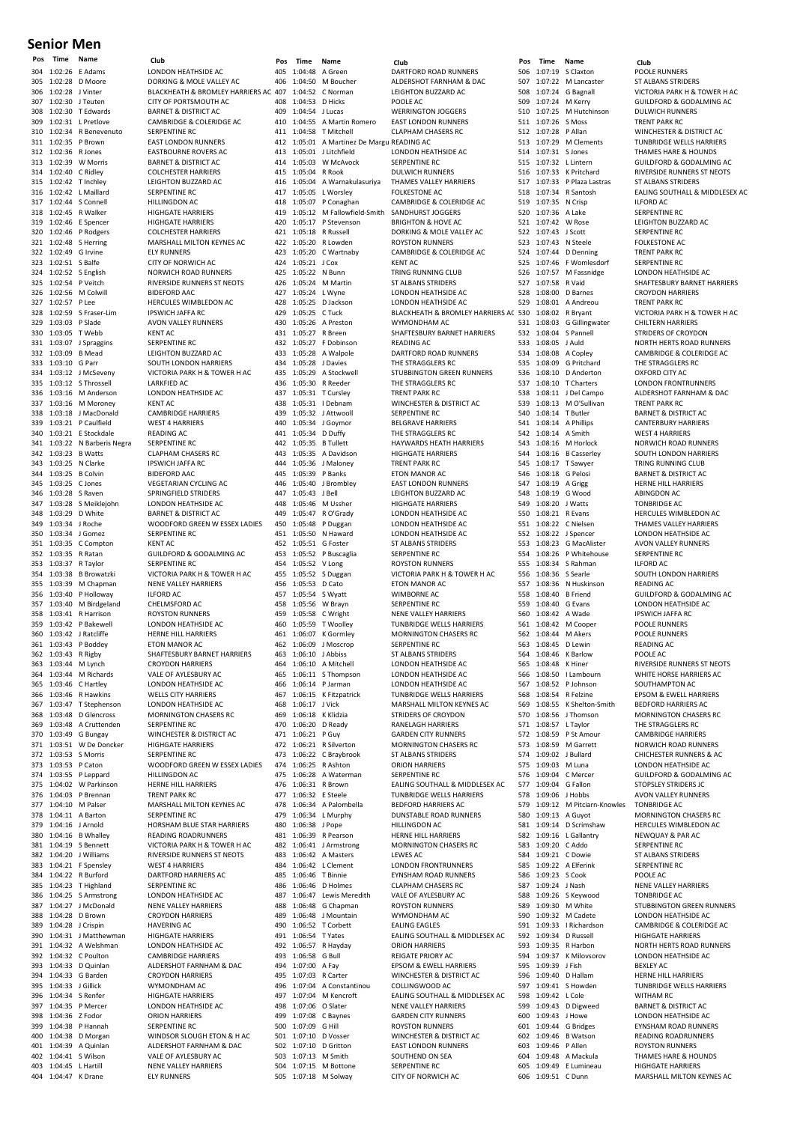#### **Senior Men**

304 1:02:26 E Adams LONDON HEATHSIDE ACCHERATION LONDON HEATHSIDE ACCHERATION DORKING & MOLE VALLE 305 1:02:28 D Moore DORKING & MOLE VALLEY AC 307 1:02:30 J Teuten CITY OF PORTSMOUTH AC<br>308 1:02:30 T Edwards BARNET & DISTRICT AC 308 1:02:30 T Edwards BARNET & DISTRICT ACTS<br>309 1:02:31 L Pretlove CAMBRIDGE & COLERID 309 1:02:31 L Pretlove CAMBRIDGE & COLERIDGE AC<br>310 1:02:34 R Benevenuto SERPENTINE RC 310 1:02:34 R Benevenuto<br>311 1:02:35 P Brown 1:02:35 P Brown EAST LONDON RUNNERS<br>1:02:36 R Jones EASTBOURNE ROVERS AC 312 1:02:36 R Jones EASTBOURNE ROVERS AC 313 1:02:39 W Morris BARNET & DISTRICT AC<br>314 1:02:40 C Ridley COLCHESTER HARRIERS 314 1:02:40 C Ridley COLCHESTER HARRIERS<br>315 1:02:42 T Inchley LEIGHTON BUZZARD AG 316 1:02:42 L Maillard SERPENTINE RC<br>317 1:02:44 S Connell HILLINGDON AC 317 1:02:44 S Connell HILLINGDON AC<br>318 1:02:45 R Walker HIGHGATE HARP 319 1:02:46 E Spencer HIGHGATE HARRIERS<br>320 1:02:46 P Rodgers COLCHESTER HARRIER 1:02:46 P Rodgers COLCHESTER HARRIERS<br>1:02:48 S Herring MARSHALL MILTON KEY 321 1:02:48 S Herring MARSHALL MILTON KEYNES AC<br>322 1:02:49 G Irvine ELY RUNNERS 322 1:02:49 G Irvine<br>323 1:02:51 S Balfe 323 1:02:51 S Balfe CITY OF NORWICH AC<br>324 1:02:52 S English NORWICH ROAD RUNI 324 1:02:52 S English NORWICH ROAD RUNNERS<br>325 1:02:54 P Veitch RIVERSIDE RUNNERS ST NE 325 1:02:54 P Veitch RIVERSIDE RUNNERS ST NEOTS<br>326 1:02:56 M Colwill BIDEFORD AAC 326 1:02:56 M Colwill BIDEFORD AAC<br>327 1:02:57 P Lee HERCULES WIM 327 1:02:57 P Lee HERCULES WIMBLEDON AC<br>327 1:02:57 P Lee HERCULES WIMBLEDON AC<br>328 1:02:59 S Fraser-Lim IPSWICH IAFFA RC 328 1:02:59 S Fraser-Lim IPSWICH JAFFA RC<br>329 1:03:03 P Slade AVON VALLEY RUN 329 1:03:03 P Slade AVON VALLEY RUNNERS<br>329 1:03:03 P Slade AVON VALLEY RUNNERS<br>330 1:03:05 T Webb KENT AC 330 1:03:05 T Webb KENT AC 331 1:03:07 J Spraggins SERPENTINE RC 332 1:03:09 B Mead LEIGHTON BUZZARD AC<br>333 1:03:10 G Parr SOUTH LONDON HARRIE 333 1:03:10 G Parr SOUTH LONDON HARRIERS<br>334 1:03:12 J McSeveny VICTORIA PARK H & TOWER 335 1:03:12 S Throssell LARKFIED AC<br>336 1:03:16 M Anderson LONDON HEA 337 1:03:16 M Moroney 338 1:03:18 J MacDonald CAMBRIDGE HARRIERS<br>338 1:03:21 J P Caulfield WFST 4 HARRIERS 339 1:03:21 P Caulfield WEST 4 HARRIERS 1:03:21 E Stockdale READING AC<br>1:03:22 N Barberis Negra SERPENTINE RC 341 1:03:22 N Barberis Negra<br>342 1:03:23 B Watts 342 1:03:23 B Watts CLAPHAM CHASERS RC 343 1:03:25 N Clarke IPSWICH JAFFA RC<br>344 1:03:25 B Colvin BIDEFORD AAC 344 1:03:25 B Colvin BIDEFORD AAC<br>345 1:03:25 C Jones VEGETARIAN CY 345 1:03:25 C Jones VEGETARIAN CYCLING AC<br>346 1:03:28 S Raven SPRINGFIFLD STRIDERS 346 1:03:28 S Raven SPRINGFIELD STRIDERS<br>347 1:03:28 S Meikleighn I DNDON HEATHSIDE AC 347 1:03:28 S Meiklejohn LONDON HEATHSIDE AC<br>348 1:03:29 D White BARNET & DISTRICT AC 348 1:03:29 D White BARNET & DISTRICT ACTS<br>349 1:03:34 J Roche WOODFORD GREEN W 350 1:03:34 J Gomez SERPENTINE RC<br>351 1:03:35 C Compton KENT AC 351 1:03:35 C Compton<br>352 1:03:35 R Ratan 353 1:03:37 R Taylor SERPENTINE RC 356 1:03:40 P Holloway 357 1:03:40 M Birdgeland<br>358 1:03:41 R Harrison 358 1:03:41 R Harrison ROYSTON RUNNERS 359 1:03:42 P Bakewell LONDON HEATHSIDE AC 360 1:03:42 J Ratcliffe HERNE HILL HARRIERS<br>361 1:03:43 P Boddev ETON MANOR AC 361 1:03:43 P Boddey ETON MANOR AC 363 1:03:44 M Lynch CROYDON HARRIERS<br>364 1:03:44 M Richards VALE OF AYLESBURY 364 1:03:44 M Richards VALE OF AYLESBURY AC<br>365 1:03:46 C Hartley LONDON HEATHSIDE AC 365 1:03:46 C Hartley LONDON HEATHSIDE AC 366 1:03:46 R Hawkins WELLS CITY HARRIERS<br>367 1:03:47 T Stephenson LONDON HEATHSIDE A 367 1:03:47 T Stephenson LONDON HEATHSIDE AC<br>368 1:03:48 D Glencross MORNINGTON CHASERS RC 368 1:03:48 D Glencross MORNINGTON 369 1:03:48 A Cruttenden<br>370 1:03:49 G Bungay 370 1:03:49 G Bungay WINCHESTER & DISTRICT AC<br>371 1:03:51 W De Doncker HIGHGATE HARRIERS 371 1:03:51 W De Doncker HIGHGATE HARRIERS<br>372 1:03:53 S Morris SERPENTINE RC 1:03:53 S Morris SERPENTINE RC<br>1:03:53 P Caton WOODFORD GR 374 1:03:55 P Leppard HILLINGDON AC<br>375 1:04:02 W Parkinson HERNE HILL HAR 375 1:04:02 W Parkinson HERNE HILL HARRIERS 376 1:04:03 P Brennan TRENT PARK RC<br>377 1:04:10 M Palser MARSHALL MILT 378 1:04:11 A Barton SERPENTINE RC 380 1:04:16 B Whalley READING ROADRUNNERS<br>381 1:04:19 S Bennett VICTORIA PARK H & TOWE 382 1:04:20 J Williams RIVERSIDE RUNNERS ST NEOTS<br>383 1:04:21 F Spensley WEST 4 HARRIERS 1:04:21 F Spensley WEST 4 HARRIERS<br>1:04:22 R Burford DARTFORD HARRIE 384 1:04:22 R Burford DARTFORD HARRIERS AC 385 1:04:23 T Highland SERPENTINE RC<br>386 1:04:25 S Armstrong LONDON HEATH 386 1:04:25 S Armstrong LONDON HEATHSIDE AC<br>387 1:04:27 J McDonald NENE VALLEY HARRIERS 387 1:04:27 J McDonald NENE VALLEY HARRIERS<br>388 1:04:28 D Brown CROYDON HARRIERS 388 1:04:28 D Brown CROYDON HARRIERS<br>389 1:04:28 J Crispin HAVERING AC 389 1:04:28 J Crispin<br>390 1:04:31 J Matthewman 390 1:04:31 J Matthewman HIGHGATE HARRIERS<br>391 1:04:32 A Welshman J ONDON HEATHSIDE 392 1:04:32 C Poulton<br>393 1:04:33 D Quinlan 393 1:04:33 D Quinlan ALDERSHOT FARNHAM & DAC<br>394 1:04:33 G Barden C POYDON HAPPIERS 395 1:04:33 J Gillick WYMONDHAM AC<br>396 1:04:34 S Renfer HIGHGATE HARRIER 396 1:04:34 S Renfer HIGHGATE HARRIERS<br>397 1:04:35 P Mercer LONDON HEATHSIDE 397 1:04:35 P Mercer LONDON HEATHSIDE AC 398 1:04:36 Z Fodor ORION HARRIERS<br>399 1:04:38 P Hannah SERPENTINE RC 399 1:04:38 P Hannah SERPENTINE RC<br>400 1:04:38 D Morgan WINDSOR SLOU 401 1:04:39 A Quinlan ALDERSHOT FARNHAM & DAC<br>402 1:04:41 S Wilson VALE OF AYLESBURY AC 402 1:04:41 S Wilson VALE OF AYLESBURY AC 403 1:04:45 L Hartill NENE VALLEY HARRIERS 404 1:04:47 K Drane ELY RUNNERS

306 1:02:28 J Vinter BLACKHEATH & BROMLEY HARRIERS AC 407<br>307 1:02:30 J Teuten CITY OF PORTSMOUTH AC 408 LEIGHTON BUZZARD AC **HIGHGATE HARRIERS** VICTORIA PARK H & TOWER H AC LONDON HEATHSIDE AC<br>KENT AC 349 1:03:34 J Roche WOODFORD GREEN W ESSEX LADIES<br>350 1:03:34 J Gomez SERPENTINE RC 1:03:35 R Ratan GUILDFORD & GODALMING AC<br>1:03:37 R Taylor SERPENTINE RC 354 1:03:38 B Browatzki VICTORIA PARK H & TOWER H AC NENE VALLEY HARRIERS<br>ILFORD AC<br>CHELMSFORD AC 362 1:03:43 R Rigby SHAFTESBURY BARNET HARRIERS 373 1:03:53 P Caton WOODFORD GREEN W ESSEX LADIES 1:04:10 M Palser MARSHALL MILTON KEYNES AC<br>1:04:11 A Barton SERPENTINE RC 379 1:04:16 J Arnold HORSHAM BLUE STAR HARRIERS<br>380 1:04:16 B Whalley READING ROADRUNNERS 381 1:04:19 S Bennett VICTORIA PARK H & TOWER H AC LONDON HEATHSIDE AC<br>CAMBRIDGE HARRIERS CROYDON HARRIERS 400 1:04:38 D Morgan WINDSOR SLOUGH ETON & H AC

405 1:04:48 A Green 1999 DARTFORD ROAD RUNNERS<br>406 1:04:50 M Boucher 4DERSHOT FARNHAM & D. 1:04:50 M Boucher ALDERSHOT FARNHAM & DAC<br>1:04:52 C Norman I FIGHTON BUZZARD AC 407 1:04:52 C Norman<br>408 1:04:53 D Hirks POOLE AC 408 1:04:53 D Hicks POOLE AC<br>409 1:04:54 J Lucas WERRINGT 409 1:04:54 J Lucas WERRINGTON JOGGERS 410 1:04:55 A Martin Romero EAST LONDON RUNNERS 411 1:04:58 T Mitchell CLAPHAM CHASERS RC<br>412 1:05:01 A Martinez De Margu READING AC 412 1:05:01 A Martinez De Margu READING AC<br>413 1:05:01 LLitchfield LONDON HEA 414 1:05:03 W McAvock SERPENTINE RC<br>415 1:05:04 R Rook DULWICH RUNN 415 1:05:04 R Rook DULWICH RUNNERS<br>416 1:05:04 A Warnakulasuriya THAMES VALLEY HAI 417 1:05:05 L Worsley FOLKESTONE AC<br>418 1:05:07 P Conaghan CAMBRIDGE & C 418 1:05:07 P Conaghan CAMBRIDGE & COLERIDGE AC<br>419 1:05:12 M Fallowfield-Smith SANDHURST IOGGERS 1:05:12 M Fallowfield-Smith 420 1:05:17 P Stevenson BRIGHTON & HOVE AC<br>421 1:05:18 R Russell DORKING & MOLE VAL 421 1:05:18 R Russell DORKING & MOLE VALLEY AC<br>422 1:05:20 R Lowden ROYSTON RUNNERS  $1:05:20$  R Lowden 423 1:05:20 C Wartnaby CAMBRIDGE & COLERIDGE AC<br>424 1:05:21 J Cox KENT AC 424 1:05:21 J Cox<br>425 1:05:22 N Bunn 125 1:05:22 N Bunn TRING RUNNING CLUB<br>126 1:05:24 M Martin ST ALBANS STRIDERS 426 1:05:24 M Martin ST ALBANS STRIDERS<br>427 1:05:24 | Wyne | CONDON HEATHSIDE 427 1:05:24 L Wyne LONDON HEATHSIDE AC<br>428 1:05:24 L Wyne LONDON HEATHSIDE AC<br>428 1:05:25 D Jackson LONDON HEATHSIDE AC 428 1:05:25 D Jackson<br>429 1:05:25 C Tuck<br>RI ACKHEATH & RROMIE 430 1:05:26 A Preston MYMONDHAM AC<br>431 1:05:27 R Breen SHAFTESBURY BAR  $1:05:27$  F Dobinson 433 1:05:28 A Walpole DARTFORD ROAD RUNNERS<br>434 1:05:28 J Davies THE STRAGGLERS RC 434 1:05:28 J Davies THE STRAGGLERS RC<br>435 1:05:29 A Stockwell STUBBINGTON GREE 436 1:05:30 R Reeder THE STRAGGLERS RC<br>437 1:05:31 T Cursley TRENT PARK RC 437 1:05:31 T Cursley TRENT PARK RC<br>438 1:05:31 I Debnam WINCHESTER & 439 1:05:32 J Attwooll SERPENTINE RC<br>440 1:05:34 J Goymor BELGRAVE HAR 440 1:05:34 J Goymor BELGRAVE HARRIERS<br>441 1:05:34 D Duffy THE STRAGGLERS RC 442 1:05:35 B Tullett **HAYWARDS HEATH HARRIERS**<br>443 1:05:35 A Davidson **HIGHGATE HARRIERS** 443 1:05:35 A Davidson HIGHGATE HARRIERS<br>444 1:05:36 J Maloney TRENT PARK RC 444 1:05:36 J Maloney TRENT PARK RC<br>445 1:05:39 P Banks FTON MANOR A 445 1:05:39 P Banks<br>446 1:05:40 J Brombley EAST LONDON RU 446 1:05:40 J Brombley EAST LONDON RUNNERS<br>447 1:05:43 LBell LEIGHTON BUZZARD AC 447 1:05:43 J Bell LEIGHTON BUZZARD AC<br>448 1:05:46 M Ussher HIGHGATE HARRIERS 448 1:05:46 M Ussher HIGHGATE HARRIERS<br>449 1:05:47 R O'Grady LONDON HEATHSIDE 449 1:05:47 R O'Grady LONDON HEATHSIDE AC 450 1:05:48 P Duggan LONDON HEATHSIDE AC<br>451 1:05:50 N Haward LONDON HEATHSIDE AC 451 1:05:50 N Haward LONDON HEATHSIDE AC<br>452 1:05:51 G Foster 5T ALBANS STRIDERS 452 1:05:51 G Foster<br>453 1:05:52 P Buscaglia 453 1:05:52 P Buscaglia SERPENTINE RC<br>454 1:05:52 V Long ROYSTON RUNN 456 1:05:53 D Cato ETON MANOR AC<br>457 1:05:54 S Wyatt WIMBORNE AC 458 1:05:56 W Brayn SERPENTINE RC<br>459 1:05:58 C Wright NENE VALLEY H. 459 1:05:58 C Wright NENE VALLEY HARRIERS<br>460 1:05:59 T Woolley TUNBRIDGE WELLS HAR 461 1:06:07 K Gormley MORNINGTON CHASERS RC<br>462 1:06:09 J Moscrop SERPENTINE RC 462 1:06:09 J Moscrop SERPENTINE RC<br>463 1:06:10 J Abbiss ST ALBANS STRIL 464 1:06:10 A Mitchell LONDON HEATHSIDE AC<br>465 1:06:11 S Thompson LONDON HEATHSIDE AC 465 1:06:11 S Thompson LONDON HEATHSIDE AC<br>466 1:06:14 P Jarman LONDON HEATHSIDE AC 466 1:06:14 P Jarman LONDON HEATHSIDE AC 467 1:06:15 K Fitzpatrick TUNBRIDGE WELLS HARRIERS 468 1:06:17 J Vick MARSHALL MILTON KEYNES AC<br>469 1:06:18 K Klidzia STRIDERS OF CROYDON 469 1:06:18 K Klidzia STRIDERS OF CROYDON 470 1:06:20 D Ready RANELAGH HARRIERS<br>471 1:06:21 P Guy GARDEN CITY RUNNER 471 1:06:21 P Guy<br>472 1:06:21 R Silverton MORNINGTON CHASERS 472 1:06:21 R Silverton MORNINGTON CHASERS RC<br>473 1:06:22 C Braybrook ST ALBANS STRIDERS  $1:06:22$  C Braybrook 474 1:06:25 R Ashton ORION HARRIERS<br>475 1:06:28 A Waterman SERPENTINE RC 475 1:06:28 A Waterman SERPENTINE RC<br>476 1:06:31 R Brown EALING SOUTHA 477 1:06:32 E Steele TUNBRIDGE WELLS HARRIERS<br>478 1:06:34 A Palombella BEDFORD HARRIERS AC 478 1:06:34 A Palombella<br>479 1:06:34 L Murphy DUNSTABLE ROAD RUN 480 1:06:38 J Pope HILLINGDON AC 481 1:06:39 R Pearson<br>482 1:06:41 J Armstrong MORNINGTON CHASE 483 1:06:42 A Masters LEWES AC<br>484 1:06:42 L Clement LONDON FI 1:06:42 L Clement LONDON FRONTRUNNERS<br>1:06:46 T Binnie FYNSHAM ROAD RUNNERS 485 1:06:46 T Binnie EYNSHAM ROAD RUNNERS 486 1:06:46 D Holmes CLAPHAM CHASERS RC<br>487 1:06:47 Lewis Meredith VALE OF AYLESBURY AC 487 1:06:47 Lewis Meredith<br>487 1:06:48 G Chapman ROYSTON RUNNERS 488 1:06:48 G Chapman ROYSTON RUNNERS<br>489 1:06:48 | Mountain WYMONDHAM AC 489 1:06:48 J Mountain WYMONDHAM AC<br>490 1:06:52 T Corbett EALING EAGLES 490 1:06:52 T Corbett EALING EAGLES<br>491 1:06:54 T Yates EALING SOUTHA 493 1:06:58 G Bull REIGATE PRIORY AC<br>494 1:07:00 A Fay EPSOM & EWELL HA 494 1:07:00 A Fay EPSOM & EWELL HARRIERS<br>495 1:07:03 B Carter MINCHESTER & DISTRICT AC 496 1:07:04 A Constantinou<br>497 1:07:04 M Kencroft 498 1:07:06 O Slater NENE VALLEY HARRIERS 499 1:07:08 C Baynes GARDEN CITY RUNNERS<br>500 1:07:09 G Hill ROYSTON RUNNERS 1:07:09 G Hill ROYSTON RUNNERS<br>1:07:10 D Vosser WINCHESTER & DIST 501 1:07:10 D Vosser WINCHESTER & DISTRICT AC 502 1:07:10 D Gritton EAST LONDON RUNNERS<br>503 1:07:13 M Smith SOUTHEND ON SFA  $1:07:13$  M Smith 504 1:07:15 M Bottone SERPENTINE RC 505 1:07:18 M Solway CITY OF NORWICH AC

**Pos Time Name Club Pos Time Name Club Pos Time Name Club** LONDON HEATHSIDE AC THAMES VALLEY HARRIERS 429 1:05:25 C Tuck BLACKHEATH & BROMLEY HARRIERS AC 530<br>430 1:05:26 A Preston WYMONDHAM AC 531 431 1:05:27 R Breen SHAFTESBURY BARNET HARRIERS<br>432 1:05:27 F Dobinson READING AC STUBBINGTON GREEN RUNNERS WINCHESTER & DISTRICT AC THE STRAGGLERS RC ROYSTON RUNNERS 455 1:05:52 S Duggan VICTORIA PARK H & TOWER H AC<br>456 1:05:53 D Cato ETON MANOR AC WIMBORNE AC **TUNBRIDGE WELLS HARRIERS ST ALBANS STRIDERS** EALING SOUTHALL & MIDDLESEX AC DUNSTABLE ROAD RUNNERS MORNINGTON CHASERS RC 491 1:06:54 T Yates EALING SOUTHALL & MIDDLESEX AC<br>492 1:06:57 R Havday ORION HARRIERS ORION HARRIERS WINCHESTER & DISTRICT AC<br>COLLINGWOOD AC 1:07:04 M Kencroft EALING SOUTHALL & MIDDLESEX AC<br>1:07:06 O Slater NENE VALLEY HARRIERS

1.07:19 S Claxton<br>
506 1:07:19 S Claxton POOLE RUNNERS<br>
507 1:07:22 M Lancaster ST ALBANS STRID 507 1:07:22 M Lancaster ST ALBANS STRIDERS<br>508 1:07:24 G Bagnall STRITORIA PARK H & T 509 1:07:24 M Kerry GUILDFORD & GODALMING AC<br>509 1:07:24 M Kerry GUILDFORD & GODALMING AC<br>510 1:07:25 M Hutchinson DULWICH RUNNERS 511 1:07:26 S Moss<br>512 1:07:28 P Allan 512 1:07:28 P Allan WINCHESTER & DISTRICT AC 514 1:07:31 S Jones THAMES HARE & HOUNDS 515 1:07:32 L Lintern GUILDFORD & GODALMING AC<br>516 1:07:33 K Pritchard RIVERSIDE RUNNERS ST NEOTS 517 1:07:33 P Plaza Lastras ST ALBANS STRIDERS 519 1:07:35 N Crisp ILFORD AC<br>520 1:07:36 A Lake SERPENTIN 521 1:07:42 W Rose LEIGHTON BUZZARD AC 523 1:07:43 N Steele FOLKESTONE ACCOMENTS 524 1:07:44 D Denning<br>525 1:07:46 F Womlesdor 525 1:07:46 F Womlesdorf SERPENTINE RC<br>526 1:07:57 M Fassnidge LONDON HEATI 526 1:07:57 M Fassnidge LONDON HEATHSIDE AC<br>527 1:07:58 R Vaid SHAFTESBURY BARNET H 528 1:08:00 D Barnes CROYDON HARRIERS<br>528 1:08:00 D Barnes CROYDON HARRIERS<br>529 1:08:01 A Andreou TRENT PARK RC 1:08:01 A Andreou TRENT PARK RC<br>1:08:02 R Bryant VICTORIA PARK 531 1:08:03 G Gillingwater<br>532 1:08:04 S Pannell 532 1:08:04 S Pannell STRIDERS OF CROYDON<br>533 1:08:05 | Auld NORTH HERTS ROAD RI 534 1:08:08 A Copley CAMBRIDGE & COLERIDGE AC<br>535 1:08:09 G Pritchard THE STRAGGLERS RC 535 1:08:09 G Pritchard THE STRAGGLERS RC<br>536 1:08:10 D Anderton OXFORD CITY AC  $1:08:10$  D Anderton 537 1:08:10 T Charters LONDON FRONTRUNNERS<br>538 1:08:11 J Del Campo ALDERSHOT FARNHAM & I 538 1:08:11 J Del Campo ALDERSHOT FARNHAM & DAC<br>539 1:08:13 M O'Sullivan TRENT PARK RC  $1:08:13$  M O'Sullivan 1.08:14 T Butler BARNET & DISTRICT ACTS<br>
540 1:08:14 T Butler BARNET & DISTRICT ACTS<br>
541 1:08:14 A Phillips CANTERBURY HARRIER 541 1:08:14 A Phillips CANTERBURY HARRIERS<br>542 1:08:14 A Smith WEST 4 HARRIERS  $1:08:14$  A Smith 543 1:08:16 M Horlock NORWICH ROAD RUNNERS<br>544 1:08:16 B Casserley SOUTH LONDON HARRIERS 544 1:08:16 B Casserley SOUTH LONDON HARRIERS<br>545 1:08:17 T Sawyer TRING RUNNING CLUB 545 1:08:17 T Sawyer TRING RUNNING CLUB<br>546 1:08:18 G Pelosi BARNET & DISTRICT AC 546 1:08:18 G Pelosi BARNET & DISTRICT AC 547 1:08:19 A Grigg HERNE HILL HARRIERS<br>548 1:08:19 G Wood A BINGDON AC 548 1:08:19 G Wood ABINGDON AC<br>549 1:08:20 I Watts TONBRIDGE AC 549 1:08:20 J Watts TONBRIDGE AC<br>550 1:08:21 R Evans HERCULES WIN 550 1:08:21 R Evans<br>
FERCULES WIMBLEDON AC<br>
THAMES VALLEY HAPPIERS 551 1:08:22 C Nielsen THAMES VALLEY HARRIERS<br>552 1:08:22 | Spencer | ONDON HEATHSIDE AC 552 1:08:22 J Spencer<br>553 1:08:23 G MacAlister AVON VALLEY RUNNERS 553 1:08:23 G MacAlister AVON VALLEY RUNNERS<br>553 1:08:25 G MacAlister AVON VALLEY RUNNERS<br>554 1:08:26 P Whitehouse SERPENTINE RC 555 1:08:34 S Rahman 556 1:08:36 S Searle SOUTH LONDON HARRIERS<br>557 1:08:36 N Huskinson READING AC 1:08:36 N Huskinson READING AC<br>1:08:40 B Friend GUILDFORD & 558 1:08:40 B Friend GUILDFORD & GODALMING AC 559 1:08:40 G Evans LONDON HEATHSIDE AC<br>560 1:08:42 A Wade PSWICH JAFFA RC 560 1:08:42 A Wade IPSWICH JAFFA RC<br>561 1:08:42 M Cooper POOLE RUNNERS 561 1:08:42 M Cooper POOLE RUNNERS 562 1:08:44 M Akers POOLE RUNNERS<br>563 1:08:45 D Lewin READING AC 563 1:08:45 D Lewin READING AC<br>564 1:08:46 K Barlow POOLE AC 564 1:08:46 K Barlow POOLE AC = 1.108:48 K Hiner The RIVERSIDE RUNNERS ST NEOTS<br>566 1:08:50 LLambourn WHITE HORSE HARRIERS AC 566 1:08:50 I Lambourn WHITE HORSE HARRIERS AC<br>567 1:08:52 P Johnson SOUTHAMPTON AC 567 1:08:52 P Johnson<br>568 1:08:54 R Felzine 568 1:08:54 R Felzine EPSOM & EWELL HARRIERS 569 1:08:55 K Shelton-Smith BEDFORD HARRIERS AC 570 1:08:56 J Thomson MORNINGTON CHASERS RC<br>571 1:08:57 | Taylor THE STRAGGLERS RC 571 1:08:57 L Taylor THE STRAGGLERS RC<br>572 1:08:59 P St Amour CAMBRIDGE HARRIE 572 1:08:59 P St Amour CAMBRIDGE HARRIERS<br>573 1:08:59 M Garrett NORWICH ROAD RUNN 573 1:08:59 M Garrett **NORWICH ROAD RUNNERS**<br>574 1:09:02 | Bullard CHICHESTER RUNNERS & AC 575 1:09:03 M Luna LONDON HEATHSIDE ACTES<br>576 1:09:04 C Mercer GUILDFORD & GODALMI 576 1:09:04 C Mercer GUILDFORD & GODALMING AC<br>577 1:09:04 G Fallon STOPSLEY STRIDERS IC 577 1:09:04 G Fallon STOPSLEY STRIDERS IC 578 1:09:06 J Hobbs AVON VALLEY RUNNERS<br>579 1:09:12 M Pitciarn-Knowles TONBRIDGE AC 579 1:09:12 M Pitciarn-Knowles<br>580 1:09:13 A Guvot 581 1:09:14 D Scrimshaw HERCULES WIMBLEDON AC<br>582 1:09:16 L Gallantry NEWQUAY & PAR AC 582 1:09:16 L Gallantry NEWQUAY & PAR AC<br>583 1:09:20 C Addo SERPENTINE RC 583 1:09:20 C Addo SERPENTINE RC 584 1:09:21 C Dowie ST ALBANS STRIDERS<br>585 1:09:22 A Elferink SERPENTINE RC 1:09:22 A Elferink SERPENTINE RC<br>1:09:23 S Cook POOLE AC 586 1:09:23 S Cook POOLE AC 587 1:09:24 J Nash NENE VALLEY HARRIERS<br>588 1:09:24 J Nash NENE VALLEY HARRIERS<br>588 1:09:26 S Keywood TONBRIDGE AC 588 1:09:26 S Keywood TONBRIDGE AC 590 1:09:32 M Cadete LONDON HEATHSIDE AC<br>591 1:09:33 | Richardson CAMBRIDGE & COLERIDO 591 1:09:33 I Richardson CAMBRIDGE & COLERIDGE AC 592 1:09:34 D Russell HIGHGATE HARRIERS<br>593 1:09:35 B Harbon MORTH HERTS ROAD 594 1:09:37 K Milovsorov LONDON HEATHSIDE AC<br>595 1:09:39 J Fish BEXLEY AC 595 1:09:39 J Fish BEXLEY AC<br>596 1:09:40 D Hallam HEPNE HILL 597 1:09:41 S Howden TUNBRIDGE WELLS HARRIERS<br>598 1:09:42 L Cole WITHAM RC 598 1:09:42 L Cole WITHAM RC<br>599 1:09:43 D Digweed BARNET & DI 599 1:09:43 D Digweed BARNET & DISTRICT AC 600 1:09:43 J Howe LONDON HEATHSIDE AC 602 1:09:46 B Watson 603 1:09:46 P Allen ROYSTON RUNNERS<br>604 1:09:48 A Mackula THAMES HARE & HO 605 1:09:49 E Lumineau HIGHGATE HARRIERS

endent 1:07:24 G Bagnall VICTORIA PARK H & TOWER H AC<br>1990 1:07:24 M Kerry GUILDEORD & GODALMING AC **DULWICH RUNNERS**<br>TRENT PARK RC 1:07:29 M Clements TUNBRIDGE WELLS HARRIERS<br>1:07:31 S Jones THAMES HARE & HOUNDS 1:07:33 K Pritchard RIVERSIDE RUNNERS ST NEOTS<br>1:07:33 P Plaza Lastras ST ALBANS STRIDERS 518 1:07:34 R Santosh EALING SOUTHALL & MIDDLESEX AC<br>519 1:07:35 N Criso (ILEORD AC SERPENTINE RC SERPENTINE RC<br>FOLKESTONE AC 527 1:07:58 R Vaid SHAFTESBURY BARNET HARRIERS<br>528 1:08:00 D Barnes CROYDON HARRIERS 530 1:08:02 R Bryant VICTORIA PARK H & TOWER H AC<br>531 1:08:03 G Gillingwater CHII TERN HARRIERS 533 1:08:05 J Auld NORTH HERTS ROAD RUNNERS SERPENTINE RC<br>ILFORD AC 1:09:02 J Bullard CHICHESTER RUNNERS & AC<br>1:09:03 M Luna LONDON HEATHSIDE AC A Guyot MORNINGTON CHASERS RC 589 1:09:30 M White STUBBINGTON GREEN RUNNERS<br>590 1:09:32 M Cadete IONDON HEATHSIDE AC 593 1:09:35 R Harbon NORTH HERTS ROAD RUNNERS 596 1:09:40 D Hallam HERNE HILL HARRIERS EYNSHAM ROAD RUNNERS<br>READING ROADRUNNERS 604 1:09:48 A Mackula THAMES HARE & HOUNDS 606 1:09:51 C Dunn MARSHALL MILTON KEYNES AC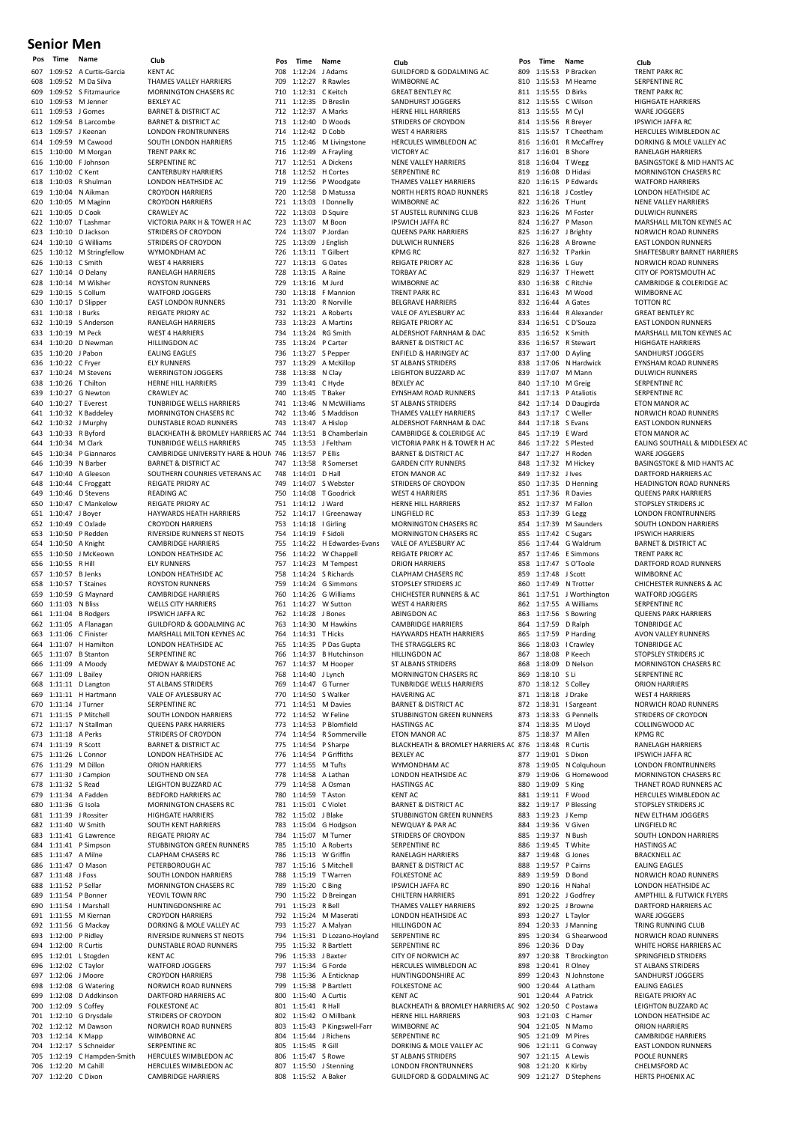#### **Senior Men**

607 1:09:52 A Curtis-Garcia KENT AC 608 1:09:52 M Da Silva THAMES VALLEY HARRIERS 609 1:09:52 S Fitzmaurice MORNINGTON CHASERS RC 610 1:09:53 M Jenner BEXLEY AC 1:09:53 J Gomes BARNET & DISTRICT AC<br>1:09:54 B Larcombe BARNET & DISTRICT AC 612 1:09:54 B Larcombe BARNET & DISTRICT AC 613 1:09:57 J Keenan LONDON FRONTRUNNERS<br>613 1:09:57 J Keenan LONDON FRONTRUNNERS<br>614 1:09:59 M Cawood SOUTH LONDON HARRIER: 614 1:09:59 M Cawood SOUTH LONDON HARRIERS<br>615 1:10:00 M Morgan TRENT PARK RC  $1:10:00$  M Morgan 616 1:10:00 F Johnson SERPENTINE RC<br>617 1:10:02 C Kent CANTERBURY H 617 1:10:02 C Kent CANTERBURY HARRIERS 619 1:10:04 N Aikman CROYDON HARRIERS 621 1:10:05 D Cook 1:10:10 D Jackson<br>1:10:10 G Williams STRIDERS OF CROYDON<br>1:10:10 G Williams STRIDERS OF CROYDON 624 1:10:10 G Williams STRIDERS OF CROYDON<br>625 1:10:12 M Stringfellow WYMONDHAM AC 625 1:10:12 M Stringfellow<br>626 1:10:13 C Smith EXAMPLE SECOND MANUSCRIP CONTRACT MENTION CONTRACT MANUSCRIPT OF SECOND MANUSCRIPT OF SECOND MANUSCRIPT OF SECOND MANUSCRIPT OF SECOND MANUSCRIPT OF SECOND MANUSCRIPT OF SECOND MANUSCRIPT OF SECOND MANUSCRIPT OF SECOND MAN 627 1:10:14 O Delany<br>628 1:10:14 M Wilsher 628 1:10:14 M Wilsher ROYSTON RUNNERS 629 1:10:15 S Collum WATFORD JOGGERS 630 1:10:17 D Slipper EAST LONDON RUNNERS 631 1:10:18 I Burks REIGATE PRIORY AC<br>632 1:10:19 S Anderson RANELAGH HARRIER 632 1:10:19 SAnderson<br>632 1:10:19 SAnderson RANELAGH HARRIERS<br>633 1:10:19 M Peck WEST 4 HARRIERS 633 1:10:19 M Peck WEST 4 HARRIERS 1:10:20 D Newman HILLINGDON AC<br>1:10:20 J Pabon FALING EAGLES 635 1:10:20 J Pabon<br>636 1:10:22 C Frver 636 1:10:22 C Fryer ELY RUNNERS<br>637 1:10:24 M Stevens WERRINGTON 638 1:10:26 T Chilton HERNE HILL HARRIERS<br>639 1:10:27 G Newton CRAWLEY AC 639 1:10:27 G Newton CRAWLEY AC<br>640 1:10:27 T Everest TUNBRIDGE \ 641 1:10:32 K Baddeley MORNINGTON CHASERS RC<br>642 1:10:32 J Murphy DUNSTABLE ROAD RUNNERS France Hotel House House Conditional Conditional Conditional Conditional Conditional Conditional Conditional C<br>
643 1:10:33 R Byford BLACKHEATH & BROMLEY HA 644 1:10:34 M Clark TUNBRIDGE WELLS HARRIERS<br>645 1:10:34 P Giannaros CAMBRIDGE UNIVERSITY HARR 646 1:10:39 N Barber BARNET & DISTRICT AC<br>647 1:10:40 A Gleeson SOUTHERN COUNRIES 648 1:10:44 C Froggatt REIGATE PRIORY AC<br>649 1:10:46 D Stevens READING AC 649 1:10:46 D Stevens<br>650 1:10:47 C Mankelow 649 1.10:40 D Stevens<br>650 1:10:47 C Mankelow REIGATE PRIORY AC<br>651 1:10:47 J Bover HAYWARDS HEATH I 651 1:10:47 J Boyer HAYWARDS HEATH HARRIERS 652 1:10:49 C Oxlade CROYDON HARRIERS 653 1:10:50 P Redden RIVERSIDE RUNNERS ST NEOTS 654 1:10:50 A Knight CAMBRIDGE HARRIERS<br>655 1:10:50 J McKeown LONDON HEATHSIDE A 656 1:10:55 R Hill 657 1:10:57 B Jenks LONDON HEATHSIDE AC<br>658 1:10:57 T Staines ROYSTON RUNNERS 658 1:10:57 T Staines ROYSTON RUNNERS<br>659 1:10:59 G Maynard CAMBRIDGE HARRIE 660 1:11:03 N Bliss WELLS CITY HARRIERS<br>661 1:11:04 B Rodgers IPSWICH JAFFA RC 661 1:11:04 B Rodgers IPSWICH JAFFA RC<br>662 1:11:05 A Flanagan GUILDFORD & GOD 662 1:11:05 A Flanagan GUILDFORD & GODALMING AC 663 1:11:06 C Finister MARSHALL MILTON KEYNES AC 664 1:11:07 H Hamilton LONDON HEATHSIDE AC<br>665 1:11:07 B Stanton SERPENTINE BC  $1:11:07$  B Stanton 066 1:11:09 A Moody<br>666 1:11:09 A Moody MEDWAY & MAIDSTONE AC<br>667 1:11:09 L Bailey ORION HARRIERS 1.11:09 L Bailey **CRION HARRIERS**<br>667 1:11:09 L Bailey **ORION HARRIERS**<br>668 1:11:11 D Langton ST ALBANS STRIDERS 668 1:11:11 D Langton ST ALBANS STRIDERS 669 1:11:11 H Hartmann VALE OF AYLESBURY AC<br>670 1:11:14 J Turner SERPENTINE RC 670 1:11:14 J Turner SERPENTINE RC<br>671 1:11:15 P Mitchell SOUTH LONDON 672 1:11:17 N Stallman<br>673 1:11:18 A Perks 673 1:11:18 A Perks<br>674 1:11:19 R Scott BARNET & DISTRICT AC 674 1:11:19 R Scott BARNET & DISTRICT AC 676 1:11:29 M Dillon ORION HARRIERS<br>677 1:11:30 J Campion SOUTHEND ON SE 1:11:30 J Campion SOUTHEND ON SEA<br>1:11:32 S Read FIGHTON BUZZAR 678 1:11:32 S Read LEIGHTON BUZZARD AC 679 1:11:34 A Fadden BEDFORD HARRIERS AC **680 1:11:36 G Isola** MORNINGTON CHASERS RC<br>681 1:11:39 J Rossiter HIGHGATE HARRIERS 681 1:11:39 J Rossiter HIGHGATE HARRIERS 682 1:11:40 W Smith SOUTH KENT HARRIERS<br>683 1:11:41 G Lawrence REIGATE PRIORY AC 683 1:11:41 G Lawrence REIGATE PRIORY AC 685 1:11:47 A Milne CLAPHAM CHASERS RC 1:11:47 O Mason PETERBOROUGH AC<br>1:11:48 J Foss SOUTH LONDON HAF 687 1:11:48 J Foss SOUTH LONDON HARRIERS 688 1:11:52 P Sellar MORNINGTON CHASERS RC<br>689 1:11:54 P Bonner YEOVIL TOWN RRC 689 1:11:54 P Bonner<br>690 1:11:54 I Marshall HUNTINGDONSHIR 690 1:11:54 I Marshall HUNTINGDONSHIRE AC<br>691 1:11:55 M Kiernan CROYDON HARRIERS 691 1:11:55 M Kiernan CROYDON HARRIERS<br>692 1:11:56 G Mackay DORKING & MOLE V 692 1:11:56 G Mackay DORKING & MOLE VALLEY AC 693 1:12:00 P Ridley RIVERSIDE RUNNERS ST NEOTS<br>694 1:12:00 R Curtis DIINSTARIE ROAD RIINNERS 695 1:12:01 L Stogden 696 1:12:02 C Taylor WATFORD JOGGERS 698 1:12:08 G Watering NORWICH ROAD RUNNERS<br>699 1:12:08 D Addkinson DARTFORD HARRIERS AC 700 1:12:09 S Coffey FOLKESTONE AC 701 1:12:10 G Drysdale STRIDERS OF CROYDON 702 1:12:12 M Dawson NORWICH ROAD RUNNERS<br>703 1:12:14 K Mapp WIMBORNF AC 703 1:12:14 K Mapp 704 1:12:17 S Schneider SERPENTINE RC<br>705 1:12:19 C Hampden-Smith HERCULES WIM 705 1:12:19 C Hampden-Smith HERCULES WIMBLEDON AC 706 1:12:20 M Cahill HERCULES WIMBLEDON AC 707 1:12:20 C Dixon CAMBRIDGE HARRIERS

LONDON HEATHSIDE AC CROYDON HARRIERS<br>CRAWLEY AC 622 1:10:07 T Lashmar VICTORIA PARK H & TOWER H AC<br>623 1:10:10 D Jackson STRIDERS OF CROYDON WERRINGTON JOGGERS TUNBRIDGE WELLS HARRIERS BLACKHEATH & BROMLEY HARRIERS AC 744 645 1:10:34 P Giannaros CAMBRIDGE UNIVERSITY HARE & HOUNDS<br>646 1:10:39 N Barber BARNET & DISTRICT AC 747 of any office.<br>
647 1:10:40 A Gleeson SOUTHERN COUNRIES VETERANS AC<br>
648 1:10:44 C Froggatt REIGATE PRIORY AC LONDON HEATHSIDE AC<br>ELY RUNNERS CAMBRIDGE HARRIERS SOUTH LONDON HARRIERS<br>OUFFNS PARK HARRIERS L Connor LONDON HEATHSIDE AC<br>M Dillon ORION HARRIERS 684 1:11:41 P Simpson STUBBINGTON GREEN RUNNERS DUNSTABLE ROAD RUNNERS<br>KENT AC CROYDON HARRIERS 699 1:12:08 D Addkinson DARTFORD HARRIERS AC

The California Communication of the COLOFORD & GODALMING ACTS<br>708 1:12:24 J Adams<br>MIMBORNE ACTS MUNICARE ACTS 709 1:12:27 R Rawles 710 1:12:31 C Keitch GREAT BENTLEY RC<br>711 1:12:35 D Breslin SANDHURST JOGGE 711 1:12:35 D Breslin SANDHURST JOGGERS<br>712 1:12:37 A Marks HERNE HILL HARRIERS 712 1:12:37 A Marks HERNE HILL HARRIERS<br>713 1:12:40 D Woods STRIDERS OF CROYDOL 713 1:12:40 D Woods STRIDERS OF CROYDON<br>714 1:12:42 D Cobb WEST 4 HARRIERS 714 1:12:42 D Cobb WEST 4 HARRIERS<br>715 1:12:46 M Livingstone HERCULES WIMBL 715 1:12:46 M Livingstone HERCULES WIMBLEDON AC<br>716 1:12:49 A Frayling VICTORY AC 1:12:49 A Frayling 717 1:12:51 A Dickens<br>718 1:12:52 H Cortes SERPENTINE RC 718 1:12:52 H Cortes SERPENTINE RC<br>719 1:12:56 P Woodgate THAMES VALLEY 720 1:12:58 D Matussa NORTH HERTS ROAD RUNNERS<br>721 1:13:03 | Donnelly WIMBORNE AC 721 1:13:03 I Donnelly WIMBORNE AC<br>722 1:13:03 D Squire ST AUSTELL RUI 723 1:13:07 M Boon IPSWICH JAFFA RC<br>724 1:13:07 P Jordan OUFENS PARK HAR 724 1:13:07 P Jordan QUEENS PARK HARRIERS 1:13:09 J English DULWICH<br>1:13:11 T Gilbert RPMG RC 726 1:13:11 T Gilbert<br>727 1:13:13 G Oates The Contract of the Contract of the REIGATE PRIORY AC<br>
727 1:13:13 G Oates REIGATE PRIORY AC<br>
728 1:13:15 A Raine TORBAY AC 728 1:13:15 A Raine TORBAY AC<br>729 1:13:16 M Jurd WIMBORNE AC 729 1:13:16 M Jurd<br>730 1:13:18 E Mannion 730 1:13:18 F Mannion TRENT PARK RC<br>731 1:13:20 R Norville RELGRAVE HAR 731 1:13:20 R Norville BELGRAVE HARRIERS 732 1:13:21 A Roberts VALE OF AYLESBURY AC 733 1:13:23 A Martins REIGATE PRIORY AC 734 1:13:24 RG Smith ALDERSHOT FARNHAM & DAC<br>735 1:13:24 P Carter RARNET & DISTRICT AC 736 1:13:27 S Pepper ENFIELD & HARINGEY AC<br>737 1:13:29 A McKillop ST ALBANS STRIDERS 737 1:13:29 A McKillop ST ALBANS STRIDERS 739 1:13:41 C Hyde BEXLEY AC 740 1:13:45 T Baker EYNSHAM ROAD RUNNERS 742 1:13:46 S Maddison THAMES VALLEY HARRIERS 1:13:57 P Ellis BARNET & DISTRICT AC<br>1:13:58 R Somerset GARDEN CITY RUNNERS 747 1:13:58 R Somerset GARDEN CITY RUNNERS 748 1:14:01 D Hall ETON MANOR AC<br>749 1:14:07 S Webster STRIDERS OF CRO 749 1:14:07 S Webster STRIDERS OF CROYDON<br>750 1:14:08 T Goodrick WEST A HARBIERS 750 1:14:08 T Goodrick WEST 4 HARRIERS 1992 1:14:12 J Ward HERNE HILL HARRIERS<br>
751 1:14:17 J Greenaway LINGFIELD RC 752 1:14:17 | Greenaway<br>753 1:14:18 | Girling 753 1:14:18 | Girling MORNINGTON CHASERS RC<br>754 1:14:19 | F Sidoli MORNINGTON CHASERS RC 754 1:14:19 F Sidoli MORNINGTON CHASERS RC<br>755 1:14:22 H Edwardes-Evans VALE OF AYLESBURY AC 755 1:14:22 H Edwardes-Evans<br>756 1:14:22 W Chappell 756 1:14:22 W Chappell REIGATE PRIORY AC  $1:14:23$  M Tempest 758 1:14:24 S Richards CLAPHAM CHASERS RC 759 1:14:24 G Simmons STOPSLEY STRIDERS JC<br>760 1:14:26 G Williams CHICHESTER RUNNERS 761 1:14:27 W Sutton<br>762 1:14:28 J Bones 762 1:14:28 J Bones<br>763 1:14:30 M Hawkins CAMBRIDGE HA 764 1:14:31 T Hicks HAYWARDS HEATH HARRIERS<br>765 1:14:35 P Das Gupta THE STRAGGLERS RC  $766$  1:14:37 B Hutchinson 767 1:14:37 M Hooper ST ALBANS STRIDERS<br>768 1:14:40 J Lynch MORNINGTON CHAS 768 1:14:40 J Lynch MORNINGTON CHASERS RC 769 1:14:47 G Turner TUNBRIDGE WELLS HARRIERS<br>770 1:14:50 S Walker HAVERING AC 770 1:14:50 S Walker<br>771 1:14:51 M Davies 1991 1:14:51 M Davies BARNET & DISTRICT ACTES<br>
T71 1:14:51 M Davies BARNET & DISTRICT ACTES<br>
STUBBINGTON GREEN F 773 1:14:53 P Blomfield<br>774 1:14:54 R Sommerville 774 1:14:54 R Sommerville ETON MANOR AC<br>775 1:14:54 P Sharpe BLACKHEATH & BI 1:14:54 P Griffiths<br>1:14:55 M Tufts 777 1:14:55 M Tufts WYMONDHAM AC<br>778 1:14:58 A Lathan LONDON HEATHSID 1:14:58 A Lathan LONDON HEATHSIDE AC<br>
779 1:14:58 A Osman HASTINGS AC 779 1:14:58 A Osman HASTINGS AC 780 1:14:59 T Aston KENT AC<br>781 1:15:01 C Violet BARNET & 781 1:15:01 C Violet BARNET & DISTRICT ACTES<br>782 1:15:02 LBlake STUBBINGTON GREEN B 783 1:15:04 G Hodgson NEWQUAY & PAR AC<br>784 1:15:07 M Turner STRIDERS OF CROYDC 1:15:07 M Turner STRIDERS OF CROYDON<br>1785 1:15:10 A Roberts SERPENTINE RC 786 1:15:13 W Griffin RANELAGH HARRIERS 1:15:16 S Mitchell BARNET & DISTRICT AC<br>1:15:19 T Warren FOLKESTONE AC 1:15:19 T Warren FOLKESTONE AC<br>1989 1:15:20 C Bing FOLKESTONE AFFA RC 789 1:15:20 C Bing IPSWICH JAFFA RC<br>790 1:15:22 D Breingan CHILTERN HARRIERS 790 1:15:22 D Breingan<br>791 1:15:23 R Bell 791 1:15:23 R Bell<br>792 1:15:24 M Maserati LONDON HEATHSIDE AC 792 1:15:24 M Maserati LONDON HEATHSIDE AC 793 1:15:27 A Malyan HILLINGDON AC 794 1:15:31 D Lozano-Hoyland SERPENTINE RC<br>795 1:15:32 B Bartlett SERPENTINE BC  $1:15:32$  R Bartlett 796 1:15:33 J Baxter CITY OF NORWICH AC<br>797 1:15:34 G Forde HERCULES WIMBLEDC 797 1:15:34 G Forde HERCULES WIMBLEDON AC<br>798 1:15:36 A Enticipan HUNTINGDONSHIPE AC 799 1:15:38 P Bartlett FOLKESTO<br>800 1:15:40 A Curtis KENT AC 1:15:40 A Curtis<br>1:15:41 R Hall 802 1:15:42 O Millbank HERNE HILL HARRIERS<br>803 1:15:43 P Kingswell-Farr WIMBORNE AC P Kingswell-Farr WIMBORNE AC<br>J Richens SERPENTINE RC 804 1:15:44 J Richens 805 1:15:45 R Gill DORKING & MOLE VALLEY AC<br>806 1:15:47 S Rowe ST ALBANS STRIDERS 806 1:15:47 S Rowe ST ALBANS STRIDERS 807 1:15:50 J Stenning LONDON FRONTRUNNERS 808 1:15:52 A Baker GUILDFORD & GODALMING AC

**Pos Time Name Club Pos Time Name Club Pos Time Name Club** THAMES VALLEY HARRIERS **ST AUSTELL RUNNING CLUB** BARNET & DISTRICT AC LEIGHTON BUZZARD AC **ST ALBANS STRIDERS** 1:13:47 A Hislop ALDERSHOT FARNHAM & DAC<br>1:13:51 B Chamberlain CAMBRIDGE & COLERIDGE AC CAMBRIDGE & COLERIDGE AC 745 1:13:53 J Feltham VICTORIA PARK H & TOWER H AC<br>746 1:13:57 P Filis BARNET & DISTRICT AC CHICHESTER RUNNERS & AC<br>WEST 4 HARRIERS CAMBRIDGE HARRIERS THE STRAGGLERS RC 772 1:14:52 W Feline STUBBINGTON GREEN RUNNERS<br>773 1:14:53 P Rlomfield HASTINGS AC 775 1:14:54 P Sharpe BLACKHEATH & BROMLEY HARRIERS AC 782 1:15:02 J Blake STUBBINGTON GREEN RUNNERS SERPENTINE RC HUNTINGDONSHIRE AC<br>FOLKESTONE AC 801 1:15:41 R Hall BLACKHEATH & BROMLEY HARRIERS AC 902

**Pos Time Name Club<br>809 1:15:53 P Bracken TRENT PARK RC<br>810 1:15:53 M Hearne SERPENTINE RC** 810 1:15:53 M Hearne SERPENTINE RC<br>811 1:15:55 D Birks TRENT PARK RC 811 1:15:55 D Birks<br>812 1:15:55 C Wilson 812 1:15:55 C Wilson HIGHGATE HARRIERS<br>813 1:15:55 M Cyl WARE JOGGERS 1:15:55 M Cyl WARE JOGGERS<br>1:15:56 R Breyer PSWICH JAFFA F<br>1:15:57 T Cheetham HERCULES WIME 814 1:15:56 R Breyer IPSWICH JAFFA RC 815 1:15:57 T Cheetham HERCULES WIMBLEDON AC 816 1:16:01 R McCaffrey DORKING & MOLE VALLEY AC<br>817 1:16:01 B Shore RANFLAGH HARRIERS 817 1:16:01 B Shore RANELAGH HARRIERS 819 1:16:08 D Hidasi MORNINGTON CHASERS RC<br>820 1:16:15 P Edwards MATEORD HARRIERS  $1:16:15$  P Edwards 821 1:16:18 J Costley LONDON HEATHSIDE AC<br>822 1:16:26 T Hunt NENE VALLEY HARRIERS 1:16:26 T Hunt NENE VALLEY HARRIERS<br>1:16:26 M Foster DUI WICH RUNNERS 823 1:16:26 M Foster DULWICH RUNNERS 824 1:16:27 P Mason MARSHALL MILTON KEYNES AC<br>825 1:16:27 J Brighty MORWICH ROAD RUNNERS en and the state of the matter of the state of the state of the state of the state of the state of the state of the state of the state of the state of the state of the state of the state of the state of the state of the st 828 1:16:36 L Guy NORWICH ROAD RUNNERS<br>828 1:16:36 L Guy NORWICH ROAD RUNNERS<br>829 1:16:37 T Hewett CITY OF PORTSMOUTH AC 829 1:16:37 T Hewett CITY OF PORTSMOUTH AC<br>830 1:16:38 C Ritchie CAMBRIDGE & COLERIDGE 830 1:16:38 C Ritchie CAMBRIDGE & COLERIDGE AC<br>831 1:16:43 M Wood WIMBORNE AC 831 1:16:43 M Wood WIMBORNE AC<br>832 1:16:44 A Gates TOTTON RC 832 1:16:44 A Gates TOTTON RC<br>833 1:16:44 R Alexander GREAT BENT 833 1:16:44 R Alexander GREAT BENTLEY RC<br>834 1:16:51 C D'Souza FAST LONDON RUN 834 1:16:51 C D'Souza<br>834 1:16:51 C D'Souza EAST LONDON RUNNERS<br>835 1:16:52 K Smith MARSHALL MILTON KEYN 837 1:17:00 D Ayling SANDHURST JOGGERS<br>838 1:17:06 N Hardwick EYNSHAM ROAD RUNI 838 1:17:06 N Hardwick EYNSHAM ROAD RUNNERS<br>839 1:17:07 M Mann DULWICH RUNNERS 840 1:17:10 M Greig SERPENTINE RC<br>841 1:17:13 P Ataliotis SERPENTINE RC 841 1:17:13 P Ataliotis SERPENTINE RC<br>842 1:17:14 D Daugirda FTON MANOR AC  $1:17:14$  D Daugirda 843 1:17:17 C Weller NORWICH ROAD RUNNERS<br>844 1:17:18 S Evans FAST LONDON RUNNERS 844 1:17:18 S Evans EAST LONDON RUNNERS<br>845 1:17:19 E Ward ETON MANOR AC  $1:17:19$  E Ward 847 1:17:27 H Roden WARE JOGGERS<br>848 1:17:32 M Hickev BASINGSTOKE & 849 1:17:32 J Ives DARTFORD HARRIERS ACTES<br>850 1:17:35 D Henning HEADINGTON ROAD RUN 850 1:17:35 D Henning<br>850 1:17:35 D Henning<br>851 1:17:36 B Davies OUEENS PARK HARBIERS 851 1:17:36 R Davies QUEENS PARK HARRIERS<br>852 1:17:37 M Fallon STOPSLEY STRIDERS IC 852 1:17:37 M Fallon STOPSLEY STRIDERS JC<br>853 1:17:39 G Legg LONDON FRONTRUNNE 853 1:17:39 G Legg LONDON FRONTRUNNERS<br>854 1:17:39 M Saunders SOUTH LONDON HARRIER 854 1:17:39 M Saunders SOUTH LONDON HARRIERS<br>855 1:17:42 C Sugars IPSWICH HARRIERS 855 1:17:42 C Sugars IPSWICH HARRIERS<br>856 1:17:44 G Waldrum BARNET & DISTRICT 856 1:17:44 G Waldrum BARNET & DISTRICT AC<br>857 1:17:46 E Simmons TRENT PARK RC 1:17:46 E Simmons TRENT PARK RC<br>1:17:47 S O'Toole DARTFORD ROA 858 1:17:47 S O'Toole DARTFORD ROAD RUNNERS<br>859 1:17:48 J Scott WIMBORNE AC 859 1:17:48 J Scott<br>860 1:17:49 N Trotter 861 1:17:51 J Worthington WATFORD JOGGERS 862 1:17:55 A Williams SERPENTINE RC<br>863 1:17:56 S Bowring QUEENS PARK H 863 1:17:56 S Bowring QUEENS PARK HARRIERS<br>864 1:17:59 D Ralph TONBRIDGE AC 864 1:17:59 D Ralph 865 1:17:59 P Harding AVON VALLEY RUNNERS **866 1:18:03 I Crawley TONBRIDGE ACCOMBRIDGE ACCOMBRIDGE ACCOMBRIDGE ACCOMB** 867 1:18:08 P Keech STOPSLEY STRIDERS IC 868 1:18:09 D Nelson MORNINGTON CHASERS RC<br>869 1:18:10 S Li SERPENTINE RC 869 1:18:10 S Li SERPENTINE RC<br>870 1:18:12 S Colley CRION HARRIERS 870 1:18:12 S Colley<br>871 1:18:18 J Drake 871 1:18:18 J Drake WEST 4 HARRIERS<br>872 1:18:31 J Sargeant NORWICH ROAD F 872 1:18:31 I Sargeant MORWICH ROAD RUNNERS<br>873 1:18:33 G Pennells STRIDERS OF CROYDON 873 1:18:33 G Pennells STRIDERS OF CROYDON<br>874 1:18:35 M Llovd COLLINGWOOD AC 874 1:18:35 M Lloyd COLLINGWOOD AC<br>875 1:18:37 M Allen KPMG RC 1:18:37 M Allen KPMG RC<br>1:18:48 R Curtis RANELAGI 876 1:18:48 R Curtis RANELAGH HARRIERS<br>877 1:19:01 S Dixon R R LIPSWICH LAFFA RC 1:19:01 S Dixon IPSWICH JAFFA RC<br>1:19:05 N Colauhoun LONDON FRONTRU 878 1:19:05 N Colquhoun LONDON FRONTRUNNERS<br>879 1:19:06 G Homewood MORNINGTON CHASERS R 879 1:19:06 G Homewood MORNINGTON CHASERS RC<br>880 1:19:09 S King THANFT ROAD RUNNERS AC 881 1:19:11 F Wood HERCULES WIMBLEDON AC<br>882 1:19:17 P Blessing STOPSLEY STRIDERS JC 882 1:19:17 P Blessing STOPSLEY STRIDERS JC<br>883 1:19:23 J Kemp NEW ELTHAM JOGGER: 883 1:19:23 J Kemp NEW ELTHAM JOGGERS 884 1:19:36 V Given LINGFIELD RC<br>885 1:19:37 N Bush SOUTH LONDO SOUTH LONDON HARRIERS<br>
885 1:19:37 N Bush SOUTH LONDON HARRIERS<br>
886 1:19:45 T White HASTINGS AC 887 1:19:48 G Jones<br>888 1:19:57 P Cairns EALING EAGLES 888 1:19:57 P Cairns EALING EAGLES<br>889 1:19:59 D Bond NORWICH ROAD 890 1:20:16 H Nahal LONDON HEATHSIDE AC<br>891 1:20:22 J Godfrey AMPTHILL & FLITWICK FL EXAMPTHILL & FLITWICK FLYERS<br>
891 1:20:25 J Browne<br>
BARTFORD HARRIFRS AC 892 1:20:25 J Browne DARTFORD HARRIERS AC<br>893 1:20:27 J Taylor WARE JOGGERS 893 1:20:27 L Taylor WARE JOGGERS<br>894 1:20:33 J Manning TRING RUNNING 894 1:20:33 J Manning TRING RUNNING CLUB<br>894 1:20:33 J Manning TRING RUNNING CLUB<br>895 1:20:34 G Shearwood NORWICH ROAD RUNN 895 1:20:34 G Shearwood NORWICH ROAD RUNNERS<br>896 1:20:36 D Day WHITE HORSE HARRIERS AG 897 1:20:38 T Brockington SPRINGFIELD STRIDERS<br>898 1:20:41 R Olney ST ALBANS STRIDERS 898 1:20:41 R Olney ST ALBANS STRIDERS<br>899 1:20:43 N Johnstone SANDHURST JOGGERS 900 1:20:44 A Latham<br>901 1:20:44 A Patrick edia 1:20:44 A Patrick REIGATE PRIORY AC 902 1:20:50 C Postawa LEIGHTON BUZZARD AC 1:20:50 C Postawa 903 1:21:03 C Hamer LONDON HEATHSIDE AC 1:21:05 N Mamo ORION HARRIERS<br>1:21:09 M Pires CAMBRIDGE HARI 905 1:21:09 M Pires CAMBRIDGE HARRIERS 906 1:21:11 G Conway EAST LONDON RUNNERS<br>907 1:21:15 A Lewis POOLE RUNNERS 1:21:15 A Lewis POOLE RUNNERS<br>1:21:20 K Kirby CHELMSFORD AC 908 1:21:20 K Kirby

818 1:16:04 T Wegg BASINGSTOKE & MID HANTS AC<br>819 1:16:08 D Hidasi MORNINGTON CHASERS RC A Browne **EAST LONDON RUNNERS** 827 1:16:32 T Parkin SHAFTESBURY BARNET HARRIERS<br>828 1:16:36 L Guv NORWICH ROAD RUNNERS 835 1:16:52 K Smith MARSHALL MILTON KEYNES AC<br>836 1:16:57 R Stewart HIGHGATE HARRIERS **HIGHGATE HARRIERS DULWICH RUNNERS** 846 1:17:22 S Plested EALING SOUTHALL & MIDDLESEX AC<br>846 1:17:22 S Plested EALING SOUTHALL & MIDDLESEX AC<br>847 1:17:27 H Roden WARF IOGGERS 848 1:17:32 M Hickey BASINGSTOKE & MID HANTS AC<br>849 1:17:32 J J ves DARTFORD HARRIFRS AC 1:17:49 N Trotter CHICHESTER RUNNERS & AC<br>1:17:51 J Worthington WATFORD JOGGERS S King THANET ROAD RUNNERS AC HASTINGS AC D Bond NORWICH ROAD RUNNERS WHITE HORSE HARRIERS AC SANDHURST JOGGERS<br>EALING EAGLES 909 1:21:27 D Stephens HERTS PHOENIX AC